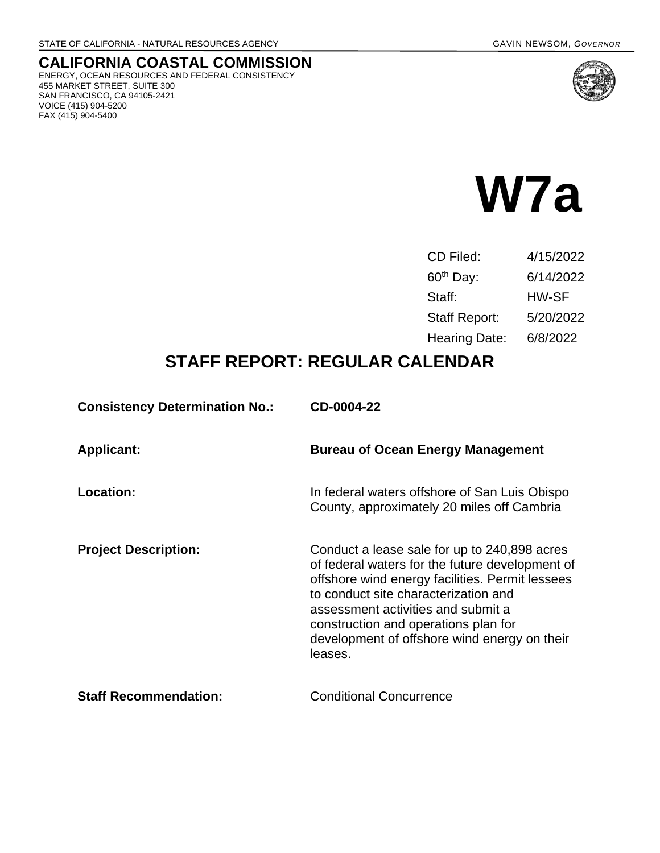455 MARKET STREET, SUITE 300 SAN FRANCISCO, CA 94105-2421

VOICE (415) 904-5200 FAX (415) 904-5400

**CALIFORNIA COASTAL COMMISSION** ENERGY, OCEAN RESOURCES AND FEDERAL CONSISTENCY



| CD Filed:             | 4/15/2022 |
|-----------------------|-----------|
| 60 <sup>th</sup> Day: | 6/14/2022 |
| Staff:                | HW-SF     |
| <b>Staff Report:</b>  | 5/20/2022 |
| <b>Hearing Date:</b>  | 6/8/2022  |

# **STAFF REPORT: REGULAR CALENDAR**

| <b>Consistency Determination No.:</b> | CD-0004-22                                                                                                                                                                                                                                                                                                                          |
|---------------------------------------|-------------------------------------------------------------------------------------------------------------------------------------------------------------------------------------------------------------------------------------------------------------------------------------------------------------------------------------|
| <b>Applicant:</b>                     | <b>Bureau of Ocean Energy Management</b>                                                                                                                                                                                                                                                                                            |
| Location:                             | In federal waters offshore of San Luis Obispo<br>County, approximately 20 miles off Cambria                                                                                                                                                                                                                                         |
| <b>Project Description:</b>           | Conduct a lease sale for up to 240,898 acres<br>of federal waters for the future development of<br>offshore wind energy facilities. Permit lessees<br>to conduct site characterization and<br>assessment activities and submit a<br>construction and operations plan for<br>development of offshore wind energy on their<br>leases. |
| <b>Staff Recommendation:</b>          | <b>Conditional Concurrence</b>                                                                                                                                                                                                                                                                                                      |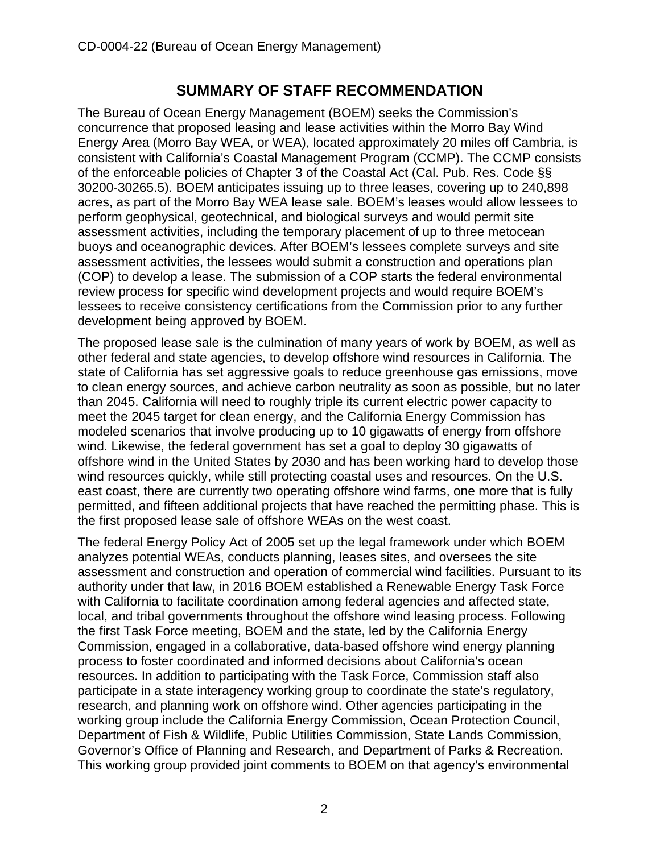## **SUMMARY OF STAFF RECOMMENDATION**

<span id="page-1-0"></span>The Bureau of Ocean Energy Management (BOEM) seeks the Commission's concurrence that proposed leasing and lease activities within the Morro Bay Wind Energy Area (Morro Bay WEA, or WEA), located approximately 20 miles off Cambria, is consistent with California's Coastal Management Program (CCMP). The CCMP consists of the enforceable policies of Chapter 3 of the Coastal Act (Cal. Pub. Res. Code §§ 30200-30265.5). BOEM anticipates issuing up to three leases, covering up to 240,898 acres, as part of the Morro Bay WEA lease sale. BOEM's leases would allow lessees to perform geophysical, geotechnical, and biological surveys and would permit site assessment activities, including the temporary placement of up to three metocean buoys and oceanographic devices. After BOEM's lessees complete surveys and site assessment activities, the lessees would submit a construction and operations plan (COP) to develop a lease. The submission of a COP starts the federal environmental review process for specific wind development projects and would require BOEM's lessees to receive consistency certifications from the Commission prior to any further development being approved by BOEM.

The proposed lease sale is the culmination of many years of work by BOEM, as well as other federal and state agencies, to develop offshore wind resources in California. The state of California has set aggressive goals to reduce greenhouse gas emissions, move to clean energy sources, and achieve carbon neutrality as soon as possible, but no later than 2045. California will need to roughly triple its current electric power capacity to meet the 2045 target for clean energy, and the California Energy Commission has modeled scenarios that involve producing up to 10 gigawatts of energy from offshore wind. Likewise, the federal government has set a goal to deploy 30 gigawatts of offshore wind in the United States by 2030 and has been working hard to develop those wind resources quickly, while still protecting coastal uses and resources. On the U.S. east coast, there are currently two operating offshore wind farms, one more that is fully permitted, and fifteen additional projects that have reached the permitting phase. This is the first proposed lease sale of offshore WEAs on the west coast.

The federal Energy Policy Act of 2005 set up the legal framework under which BOEM analyzes potential WEAs, conducts planning, leases sites, and oversees the site assessment and construction and operation of commercial wind facilities. Pursuant to its authority under that law, in 2016 BOEM established a Renewable Energy Task Force with California to facilitate coordination among federal agencies and affected state, local, and tribal governments throughout the offshore wind leasing process. Following the first Task Force meeting, BOEM and the state, led by the California Energy Commission, engaged in a collaborative, data-based offshore wind energy planning process to foster coordinated and informed decisions about California's ocean resources. In addition to participating with the Task Force, Commission staff also participate in a state interagency working group to coordinate the state's regulatory, research, and planning work on offshore wind. Other agencies participating in the working group include the California Energy Commission, Ocean Protection Council, Department of Fish & Wildlife, Public Utilities Commission, State Lands Commission, Governor's Office of Planning and Research, and Department of Parks & Recreation. This working group provided joint comments to BOEM on that agency's environmental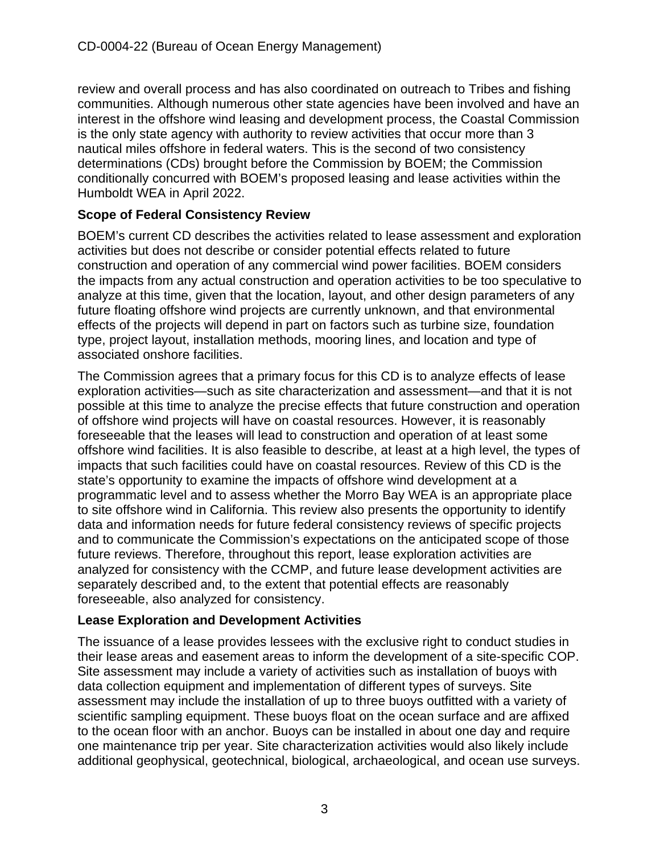review and overall process and has also coordinated on outreach to Tribes and fishing communities. Although numerous other state agencies have been involved and have an interest in the offshore wind leasing and development process, the Coastal Commission is the only state agency with authority to review activities that occur more than 3 nautical miles offshore in federal waters. This is the second of two consistency determinations (CDs) brought before the Commission by BOEM; the Commission conditionally concurred with BOEM's proposed leasing and lease activities within the Humboldt WEA in April 2022.

#### **Scope of Federal Consistency Review**

BOEM's current CD describes the activities related to lease assessment and exploration activities but does not describe or consider potential effects related to future construction and operation of any commercial wind power facilities. BOEM considers the impacts from any actual construction and operation activities to be too speculative to analyze at this time, given that the location, layout, and other design parameters of any future floating offshore wind projects are currently unknown, and that environmental effects of the projects will depend in part on factors such as turbine size, foundation type, project layout, installation methods, mooring lines, and location and type of associated onshore facilities.

The Commission agrees that a primary focus for this CD is to analyze effects of lease exploration activities—such as site characterization and assessment—and that it is not possible at this time to analyze the precise effects that future construction and operation of offshore wind projects will have on coastal resources. However, it is reasonably foreseeable that the leases will lead to construction and operation of at least some offshore wind facilities. It is also feasible to describe, at least at a high level, the types of impacts that such facilities could have on coastal resources. Review of this CD is the state's opportunity to examine the impacts of offshore wind development at a programmatic level and to assess whether the Morro Bay WEA is an appropriate place to site offshore wind in California. This review also presents the opportunity to identify data and information needs for future federal consistency reviews of specific projects and to communicate the Commission's expectations on the anticipated scope of those future reviews. Therefore, throughout this report, lease exploration activities are analyzed for consistency with the CCMP, and future lease development activities are separately described and, to the extent that potential effects are reasonably foreseeable, also analyzed for consistency.

#### **Lease Exploration and Development Activities**

The issuance of a lease provides lessees with the exclusive right to conduct studies in their lease areas and easement areas to inform the development of a site-specific COP. Site assessment may include a variety of activities such as installation of buoys with data collection equipment and implementation of different types of surveys. Site assessment may include the installation of up to three buoys outfitted with a variety of scientific sampling equipment. These buoys float on the ocean surface and are affixed to the ocean floor with an anchor. Buoys can be installed in about one day and require one maintenance trip per year. Site characterization activities would also likely include additional geophysical, geotechnical, biological, archaeological, and ocean use surveys.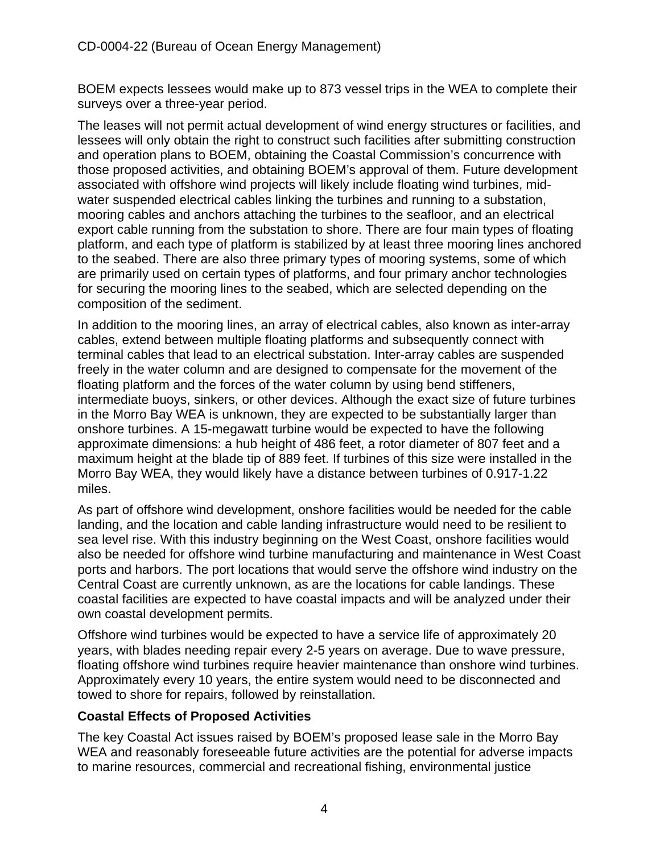BOEM expects lessees would make up to 873 vessel trips in the WEA to complete their surveys over a three-year period.

The leases will not permit actual development of wind energy structures or facilities, and lessees will only obtain the right to construct such facilities after submitting construction and operation plans to BOEM, obtaining the Coastal Commission's concurrence with those proposed activities, and obtaining BOEM's approval of them. Future development associated with offshore wind projects will likely include floating wind turbines, midwater suspended electrical cables linking the turbines and running to a substation, mooring cables and anchors attaching the turbines to the seafloor, and an electrical export cable running from the substation to shore. There are four main types of floating platform, and each type of platform is stabilized by at least three mooring lines anchored to the seabed. There are also three primary types of mooring systems, some of which are primarily used on certain types of platforms, and four primary anchor technologies for securing the mooring lines to the seabed, which are selected depending on the composition of the sediment.

In addition to the mooring lines, an array of electrical cables, also known as inter-array cables, extend between multiple floating platforms and subsequently connect with terminal cables that lead to an electrical substation. Inter-array cables are suspended freely in the water column and are designed to compensate for the movement of the floating platform and the forces of the water column by using bend stiffeners, intermediate buoys, sinkers, or other devices. Although the exact size of future turbines in the Morro Bay WEA is unknown, they are expected to be substantially larger than onshore turbines. A 15-megawatt turbine would be expected to have the following approximate dimensions: a hub height of 486 feet, a rotor diameter of 807 feet and a maximum height at the blade tip of 889 feet. If turbines of this size were installed in the Morro Bay WEA, they would likely have a distance between turbines of 0.917-1.22 miles.

As part of offshore wind development, onshore facilities would be needed for the cable landing, and the location and cable landing infrastructure would need to be resilient to sea level rise. With this industry beginning on the West Coast, onshore facilities would also be needed for offshore wind turbine manufacturing and maintenance in West Coast ports and harbors. The port locations that would serve the offshore wind industry on the Central Coast are currently unknown, as are the locations for cable landings. These coastal facilities are expected to have coastal impacts and will be analyzed under their own coastal development permits.

Offshore wind turbines would be expected to have a service life of approximately 20 years, with blades needing repair every 2-5 years on average. Due to wave pressure, floating offshore wind turbines require heavier maintenance than onshore wind turbines. Approximately every 10 years, the entire system would need to be disconnected and towed to shore for repairs, followed by reinstallation.

#### **Coastal Effects of Proposed Activities**

The key Coastal Act issues raised by BOEM's proposed lease sale in the Morro Bay WEA and reasonably foreseeable future activities are the potential for adverse impacts to marine resources, commercial and recreational fishing, environmental justice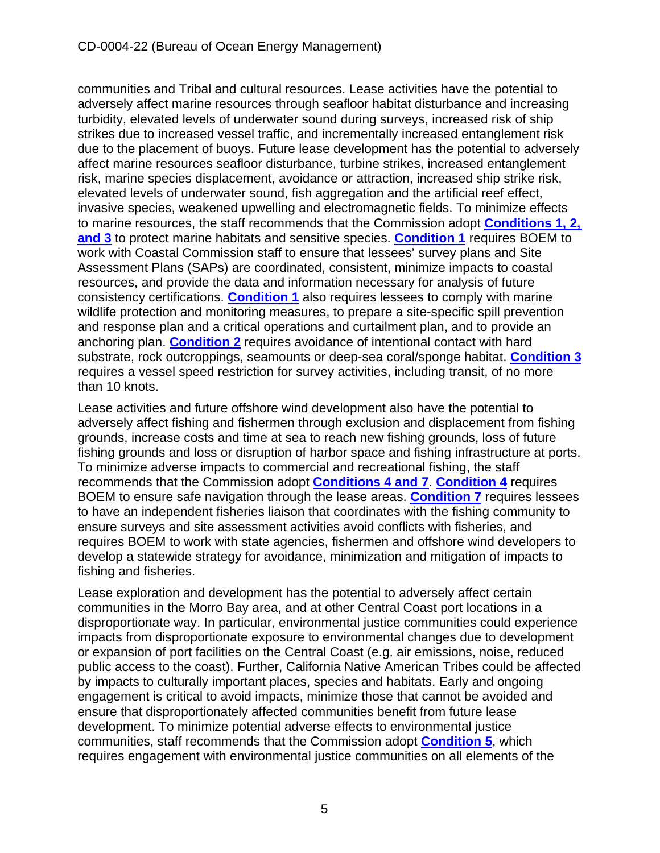communities and Tribal and cultural resources. Lease activities have the potential to adversely affect marine resources through seafloor habitat disturbance and increasing turbidity, elevated levels of underwater sound during surveys, increased risk of ship strikes due to increased vessel traffic, and incrementally increased entanglement risk due to the placement of buoys. Future lease development has the potential to adversely affect marine resources seafloor disturbance, turbine strikes, increased entanglement risk, marine species displacement, avoidance or attraction, increased ship strike risk, elevated levels of underwater sound, fish aggregation and the artificial reef effect, invasive species, weakened upwelling and electromagnetic fields. To minimize effects to marine resources, the staff recommends that the Commission adopt **[Conditions 1, 2,](#page-10-0)  [and 3](#page-10-0)** to protect marine habitats and sensitive species. **[Condition 1](#page-10-0)** requires BOEM to work with Coastal Commission staff to ensure that lessees' survey plans and Site Assessment Plans (SAPs) are coordinated, consistent, minimize impacts to coastal resources, and provide the data and information necessary for analysis of future consistency certifications. **[Condition 1](#page-10-0)** also requires lessees to comply with marine wildlife protection and monitoring measures, to prepare a site-specific spill prevention and response plan and a critical operations and curtailment plan, and to provide an anchoring plan. **[Condition 2](#page-13-0)** requires avoidance of intentional contact with hard substrate, rock outcroppings, seamounts or deep-sea coral/sponge habitat. **[Condition 3](#page-13-1)** requires a vessel speed restriction for survey activities, including transit, of no more than 10 knots.

Lease activities and future offshore wind development also have the potential to adversely affect fishing and fishermen through exclusion and displacement from fishing grounds, increase costs and time at sea to reach new fishing grounds, loss of future fishing grounds and loss or disruption of harbor space and fishing infrastructure at ports. To minimize adverse impacts to commercial and recreational fishing, the staff recommends that the Commission adopt **[Conditions 4 and 7](#page-14-0)**. **[Condition 4](#page-14-0)** requires BOEM to ensure safe navigation through the lease areas. **[Condition 7](#page-15-0)** requires lessees to have an independent fisheries liaison that coordinates with the fishing community to ensure surveys and site assessment activities avoid conflicts with fisheries, and requires BOEM to work with state agencies, fishermen and offshore wind developers to develop a statewide strategy for avoidance, minimization and mitigation of impacts to fishing and fisheries.

Lease exploration and development has the potential to adversely affect certain communities in the Morro Bay area, and at other Central Coast port locations in a disproportionate way. In particular, environmental justice communities could experience impacts from disproportionate exposure to environmental changes due to development or expansion of port facilities on the Central Coast (e.g. air emissions, noise, reduced public access to the coast). Further, California Native American Tribes could be affected by impacts to culturally important places, species and habitats. Early and ongoing engagement is critical to avoid impacts, minimize those that cannot be avoided and ensure that disproportionately affected communities benefit from future lease development. To minimize potential adverse effects to environmental justice communities, staff recommends that the Commission adopt **[Condition 5](#page-14-1)**, which requires engagement with environmental justice communities on all elements of the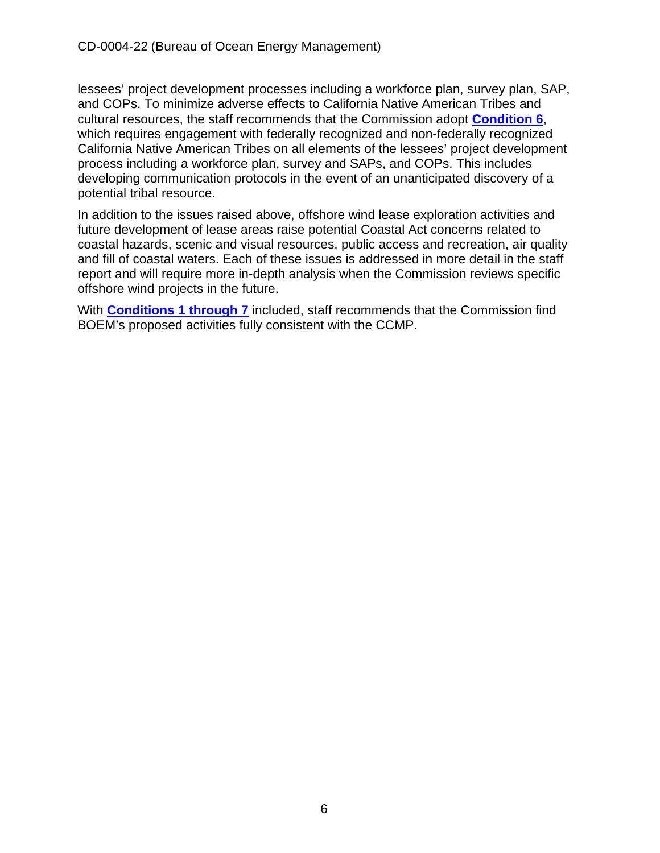lessees' project development processes including a workforce plan, survey plan, SAP, and COPs. To minimize adverse effects to California Native American Tribes and cultural resources, the staff recommends that the Commission adopt **[Condition 6](#page-14-2)**, which requires engagement with federally recognized and non-federally recognized California Native American Tribes on all elements of the lessees' project development process including a workforce plan, survey and SAPs, and COPs. This includes developing communication protocols in the event of an unanticipated discovery of a potential tribal resource.

In addition to the issues raised above, offshore wind lease exploration activities and future development of lease areas raise potential Coastal Act concerns related to coastal hazards, scenic and visual resources, public access and recreation, air quality and fill of coastal waters. Each of these issues is addressed in more detail in the staff report and will require more in-depth analysis when the Commission reviews specific offshore wind projects in the future.

With **[Conditions 1 through 7](#page-10-0)** included, staff recommends that the Commission find BOEM's proposed activities fully consistent with the CCMP.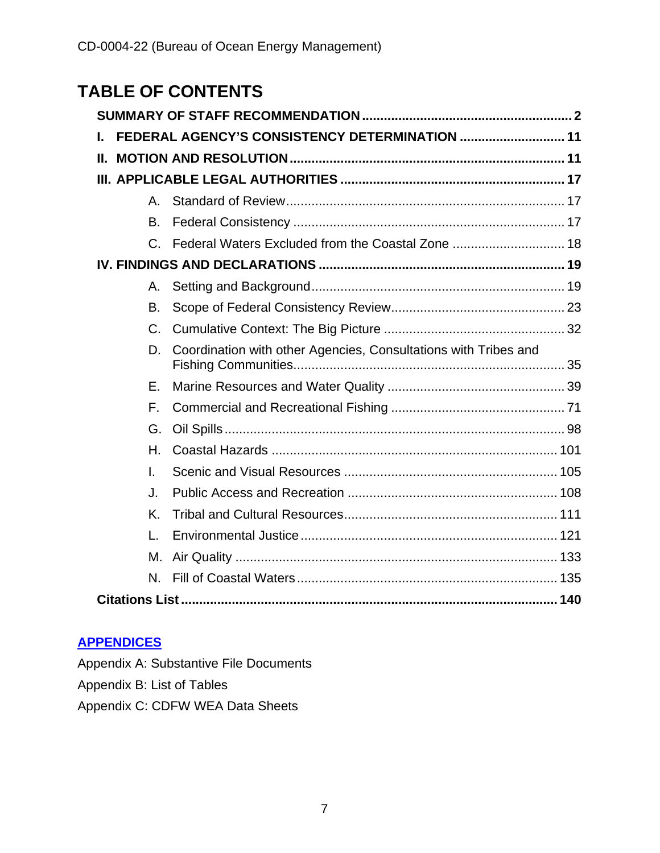# **TABLE OF CONTENTS**

| L. | FEDERAL AGENCY'S CONSISTENCY DETERMINATION  11 |                                                                 |  |  |  |
|----|------------------------------------------------|-----------------------------------------------------------------|--|--|--|
| Ш. |                                                |                                                                 |  |  |  |
|    |                                                |                                                                 |  |  |  |
|    | $A_{-}$                                        |                                                                 |  |  |  |
|    | B.                                             |                                                                 |  |  |  |
|    | $C_{-}$                                        | Federal Waters Excluded from the Coastal Zone  18               |  |  |  |
|    |                                                |                                                                 |  |  |  |
|    | А.                                             |                                                                 |  |  |  |
|    | B.                                             |                                                                 |  |  |  |
|    | C.                                             |                                                                 |  |  |  |
|    | D.                                             | Coordination with other Agencies, Consultations with Tribes and |  |  |  |
|    | Е.                                             |                                                                 |  |  |  |
|    | F.                                             |                                                                 |  |  |  |
|    | G.                                             |                                                                 |  |  |  |
|    | Н.                                             |                                                                 |  |  |  |
|    | I.                                             |                                                                 |  |  |  |
|    | J.                                             |                                                                 |  |  |  |
|    | Κ.                                             |                                                                 |  |  |  |
|    | $\mathbf{L}$                                   |                                                                 |  |  |  |
|    | М.                                             |                                                                 |  |  |  |
|    | N.                                             |                                                                 |  |  |  |
|    |                                                |                                                                 |  |  |  |

## **[APPENDICES](https://documents.coastal.ca.gov/reports/2022/6/W7a/W7a-6-2022-Appendices.pdf)**

Appendix A: Substantive File Documents

Appendix B: List of Tables

Appendix C: CDFW WEA Data Sheets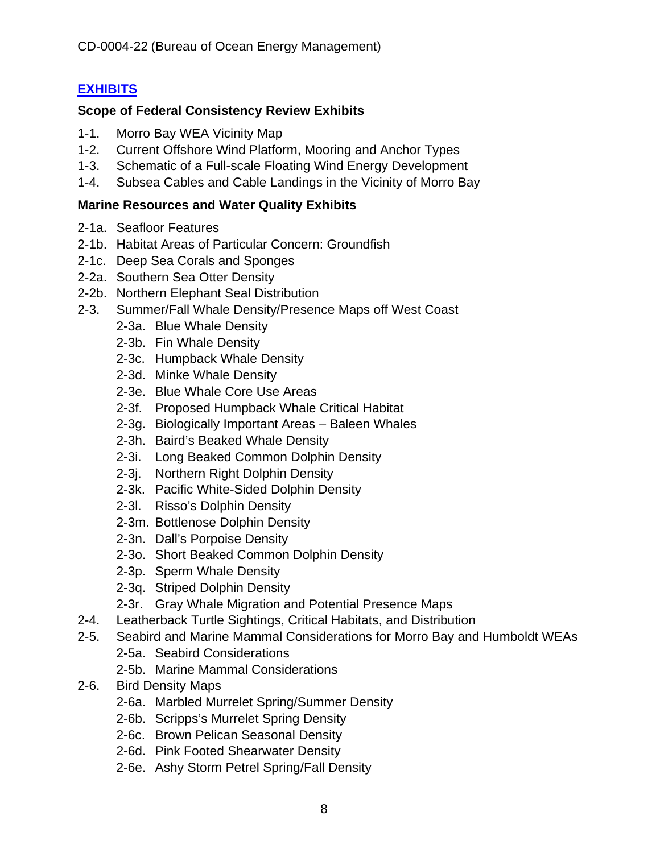## **[EXHIBITS](https://documents.coastal.ca.gov/reports/2022/6/W7a/W7a-6-2022-Exhibits.pdf)**

#### **Scope of Federal Consistency Review Exhibits**

- 1-1. Morro Bay WEA Vicinity Map
- 1-2. Current Offshore Wind Platform, Mooring and Anchor Types
- 1-3. Schematic of a Full-scale Floating Wind Energy Development
- 1-4. Subsea Cables and Cable Landings in the Vicinity of Morro Bay

#### **Marine Resources and Water Quality Exhibits**

- 2-1a. Seafloor Features
- 2-1b. Habitat Areas of Particular Concern: Groundfish
- 2-1c. Deep Sea Corals and Sponges
- 2-2a. Southern Sea Otter Density
- 2-2b. Northern Elephant Seal Distribution
- 2-3. Summer/Fall Whale Density/Presence Maps off West Coast
	- 2-3a. Blue Whale Density
	- 2-3b. Fin Whale Density
	- 2-3c. Humpback Whale Density
	- 2-3d. Minke Whale Density
	- 2-3e. Blue Whale Core Use Areas
	- 2-3f. Proposed Humpback Whale Critical Habitat
	- 2-3g. Biologically Important Areas Baleen Whales
	- 2-3h. Baird's Beaked Whale Density
	- 2-3i. Long Beaked Common Dolphin Density
	- 2-3j. Northern Right Dolphin Density
	- 2-3k. Pacific White-Sided Dolphin Density
	- 2-3l. Risso's Dolphin Density
	- 2-3m. Bottlenose Dolphin Density
	- 2-3n. Dall's Porpoise Density
	- 2-3o. Short Beaked Common Dolphin Density
	- 2-3p. Sperm Whale Density
	- 2-3q. Striped Dolphin Density
	- 2-3r. Gray Whale Migration and Potential Presence Maps
- 2-4. Leatherback Turtle Sightings, Critical Habitats, and Distribution
- 2-5. Seabird and Marine Mammal Considerations for Morro Bay and Humboldt WEAs
	- 2-5a. Seabird Considerations
	- 2-5b. Marine Mammal Considerations
- 2-6. Bird Density Maps
	- 2-6a. Marbled Murrelet Spring/Summer Density
	- 2-6b. Scripps's Murrelet Spring Density
	- 2-6c. Brown Pelican Seasonal Density
	- 2-6d. Pink Footed Shearwater Density
	- 2-6e. Ashy Storm Petrel Spring/Fall Density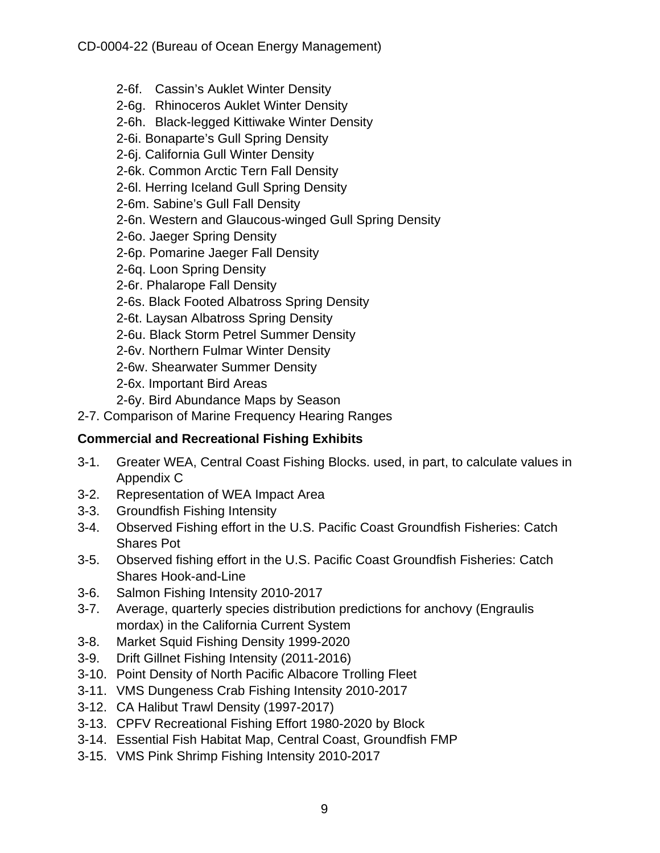- 2-6f. Cassin's Auklet Winter Density
- 2-6g. Rhinoceros Auklet Winter Density
- 2-6h. Black-legged Kittiwake Winter Density
- 2-6i. Bonaparte's Gull Spring Density
- 2-6j. California Gull Winter Density
- 2-6k. Common Arctic Tern Fall Density
- 2-6l. Herring Iceland Gull Spring Density
- 2-6m. Sabine's Gull Fall Density
- 2-6n. Western and Glaucous-winged Gull Spring Density
- 2-6o. Jaeger Spring Density
- 2-6p. Pomarine Jaeger Fall Density
- 2-6q. Loon Spring Density
- 2-6r. Phalarope Fall Density
- 2-6s. Black Footed Albatross Spring Density
- 2-6t. Laysan Albatross Spring Density
- 2-6u. Black Storm Petrel Summer Density
- 2-6v. Northern Fulmar Winter Density
- 2-6w. Shearwater Summer Density
- 2-6x. Important Bird Areas
- 2-6y. Bird Abundance Maps by Season
- 2-7. Comparison of Marine Frequency Hearing Ranges

#### **Commercial and Recreational Fishing Exhibits**

- 3-1. Greater WEA, Central Coast Fishing Blocks. used, in part, to calculate values in Appendix C
- 3-2. Representation of WEA Impact Area
- 3-3. Groundfish Fishing Intensity
- 3-4. Observed Fishing effort in the U.S. Pacific Coast Groundfish Fisheries: Catch Shares Pot
- 3-5. Observed fishing effort in the U.S. Pacific Coast Groundfish Fisheries: Catch Shares Hook-and-Line
- 3-6. Salmon Fishing Intensity 2010-2017
- 3-7. Average, quarterly species distribution predictions for anchovy (Engraulis mordax) in the California Current System
- 3-8. Market Squid Fishing Density 1999-2020
- 3-9. Drift Gillnet Fishing Intensity (2011-2016)
- 3-10. Point Density of North Pacific Albacore Trolling Fleet
- 3-11. VMS Dungeness Crab Fishing Intensity 2010-2017
- 3-12. CA Halibut Trawl Density (1997-2017)
- 3-13. CPFV Recreational Fishing Effort 1980-2020 by Block
- 3-14. Essential Fish Habitat Map, Central Coast, Groundfish FMP
- 3-15. VMS Pink Shrimp Fishing Intensity 2010-2017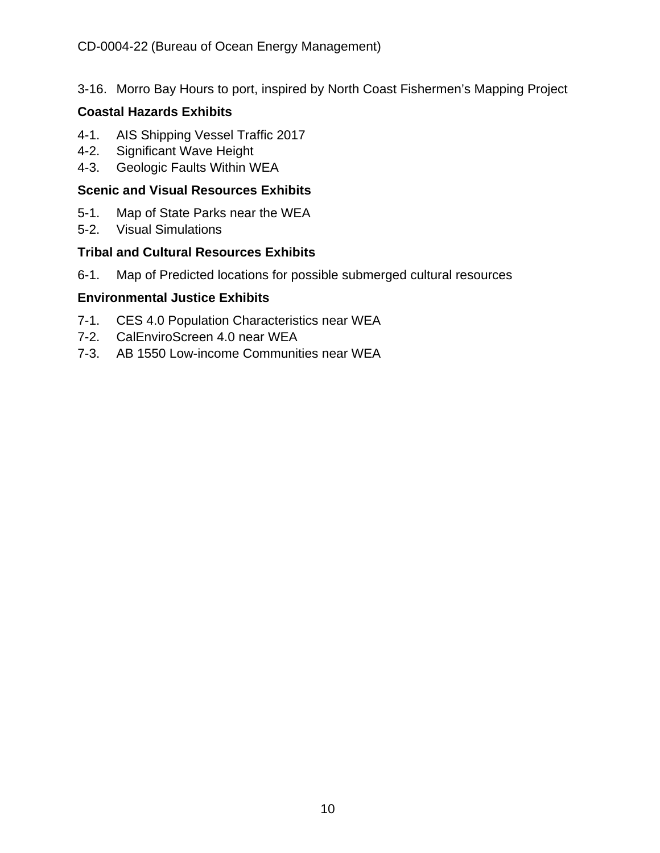3-16. Morro Bay Hours to port, inspired by North Coast Fishermen's Mapping Project

#### **Coastal Hazards Exhibits**

- 4-1. AIS Shipping Vessel Traffic 2017
- 4-2. Significant Wave Height
- 4-3. Geologic Faults Within WEA

#### **Scenic and Visual Resources Exhibits**

- 5-1. Map of State Parks near the WEA
- 5-2. Visual Simulations

#### **Tribal and Cultural Resources Exhibits**

6-1. Map of Predicted locations for possible submerged cultural resources

#### **Environmental Justice Exhibits**

- 7-1. CES 4.0 Population Characteristics near WEA
- 7-2. CalEnviroScreen 4.0 near WEA
- 7-3. AB 1550 Low-income Communities near WEA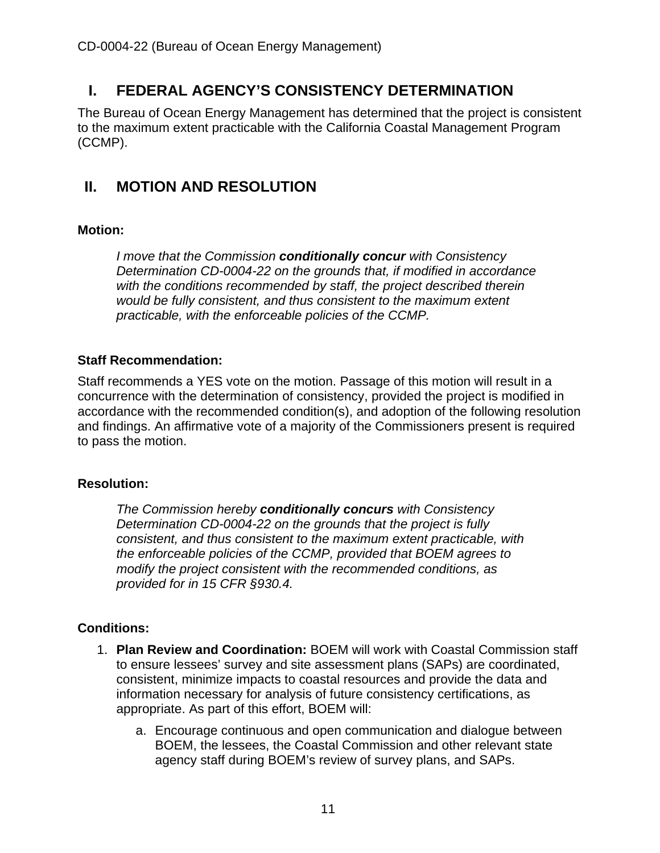## <span id="page-10-1"></span>**I. FEDERAL AGENCY'S CONSISTENCY DETERMINATION**

The Bureau of Ocean Energy Management has determined that the project is consistent to the maximum extent practicable with the California Coastal Management Program (CCMP).

## <span id="page-10-2"></span>**II. MOTION AND RESOLUTION**

#### **Motion:**

*I move that the Commission conditionally concur with Consistency Determination CD-0004-22 on the grounds that, if modified in accordance with the conditions recommended by staff, the project described therein would be fully consistent, and thus consistent to the maximum extent practicable, with the enforceable policies of the CCMP.*

#### **Staff Recommendation:**

Staff recommends a YES vote on the motion. Passage of this motion will result in a concurrence with the determination of consistency, provided the project is modified in accordance with the recommended condition(s), and adoption of the following resolution and findings. An affirmative vote of a majority of the Commissioners present is required to pass the motion.

#### **Resolution:**

*The Commission hereby conditionally concurs with Consistency Determination CD-0004-22 on the grounds that the project is fully consistent, and thus consistent to the maximum extent practicable, with the enforceable policies of the CCMP, provided that BOEM agrees to modify the project consistent with the recommended conditions, as provided for in 15 CFR §930.4.*

#### <span id="page-10-0"></span>**Conditions:**

- 1. **Plan Review and Coordination:** BOEM will work with Coastal Commission staff to ensure lessees' survey and site assessment plans (SAPs) are coordinated, consistent, minimize impacts to coastal resources and provide the data and information necessary for analysis of future consistency certifications, as appropriate. As part of this effort, BOEM will:
	- a. Encourage continuous and open communication and dialogue between BOEM, the lessees, the Coastal Commission and other relevant state agency staff during BOEM's review of survey plans, and SAPs.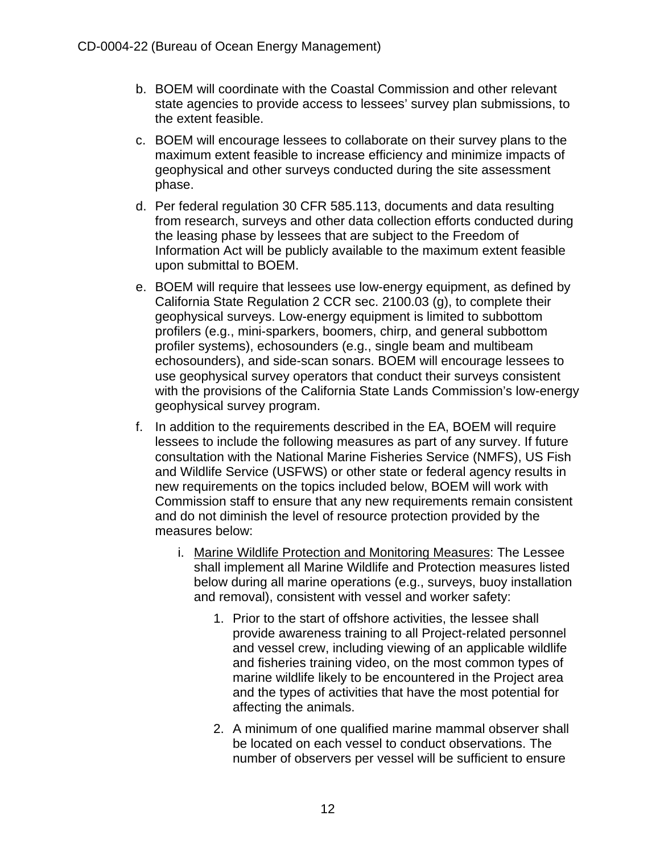- b. BOEM will coordinate with the Coastal Commission and other relevant state agencies to provide access to lessees' survey plan submissions, to the extent feasible.
- c. BOEM will encourage lessees to collaborate on their survey plans to the maximum extent feasible to increase efficiency and minimize impacts of geophysical and other surveys conducted during the site assessment phase.
- d. Per federal regulation 30 CFR 585.113, documents and data resulting from research, surveys and other data collection efforts conducted during the leasing phase by lessees that are subject to the Freedom of Information Act will be publicly available to the maximum extent feasible upon submittal to BOEM.
- e. BOEM will require that lessees use low-energy equipment, as defined by California State Regulation 2 CCR sec. 2100.03 (g), to complete their geophysical surveys. Low-energy equipment is limited to subbottom profilers (e.g., mini-sparkers, boomers, chirp, and general subbottom profiler systems), echosounders (e.g., single beam and multibeam echosounders), and side-scan sonars. BOEM will encourage lessees to use geophysical survey operators that conduct their surveys consistent with the provisions of the California State Lands Commission's low-energy geophysical survey program.
- f. In addition to the requirements described in the EA, BOEM will require lessees to include the following measures as part of any survey. If future consultation with the National Marine Fisheries Service (NMFS), US Fish and Wildlife Service (USFWS) or other state or federal agency results in new requirements on the topics included below, BOEM will work with Commission staff to ensure that any new requirements remain consistent and do not diminish the level of resource protection provided by the measures below:
	- i. Marine Wildlife Protection and Monitoring Measures: The Lessee shall implement all Marine Wildlife and Protection measures listed below during all marine operations (e.g., surveys, buoy installation and removal), consistent with vessel and worker safety:
		- 1. Prior to the start of offshore activities, the lessee shall provide awareness training to all Project-related personnel and vessel crew, including viewing of an applicable wildlife and fisheries training video, on the most common types of marine wildlife likely to be encountered in the Project area and the types of activities that have the most potential for affecting the animals.
		- 2. A minimum of one qualified marine mammal observer shall be located on each vessel to conduct observations. The number of observers per vessel will be sufficient to ensure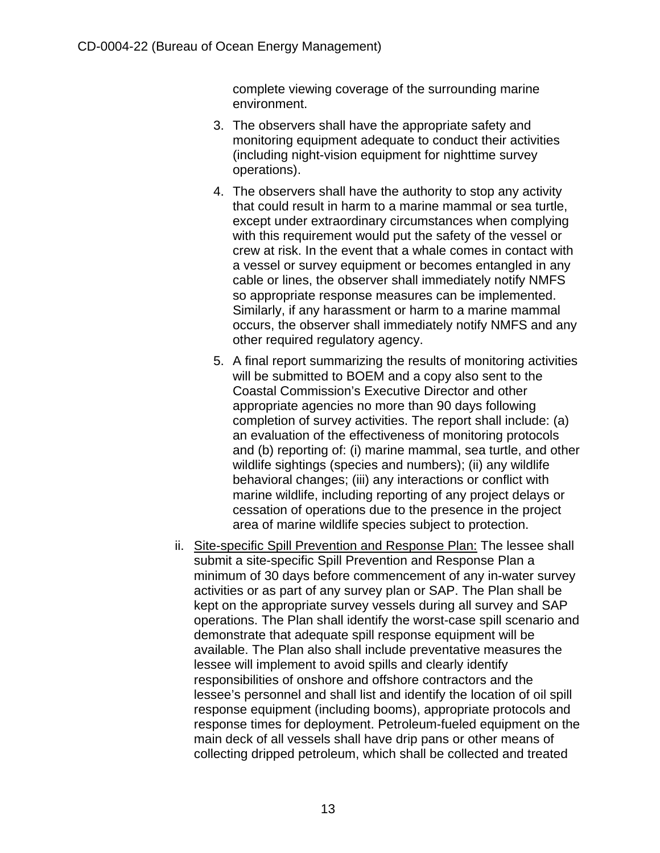complete viewing coverage of the surrounding marine environment.

- 3. The observers shall have the appropriate safety and monitoring equipment adequate to conduct their activities (including night-vision equipment for nighttime survey operations).
- 4. The observers shall have the authority to stop any activity that could result in harm to a marine mammal or sea turtle, except under extraordinary circumstances when complying with this requirement would put the safety of the vessel or crew at risk. In the event that a whale comes in contact with a vessel or survey equipment or becomes entangled in any cable or lines, the observer shall immediately notify NMFS so appropriate response measures can be implemented. Similarly, if any harassment or harm to a marine mammal occurs, the observer shall immediately notify NMFS and any other required regulatory agency.
- 5. A final report summarizing the results of monitoring activities will be submitted to BOEM and a copy also sent to the Coastal Commission's Executive Director and other appropriate agencies no more than 90 days following completion of survey activities. The report shall include: (a) an evaluation of the effectiveness of monitoring protocols and (b) reporting of: (i) marine mammal, sea turtle, and other wildlife sightings (species and numbers); (ii) any wildlife behavioral changes; (iii) any interactions or conflict with marine wildlife, including reporting of any project delays or cessation of operations due to the presence in the project area of marine wildlife species subject to protection.
- ii. Site-specific Spill Prevention and Response Plan: The lessee shall submit a site-specific Spill Prevention and Response Plan a minimum of 30 days before commencement of any in-water survey activities or as part of any survey plan or SAP. The Plan shall be kept on the appropriate survey vessels during all survey and SAP operations. The Plan shall identify the worst-case spill scenario and demonstrate that adequate spill response equipment will be available. The Plan also shall include preventative measures the lessee will implement to avoid spills and clearly identify responsibilities of onshore and offshore contractors and the lessee's personnel and shall list and identify the location of oil spill response equipment (including booms), appropriate protocols and response times for deployment. Petroleum-fueled equipment on the main deck of all vessels shall have drip pans or other means of collecting dripped petroleum, which shall be collected and treated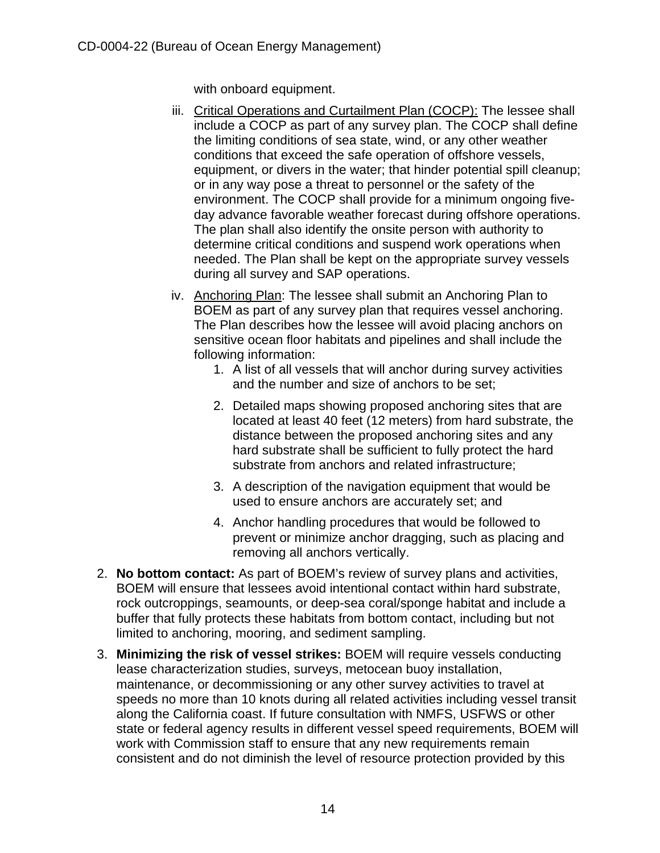with onboard equipment.

- iii. Critical Operations and Curtailment Plan (COCP): The lessee shall include a COCP as part of any survey plan. The COCP shall define the limiting conditions of sea state, wind, or any other weather conditions that exceed the safe operation of offshore vessels, equipment, or divers in the water; that hinder potential spill cleanup; or in any way pose a threat to personnel or the safety of the environment. The COCP shall provide for a minimum ongoing fiveday advance favorable weather forecast during offshore operations. The plan shall also identify the onsite person with authority to determine critical conditions and suspend work operations when needed. The Plan shall be kept on the appropriate survey vessels during all survey and SAP operations.
- iv. Anchoring Plan: The lessee shall submit an Anchoring Plan to BOEM as part of any survey plan that requires vessel anchoring. The Plan describes how the lessee will avoid placing anchors on sensitive ocean floor habitats and pipelines and shall include the following information:
	- 1. A list of all vessels that will anchor during survey activities and the number and size of anchors to be set;
	- 2. Detailed maps showing proposed anchoring sites that are located at least 40 feet (12 meters) from hard substrate, the distance between the proposed anchoring sites and any hard substrate shall be sufficient to fully protect the hard substrate from anchors and related infrastructure;
	- 3. A description of the navigation equipment that would be used to ensure anchors are accurately set; and
	- 4. Anchor handling procedures that would be followed to prevent or minimize anchor dragging, such as placing and removing all anchors vertically.
- <span id="page-13-0"></span>2. **No bottom contact:** As part of BOEM's review of survey plans and activities, BOEM will ensure that lessees avoid intentional contact within hard substrate, rock outcroppings, seamounts, or deep-sea coral/sponge habitat and include a buffer that fully protects these habitats from bottom contact, including but not limited to anchoring, mooring, and sediment sampling.
- <span id="page-13-1"></span>3. **Minimizing the risk of vessel strikes:** BOEM will require vessels conducting lease characterization studies, surveys, metocean buoy installation, maintenance, or decommissioning or any other survey activities to travel at speeds no more than 10 knots during all related activities including vessel transit along the California coast. If future consultation with NMFS, USFWS or other state or federal agency results in different vessel speed requirements, BOEM will work with Commission staff to ensure that any new requirements remain consistent and do not diminish the level of resource protection provided by this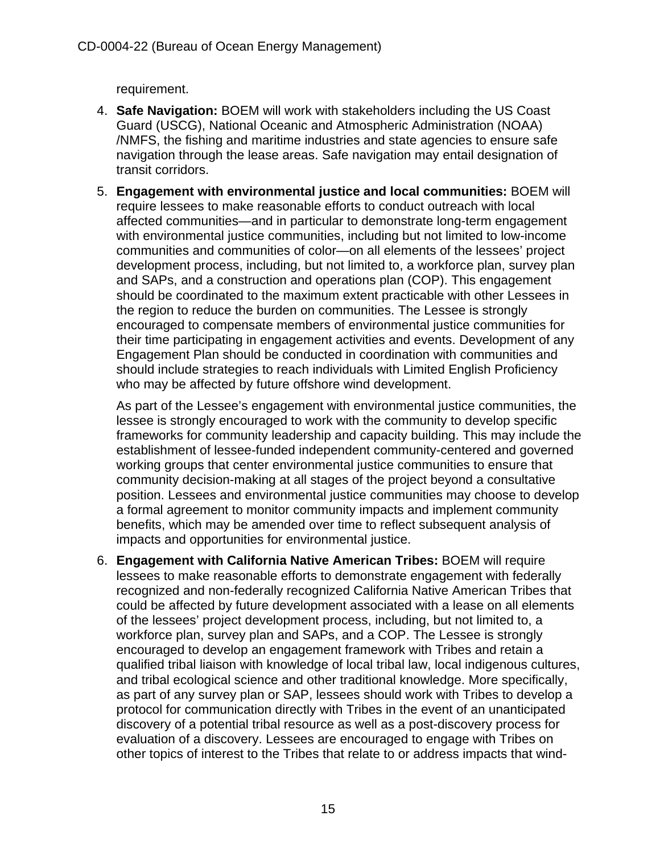requirement.

- <span id="page-14-0"></span>4. **Safe Navigation:** BOEM will work with stakeholders including the US Coast Guard (USCG), National Oceanic and Atmospheric Administration (NOAA) /NMFS, the fishing and maritime industries and state agencies to ensure safe navigation through the lease areas. Safe navigation may entail designation of transit corridors.
- <span id="page-14-1"></span>5. **Engagement with environmental justice and local communities:** BOEM will require lessees to make reasonable efforts to conduct outreach with local affected communities—and in particular to demonstrate long-term engagement with environmental justice communities, including but not limited to low-income communities and communities of color—on all elements of the lessees' project development process, including, but not limited to, a workforce plan, survey plan and SAPs, and a construction and operations plan (COP). This engagement should be coordinated to the maximum extent practicable with other Lessees in the region to reduce the burden on communities. The Lessee is strongly encouraged to compensate members of environmental justice communities for their time participating in engagement activities and events. Development of any Engagement Plan should be conducted in coordination with communities and should include strategies to reach individuals with Limited English Proficiency who may be affected by future offshore wind development.

As part of the Lessee's engagement with environmental justice communities, the lessee is strongly encouraged to work with the community to develop specific frameworks for community leadership and capacity building. This may include the establishment of lessee-funded independent community-centered and governed working groups that center environmental justice communities to ensure that community decision-making at all stages of the project beyond a consultative position. Lessees and environmental justice communities may choose to develop a formal agreement to monitor community impacts and implement community benefits, which may be amended over time to reflect subsequent analysis of impacts and opportunities for environmental justice.

<span id="page-14-2"></span>6. **Engagement with California Native American Tribes:** BOEM will require lessees to make reasonable efforts to demonstrate engagement with federally recognized and non-federally recognized California Native American Tribes that could be affected by future development associated with a lease on all elements of the lessees' project development process, including, but not limited to, a workforce plan, survey plan and SAPs, and a COP. The Lessee is strongly encouraged to develop an engagement framework with Tribes and retain a qualified tribal liaison with knowledge of local tribal law, local indigenous cultures, and tribal ecological science and other traditional knowledge. More specifically, as part of any survey plan or SAP, lessees should work with Tribes to develop a protocol for communication directly with Tribes in the event of an unanticipated discovery of a potential tribal resource as well as a post-discovery process for evaluation of a discovery. Lessees are encouraged to engage with Tribes on other topics of interest to the Tribes that relate to or address impacts that wind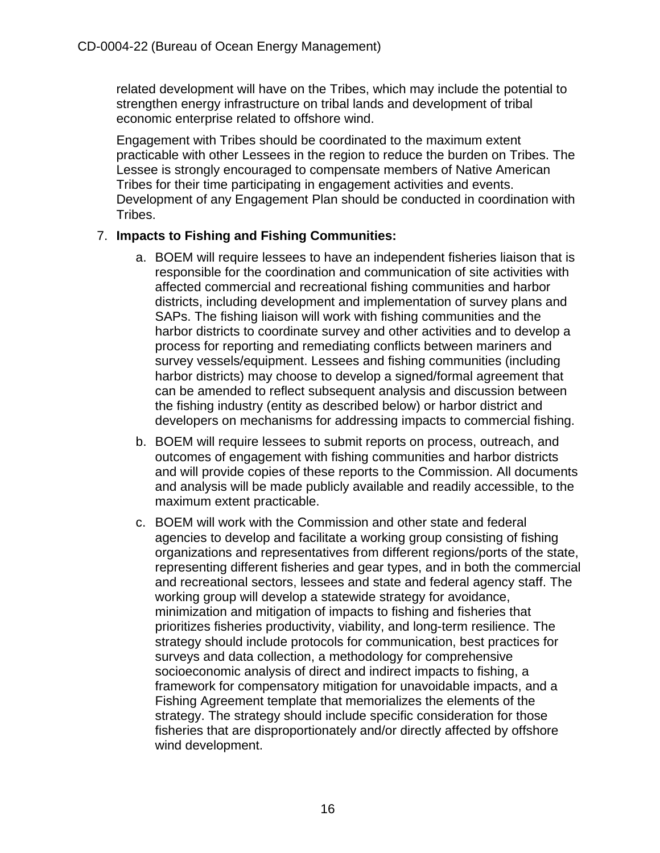related development will have on the Tribes, which may include the potential to strengthen energy infrastructure on tribal lands and development of tribal economic enterprise related to offshore wind.

Engagement with Tribes should be coordinated to the maximum extent practicable with other Lessees in the region to reduce the burden on Tribes. The Lessee is strongly encouraged to compensate members of Native American Tribes for their time participating in engagement activities and events. Development of any Engagement Plan should be conducted in coordination with Tribes.

#### <span id="page-15-0"></span>7. **Impacts to Fishing and Fishing Communities:**

- a. BOEM will require lessees to have an independent fisheries liaison that is responsible for the coordination and communication of site activities with affected commercial and recreational fishing communities and harbor districts, including development and implementation of survey plans and SAPs. The fishing liaison will work with fishing communities and the harbor districts to coordinate survey and other activities and to develop a process for reporting and remediating conflicts between mariners and survey vessels/equipment. Lessees and fishing communities (including harbor districts) may choose to develop a signed/formal agreement that can be amended to reflect subsequent analysis and discussion between the fishing industry (entity as described below) or harbor district and developers on mechanisms for addressing impacts to commercial fishing.
- b. BOEM will require lessees to submit reports on process, outreach, and outcomes of engagement with fishing communities and harbor districts and will provide copies of these reports to the Commission. All documents and analysis will be made publicly available and readily accessible, to the maximum extent practicable.
- c. BOEM will work with the Commission and other state and federal agencies to develop and facilitate a working group consisting of fishing organizations and representatives from different regions/ports of the state, representing different fisheries and gear types, and in both the commercial and recreational sectors, lessees and state and federal agency staff. The working group will develop a statewide strategy for avoidance, minimization and mitigation of impacts to fishing and fisheries that prioritizes fisheries productivity, viability, and long-term resilience. The strategy should include protocols for communication, best practices for surveys and data collection, a methodology for comprehensive socioeconomic analysis of direct and indirect impacts to fishing, a framework for compensatory mitigation for unavoidable impacts, and a Fishing Agreement template that memorializes the elements of the strategy. The strategy should include specific consideration for those fisheries that are disproportionately and/or directly affected by offshore wind development.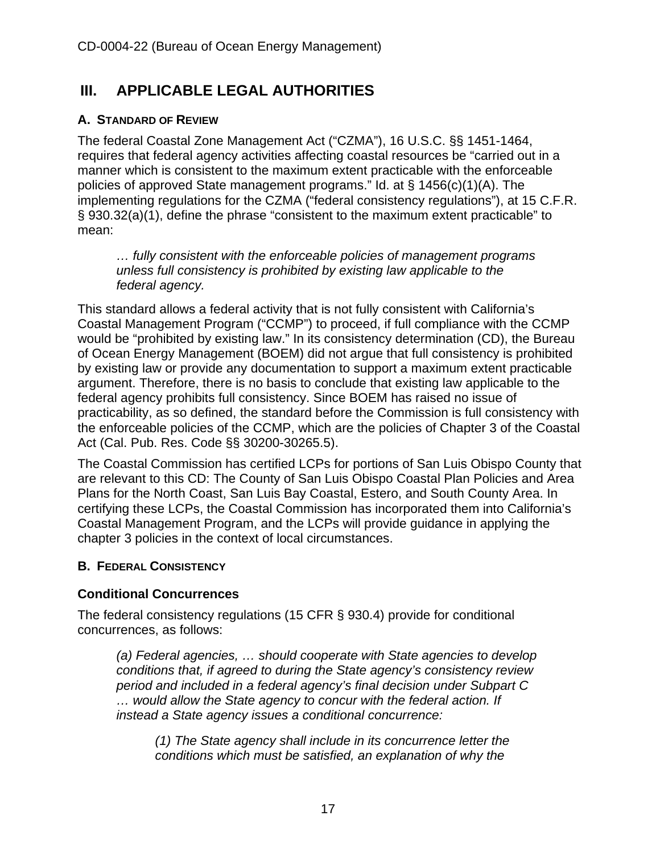## <span id="page-16-0"></span>**III. APPLICABLE LEGAL AUTHORITIES**

#### <span id="page-16-1"></span>**A. STANDARD OF REVIEW**

The federal Coastal Zone Management Act ("CZMA"), 16 U.S.C. §§ 1451-1464, requires that federal agency activities affecting coastal resources be "carried out in a manner which is consistent to the maximum extent practicable with the enforceable policies of approved State management programs." Id. at § 1456(c)(1)(A). The implementing regulations for the CZMA ("federal consistency regulations"), at 15 C.F.R. § 930.32(a)(1), define the phrase "consistent to the maximum extent practicable" to mean:

*… fully consistent with the enforceable policies of management programs unless full consistency is prohibited by existing law applicable to the federal agency.*

This standard allows a federal activity that is not fully consistent with California's Coastal Management Program ("CCMP") to proceed, if full compliance with the CCMP would be "prohibited by existing law." In its consistency determination (CD), the Bureau of Ocean Energy Management (BOEM) did not argue that full consistency is prohibited by existing law or provide any documentation to support a maximum extent practicable argument. Therefore, there is no basis to conclude that existing law applicable to the federal agency prohibits full consistency. Since BOEM has raised no issue of practicability, as so defined, the standard before the Commission is full consistency with the enforceable policies of the CCMP, which are the policies of Chapter 3 of the Coastal Act (Cal. Pub. Res. Code §§ 30200-30265.5).

The Coastal Commission has certified LCPs for portions of San Luis Obispo County that are relevant to this CD: The County of San Luis Obispo Coastal Plan Policies and Area Plans for the North Coast, San Luis Bay Coastal, Estero, and South County Area. In certifying these LCPs, the Coastal Commission has incorporated them into California's Coastal Management Program, and the LCPs will provide guidance in applying the chapter 3 policies in the context of local circumstances.

#### <span id="page-16-2"></span>**B. FEDERAL CONSISTENCY**

#### **Conditional Concurrences**

The federal consistency regulations (15 CFR § 930.4) provide for conditional concurrences, as follows:

*(a) Federal agencies, … should cooperate with State agencies to develop conditions that, if agreed to during the State agency's consistency review period and included in a federal agency's final decision under Subpart C … would allow the State agency to concur with the federal action. If instead a State agency issues a conditional concurrence:* 

*(1) The State agency shall include in its concurrence letter the conditions which must be satisfied, an explanation of why the*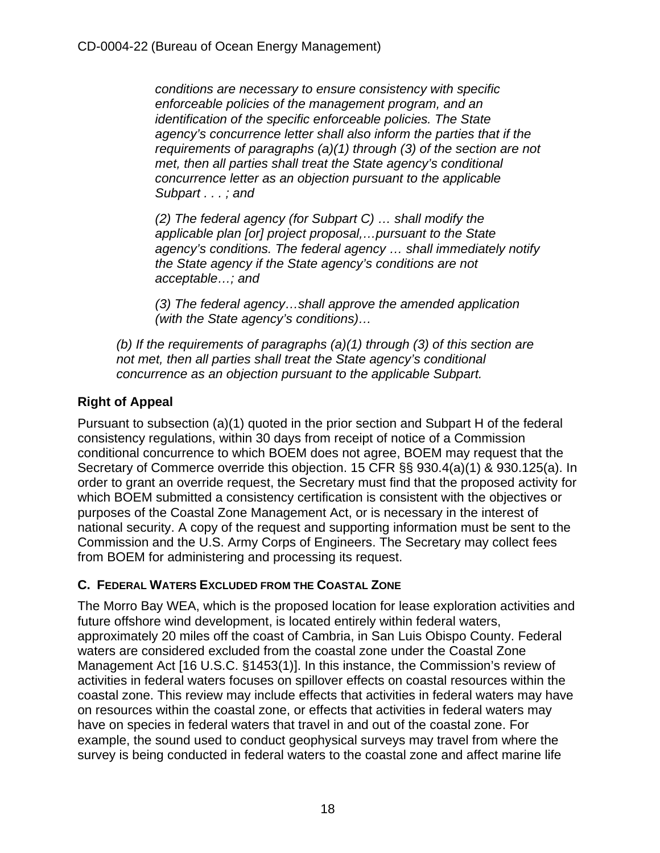*conditions are necessary to ensure consistency with specific enforceable policies of the management program, and an identification of the specific enforceable policies. The State agency's concurrence letter shall also inform the parties that if the requirements of paragraphs (a)(1) through (3) of the section are not met, then all parties shall treat the State agency's conditional concurrence letter as an objection pursuant to the applicable Subpart . . . ; and* 

*(2) The federal agency (for Subpart C) … shall modify the applicable plan [or] project proposal,…pursuant to the State agency's conditions. The federal agency … shall immediately notify the State agency if the State agency's conditions are not acceptable…; and* 

*(3) The federal agency…shall approve the amended application (with the State agency's conditions)…* 

*(b) If the requirements of paragraphs (a)(1) through (3) of this section are not met, then all parties shall treat the State agency's conditional concurrence as an objection pursuant to the applicable Subpart.*

### **Right of Appeal**

Pursuant to subsection (a)(1) quoted in the prior section and Subpart H of the federal consistency regulations, within 30 days from receipt of notice of a Commission conditional concurrence to which BOEM does not agree, BOEM may request that the Secretary of Commerce override this objection. 15 CFR §§ 930.4(a)(1) & 930.125(a). In order to grant an override request, the Secretary must find that the proposed activity for which BOEM submitted a consistency certification is consistent with the objectives or purposes of the Coastal Zone Management Act, or is necessary in the interest of national security. A copy of the request and supporting information must be sent to the Commission and the U.S. Army Corps of Engineers. The Secretary may collect fees from BOEM for administering and processing its request.

#### <span id="page-17-0"></span>**C. FEDERAL WATERS EXCLUDED FROM THE COASTAL ZONE**

The Morro Bay WEA, which is the proposed location for lease exploration activities and future offshore wind development, is located entirely within federal waters, approximately 20 miles off the coast of Cambria, in San Luis Obispo County. Federal waters are considered excluded from the coastal zone under the Coastal Zone Management Act [16 U.S.C. §1453(1)]. In this instance, the Commission's review of activities in federal waters focuses on spillover effects on coastal resources within the coastal zone. This review may include effects that activities in federal waters may have on resources within the coastal zone, or effects that activities in federal waters may have on species in federal waters that travel in and out of the coastal zone. For example, the sound used to conduct geophysical surveys may travel from where the survey is being conducted in federal waters to the coastal zone and affect marine life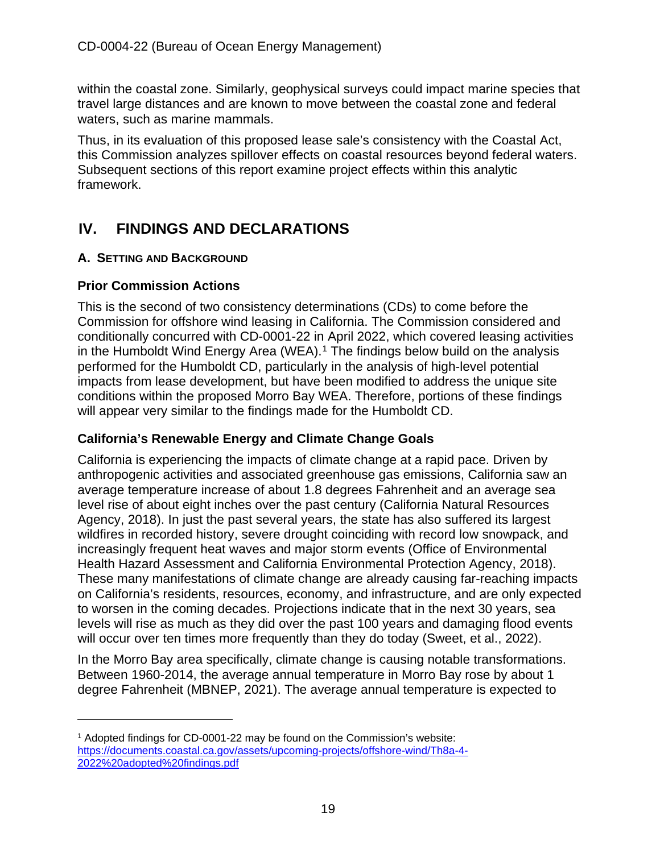within the coastal zone. Similarly, geophysical surveys could impact marine species that travel large distances and are known to move between the coastal zone and federal waters, such as marine mammals.

Thus, in its evaluation of this proposed lease sale's consistency with the Coastal Act, this Commission analyzes spillover effects on coastal resources beyond federal waters. Subsequent sections of this report examine project effects within this analytic framework.

## <span id="page-18-0"></span>**IV. FINDINGS AND DECLARATIONS**

#### <span id="page-18-1"></span>**A. SETTING AND BACKGROUND**

#### **Prior Commission Actions**

This is the second of two consistency determinations (CDs) to come before the Commission for offshore wind leasing in California. The Commission considered and conditionally concurred with CD-0001-22 in April 2022, which covered leasing activities in the Humboldt Wind Energy Area (WEA).<sup>[1](#page-18-2)</sup> The findings below build on the analysis performed for the Humboldt CD, particularly in the analysis of high-level potential impacts from lease development, but have been modified to address the unique site conditions within the proposed Morro Bay WEA. Therefore, portions of these findings will appear very similar to the findings made for the Humboldt CD.

#### **California's Renewable Energy and Climate Change Goals**

California is experiencing the impacts of climate change at a rapid pace. Driven by anthropogenic activities and associated greenhouse gas emissions, California saw an average temperature increase of about 1.8 degrees Fahrenheit and an average sea level rise of about eight inches over the past century (California Natural Resources Agency, 2018). In just the past several years, the state has also suffered its largest wildfires in recorded history, severe drought coinciding with record low snowpack, and increasingly frequent heat waves and major storm events (Office of Environmental Health Hazard Assessment and California Environmental Protection Agency, 2018). These many manifestations of climate change are already causing far-reaching impacts on California's residents, resources, economy, and infrastructure, and are only expected to worsen in the coming decades. Projections indicate that in the next 30 years, sea levels will rise as much as they did over the past 100 years and damaging flood events will occur over ten times more frequently than they do today (Sweet, et al., 2022).

In the Morro Bay area specifically, climate change is causing notable transformations. Between 1960-2014, the average annual temperature in Morro Bay rose by about 1 degree Fahrenheit (MBNEP, 2021). The average annual temperature is expected to

<span id="page-18-2"></span><sup>1</sup> Adopted findings for CD-0001-22 may be found on the Commission's website: [https://documents.coastal.ca.gov/assets/upcoming-projects/offshore-wind/Th8a-4-](https://documents.coastal.ca.gov/assets/upcoming-projects/offshore-wind/Th8a-4-2022%20adopted%20findings.pdf) [2022%20adopted%20findings.pdf](https://documents.coastal.ca.gov/assets/upcoming-projects/offshore-wind/Th8a-4-2022%20adopted%20findings.pdf)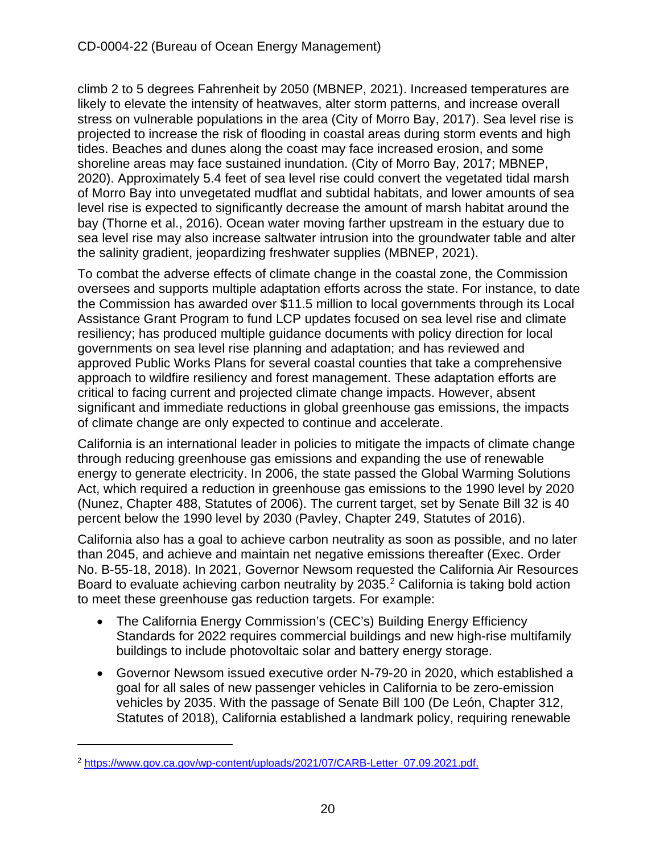climb 2 to 5 degrees Fahrenheit by 2050 (MBNEP, 2021). Increased temperatures are likely to elevate the intensity of heatwaves, alter storm patterns, and increase overall stress on vulnerable populations in the area (City of Morro Bay, 2017). Sea level rise is projected to increase the risk of flooding in coastal areas during storm events and high tides. Beaches and dunes along the coast may face increased erosion, and some shoreline areas may face sustained inundation. (City of Morro Bay, 2017; MBNEP, 2020). Approximately 5.4 feet of sea level rise could convert the vegetated tidal marsh of Morro Bay into unvegetated mudflat and subtidal habitats, and lower amounts of sea level rise is expected to significantly decrease the amount of marsh habitat around the bay (Thorne et al., 2016). Ocean water moving farther upstream in the estuary due to sea level rise may also increase saltwater intrusion into the groundwater table and alter the salinity gradient, jeopardizing freshwater supplies (MBNEP, 2021).

To combat the adverse effects of climate change in the coastal zone, the Commission oversees and supports multiple adaptation efforts across the state. For instance, to date the Commission has awarded over \$11.5 million to local governments through its Local Assistance Grant Program to fund LCP updates focused on sea level rise and climate resiliency; has produced multiple guidance documents with policy direction for local governments on sea level rise planning and adaptation; and has reviewed and approved Public Works Plans for several coastal counties that take a comprehensive approach to wildfire resiliency and forest management. These adaptation efforts are critical to facing current and projected climate change impacts. However, absent significant and immediate reductions in global greenhouse gas emissions, the impacts of climate change are only expected to continue and accelerate.

California is an international leader in policies to mitigate the impacts of climate change through reducing greenhouse gas emissions and expanding the use of renewable energy to generate electricity. In 2006, the state passed the Global Warming Solutions Act, which required a reduction in greenhouse gas emissions to the 1990 level by 2020 (Nunez, Chapter 488, Statutes of 2006). The current target, set by Senate Bill 32 is 40 percent below the 1990 level by 2030 (Pavley, Chapter 249, Statutes of 2016).

California also has a goal to achieve carbon neutrality as soon as possible, and no later than 2045, and achieve and maintain net negative emissions thereafter (Exec. Order No. B-55-18, 2018). In 2021, Governor Newsom requested the California Air Resources Board to evaluate achieving carbon neutrality by [2](#page-19-0)035.<sup>2</sup> California is taking bold action to meet these greenhouse gas reduction targets. For example:

- The California Energy Commission's (CEC's) Building Energy Efficiency Standards for 2022 requires commercial buildings and new high-rise multifamily buildings to include photovoltaic solar and battery energy storage.
- Governor Newsom issued executive order N-79-20 in 2020, which established a goal for all sales of new passenger vehicles in California to be zero-emission vehicles by 2035. With the passage of Senate Bill 100 (De León, Chapter 312, Statutes of 2018), California established a landmark policy, requiring renewable

<span id="page-19-0"></span><sup>2</sup> [https://www.gov.ca.gov/wp-content/uploads/2021/07/CARB-Letter\\_07.09.2021.pdf.](https://www.gov.ca.gov/wp-content/uploads/2021/07/CARB-Letter_07.09.2021.pdf.)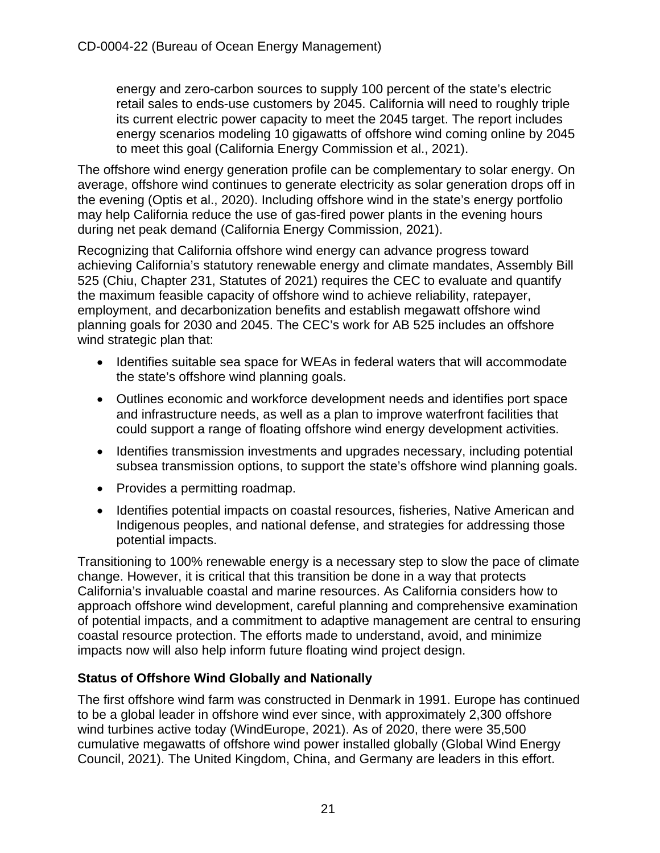energy and zero-carbon sources to supply 100 percent of the state's electric retail sales to ends-use customers by 2045. California will need to roughly triple its current electric power capacity to meet the 2045 target. The report includes energy scenarios modeling 10 gigawatts of offshore wind coming online by 2045 to meet this goal (California Energy Commission et al., 2021).

The offshore wind energy generation profile can be complementary to solar energy. On average, offshore wind continues to generate electricity as solar generation drops off in the evening (Optis et al., 2020). Including offshore wind in the state's energy portfolio may help California reduce the use of gas-fired power plants in the evening hours during net peak demand (California Energy Commission, 2021).

Recognizing that California offshore wind energy can advance progress toward achieving California's statutory renewable energy and climate mandates, Assembly Bill 525 (Chiu, Chapter 231, Statutes of 2021) requires the CEC to evaluate and quantify the maximum feasible capacity of offshore wind to achieve reliability, ratepayer, employment, and decarbonization benefits and establish megawatt offshore wind planning goals for 2030 and 2045. The CEC's work for AB 525 includes an offshore wind strategic plan that:

- Identifies suitable sea space for WEAs in federal waters that will accommodate the state's offshore wind planning goals.
- Outlines economic and workforce development needs and identifies port space and infrastructure needs, as well as a plan to improve waterfront facilities that could support a range of floating offshore wind energy development activities.
- Identifies transmission investments and upgrades necessary, including potential subsea transmission options, to support the state's offshore wind planning goals.
- Provides a permitting roadmap.
- Identifies potential impacts on coastal resources, fisheries, Native American and Indigenous peoples, and national defense, and strategies for addressing those potential impacts.

Transitioning to 100% renewable energy is a necessary step to slow the pace of climate change. However, it is critical that this transition be done in a way that protects California's invaluable coastal and marine resources. As California considers how to approach offshore wind development, careful planning and comprehensive examination of potential impacts, and a commitment to adaptive management are central to ensuring coastal resource protection. The efforts made to understand, avoid, and minimize impacts now will also help inform future floating wind project design.

#### **Status of Offshore Wind Globally and Nationally**

The first offshore wind farm was constructed in Denmark in 1991. Europe has continued to be a global leader in offshore wind ever since, with approximately 2,300 offshore wind turbines active today (WindEurope, 2021). As of 2020, there were 35,500 cumulative megawatts of offshore wind power installed globally (Global Wind Energy Council, 2021). The United Kingdom, China, and Germany are leaders in this effort.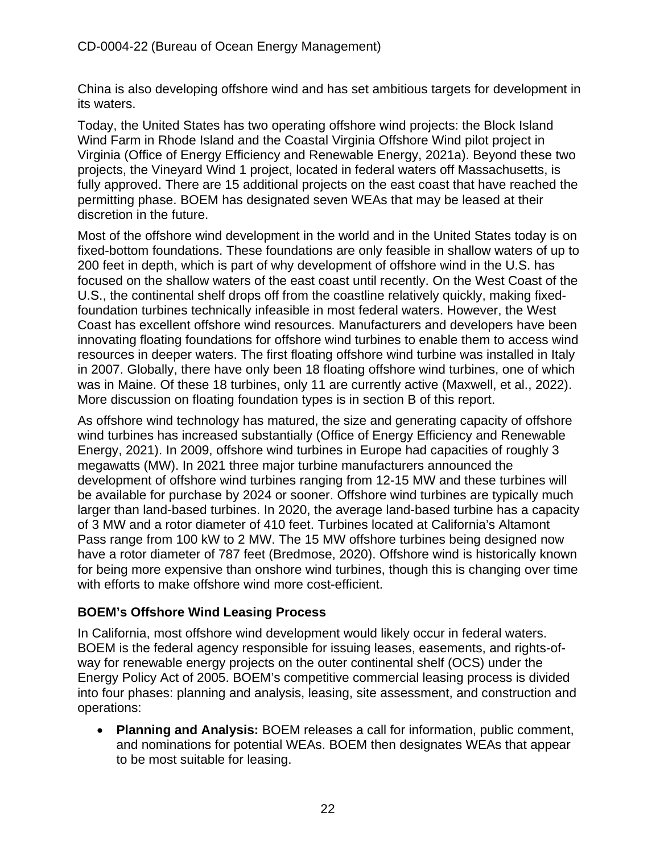China is also developing offshore wind and has set ambitious targets for development in its waters.

Today, the United States has two operating offshore wind projects: the Block Island Wind Farm in Rhode Island and the Coastal Virginia Offshore Wind pilot project in Virginia (Office of Energy Efficiency and Renewable Energy, 2021a). Beyond these two projects, the Vineyard Wind 1 project, located in federal waters off Massachusetts, is fully approved. There are 15 additional projects on the east coast that have reached the permitting phase. BOEM has designated seven WEAs that may be leased at their discretion in the future.

Most of the offshore wind development in the world and in the United States today is on fixed-bottom foundations. These foundations are only feasible in shallow waters of up to 200 feet in depth, which is part of why development of offshore wind in the U.S. has focused on the shallow waters of the east coast until recently. On the West Coast of the U.S., the continental shelf drops off from the coastline relatively quickly, making fixedfoundation turbines technically infeasible in most federal waters. However, the West Coast has excellent offshore wind resources. Manufacturers and developers have been innovating floating foundations for offshore wind turbines to enable them to access wind resources in deeper waters. The first floating offshore wind turbine was installed in Italy in 2007. Globally, there have only been 18 floating offshore wind turbines, one of which was in Maine. Of these 18 turbines, only 11 are currently active (Maxwell, et al., 2022). More discussion on floating foundation types is in section B of this report.

As offshore wind technology has matured, the size and generating capacity of offshore wind turbines has increased substantially (Office of Energy Efficiency and Renewable Energy, 2021). In 2009, offshore wind turbines in Europe had capacities of roughly 3 megawatts (MW). In 2021 three major turbine manufacturers announced the development of offshore wind turbines ranging from 12-15 MW and these turbines will be available for purchase by 2024 or sooner. Offshore wind turbines are typically much larger than land-based turbines. In 2020, the average land-based turbine has a capacity of 3 MW and a rotor diameter of 410 feet. Turbines located at California's Altamont Pass range from 100 kW to 2 MW. The 15 MW offshore turbines being designed now have a rotor diameter of 787 feet (Bredmose, 2020). Offshore wind is historically known for being more expensive than onshore wind turbines, though this is changing over time with efforts to make offshore wind more cost-efficient.

#### **BOEM's Offshore Wind Leasing Process**

In California, most offshore wind development would likely occur in federal waters. BOEM is the federal agency responsible for issuing leases, easements, and rights-ofway for renewable energy projects on the outer continental shelf (OCS) under the Energy Policy Act of 2005. BOEM's competitive commercial leasing process is divided into four phases: planning and analysis, leasing, site assessment, and construction and operations:

• **Planning and Analysis:** BOEM releases a call for information, public comment, and nominations for potential WEAs. BOEM then designates WEAs that appear to be most suitable for leasing.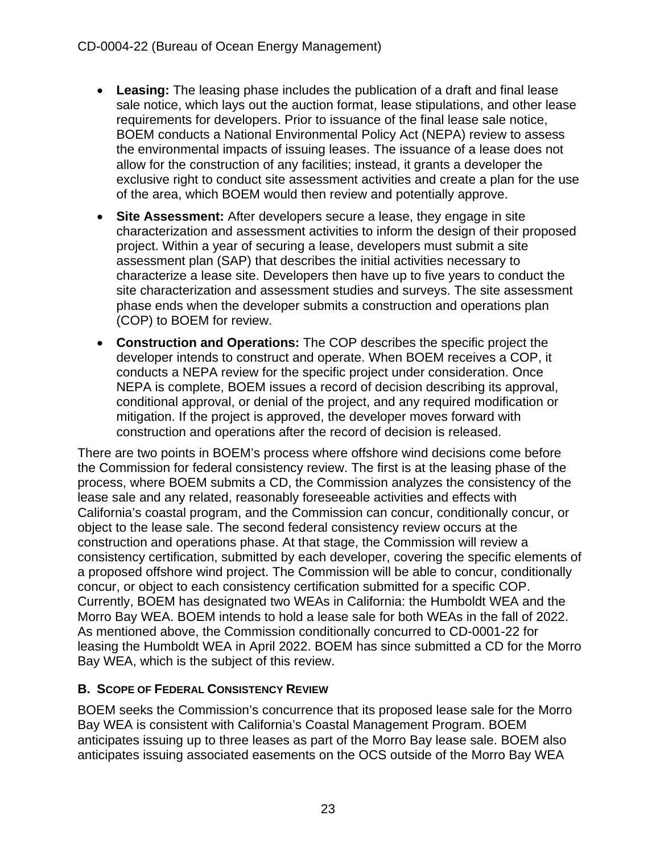- **Leasing:** The leasing phase includes the publication of a draft and final lease sale notice, which lays out the auction format, lease stipulations, and other lease requirements for developers. Prior to issuance of the final lease sale notice, BOEM conducts a National Environmental Policy Act (NEPA) review to assess the environmental impacts of issuing leases. The issuance of a lease does not allow for the construction of any facilities; instead, it grants a developer the exclusive right to conduct site assessment activities and create a plan for the use of the area, which BOEM would then review and potentially approve.
- **Site Assessment:** After developers secure a lease, they engage in site characterization and assessment activities to inform the design of their proposed project. Within a year of securing a lease, developers must submit a site assessment plan (SAP) that describes the initial activities necessary to characterize a lease site. Developers then have up to five years to conduct the site characterization and assessment studies and surveys. The site assessment phase ends when the developer submits a construction and operations plan (COP) to BOEM for review.
- **Construction and Operations:** The COP describes the specific project the developer intends to construct and operate. When BOEM receives a COP, it conducts a NEPA review for the specific project under consideration. Once NEPA is complete, BOEM issues a record of decision describing its approval, conditional approval, or denial of the project, and any required modification or mitigation. If the project is approved, the developer moves forward with construction and operations after the record of decision is released.

There are two points in BOEM's process where offshore wind decisions come before the Commission for federal consistency review. The first is at the leasing phase of the process, where BOEM submits a CD, the Commission analyzes the consistency of the lease sale and any related, reasonably foreseeable activities and effects with California's coastal program, and the Commission can concur, conditionally concur, or object to the lease sale. The second federal consistency review occurs at the construction and operations phase. At that stage, the Commission will review a consistency certification, submitted by each developer, covering the specific elements of a proposed offshore wind project. The Commission will be able to concur, conditionally concur, or object to each consistency certification submitted for a specific COP. Currently, BOEM has designated two WEAs in California: the Humboldt WEA and the Morro Bay WEA. BOEM intends to hold a lease sale for both WEAs in the fall of 2022. As mentioned above, the Commission conditionally concurred to CD-0001-22 for leasing the Humboldt WEA in April 2022. BOEM has since submitted a CD for the Morro Bay WEA, which is the subject of this review.

#### <span id="page-22-0"></span>**B. SCOPE OF FEDERAL CONSISTENCY REVIEW**

BOEM seeks the Commission's concurrence that its proposed lease sale for the Morro Bay WEA is consistent with California's Coastal Management Program. BOEM anticipates issuing up to three leases as part of the Morro Bay lease sale. BOEM also anticipates issuing associated easements on the OCS outside of the Morro Bay WEA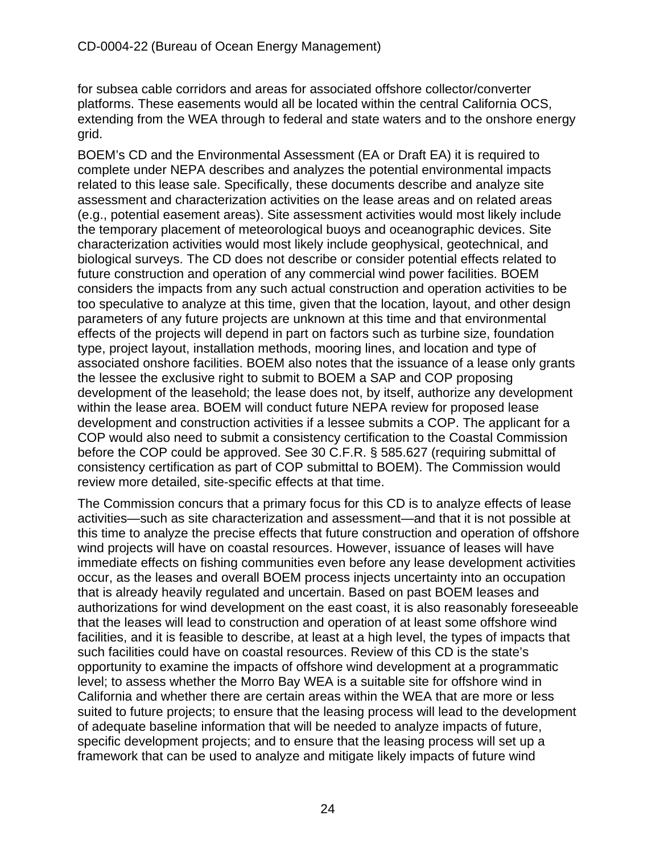for subsea cable corridors and areas for associated offshore collector/converter platforms. These easements would all be located within the central California OCS, extending from the WEA through to federal and state waters and to the onshore energy grid.

BOEM's CD and the Environmental Assessment (EA or Draft EA) it is required to complete under NEPA describes and analyzes the potential environmental impacts related to this lease sale. Specifically, these documents describe and analyze site assessment and characterization activities on the lease areas and on related areas (e.g., potential easement areas). Site assessment activities would most likely include the temporary placement of meteorological buoys and oceanographic devices. Site characterization activities would most likely include geophysical, geotechnical, and biological surveys. The CD does not describe or consider potential effects related to future construction and operation of any commercial wind power facilities. BOEM considers the impacts from any such actual construction and operation activities to be too speculative to analyze at this time, given that the location, layout, and other design parameters of any future projects are unknown at this time and that environmental effects of the projects will depend in part on factors such as turbine size, foundation type, project layout, installation methods, mooring lines, and location and type of associated onshore facilities. BOEM also notes that the issuance of a lease only grants the lessee the exclusive right to submit to BOEM a SAP and COP proposing development of the leasehold; the lease does not, by itself, authorize any development within the lease area. BOEM will conduct future NEPA review for proposed lease development and construction activities if a lessee submits a COP. The applicant for a COP would also need to submit a consistency certification to the Coastal Commission before the COP could be approved. See 30 C.F.R. § 585.627 (requiring submittal of consistency certification as part of COP submittal to BOEM). The Commission would review more detailed, site-specific effects at that time.

The Commission concurs that a primary focus for this CD is to analyze effects of lease activities—such as site characterization and assessment—and that it is not possible at this time to analyze the precise effects that future construction and operation of offshore wind projects will have on coastal resources. However, issuance of leases will have immediate effects on fishing communities even before any lease development activities occur, as the leases and overall BOEM process injects uncertainty into an occupation that is already heavily regulated and uncertain. Based on past BOEM leases and authorizations for wind development on the east coast, it is also reasonably foreseeable that the leases will lead to construction and operation of at least some offshore wind facilities, and it is feasible to describe, at least at a high level, the types of impacts that such facilities could have on coastal resources. Review of this CD is the state's opportunity to examine the impacts of offshore wind development at a programmatic level; to assess whether the Morro Bay WEA is a suitable site for offshore wind in California and whether there are certain areas within the WEA that are more or less suited to future projects; to ensure that the leasing process will lead to the development of adequate baseline information that will be needed to analyze impacts of future, specific development projects; and to ensure that the leasing process will set up a framework that can be used to analyze and mitigate likely impacts of future wind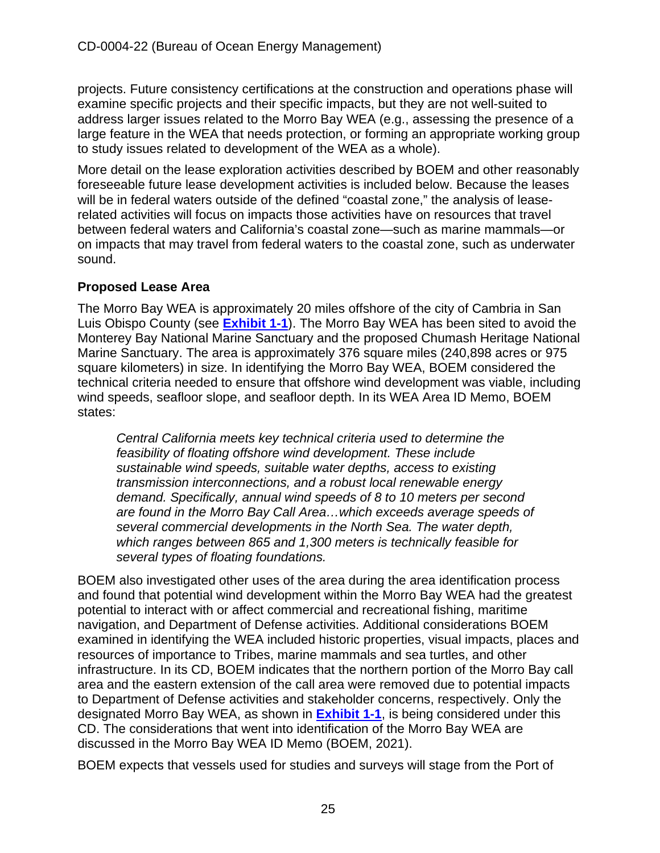projects. Future consistency certifications at the construction and operations phase will examine specific projects and their specific impacts, but they are not well-suited to address larger issues related to the Morro Bay WEA (e.g., assessing the presence of a large feature in the WEA that needs protection, or forming an appropriate working group to study issues related to development of the WEA as a whole).

More detail on the lease exploration activities described by BOEM and other reasonably foreseeable future lease development activities is included below. Because the leases will be in federal waters outside of the defined "coastal zone," the analysis of leaserelated activities will focus on impacts those activities have on resources that travel between federal waters and California's coastal zone—such as marine mammals—or on impacts that may travel from federal waters to the coastal zone, such as underwater sound.

#### **Proposed Lease Area**

The Morro Bay WEA is approximately 20 miles offshore of the city of Cambria in San Luis Obispo County (see **[Exhibit 1-1](https://documents.coastal.ca.gov/reports/2022/6/W7a/W7a-6-2022-Exhibits.pdf)**). The Morro Bay WEA has been sited to avoid the Monterey Bay National Marine Sanctuary and the proposed Chumash Heritage National Marine Sanctuary. The area is approximately 376 square miles (240,898 acres or 975 square kilometers) in size. In identifying the Morro Bay WEA, BOEM considered the technical criteria needed to ensure that offshore wind development was viable, including wind speeds, seafloor slope, and seafloor depth. In its WEA Area ID Memo, BOEM states:

*Central California meets key technical criteria used to determine the feasibility of floating offshore wind development. These include sustainable wind speeds, suitable water depths, access to existing transmission interconnections, and a robust local renewable energy demand. Specifically, annual wind speeds of 8 to 10 meters per second are found in the Morro Bay Call Area…which exceeds average speeds of several commercial developments in the North Sea. The water depth, which ranges between 865 and 1,300 meters is technically feasible for several types of floating foundations.*

BOEM also investigated other uses of the area during the area identification process and found that potential wind development within the Morro Bay WEA had the greatest potential to interact with or affect commercial and recreational fishing, maritime navigation, and Department of Defense activities. Additional considerations BOEM examined in identifying the WEA included historic properties, visual impacts, places and resources of importance to Tribes, marine mammals and sea turtles, and other infrastructure. In its CD, BOEM indicates that the northern portion of the Morro Bay call area and the eastern extension of the call area were removed due to potential impacts to Department of Defense activities and stakeholder concerns, respectively. Only the designated Morro Bay WEA, as shown in **[Exhibit 1-1](https://documents.coastal.ca.gov/reports/2022/6/W7a/W7a-6-2022-Exhibits.pdf)**, is being considered under this CD. The considerations that went into identification of the Morro Bay WEA are discussed in the Morro Bay WEA ID Memo (BOEM, 2021).

BOEM expects that vessels used for studies and surveys will stage from the Port of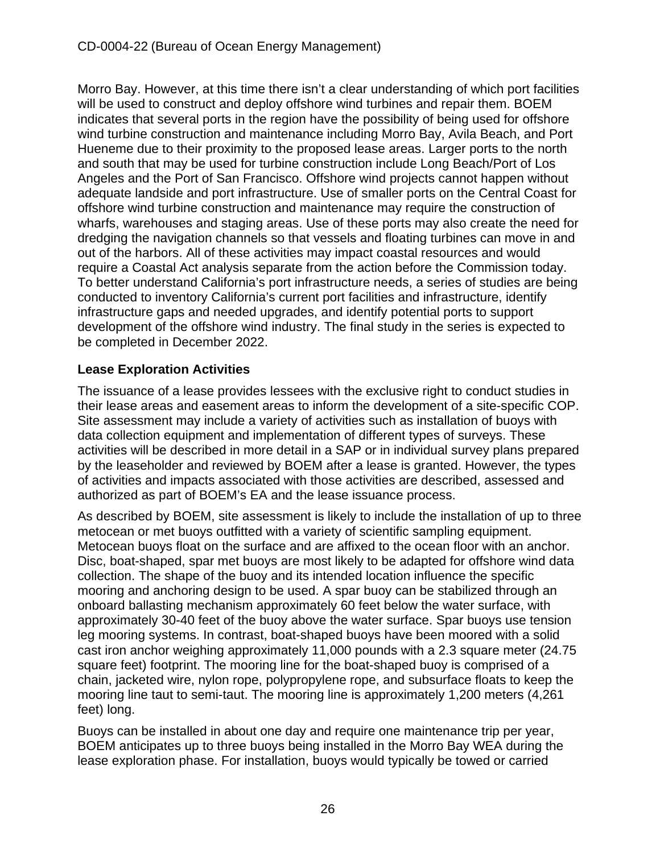Morro Bay. However, at this time there isn't a clear understanding of which port facilities will be used to construct and deploy offshore wind turbines and repair them. BOEM indicates that several ports in the region have the possibility of being used for offshore wind turbine construction and maintenance including Morro Bay, Avila Beach, and Port Hueneme due to their proximity to the proposed lease areas. Larger ports to the north and south that may be used for turbine construction include Long Beach/Port of Los Angeles and the Port of San Francisco. Offshore wind projects cannot happen without adequate landside and port infrastructure. Use of smaller ports on the Central Coast for offshore wind turbine construction and maintenance may require the construction of wharfs, warehouses and staging areas. Use of these ports may also create the need for dredging the navigation channels so that vessels and floating turbines can move in and out of the harbors. All of these activities may impact coastal resources and would require a Coastal Act analysis separate from the action before the Commission today. To better understand California's port infrastructure needs, a series of studies are being conducted to inventory California's current port facilities and infrastructure, identify infrastructure gaps and needed upgrades, and identify potential ports to support development of the offshore wind industry. The final study in the series is expected to be completed in December 2022.

### **Lease Exploration Activities**

The issuance of a lease provides lessees with the exclusive right to conduct studies in their lease areas and easement areas to inform the development of a site-specific COP. Site assessment may include a variety of activities such as installation of buoys with data collection equipment and implementation of different types of surveys. These activities will be described in more detail in a SAP or in individual survey plans prepared by the leaseholder and reviewed by BOEM after a lease is granted. However, the types of activities and impacts associated with those activities are described, assessed and authorized as part of BOEM's EA and the lease issuance process.

As described by BOEM, site assessment is likely to include the installation of up to three metocean or met buoys outfitted with a variety of scientific sampling equipment. Metocean buoys float on the surface and are affixed to the ocean floor with an anchor. Disc, boat-shaped, spar met buoys are most likely to be adapted for offshore wind data collection. The shape of the buoy and its intended location influence the specific mooring and anchoring design to be used. A spar buoy can be stabilized through an onboard ballasting mechanism approximately 60 feet below the water surface, with approximately 30-40 feet of the buoy above the water surface. Spar buoys use tension leg mooring systems. In contrast, boat-shaped buoys have been moored with a solid cast iron anchor weighing approximately 11,000 pounds with a 2.3 square meter (24.75 square feet) footprint. The mooring line for the boat-shaped buoy is comprised of a chain, jacketed wire, nylon rope, polypropylene rope, and subsurface floats to keep the mooring line taut to semi-taut. The mooring line is approximately 1,200 meters (4,261 feet) long.

Buoys can be installed in about one day and require one maintenance trip per year, BOEM anticipates up to three buoys being installed in the Morro Bay WEA during the lease exploration phase. For installation, buoys would typically be towed or carried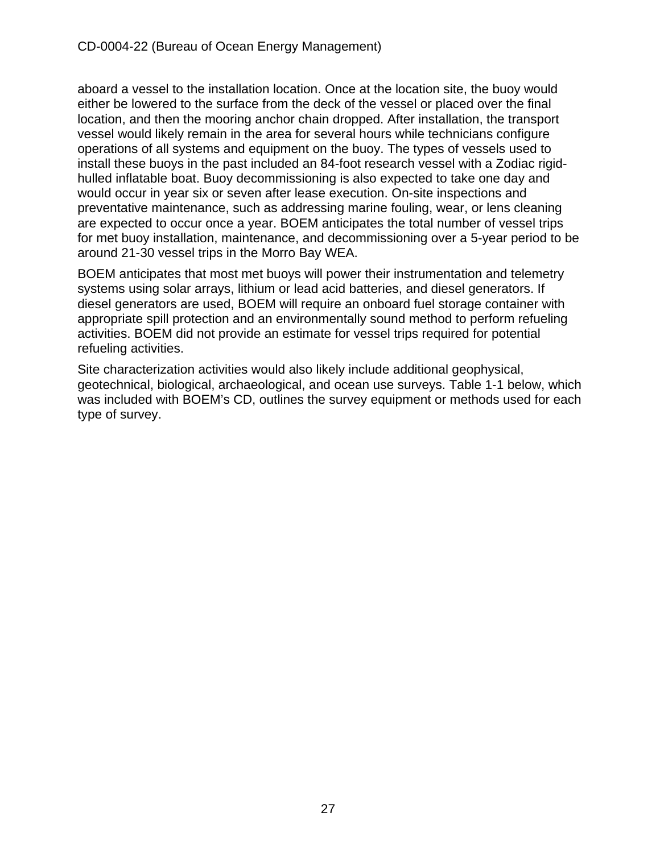aboard a vessel to the installation location. Once at the location site, the buoy would either be lowered to the surface from the deck of the vessel or placed over the final location, and then the mooring anchor chain dropped. After installation, the transport vessel would likely remain in the area for several hours while technicians configure operations of all systems and equipment on the buoy. The types of vessels used to install these buoys in the past included an 84-foot research vessel with a Zodiac rigidhulled inflatable boat. Buoy decommissioning is also expected to take one day and would occur in year six or seven after lease execution. On-site inspections and preventative maintenance, such as addressing marine fouling, wear, or lens cleaning are expected to occur once a year. BOEM anticipates the total number of vessel trips for met buoy installation, maintenance, and decommissioning over a 5-year period to be around 21-30 vessel trips in the Morro Bay WEA.

BOEM anticipates that most met buoys will power their instrumentation and telemetry systems using solar arrays, lithium or lead acid batteries, and diesel generators. If diesel generators are used, BOEM will require an onboard fuel storage container with appropriate spill protection and an environmentally sound method to perform refueling activities. BOEM did not provide an estimate for vessel trips required for potential refueling activities.

Site characterization activities would also likely include additional geophysical, geotechnical, biological, archaeological, and ocean use surveys. Table 1-1 below, which was included with BOEM's CD, outlines the survey equipment or methods used for each type of survey.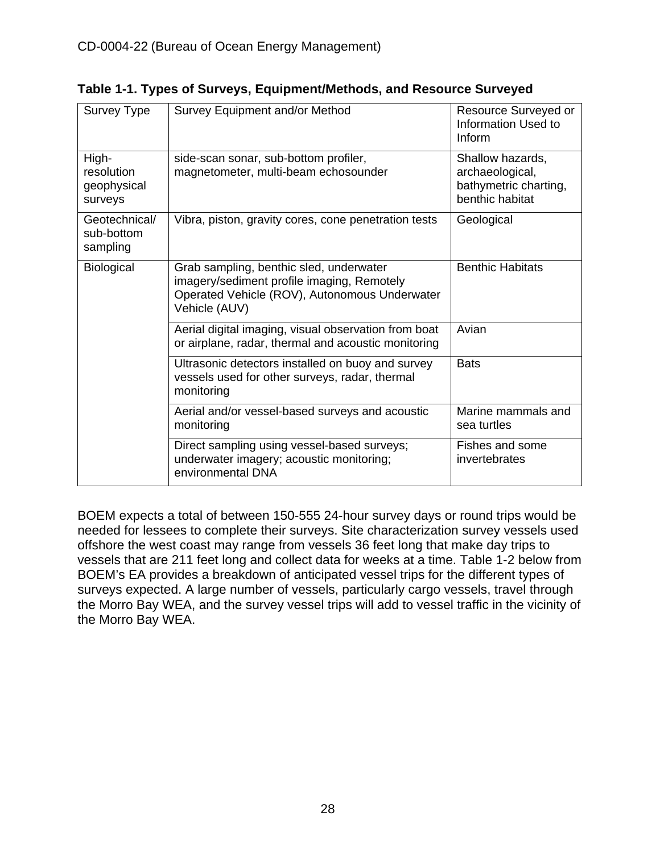| Survey Type                                   | Survey Equipment and/or Method                                                                                                                          | Resource Surveyed or<br>Information Used to<br>Inform                           |
|-----------------------------------------------|---------------------------------------------------------------------------------------------------------------------------------------------------------|---------------------------------------------------------------------------------|
| High-<br>resolution<br>geophysical<br>surveys | side-scan sonar, sub-bottom profiler,<br>magnetometer, multi-beam echosounder                                                                           | Shallow hazards,<br>archaeological,<br>bathymetric charting,<br>benthic habitat |
| Geotechnical/<br>sub-bottom<br>sampling       | Vibra, piston, gravity cores, cone penetration tests                                                                                                    | Geological                                                                      |
| <b>Biological</b>                             | Grab sampling, benthic sled, underwater<br>imagery/sediment profile imaging, Remotely<br>Operated Vehicle (ROV), Autonomous Underwater<br>Vehicle (AUV) | <b>Benthic Habitats</b>                                                         |
|                                               | Aerial digital imaging, visual observation from boat<br>or airplane, radar, thermal and acoustic monitoring                                             | Avian                                                                           |
|                                               | Ultrasonic detectors installed on buoy and survey<br>vessels used for other surveys, radar, thermal<br>monitoring                                       | <b>Bats</b>                                                                     |
|                                               | Aerial and/or vessel-based surveys and acoustic<br>monitoring                                                                                           | Marine mammals and<br>sea turtles                                               |
|                                               | Direct sampling using vessel-based surveys;<br>underwater imagery; acoustic monitoring;<br>environmental DNA                                            | Fishes and some<br>invertebrates                                                |

**Table 1-1. Types of Surveys, Equipment/Methods, and Resource Surveyed**

BOEM expects a total of between 150-555 24-hour survey days or round trips would be needed for lessees to complete their surveys. Site characterization survey vessels used offshore the west coast may range from vessels 36 feet long that make day trips to vessels that are 211 feet long and collect data for weeks at a time. Table 1-2 below from BOEM's EA provides a breakdown of anticipated vessel trips for the different types of surveys expected. A large number of vessels, particularly cargo vessels, travel through the Morro Bay WEA, and the survey vessel trips will add to vessel traffic in the vicinity of the Morro Bay WEA.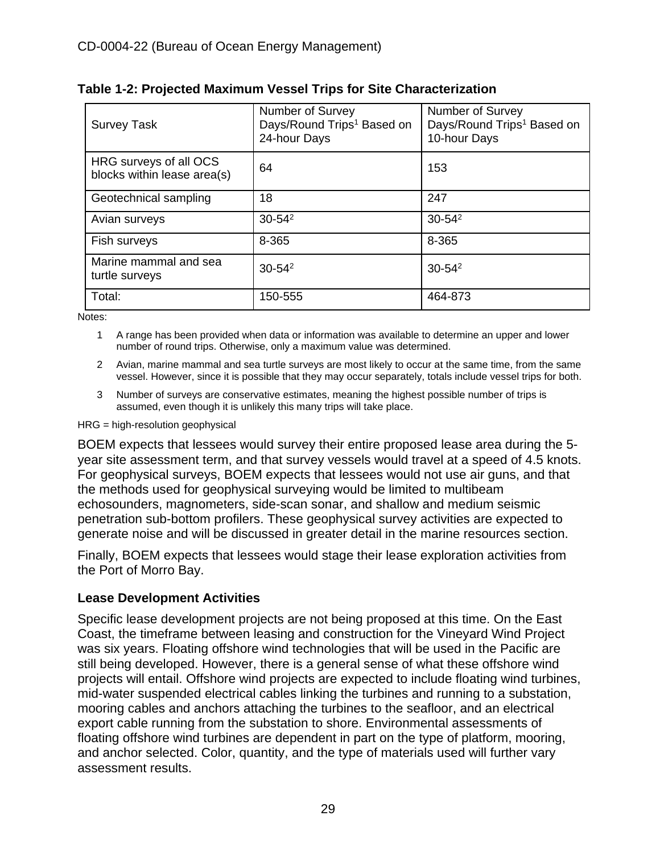| <b>Survey Task</b>                                    | Number of Survey<br>Days/Round Trips <sup>1</sup> Based on<br>24-hour Days | Number of Survey<br>Days/Round Trips <sup>1</sup> Based on<br>10-hour Days |
|-------------------------------------------------------|----------------------------------------------------------------------------|----------------------------------------------------------------------------|
| HRG surveys of all OCS<br>blocks within lease area(s) | 64                                                                         | 153                                                                        |
| Geotechnical sampling                                 | 18                                                                         | 247                                                                        |
| Avian surveys                                         | $30 - 54^2$                                                                | $30 - 54^2$                                                                |
| Fish surveys                                          | 8-365                                                                      | 8-365                                                                      |
| Marine mammal and sea<br>turtle surveys               | $30 - 54^2$                                                                | $30 - 54^2$                                                                |
| Total:                                                | 150-555                                                                    | 464-873                                                                    |

Notes:

- 1 A range has been provided when data or information was available to determine an upper and lower number of round trips. Otherwise, only a maximum value was determined.
- 2 Avian, marine mammal and sea turtle surveys are most likely to occur at the same time, from the same vessel. However, since it is possible that they may occur separately, totals include vessel trips for both.
- 3 Number of surveys are conservative estimates, meaning the highest possible number of trips is assumed, even though it is unlikely this many trips will take place.

#### HRG = high-resolution geophysical

BOEM expects that lessees would survey their entire proposed lease area during the 5 year site assessment term, and that survey vessels would travel at a speed of 4.5 knots. For geophysical surveys, BOEM expects that lessees would not use air guns, and that the methods used for geophysical surveying would be limited to multibeam echosounders, magnometers, side-scan sonar, and shallow and medium seismic penetration sub-bottom profilers. These geophysical survey activities are expected to generate noise and will be discussed in greater detail in the marine resources section.

Finally, BOEM expects that lessees would stage their lease exploration activities from the Port of Morro Bay.

#### **Lease Development Activities**

Specific lease development projects are not being proposed at this time. On the East Coast, the timeframe between leasing and construction for the Vineyard Wind Project was six years. Floating offshore wind technologies that will be used in the Pacific are still being developed. However, there is a general sense of what these offshore wind projects will entail. Offshore wind projects are expected to include floating wind turbines, mid-water suspended electrical cables linking the turbines and running to a substation, mooring cables and anchors attaching the turbines to the seafloor, and an electrical export cable running from the substation to shore. Environmental assessments of floating offshore wind turbines are dependent in part on the type of platform, mooring, and anchor selected. Color, quantity, and the type of materials used will further vary assessment results.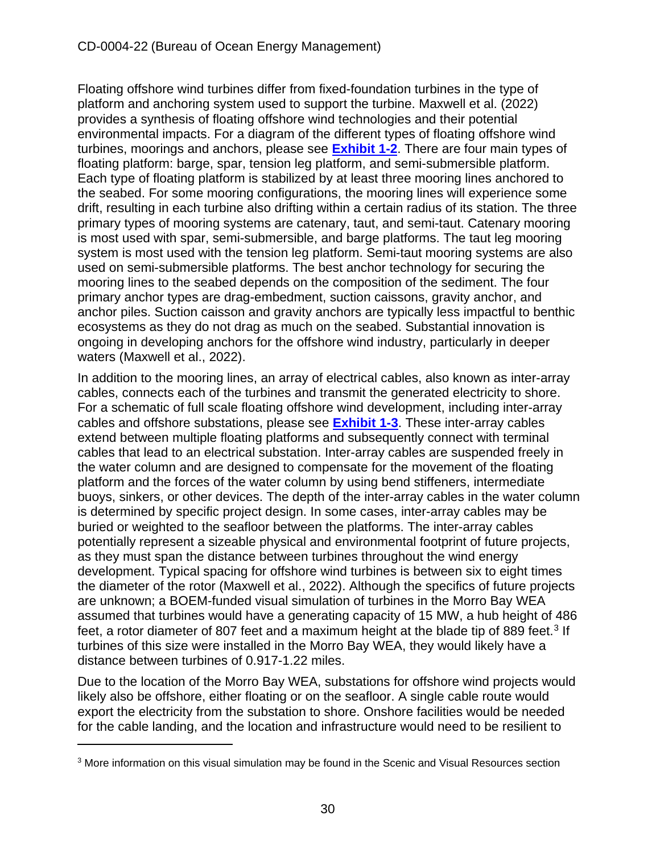Floating offshore wind turbines differ from fixed-foundation turbines in the type of platform and anchoring system used to support the turbine. Maxwell et al. (2022) provides a synthesis of floating offshore wind technologies and their potential environmental impacts. For a diagram of the different types of floating offshore wind turbines, moorings and anchors, please see **[Exhibit 1-2](https://documents.coastal.ca.gov/reports/2022/6/W7a/W7a-6-2022-Exhibits.pdf)**. There are four main types of floating platform: barge, spar, tension leg platform, and semi-submersible platform. Each type of floating platform is stabilized by at least three mooring lines anchored to the seabed. For some mooring configurations, the mooring lines will experience some drift, resulting in each turbine also drifting within a certain radius of its station. The three primary types of mooring systems are catenary, taut, and semi-taut. Catenary mooring is most used with spar, semi-submersible, and barge platforms. The taut leg mooring system is most used with the tension leg platform. Semi-taut mooring systems are also used on semi-submersible platforms. The best anchor technology for securing the mooring lines to the seabed depends on the composition of the sediment. The four primary anchor types are drag-embedment, suction caissons, gravity anchor, and anchor piles. Suction caisson and gravity anchors are typically less impactful to benthic ecosystems as they do not drag as much on the seabed. Substantial innovation is ongoing in developing anchors for the offshore wind industry, particularly in deeper waters (Maxwell et al., 2022).

In addition to the mooring lines, an array of electrical cables, also known as inter-array cables, connects each of the turbines and transmit the generated electricity to shore. For a schematic of full scale floating offshore wind development, including inter-array cables and offshore substations, please see **[Exhibit 1-3](https://documents.coastal.ca.gov/reports/2022/6/W7a/W7a-6-2022-Exhibits.pdf)**. These inter-array cables extend between multiple floating platforms and subsequently connect with terminal cables that lead to an electrical substation. Inter-array cables are suspended freely in the water column and are designed to compensate for the movement of the floating platform and the forces of the water column by using bend stiffeners, intermediate buoys, sinkers, or other devices. The depth of the inter-array cables in the water column is determined by specific project design. In some cases, inter-array cables may be buried or weighted to the seafloor between the platforms. The inter-array cables potentially represent a sizeable physical and environmental footprint of future projects, as they must span the distance between turbines throughout the wind energy development. Typical spacing for offshore wind turbines is between six to eight times the diameter of the rotor (Maxwell et al., 2022). Although the specifics of future projects are unknown; a BOEM-funded visual simulation of turbines in the Morro Bay WEA assumed that turbines would have a generating capacity of 15 MW, a hub height of 486 feet, a rotor diameter of 807 feet and a maximum height at the blade tip of 889 feet.<sup>[3](#page-29-0)</sup> If turbines of this size were installed in the Morro Bay WEA, they would likely have a distance between turbines of 0.917-1.22 miles.

Due to the location of the Morro Bay WEA, substations for offshore wind projects would likely also be offshore, either floating or on the seafloor. A single cable route would export the electricity from the substation to shore. Onshore facilities would be needed for the cable landing, and the location and infrastructure would need to be resilient to

<span id="page-29-0"></span><sup>3</sup> More information on this visual simulation may be found in the Scenic and Visual Resources section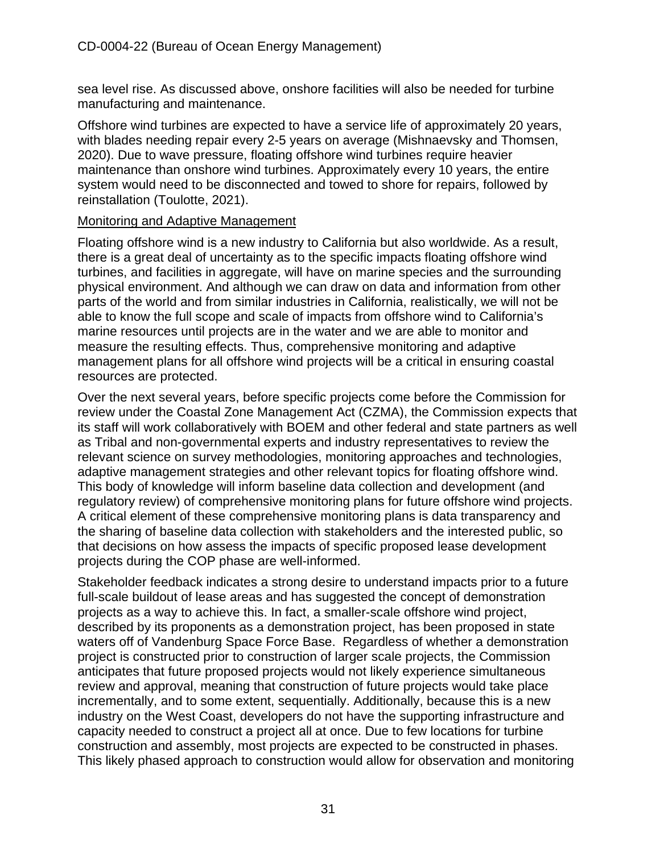sea level rise. As discussed above, onshore facilities will also be needed for turbine manufacturing and maintenance.

Offshore wind turbines are expected to have a service life of approximately 20 years, with blades needing repair every 2-5 years on average (Mishnaevsky and Thomsen, 2020). Due to wave pressure, floating offshore wind turbines require heavier maintenance than onshore wind turbines. Approximately every 10 years, the entire system would need to be disconnected and towed to shore for repairs, followed by reinstallation (Toulotte, 2021).

#### Monitoring and Adaptive Management

Floating offshore wind is a new industry to California but also worldwide. As a result, there is a great deal of uncertainty as to the specific impacts floating offshore wind turbines, and facilities in aggregate, will have on marine species and the surrounding physical environment. And although we can draw on data and information from other parts of the world and from similar industries in California, realistically, we will not be able to know the full scope and scale of impacts from offshore wind to California's marine resources until projects are in the water and we are able to monitor and measure the resulting effects. Thus, comprehensive monitoring and adaptive management plans for all offshore wind projects will be a critical in ensuring coastal resources are protected.

Over the next several years, before specific projects come before the Commission for review under the Coastal Zone Management Act (CZMA), the Commission expects that its staff will work collaboratively with BOEM and other federal and state partners as well as Tribal and non-governmental experts and industry representatives to review the relevant science on survey methodologies, monitoring approaches and technologies, adaptive management strategies and other relevant topics for floating offshore wind. This body of knowledge will inform baseline data collection and development (and regulatory review) of comprehensive monitoring plans for future offshore wind projects. A critical element of these comprehensive monitoring plans is data transparency and the sharing of baseline data collection with stakeholders and the interested public, so that decisions on how assess the impacts of specific proposed lease development projects during the COP phase are well-informed.

Stakeholder feedback indicates a strong desire to understand impacts prior to a future full-scale buildout of lease areas and has suggested the concept of demonstration projects as a way to achieve this. In fact, a smaller-scale offshore wind project, described by its proponents as a demonstration project, has been proposed in state waters off of Vandenburg Space Force Base. Regardless of whether a demonstration project is constructed prior to construction of larger scale projects, the Commission anticipates that future proposed projects would not likely experience simultaneous review and approval, meaning that construction of future projects would take place incrementally, and to some extent, sequentially. Additionally, because this is a new industry on the West Coast, developers do not have the supporting infrastructure and capacity needed to construct a project all at once. Due to few locations for turbine construction and assembly, most projects are expected to be constructed in phases. This likely phased approach to construction would allow for observation and monitoring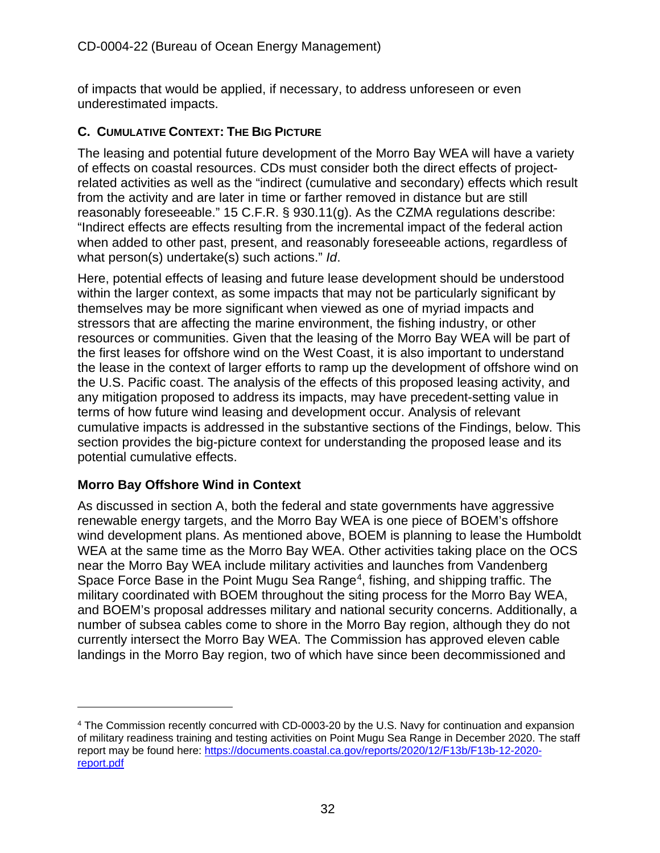of impacts that would be applied, if necessary, to address unforeseen or even underestimated impacts.

#### <span id="page-31-0"></span>**C. CUMULATIVE CONTEXT: THE BIG PICTURE**

The leasing and potential future development of the Morro Bay WEA will have a variety of effects on coastal resources. CDs must consider both the direct effects of projectrelated activities as well as the "indirect (cumulative and secondary) effects which result from the activity and are later in time or farther removed in distance but are still reasonably foreseeable." 15 C.F.R. § 930.11(g). As the CZMA regulations describe: "Indirect effects are effects resulting from the incremental impact of the federal action when added to other past, present, and reasonably foreseeable actions, regardless of what person(s) undertake(s) such actions." *Id*.

Here, potential effects of leasing and future lease development should be understood within the larger context, as some impacts that may not be particularly significant by themselves may be more significant when viewed as one of myriad impacts and stressors that are affecting the marine environment, the fishing industry, or other resources or communities. Given that the leasing of the Morro Bay WEA will be part of the first leases for offshore wind on the West Coast, it is also important to understand the lease in the context of larger efforts to ramp up the development of offshore wind on the U.S. Pacific coast. The analysis of the effects of this proposed leasing activity, and any mitigation proposed to address its impacts, may have precedent-setting value in terms of how future wind leasing and development occur. Analysis of relevant cumulative impacts is addressed in the substantive sections of the Findings, below. This section provides the big-picture context for understanding the proposed lease and its potential cumulative effects.

#### **Morro Bay Offshore Wind in Context**

As discussed in section A, both the federal and state governments have aggressive renewable energy targets, and the Morro Bay WEA is one piece of BOEM's offshore wind development plans. As mentioned above, BOEM is planning to lease the Humboldt WEA at the same time as the Morro Bay WEA. Other activities taking place on the OCS near the Morro Bay WEA include military activities and launches from Vandenberg Space Force Base in the Point Mugu Sea Range<sup>4</sup>, fishing, and shipping traffic. The military coordinated with BOEM throughout the siting process for the Morro Bay WEA, and BOEM's proposal addresses military and national security concerns. Additionally, a number of subsea cables come to shore in the Morro Bay region, although they do not currently intersect the Morro Bay WEA. The Commission has approved eleven cable landings in the Morro Bay region, two of which have since been decommissioned and

<span id="page-31-1"></span><sup>4</sup> The Commission recently concurred with CD-0003-20 by the U.S. Navy for continuation and expansion of military readiness training and testing activities on Point Mugu Sea Range in December 2020. The staff report may be found here: [https://documents.coastal.ca.gov/reports/2020/12/F13b/F13b-12-2020](https://documents.coastal.ca.gov/reports/2020/12/F13b/F13b-12-2020-report.pdf) [report.pdf](https://documents.coastal.ca.gov/reports/2020/12/F13b/F13b-12-2020-report.pdf)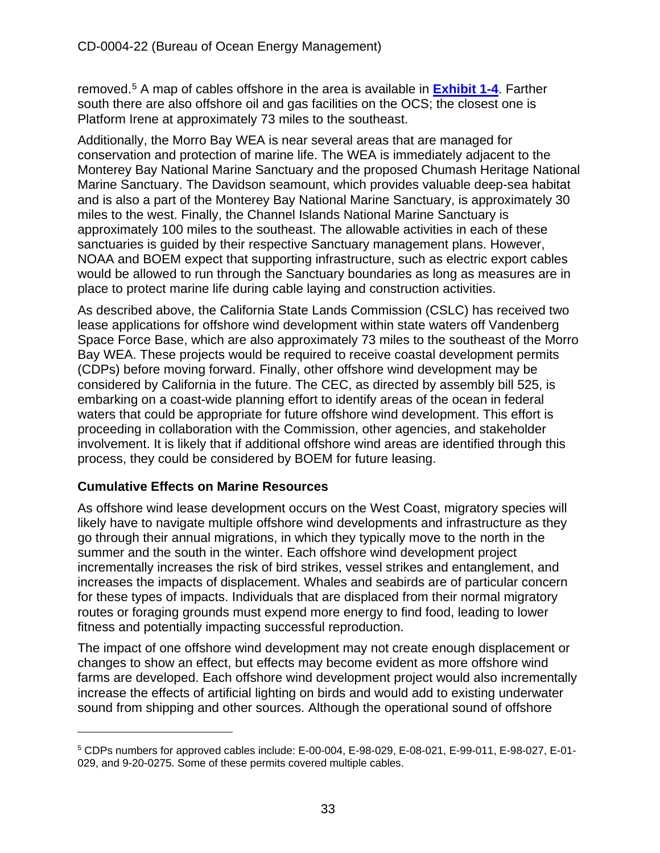removed.[5](#page-32-0) A map of cables offshore in the area is available in **[Exhibit 1-4](https://documents.coastal.ca.gov/reports/2022/6/W7a/W7a-6-2022-Exhibits.pdf)**. Farther south there are also offshore oil and gas facilities on the OCS; the closest one is Platform Irene at approximately 73 miles to the southeast.

Additionally, the Morro Bay WEA is near several areas that are managed for conservation and protection of marine life. The WEA is immediately adjacent to the Monterey Bay National Marine Sanctuary and the proposed Chumash Heritage National Marine Sanctuary. The Davidson seamount, which provides valuable deep-sea habitat and is also a part of the Monterey Bay National Marine Sanctuary, is approximately 30 miles to the west. Finally, the Channel Islands National Marine Sanctuary is approximately 100 miles to the southeast. The allowable activities in each of these sanctuaries is guided by their respective Sanctuary management plans. However, NOAA and BOEM expect that supporting infrastructure, such as electric export cables would be allowed to run through the Sanctuary boundaries as long as measures are in place to protect marine life during cable laying and construction activities.

As described above, the California State Lands Commission (CSLC) has received two lease applications for offshore wind development within state waters off Vandenberg Space Force Base, which are also approximately 73 miles to the southeast of the Morro Bay WEA. These projects would be required to receive coastal development permits (CDPs) before moving forward. Finally, other offshore wind development may be considered by California in the future. The CEC, as directed by assembly bill 525, is embarking on a coast-wide planning effort to identify areas of the ocean in federal waters that could be appropriate for future offshore wind development. This effort is proceeding in collaboration with the Commission, other agencies, and stakeholder involvement. It is likely that if additional offshore wind areas are identified through this process, they could be considered by BOEM for future leasing.

#### **Cumulative Effects on Marine Resources**

As offshore wind lease development occurs on the West Coast, migratory species will likely have to navigate multiple offshore wind developments and infrastructure as they go through their annual migrations, in which they typically move to the north in the summer and the south in the winter. Each offshore wind development project incrementally increases the risk of bird strikes, vessel strikes and entanglement, and increases the impacts of displacement. Whales and seabirds are of particular concern for these types of impacts. Individuals that are displaced from their normal migratory routes or foraging grounds must expend more energy to find food, leading to lower fitness and potentially impacting successful reproduction.

The impact of one offshore wind development may not create enough displacement or changes to show an effect, but effects may become evident as more offshore wind farms are developed. Each offshore wind development project would also incrementally increase the effects of artificial lighting on birds and would add to existing underwater sound from shipping and other sources. Although the operational sound of offshore

<span id="page-32-0"></span><sup>5</sup> CDPs numbers for approved cables include: E-00-004, E-98-029, E-08-021, E-99-011, E-98-027, E-01- 029, and 9-20-0275. Some of these permits covered multiple cables.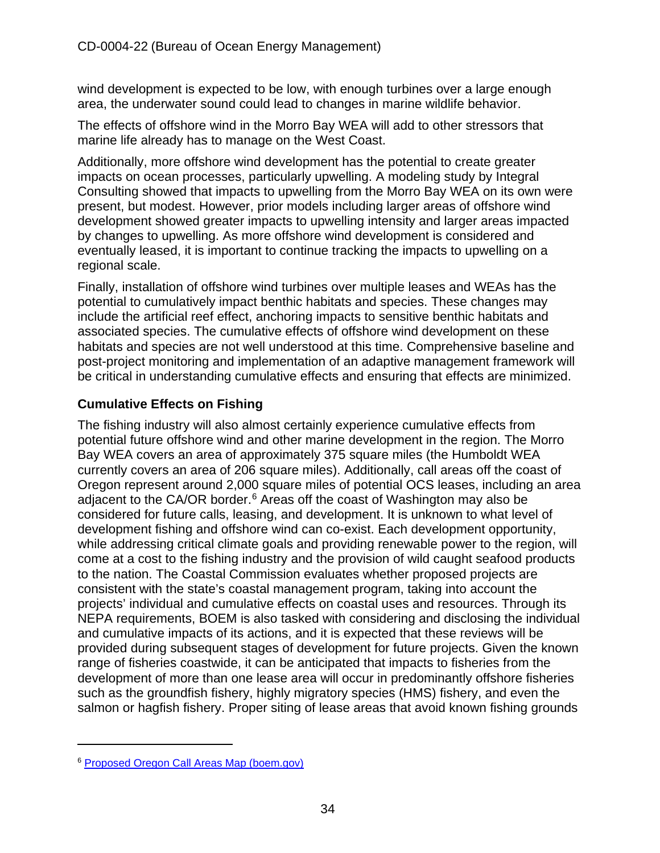wind development is expected to be low, with enough turbines over a large enough area, the underwater sound could lead to changes in marine wildlife behavior.

The effects of offshore wind in the Morro Bay WEA will add to other stressors that marine life already has to manage on the West Coast.

Additionally, more offshore wind development has the potential to create greater impacts on ocean processes, particularly upwelling. A modeling study by Integral Consulting showed that impacts to upwelling from the Morro Bay WEA on its own were present, but modest. However, prior models including larger areas of offshore wind development showed greater impacts to upwelling intensity and larger areas impacted by changes to upwelling. As more offshore wind development is considered and eventually leased, it is important to continue tracking the impacts to upwelling on a regional scale.

Finally, installation of offshore wind turbines over multiple leases and WEAs has the potential to cumulatively impact benthic habitats and species. These changes may include the artificial reef effect, anchoring impacts to sensitive benthic habitats and associated species. The cumulative effects of offshore wind development on these habitats and species are not well understood at this time. Comprehensive baseline and post-project monitoring and implementation of an adaptive management framework will be critical in understanding cumulative effects and ensuring that effects are minimized.

#### **Cumulative Effects on Fishing**

The fishing industry will also almost certainly experience cumulative effects from potential future offshore wind and other marine development in the region. The Morro Bay WEA covers an area of approximately 375 square miles (the Humboldt WEA currently covers an area of 206 square miles). Additionally, call areas off the coast of Oregon represent around 2,000 square miles of potential OCS leases, including an area adjacent to the CA/OR border.<sup>[6](#page-33-0)</sup> Areas off the coast of Washington may also be considered for future calls, leasing, and development. It is unknown to what level of development fishing and offshore wind can co-exist. Each development opportunity, while addressing critical climate goals and providing renewable power to the region, will come at a cost to the fishing industry and the provision of wild caught seafood products to the nation. The Coastal Commission evaluates whether proposed projects are consistent with the state's coastal management program, taking into account the projects' individual and cumulative effects on coastal uses and resources. Through its NEPA requirements, BOEM is also tasked with considering and disclosing the individual and cumulative impacts of its actions, and it is expected that these reviews will be provided during subsequent stages of development for future projects. Given the known range of fisheries coastwide, it can be anticipated that impacts to fisheries from the development of more than one lease area will occur in predominantly offshore fisheries such as the groundfish fishery, highly migratory species (HMS) fishery, and even the salmon or hagfish fishery. Proper siting of lease areas that avoid known fishing grounds

<span id="page-33-0"></span><sup>6</sup> [Proposed Oregon Call Areas Map \(boem.gov\)](https://www.boem.gov/sites/default/files/documents/renewable-energy/state-activities/Proposed-Oregon-Call-Areas-Map.pdf)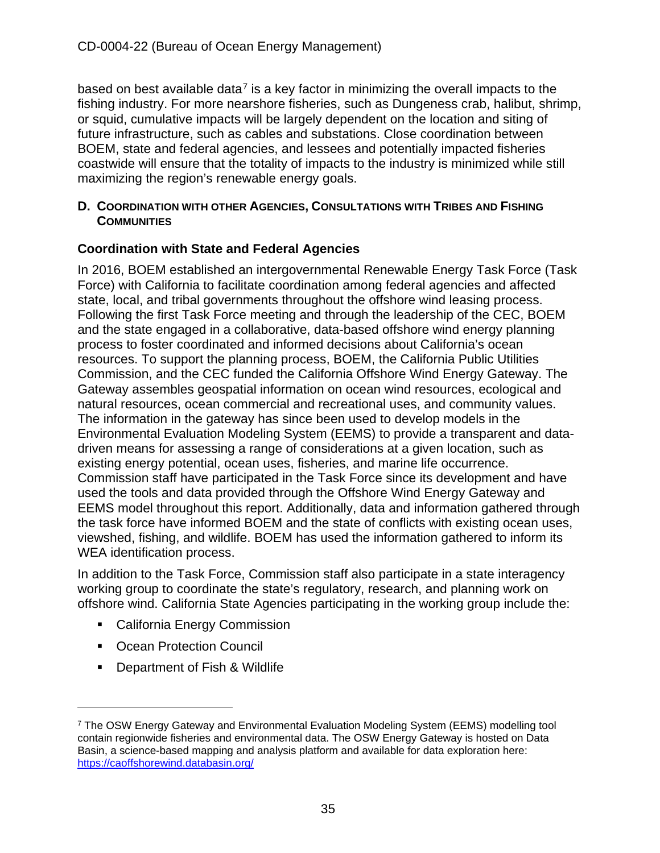based on best available data<sup>[7](#page-34-1)</sup> is a key factor in minimizing the overall impacts to the fishing industry. For more nearshore fisheries, such as Dungeness crab, halibut, shrimp, or squid, cumulative impacts will be largely dependent on the location and siting of future infrastructure, such as cables and substations. Close coordination between BOEM, state and federal agencies, and lessees and potentially impacted fisheries coastwide will ensure that the totality of impacts to the industry is minimized while still maximizing the region's renewable energy goals.

#### <span id="page-34-0"></span>**D. COORDINATION WITH OTHER AGENCIES, CONSULTATIONS WITH TRIBES AND FISHING COMMUNITIES**

#### **Coordination with State and Federal Agencies**

In 2016, BOEM established an intergovernmental Renewable Energy Task Force (Task Force) with California to facilitate coordination among federal agencies and affected state, local, and tribal governments throughout the offshore wind leasing process. Following the first Task Force meeting and through the leadership of the CEC, BOEM and the state engaged in a collaborative, data-based offshore wind energy planning process to foster coordinated and informed decisions about California's ocean resources. To support the planning process, BOEM, the California Public Utilities Commission, and the CEC funded the California Offshore Wind Energy Gateway. The Gateway assembles geospatial information on ocean wind resources, ecological and natural resources, ocean commercial and recreational uses, and community values. The information in the gateway has since been used to develop models in the Environmental Evaluation Modeling System (EEMS) to provide a transparent and datadriven means for assessing a range of considerations at a given location, such as existing energy potential, ocean uses, fisheries, and marine life occurrence. Commission staff have participated in the Task Force since its development and have used the tools and data provided through the Offshore Wind Energy Gateway and EEMS model throughout this report. Additionally, data and information gathered through the task force have informed BOEM and the state of conflicts with existing ocean uses, viewshed, fishing, and wildlife. BOEM has used the information gathered to inform its WEA identification process.

In addition to the Task Force, Commission staff also participate in a state interagency working group to coordinate the state's regulatory, research, and planning work on offshore wind. California State Agencies participating in the working group include the:

- **EXEC** California Energy Commission
- Ocean Protection Council
- **Department of Fish & Wildlife**

<span id="page-34-1"></span><sup>7</sup> The OSW Energy Gateway and Environmental Evaluation Modeling System (EEMS) modelling tool contain regionwide fisheries and environmental data. The OSW Energy Gateway is hosted on Data Basin, a science-based mapping and analysis platform and available for data exploration here: <https://caoffshorewind.databasin.org/>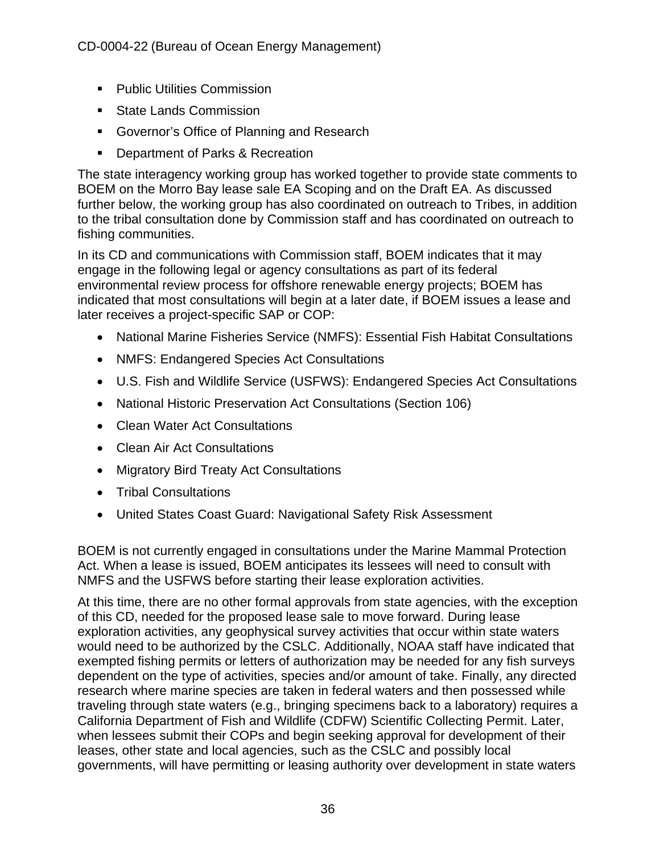- **Public Utilities Commission**
- **State Lands Commission**
- **Governor's Office of Planning and Research**
- **Department of Parks & Recreation**

The state interagency working group has worked together to provide state comments to BOEM on the Morro Bay lease sale EA Scoping and on the Draft EA. As discussed further below, the working group has also coordinated on outreach to Tribes, in addition to the tribal consultation done by Commission staff and has coordinated on outreach to fishing communities.

In its CD and communications with Commission staff, BOEM indicates that it may engage in the following legal or agency consultations as part of its federal environmental review process for offshore renewable energy projects; BOEM has indicated that most consultations will begin at a later date, if BOEM issues a lease and later receives a project-specific SAP or COP:

- National Marine Fisheries Service (NMFS): Essential Fish Habitat Consultations
- NMFS: Endangered Species Act Consultations
- U.S. Fish and Wildlife Service (USFWS): Endangered Species Act Consultations
- National Historic Preservation Act Consultations (Section 106)
- Clean Water Act Consultations
- Clean Air Act Consultations
- Migratory Bird Treaty Act Consultations
- Tribal Consultations
- United States Coast Guard: Navigational Safety Risk Assessment

BOEM is not currently engaged in consultations under the Marine Mammal Protection Act. When a lease is issued, BOEM anticipates its lessees will need to consult with NMFS and the USFWS before starting their lease exploration activities.

At this time, there are no other formal approvals from state agencies, with the exception of this CD, needed for the proposed lease sale to move forward. During lease exploration activities, any geophysical survey activities that occur within state waters would need to be authorized by the CSLC. Additionally, NOAA staff have indicated that exempted fishing permits or letters of authorization may be needed for any fish surveys dependent on the type of activities, species and/or amount of take. Finally, any directed research where marine species are taken in federal waters and then possessed while traveling through state waters (e.g., bringing specimens back to a laboratory) requires a California Department of Fish and Wildlife (CDFW) Scientific Collecting Permit. Later, when lessees submit their COPs and begin seeking approval for development of their leases, other state and local agencies, such as the CSLC and possibly local governments, will have permitting or leasing authority over development in state waters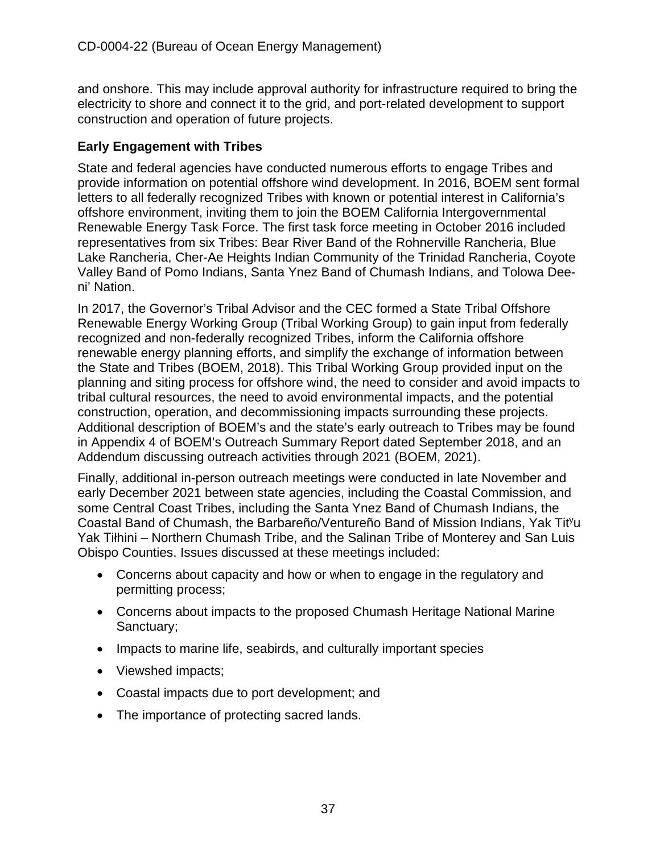and onshore. This may include approval authority for infrastructure required to bring the electricity to shore and connect it to the grid, and port-related development to support construction and operation of future projects.

## **Early Engagement with Tribes**

State and federal agencies have conducted numerous efforts to engage Tribes and provide information on potential offshore wind development. In 2016, BOEM sent formal letters to all federally recognized Tribes with known or potential interest in California's offshore environment, inviting them to join the BOEM California Intergovernmental Renewable Energy Task Force. The first task force meeting in October 2016 included representatives from six Tribes: Bear River Band of the Rohnerville Rancheria, Blue Lake Rancheria, Cher-Ae Heights Indian Community of the Trinidad Rancheria, Coyote Valley Band of Pomo Indians, Santa Ynez Band of Chumash Indians, and Tolowa Deeni' Nation.

In 2017, the Governor's Tribal Advisor and the CEC formed a State Tribal Offshore Renewable Energy Working Group (Tribal Working Group) to gain input from federally recognized and non-federally recognized Tribes, inform the California offshore renewable energy planning efforts, and simplify the exchange of information between the State and Tribes (BOEM, 2018). This Tribal Working Group provided input on the planning and siting process for offshore wind, the need to consider and avoid impacts to tribal cultural resources, the need to avoid environmental impacts, and the potential construction, operation, and decommissioning impacts surrounding these projects. Additional description of BOEM's and the state's early outreach to Tribes may be found in Appendix 4 of BOEM's Outreach Summary Report dated September 2018, and an Addendum discussing outreach activities through 2021 (BOEM, 2021).

Finally, additional in-person outreach meetings were conducted in late November and early December 2021 between state agencies, including the Coastal Commission, and some Central Coast Tribes, including the Santa Ynez Band of Chumash Indians, the Coastal Band of Chumash, the Barbareño/Ventureño Band of Mission Indians, Yak Tit<sup>y</sup>u Yak Tiłhini – Northern Chumash Tribe, and the Salinan Tribe of Monterey and San Luis Obispo Counties. Issues discussed at these meetings included:

- Concerns about capacity and how or when to engage in the regulatory and permitting process;
- Concerns about impacts to the proposed Chumash Heritage National Marine Sanctuary;
- Impacts to marine life, seabirds, and culturally important species
- Viewshed impacts:
- Coastal impacts due to port development; and
- The importance of protecting sacred lands.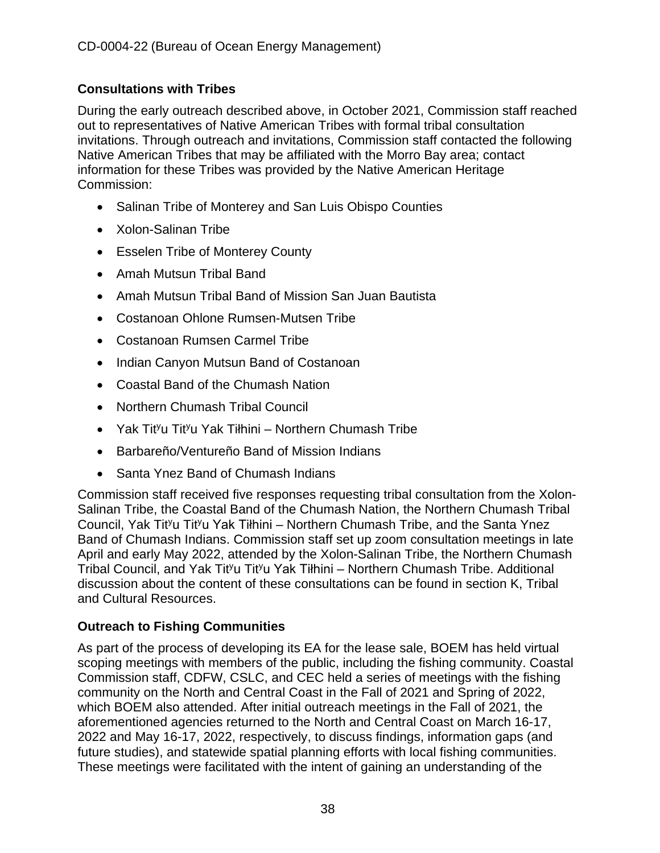# **Consultations with Tribes**

During the early outreach described above, in October 2021, Commission staff reached out to representatives of Native American Tribes with formal tribal consultation invitations. Through outreach and invitations, Commission staff contacted the following Native American Tribes that may be affiliated with the Morro Bay area; contact information for these Tribes was provided by the Native American Heritage Commission:

- Salinan Tribe of Monterey and San Luis Obispo Counties
- Xolon-Salinan Tribe
- Esselen Tribe of Monterey County
- Amah Mutsun Tribal Band
- Amah Mutsun Tribal Band of Mission San Juan Bautista
- Costanoan Ohlone Rumsen-Mutsen Tribe
- Costanoan Rumsen Carmel Tribe
- Indian Canyon Mutsun Band of Costanoan
- Coastal Band of the Chumash Nation
- Northern Chumash Tribal Council
- Yak Tit<sup>y</sup>u Tit<sup>y</sup>u Yak Tiłhini Northern Chumash Tribe
- Barbareño/Ventureño Band of Mission Indians
- Santa Ynez Band of Chumash Indians

Commission staff received five responses requesting tribal consultation from the Xolon-Salinan Tribe, the Coastal Band of the Chumash Nation, the Northern Chumash Tribal Council, Yak Tit<sup>y</sup>u Tit<sup>y</sup>u Yak Tiłhini – Northern Chumash Tribe, and the Santa Ynez Band of Chumash Indians. Commission staff set up zoom consultation meetings in late April and early May 2022, attended by the Xolon-Salinan Tribe, the Northern Chumash Tribal Council, and Yak Tit<sup>y</sup>u Tit<sup>y</sup>u Yak Tiłhini – Northern Chumash Tribe. Additional discussion about the content of these consultations can be found in section K, Tribal and Cultural Resources.

## **Outreach to Fishing Communities**

As part of the process of developing its EA for the lease sale, BOEM has held virtual scoping meetings with members of the public, including the fishing community. Coastal Commission staff, CDFW, CSLC, and CEC held a series of meetings with the fishing community on the North and Central Coast in the Fall of 2021 and Spring of 2022, which BOEM also attended. After initial outreach meetings in the Fall of 2021, the aforementioned agencies returned to the North and Central Coast on March 16-17, 2022 and May 16-17, 2022, respectively, to discuss findings, information gaps (and future studies), and statewide spatial planning efforts with local fishing communities. These meetings were facilitated with the intent of gaining an understanding of the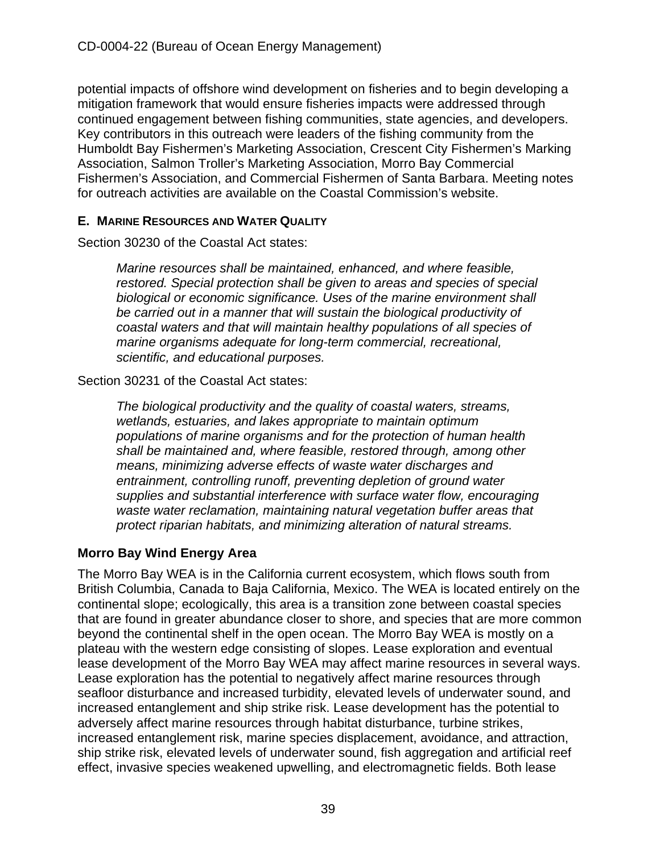potential impacts of offshore wind development on fisheries and to begin developing a mitigation framework that would ensure fisheries impacts were addressed through continued engagement between fishing communities, state agencies, and developers. Key contributors in this outreach were leaders of the fishing community from the Humboldt Bay Fishermen's Marketing Association, Crescent City Fishermen's Marking Association, Salmon Troller's Marketing Association, Morro Bay Commercial Fishermen's Association, and Commercial Fishermen of Santa Barbara. Meeting notes for outreach activities are available on the Coastal Commission's website.

# **E. MARINE RESOURCES AND WATER QUALITY**

Section 30230 of the Coastal Act states:

*Marine resources shall be maintained, enhanced, and where feasible, restored. Special protection shall be given to areas and species of special biological or economic significance. Uses of the marine environment shall be carried out in a manner that will sustain the biological productivity of coastal waters and that will maintain healthy populations of all species of marine organisms adequate for long-term commercial, recreational, scientific, and educational purposes.*

Section 30231 of the Coastal Act states:

*The biological productivity and the quality of coastal waters, streams, wetlands, estuaries, and lakes appropriate to maintain optimum populations of marine organisms and for the protection of human health shall be maintained and, where feasible, restored through, among other means, minimizing adverse effects of waste water discharges and entrainment, controlling runoff, preventing depletion of ground water supplies and substantial interference with surface water flow, encouraging waste water reclamation, maintaining natural vegetation buffer areas that protect riparian habitats, and minimizing alteration of natural streams.*

# **Morro Bay Wind Energy Area**

The Morro Bay WEA is in the California current ecosystem, which flows south from British Columbia, Canada to Baja California, Mexico. The WEA is located entirely on the continental slope; ecologically, this area is a transition zone between coastal species that are found in greater abundance closer to shore, and species that are more common beyond the continental shelf in the open ocean. The Morro Bay WEA is mostly on a plateau with the western edge consisting of slopes. Lease exploration and eventual lease development of the Morro Bay WEA may affect marine resources in several ways. Lease exploration has the potential to negatively affect marine resources through seafloor disturbance and increased turbidity, elevated levels of underwater sound, and increased entanglement and ship strike risk. Lease development has the potential to adversely affect marine resources through habitat disturbance, turbine strikes, increased entanglement risk, marine species displacement, avoidance, and attraction, ship strike risk, elevated levels of underwater sound, fish aggregation and artificial reef effect, invasive species weakened upwelling, and electromagnetic fields. Both lease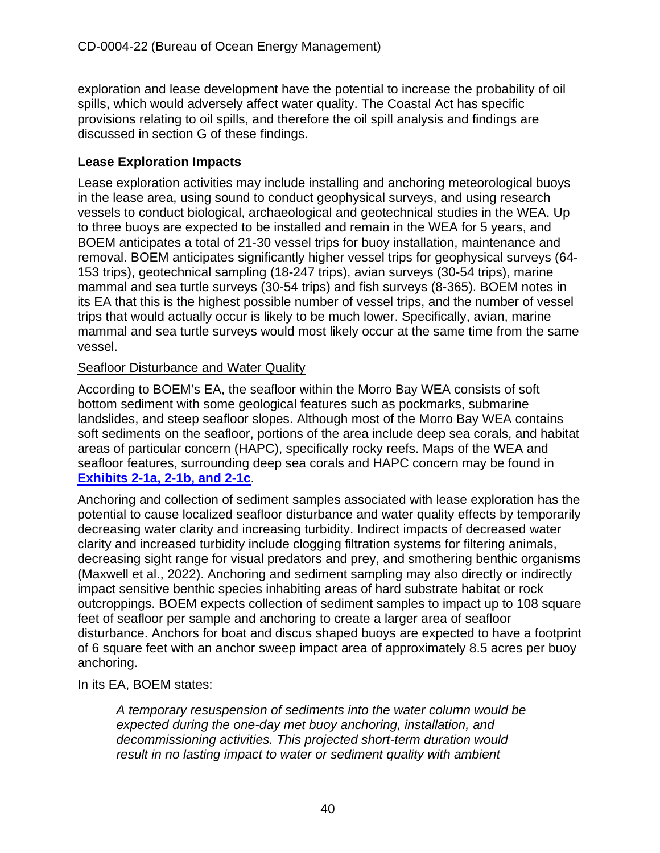exploration and lease development have the potential to increase the probability of oil spills, which would adversely affect water quality. The Coastal Act has specific provisions relating to oil spills, and therefore the oil spill analysis and findings are discussed in section G of these findings.

# **Lease Exploration Impacts**

Lease exploration activities may include installing and anchoring meteorological buoys in the lease area, using sound to conduct geophysical surveys, and using research vessels to conduct biological, archaeological and geotechnical studies in the WEA. Up to three buoys are expected to be installed and remain in the WEA for 5 years, and BOEM anticipates a total of 21-30 vessel trips for buoy installation, maintenance and removal. BOEM anticipates significantly higher vessel trips for geophysical surveys (64- 153 trips), geotechnical sampling (18-247 trips), avian surveys (30-54 trips), marine mammal and sea turtle surveys (30-54 trips) and fish surveys (8-365). BOEM notes in its EA that this is the highest possible number of vessel trips, and the number of vessel trips that would actually occur is likely to be much lower. Specifically, avian, marine mammal and sea turtle surveys would most likely occur at the same time from the same vessel.

## Seafloor Disturbance and Water Quality

According to BOEM's EA, the seafloor within the Morro Bay WEA consists of soft bottom sediment with some geological features such as pockmarks, submarine landslides, and steep seafloor slopes. Although most of the Morro Bay WEA contains soft sediments on the seafloor, portions of the area include deep sea corals, and habitat areas of particular concern (HAPC), specifically rocky reefs. Maps of the WEA and seafloor features, surrounding deep sea corals and HAPC concern may be found in **[Exhibits 2-1a, 2-1b, and 2-1c](https://documents.coastal.ca.gov/reports/2022/6/W7a/W7a-6-2022-Exhibits.pdf)**.

Anchoring and collection of sediment samples associated with lease exploration has the potential to cause localized seafloor disturbance and water quality effects by temporarily decreasing water clarity and increasing turbidity. Indirect impacts of decreased water clarity and increased turbidity include clogging filtration systems for filtering animals, decreasing sight range for visual predators and prey, and smothering benthic organisms (Maxwell et al., 2022). Anchoring and sediment sampling may also directly or indirectly impact sensitive benthic species inhabiting areas of hard substrate habitat or rock outcroppings. BOEM expects collection of sediment samples to impact up to 108 square feet of seafloor per sample and anchoring to create a larger area of seafloor disturbance. Anchors for boat and discus shaped buoys are expected to have a footprint of 6 square feet with an anchor sweep impact area of approximately 8.5 acres per buoy anchoring.

In its EA, BOEM states:

*A temporary resuspension of sediments into the water column would be expected during the one-day met buoy anchoring, installation, and decommissioning activities. This projected short-term duration would result in no lasting impact to water or sediment quality with ambient*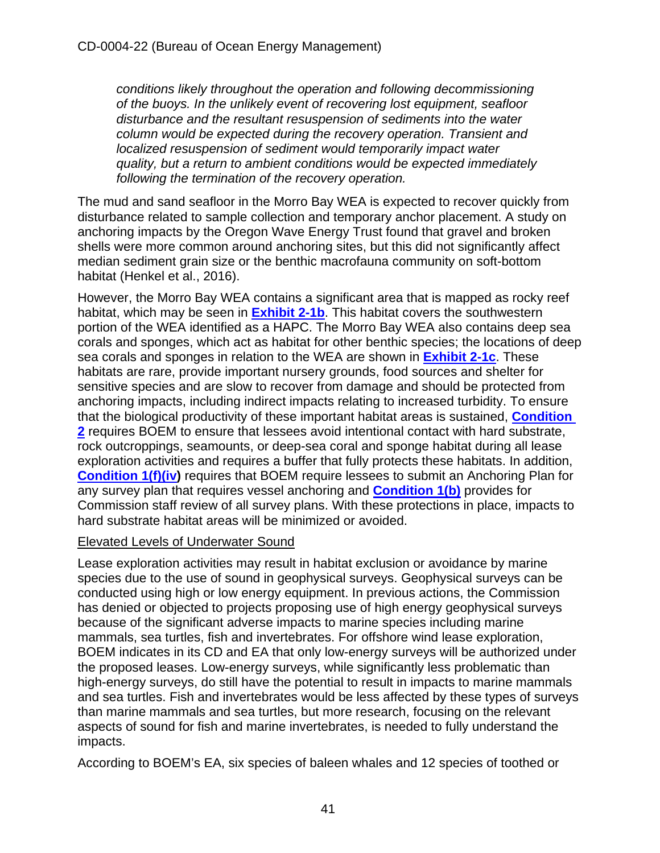*conditions likely throughout the operation and following decommissioning of the buoys. In the unlikely event of recovering lost equipment, seafloor disturbance and the resultant resuspension of sediments into the water column would be expected during the recovery operation. Transient and localized resuspension of sediment would temporarily impact water quality, but a return to ambient conditions would be expected immediately following the termination of the recovery operation.* 

The mud and sand seafloor in the Morro Bay WEA is expected to recover quickly from disturbance related to sample collection and temporary anchor placement. A study on anchoring impacts by the Oregon Wave Energy Trust found that gravel and broken shells were more common around anchoring sites, but this did not significantly affect median sediment grain size or the benthic macrofauna community on soft-bottom habitat (Henkel et al., 2016).

However, the Morro Bay WEA contains a significant area that is mapped as rocky reef habitat, which may be seen in **[Exhibit 2-1b](https://documents.coastal.ca.gov/reports/2022/6/W7a/W7a-6-2022-Exhibits.pdf)**. This habitat covers the southwestern portion of the WEA identified as a HAPC. The Morro Bay WEA also contains deep sea corals and sponges, which act as habitat for other benthic species; the locations of deep sea corals and sponges in relation to the WEA are shown in **[Exhibit 2-1c](https://documents.coastal.ca.gov/reports/2022/6/W7a/W7a-6-2022-Exhibits.pdf)**. These habitats are rare, provide important nursery grounds, food sources and shelter for sensitive species and are slow to recover from damage and should be protected from anchoring impacts, including indirect impacts relating to increased turbidity. To ensure that the biological productivity of these important habitat areas is sustained, **[Condition](#page-13-0)  [2](#page-13-0)** requires BOEM to ensure that lessees avoid intentional contact with hard substrate, rock outcroppings, seamounts, or deep-sea coral and sponge habitat during all lease exploration activities and requires a buffer that fully protects these habitats. In addition, **[Condition 1\(f\)\(iv\)](#page-10-0)** requires that BOEM require lessees to submit an Anchoring Plan for any survey plan that requires vessel anchoring and **[Condition 1\(b\)](#page-10-0)** provides for Commission staff review of all survey plans. With these protections in place, impacts to hard substrate habitat areas will be minimized or avoided.

## Elevated Levels of Underwater Sound

Lease exploration activities may result in habitat exclusion or avoidance by marine species due to the use of sound in geophysical surveys. Geophysical surveys can be conducted using high or low energy equipment. In previous actions, the Commission has denied or objected to projects proposing use of high energy geophysical surveys because of the significant adverse impacts to marine species including marine mammals, sea turtles, fish and invertebrates. For offshore wind lease exploration, BOEM indicates in its CD and EA that only low-energy surveys will be authorized under the proposed leases. Low-energy surveys, while significantly less problematic than high-energy surveys, do still have the potential to result in impacts to marine mammals and sea turtles. Fish and invertebrates would be less affected by these types of surveys than marine mammals and sea turtles, but more research, focusing on the relevant aspects of sound for fish and marine invertebrates, is needed to fully understand the impacts.

According to BOEM's EA, six species of baleen whales and 12 species of toothed or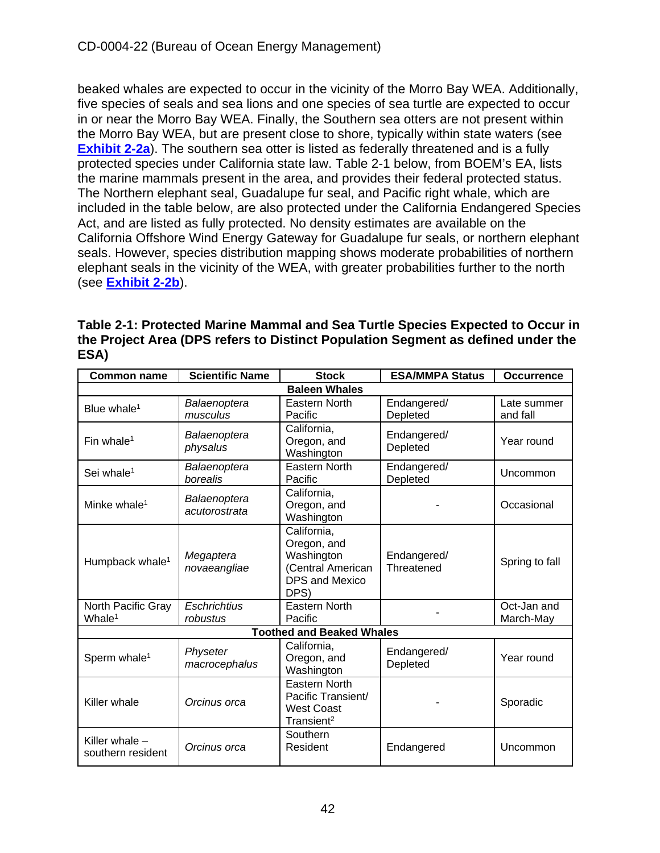beaked whales are expected to occur in the vicinity of the Morro Bay WEA. Additionally, five species of seals and sea lions and one species of sea turtle are expected to occur in or near the Morro Bay WEA. Finally, the Southern sea otters are not present within the Morro Bay WEA, but are present close to shore, typically within state waters (see **[Exhibit 2-2a](https://documents.coastal.ca.gov/reports/2022/6/W7a/W7a-6-2022-Exhibits.pdf)**). The southern sea otter is listed as federally threatened and is a fully protected species under California state law. Table 2-1 below, from BOEM's EA, lists the marine mammals present in the area, and provides their federal protected status. The Northern elephant seal, Guadalupe fur seal, and Pacific right whale, which are included in the table below, are also protected under the California Endangered Species Act, and are listed as fully protected. No density estimates are available on the California Offshore Wind Energy Gateway for Guadalupe fur seals, or northern elephant seals. However, species distribution mapping shows moderate probabilities of northern elephant seals in the vicinity of the WEA, with greater probabilities further to the north (see **[Exhibit 2-2b](https://documents.coastal.ca.gov/reports/2022/6/W7a/W7a-6-2022-Exhibits.pdf)**).

| Table 2-1: Protected Marine Mammal and Sea Turtle Species Expected to Occur in<br>the Project Area (DPS refers to Distinct Population Segment as defined under the<br>ESA) |                 |          |                       |            |  |  |  |
|----------------------------------------------------------------------------------------------------------------------------------------------------------------------------|-----------------|----------|-----------------------|------------|--|--|--|
| Common namo                                                                                                                                                                | Scientific Name | $C$ took | <b>ECAMMOA</b> Ctatus | Occurronce |  |  |  |

| <b>Common name</b>                       | <b>Scientific Name</b>          | <b>Stock</b>                                                                                   | <b>ESA/MMPA Status</b>    | <b>Occurrence</b>        |
|------------------------------------------|---------------------------------|------------------------------------------------------------------------------------------------|---------------------------|--------------------------|
|                                          |                                 | <b>Baleen Whales</b>                                                                           |                           |                          |
| Blue whale <sup>1</sup>                  | Balaenoptera<br>musculus        | <b>Eastern North</b><br>Pacific                                                                | Endangered/<br>Depleted   | Late summer<br>and fall  |
| Fin whale <sup>1</sup>                   | Balaenoptera<br>physalus        | California,<br>Oregon, and<br>Washington                                                       | Endangered/<br>Depleted   | Year round               |
| Sei whale <sup>1</sup>                   | Balaenoptera<br>borealis        | <b>Eastern North</b><br>Pacific                                                                | Endangered/<br>Depleted   | Uncommon                 |
| Minke whale <sup>1</sup>                 | Balaenoptera<br>acutorostrata   | California,<br>Oregon, and<br>Washington                                                       |                           | Occasional               |
| Humpback whale <sup>1</sup>              | Megaptera<br>novaeangliae       | California,<br>Oregon, and<br>Washington<br>(Central American<br><b>DPS and Mexico</b><br>DPS) | Endangered/<br>Threatened | Spring to fall           |
| North Pacific Gray<br>Whale <sup>1</sup> | <b>Eschrichtius</b><br>robustus | <b>Eastern North</b><br>Pacific                                                                |                           | Oct-Jan and<br>March-May |
|                                          |                                 | <b>Toothed and Beaked Whales</b>                                                               |                           |                          |
| Sperm whale <sup>1</sup>                 | Physeter<br>macrocephalus       | California,<br>Oregon, and<br>Washington                                                       | Endangered/<br>Depleted   | Year round               |
| Killer whale                             | Orcinus orca                    | <b>Eastern North</b><br>Pacific Transient/<br><b>West Coast</b><br>Transient <sup>2</sup>      |                           | Sporadic                 |
| Killer whale -<br>southern resident      | Orcinus orca                    | Southern<br>Resident                                                                           | Endangered                | Uncommon                 |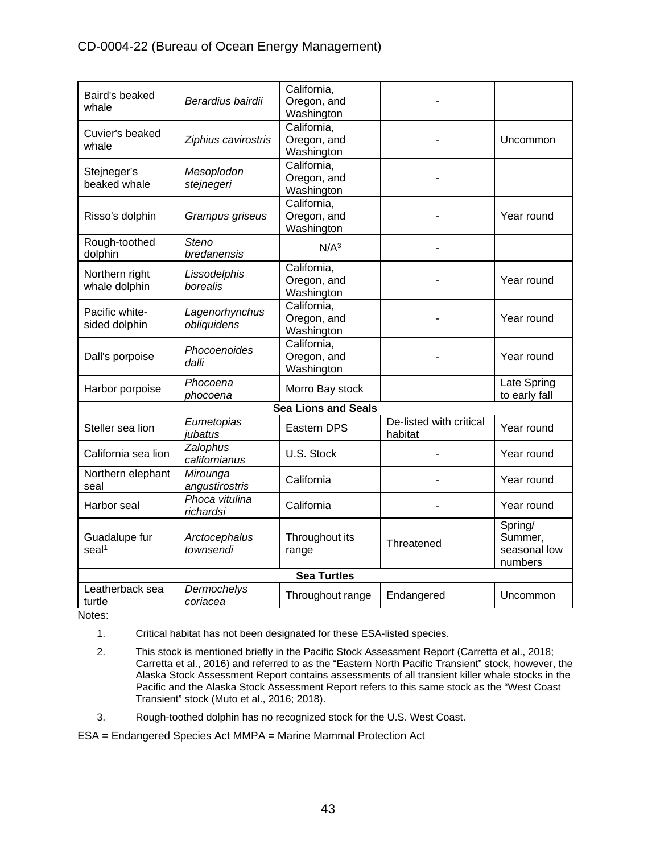## CD-0004-22 (Bureau of Ocean Energy Management)

| Baird's beaked                     |                            | California,                |                         |                    |  |  |
|------------------------------------|----------------------------|----------------------------|-------------------------|--------------------|--|--|
| whale                              | Berardius bairdii          | Oregon, and                |                         |                    |  |  |
|                                    |                            | Washington                 |                         |                    |  |  |
| Cuvier's beaked                    |                            | California,                |                         |                    |  |  |
| whale                              | Ziphius cavirostris        | Oregon, and<br>Washington  |                         | Uncommon           |  |  |
|                                    |                            | California,                |                         |                    |  |  |
| Stejneger's                        | Mesoplodon                 | Oregon, and                |                         |                    |  |  |
| beaked whale                       | stejnegeri                 | Washington                 |                         |                    |  |  |
|                                    |                            | California,                |                         |                    |  |  |
| Risso's dolphin                    | Grampus griseus            | Oregon, and                |                         | Year round         |  |  |
|                                    |                            | Washington                 |                         |                    |  |  |
| Rough-toothed                      | <b>Steno</b>               | N/A <sup>3</sup>           |                         |                    |  |  |
| dolphin                            | bredanensis                |                            |                         |                    |  |  |
| Northern right                     | Lissodelphis               | California,                |                         |                    |  |  |
| whale dolphin                      | borealis                   | Oregon, and                |                         | Year round         |  |  |
|                                    |                            | Washington                 |                         |                    |  |  |
| Pacific white-                     | Lagenorhynchus             | California,                |                         |                    |  |  |
| sided dolphin                      | obliquidens                | Oregon, and                |                         | Year round         |  |  |
|                                    |                            | Washington                 |                         |                    |  |  |
|                                    | Phocoenoides               | California,<br>Oregon, and |                         | Year round         |  |  |
| Dall's porpoise                    | dalli                      | Washington                 |                         |                    |  |  |
|                                    | Phocoena                   |                            |                         | Late Spring        |  |  |
| Harbor porpoise                    | phocoena                   | Morro Bay stock            |                         | to early fall      |  |  |
|                                    |                            | <b>Sea Lions and Seals</b> |                         |                    |  |  |
|                                    | Eumetopias                 |                            | De-listed with critical |                    |  |  |
| Steller sea lion                   | jubatus                    | Eastern DPS                | habitat                 | Year round         |  |  |
| California sea lion                | Zalophus                   | U.S. Stock                 |                         |                    |  |  |
|                                    | californianus              |                            |                         | Year round         |  |  |
| Northern elephant                  | Mirounga                   | California                 |                         | Year round         |  |  |
| seal                               | angustirostris             |                            |                         |                    |  |  |
| Harbor seal                        | Phoca vitulina             | California                 |                         | Year round         |  |  |
|                                    | richardsi                  |                            |                         |                    |  |  |
|                                    |                            |                            |                         | Spring/<br>Summer, |  |  |
| Guadalupe fur<br>seal <sup>1</sup> | Arctocephalus<br>townsendi | Throughout its             | Threatened              | seasonal low       |  |  |
|                                    |                            | range                      |                         | numbers            |  |  |
| <b>Sea Turtles</b>                 |                            |                            |                         |                    |  |  |
| Leatherback sea                    | Dermochelys                |                            |                         |                    |  |  |
| turtle                             | coriacea                   | Throughout range           | Endangered              | Uncommon           |  |  |

Notes:

- 1. Critical habitat has not been designated for these ESA-listed species.
- 2. This stock is mentioned briefly in the Pacific Stock Assessment Report (Carretta et al., 2018; Carretta et al., 2016) and referred to as the "Eastern North Pacific Transient" stock, however, the Alaska Stock Assessment Report contains assessments of all transient killer whale stocks in the Pacific and the Alaska Stock Assessment Report refers to this same stock as the "West Coast Transient" stock (Muto et al., 2016; 2018).
- 3. Rough-toothed dolphin has no recognized stock for the U.S. West Coast.

ESA = Endangered Species Act MMPA = Marine Mammal Protection Act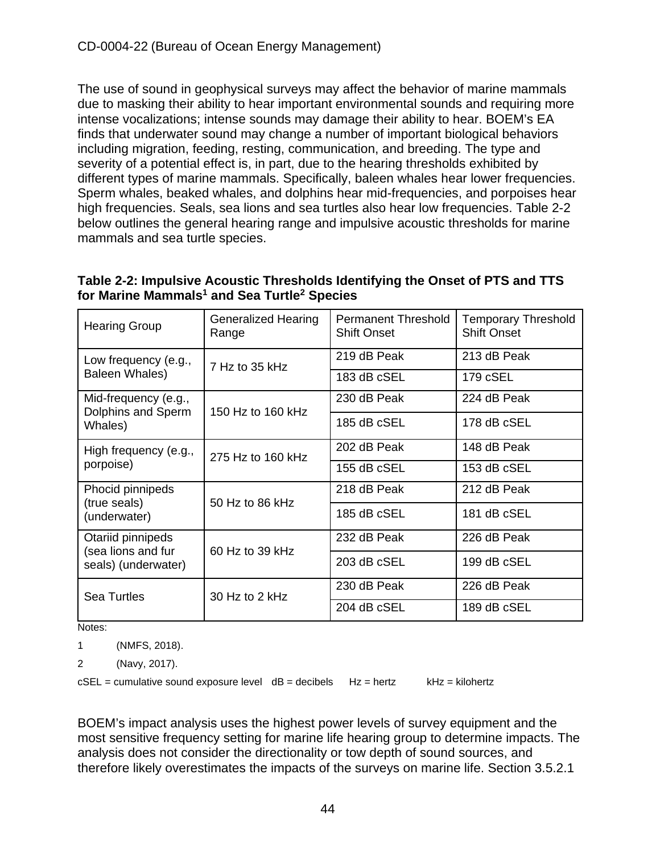The use of sound in geophysical surveys may affect the behavior of marine mammals due to masking their ability to hear important environmental sounds and requiring more intense vocalizations; intense sounds may damage their ability to hear. BOEM's EA finds that underwater sound may change a number of important biological behaviors including migration, feeding, resting, communication, and breeding. The type and severity of a potential effect is, in part, due to the hearing thresholds exhibited by different types of marine mammals. Specifically, baleen whales hear lower frequencies. Sperm whales, beaked whales, and dolphins hear mid-frequencies, and porpoises hear high frequencies. Seals, sea lions and sea turtles also hear low frequencies. Table 2-2 below outlines the general hearing range and impulsive acoustic thresholds for marine mammals and sea turtle species.

## **Table 2-2: Impulsive Acoustic Thresholds Identifying the Onset of PTS and TTS for Marine Mammals1 and Sea Turtle2 Species**

| <b>Hearing Group</b>                                         | <b>Generalized Hearing</b><br>Range | <b>Permanent Threshold</b><br><b>Shift Onset</b> | <b>Temporary Threshold</b><br><b>Shift Onset</b> |
|--------------------------------------------------------------|-------------------------------------|--------------------------------------------------|--------------------------------------------------|
| Low frequency (e.g.,                                         | 7 Hz to 35 kHz                      | 219 dB Peak                                      | 213 dB Peak                                      |
| Baleen Whales)                                               |                                     | 183 dB cSEL                                      | 179 cSEL                                         |
| Mid-frequency (e.g.,                                         |                                     | 230 dB Peak                                      | 224 dB Peak                                      |
| Dolphins and Sperm<br>Whales)                                | 150 Hz to 160 kHz                   | 185 dB cSEL                                      | 178 dB cSEL                                      |
| High frequency (e.g.,                                        | 275 Hz to 160 kHz                   | 202 dB Peak                                      | 148 dB Peak                                      |
| porpoise)                                                    |                                     | 155 dB cSEL                                      | 153 dB cSEL                                      |
| Phocid pinnipeds                                             | 50 Hz to 86 kHz                     | 218 dB Peak                                      | 212 dB Peak                                      |
| (true seals)<br>(underwater)                                 |                                     | 185 dB cSEL                                      | 181 dB cSEL                                      |
| Otariid pinnipeds                                            |                                     | 232 dB Peak                                      | 226 dB Peak                                      |
| (sea lions and fur<br>60 Hz to 39 kHz<br>seals) (underwater) |                                     | 203 dB cSEL                                      | 199 dB cSEL                                      |
| Sea Turtles                                                  | 30 Hz to 2 kHz                      | 230 dB Peak                                      | 226 dB Peak                                      |
|                                                              |                                     | 204 dB cSEL                                      | 189 dB cSEL                                      |

Notes:

1 (NMFS, 2018).

2 (Navy, 2017).

 $cSEL =$  cumulative sound exposure level  $dB =$  decibels  $Hz =$  hertz  $kHz =$  kHz = kilohertz

BOEM's impact analysis uses the highest power levels of survey equipment and the most sensitive frequency setting for marine life hearing group to determine impacts. The analysis does not consider the directionality or tow depth of sound sources, and therefore likely overestimates the impacts of the surveys on marine life. Section 3.5.2.1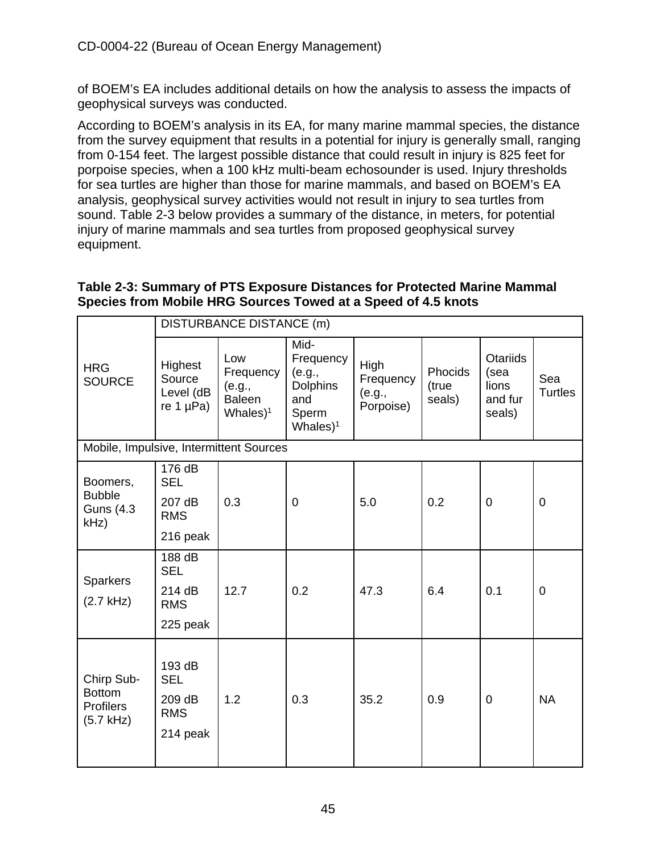of BOEM's EA includes additional details on how the analysis to assess the impacts of geophysical surveys was conducted.

According to BOEM's analysis in its EA, for many marine mammal species, the distance from the survey equipment that results in a potential for injury is generally small, ranging from 0-154 feet. The largest possible distance that could result in injury is 825 feet for porpoise species, when a 100 kHz multi-beam echosounder is used. Injury thresholds for sea turtles are higher than those for marine mammals, and based on BOEM's EA analysis, geophysical survey activities would not result in injury to sea turtles from sound. Table 2-3 below provides a summary of the distance, in meters, for potential injury of marine mammals and sea turtles from proposed geophysical survey equipment.

#### **Table 2-3: Summary of PTS Exposure Distances for Protected Marine Mammal Species from Mobile HRG Sources Towed at a Speed of 4.5 knots**

|                                                                | <b>DISTURBANCE DISTANCE (m)</b>                          |                                                             |                                                                                |                                                 |                            |                                                       |                       |
|----------------------------------------------------------------|----------------------------------------------------------|-------------------------------------------------------------|--------------------------------------------------------------------------------|-------------------------------------------------|----------------------------|-------------------------------------------------------|-----------------------|
| <b>HRG</b><br><b>SOURCE</b>                                    | Highest<br>Source<br>Level (dB<br>re 1 $\mu$ Pa)         | Low<br>Frequency<br>(e.g.,<br><b>Baleen</b><br>Whales $)^1$ | Mid-<br>Frequency<br>(e.g.,<br><b>Dolphins</b><br>and<br>Sperm<br>Whales $)^1$ | <b>High</b><br>Frequency<br>(e.g.,<br>Porpoise) | Phocids<br>(true<br>seals) | <b>Otariids</b><br>(sea<br>lions<br>and fur<br>seals) | Sea<br><b>Turtles</b> |
| Mobile, Impulsive, Intermittent Sources                        |                                                          |                                                             |                                                                                |                                                 |                            |                                                       |                       |
| Boomers,<br><b>Bubble</b>                                      | 176 dB<br><b>SEL</b><br>207 dB                           | 0.3                                                         | $\overline{0}$                                                                 | 5.0                                             | 0.2                        | $\overline{0}$                                        | $\overline{0}$        |
| <b>Guns (4.3)</b><br>kHz)                                      | <b>RMS</b>                                               |                                                             |                                                                                |                                                 |                            |                                                       |                       |
|                                                                | 216 peak                                                 |                                                             |                                                                                |                                                 |                            |                                                       |                       |
| <b>Sparkers</b>                                                | 188 dB<br><b>SEL</b>                                     |                                                             |                                                                                |                                                 |                            |                                                       |                       |
| $(2.7$ kHz)                                                    | 214 dB<br><b>RMS</b>                                     | 12.7                                                        | 0.2                                                                            | 47.3                                            | 6.4                        | 0.1                                                   | $\mathbf 0$           |
|                                                                | 225 peak                                                 |                                                             |                                                                                |                                                 |                            |                                                       |                       |
| Chirp Sub-<br><b>Bottom</b><br><b>Profilers</b><br>$(5.7$ kHz) | 193 dB<br><b>SEL</b><br>209 dB<br><b>RMS</b><br>214 peak | 1.2                                                         | 0.3                                                                            | 35.2                                            | 0.9                        | $\overline{0}$                                        | <b>NA</b>             |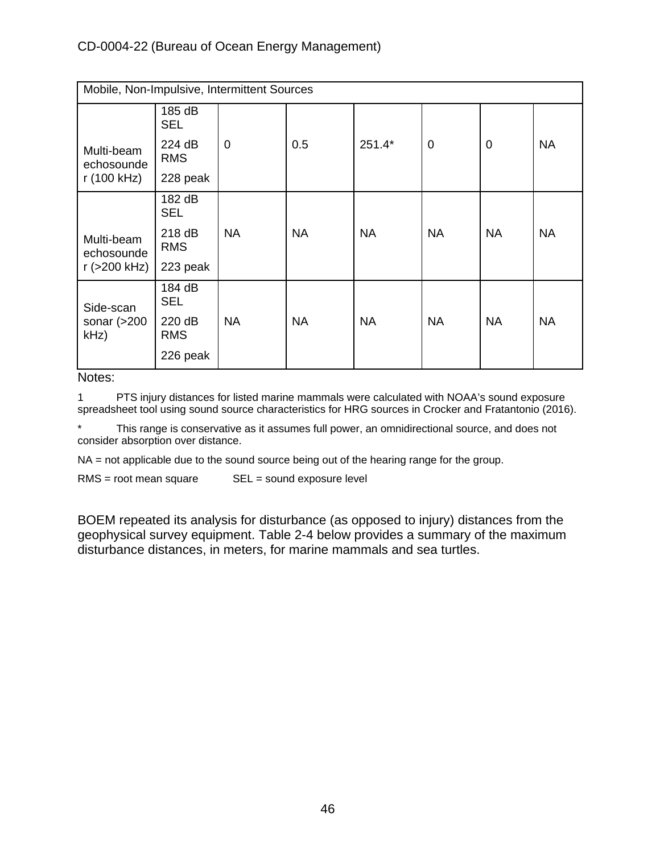| Mobile, Non-Impulsive, Intermittent Sources |                      |                |           |           |                |                |           |
|---------------------------------------------|----------------------|----------------|-----------|-----------|----------------|----------------|-----------|
|                                             | 185 dB<br><b>SEL</b> |                |           |           |                |                |           |
| Multi-beam<br>echosounde                    | 224 dB<br><b>RMS</b> | $\overline{0}$ | 0.5       | 251.4*    | $\overline{0}$ | $\overline{0}$ | <b>NA</b> |
| r (100 kHz)                                 | 228 peak             |                |           |           |                |                |           |
|                                             | 182 dB<br><b>SEL</b> |                |           |           |                |                |           |
| Multi-beam<br>echosounde                    | 218 dB<br><b>RMS</b> | <b>NA</b>      | <b>NA</b> | <b>NA</b> | <b>NA</b>      | <b>NA</b>      | <b>NA</b> |
| r (>200 kHz)                                | 223 peak             |                |           |           |                |                |           |
| Side-scan                                   | 184 dB<br><b>SEL</b> |                |           |           |                |                |           |
| sonar $(>200$<br>$kHz$ )                    | 220 dB<br><b>RMS</b> | <b>NA</b>      | <b>NA</b> | <b>NA</b> | <b>NA</b>      | <b>NA</b>      | <b>NA</b> |
|                                             | 226 peak             |                |           |           |                |                |           |

Notes:

1 PTS injury distances for listed marine mammals were calculated with NOAA's sound exposure spreadsheet tool using sound source characteristics for HRG sources in Crocker and Fratantonio (2016).

This range is conservative as it assumes full power, an omnidirectional source, and does not consider absorption over distance.

NA = not applicable due to the sound source being out of the hearing range for the group.

 $RMS = root$  mean square  $SEL = sound$  exposure level

BOEM repeated its analysis for disturbance (as opposed to injury) distances from the geophysical survey equipment. Table 2-4 below provides a summary of the maximum disturbance distances, in meters, for marine mammals and sea turtles.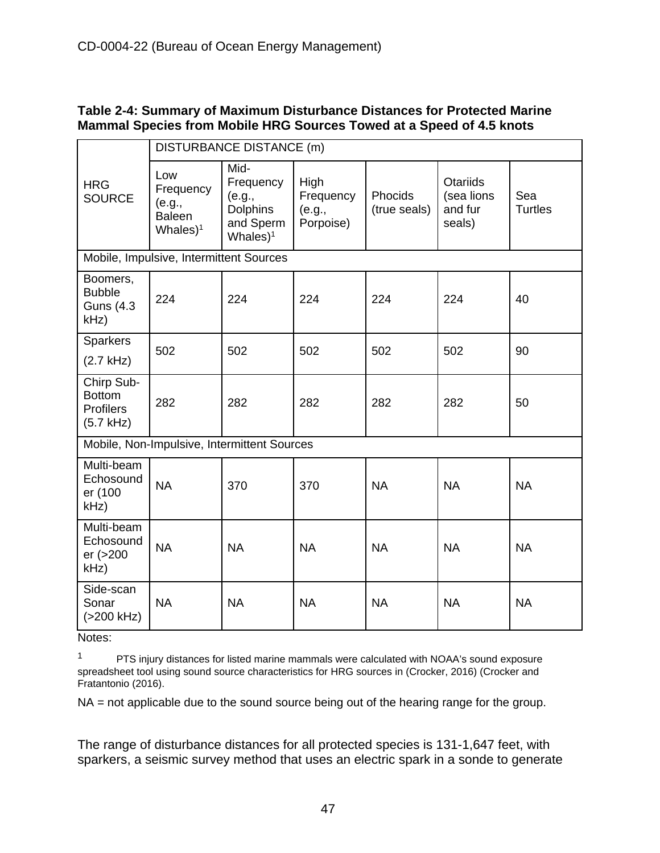#### **Table 2-4: Summary of Maximum Disturbance Distances for Protected Marine Mammal Species from Mobile HRG Sources Towed at a Speed of 4.5 knots**

|                                                                | DISTURBANCE DISTANCE (m)                                    |                                                                             |                                          |                         |                                                    |                       |
|----------------------------------------------------------------|-------------------------------------------------------------|-----------------------------------------------------------------------------|------------------------------------------|-------------------------|----------------------------------------------------|-----------------------|
| <b>HRG</b><br><b>SOURCE</b>                                    | Low<br>Frequency<br>(e.g.,<br><b>Baleen</b><br>Whales $)^1$ | Mid-<br>Frequency<br>(e.g.,<br><b>Dolphins</b><br>and Sperm<br>Whales $)^1$ | High<br>Frequency<br>(e.g.,<br>Porpoise) | Phocids<br>(true seals) | <b>Otariids</b><br>(sea lions<br>and fur<br>seals) | Sea<br><b>Turtles</b> |
|                                                                | Mobile, Impulsive, Intermittent Sources                     |                                                                             |                                          |                         |                                                    |                       |
| Boomers,<br><b>Bubble</b><br><b>Guns (4.3)</b><br>kHz)         | 224                                                         | 224                                                                         | 224                                      | 224                     | 224                                                | 40                    |
| <b>Sparkers</b><br>$(2.7$ kHz)                                 | 502                                                         | 502                                                                         | 502                                      | 502                     | 502                                                | 90                    |
| Chirp Sub-<br><b>Bottom</b><br><b>Profilers</b><br>$(5.7$ kHz) | 282                                                         | 282                                                                         | 282                                      | 282                     | 282                                                | 50                    |
|                                                                |                                                             | Mobile, Non-Impulsive, Intermittent Sources                                 |                                          |                         |                                                    |                       |
| Multi-beam<br>Echosound<br>er (100<br>kHz)                     | <b>NA</b>                                                   | 370                                                                         | 370                                      | <b>NA</b>               | <b>NA</b>                                          | <b>NA</b>             |
| Multi-beam<br>Echosound<br>er (>200<br>kHz)                    | <b>NA</b>                                                   | <b>NA</b>                                                                   | <b>NA</b>                                | <b>NA</b>               | <b>NA</b>                                          | <b>NA</b>             |
| Side-scan<br>Sonar<br>$( > 200$ kHz)                           | <b>NA</b>                                                   | <b>NA</b>                                                                   | <b>NA</b>                                | <b>NA</b>               | <b>NA</b>                                          | <b>NA</b>             |

Notes:

<sup>1</sup> PTS injury distances for listed marine mammals were calculated with NOAA's sound exposure spreadsheet tool using sound source characteristics for HRG sources in (Crocker, 2016) (Crocker and Fratantonio (2016).

NA = not applicable due to the sound source being out of the hearing range for the group.

The range of disturbance distances for all protected species is 131-1,647 feet, with sparkers, a seismic survey method that uses an electric spark in a sonde to generate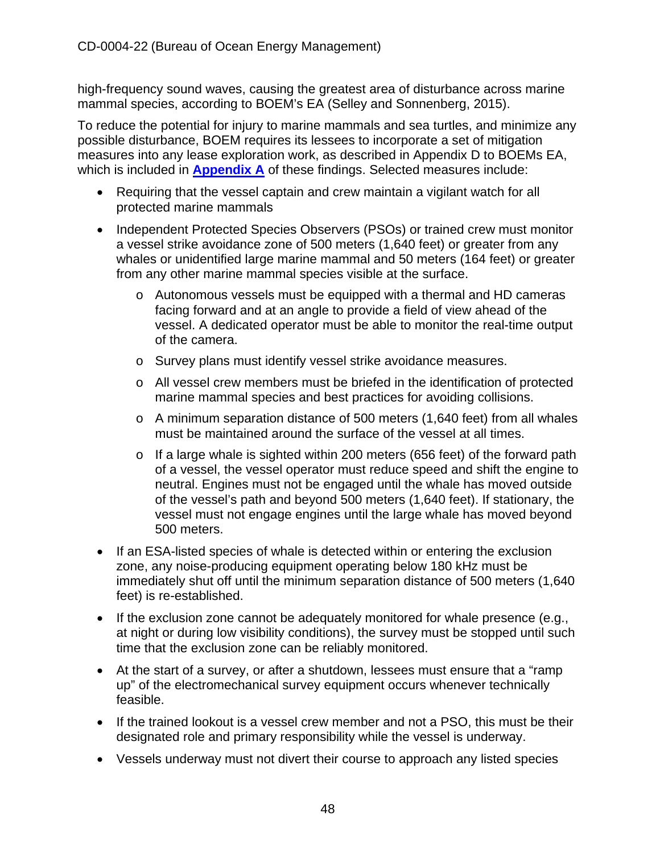high-frequency sound waves, causing the greatest area of disturbance across marine mammal species, according to BOEM's EA (Selley and Sonnenberg, 2015).

To reduce the potential for injury to marine mammals and sea turtles, and minimize any possible disturbance, BOEM requires its lessees to incorporate a set of mitigation measures into any lease exploration work, as described in Appendix D to BOEMs EA, which is included in **[Appendix A](https://documents.coastal.ca.gov/reports/2022/6/W7a/W7a-6-2022-Appendices.pdf)** of these findings. Selected measures include:

- Requiring that the vessel captain and crew maintain a vigilant watch for all protected marine mammals
- Independent Protected Species Observers (PSOs) or trained crew must monitor a vessel strike avoidance zone of 500 meters (1,640 feet) or greater from any whales or unidentified large marine mammal and 50 meters (164 feet) or greater from any other marine mammal species visible at the surface.
	- $\circ$  Autonomous vessels must be equipped with a thermal and HD cameras facing forward and at an angle to provide a field of view ahead of the vessel. A dedicated operator must be able to monitor the real-time output of the camera.
	- o Survey plans must identify vessel strike avoidance measures.
	- o All vessel crew members must be briefed in the identification of protected marine mammal species and best practices for avoiding collisions.
	- o A minimum separation distance of 500 meters (1,640 feet) from all whales must be maintained around the surface of the vessel at all times.
	- o If a large whale is sighted within 200 meters (656 feet) of the forward path of a vessel, the vessel operator must reduce speed and shift the engine to neutral. Engines must not be engaged until the whale has moved outside of the vessel's path and beyond 500 meters (1,640 feet). If stationary, the vessel must not engage engines until the large whale has moved beyond 500 meters.
- If an ESA-listed species of whale is detected within or entering the exclusion zone, any noise-producing equipment operating below 180 kHz must be immediately shut off until the minimum separation distance of 500 meters (1,640 feet) is re-established.
- If the exclusion zone cannot be adequately monitored for whale presence (e.g., at night or during low visibility conditions), the survey must be stopped until such time that the exclusion zone can be reliably monitored.
- At the start of a survey, or after a shutdown, lessees must ensure that a "ramp up" of the electromechanical survey equipment occurs whenever technically feasible.
- If the trained lookout is a vessel crew member and not a PSO, this must be their designated role and primary responsibility while the vessel is underway.
- Vessels underway must not divert their course to approach any listed species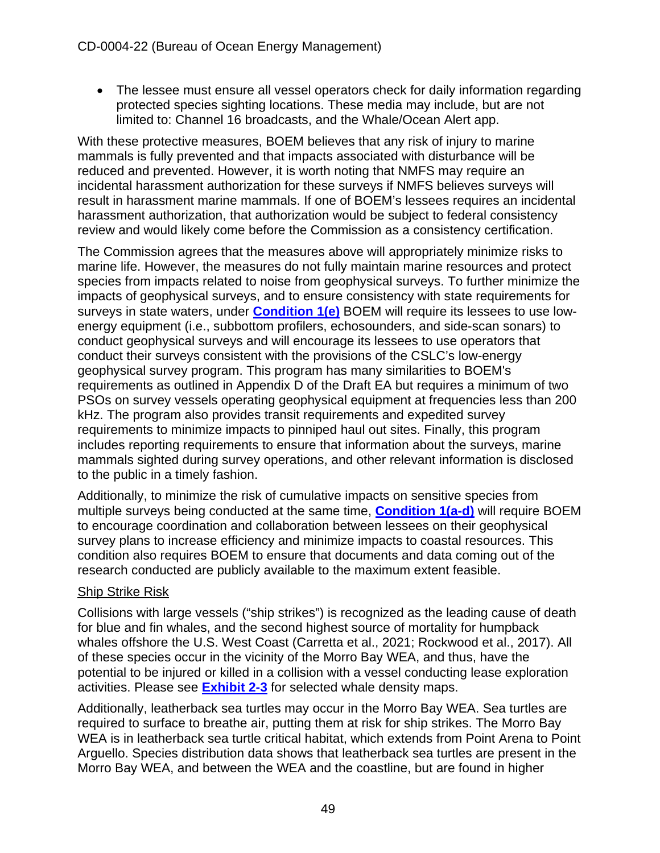• The lessee must ensure all vessel operators check for daily information regarding protected species sighting locations. These media may include, but are not limited to: Channel 16 broadcasts, and the Whale/Ocean Alert app.

With these protective measures, BOEM believes that any risk of injury to marine mammals is fully prevented and that impacts associated with disturbance will be reduced and prevented. However, it is worth noting that NMFS may require an incidental harassment authorization for these surveys if NMFS believes surveys will result in harassment marine mammals. If one of BOEM's lessees requires an incidental harassment authorization, that authorization would be subject to federal consistency review and would likely come before the Commission as a consistency certification.

The Commission agrees that the measures above will appropriately minimize risks to marine life. However, the measures do not fully maintain marine resources and protect species from impacts related to noise from geophysical surveys. To further minimize the impacts of geophysical surveys, and to ensure consistency with state requirements for surveys in state waters, under **[Condition](#page-10-0) 1(e)** BOEM will require its lessees to use lowenergy equipment (i.e., subbottom profilers, echosounders, and side-scan sonars) to conduct geophysical surveys and will encourage its lessees to use operators that conduct their surveys consistent with the provisions of the [CSLC's low-energy](https://www.slc.ca.gov/ogpp/)  [geophysical survey program.](https://www.slc.ca.gov/ogpp/) This program has many similarities to BOEM's requirements as outlined in Appendix D of the Draft EA but requires a minimum of two PSOs on survey vessels operating geophysical equipment at frequencies less than 200 kHz. The program also provides transit requirements and expedited survey requirements to minimize impacts to pinniped haul out sites. Finally, this program includes reporting requirements to ensure that information about the surveys, marine mammals sighted during survey operations, and other relevant information is disclosed to the public in a timely fashion.

Additionally, to minimize the risk of cumulative impacts on sensitive species from multiple surveys being conducted at the same time, **[Condition 1\(a-d\)](#page-10-0)** will require BOEM to encourage coordination and collaboration between lessees on their geophysical survey plans to increase efficiency and minimize impacts to coastal resources. This condition also requires BOEM to ensure that documents and data coming out of the research conducted are publicly available to the maximum extent feasible.

## Ship Strike Risk

Collisions with large vessels ("ship strikes") is recognized as the leading cause of death for blue and fin whales, and the second highest source of mortality for humpback whales offshore the U.S. West Coast (Carretta et al., 2021; Rockwood et al., 2017). All of these species occur in the vicinity of the Morro Bay WEA, and thus, have the potential to be injured or killed in a collision with a vessel conducting lease exploration activities. Please see **[Exhibit 2-3](https://documents.coastal.ca.gov/reports/2022/6/W7a/W7a-6-2022-Exhibits.pdf)** for selected whale density maps.

Additionally, leatherback sea turtles may occur in the Morro Bay WEA. Sea turtles are required to surface to breathe air, putting them at risk for ship strikes. The Morro Bay WEA is in leatherback sea turtle critical habitat, which extends from Point Arena to Point Arguello. Species distribution data shows that leatherback sea turtles are present in the Morro Bay WEA, and between the WEA and the coastline, but are found in higher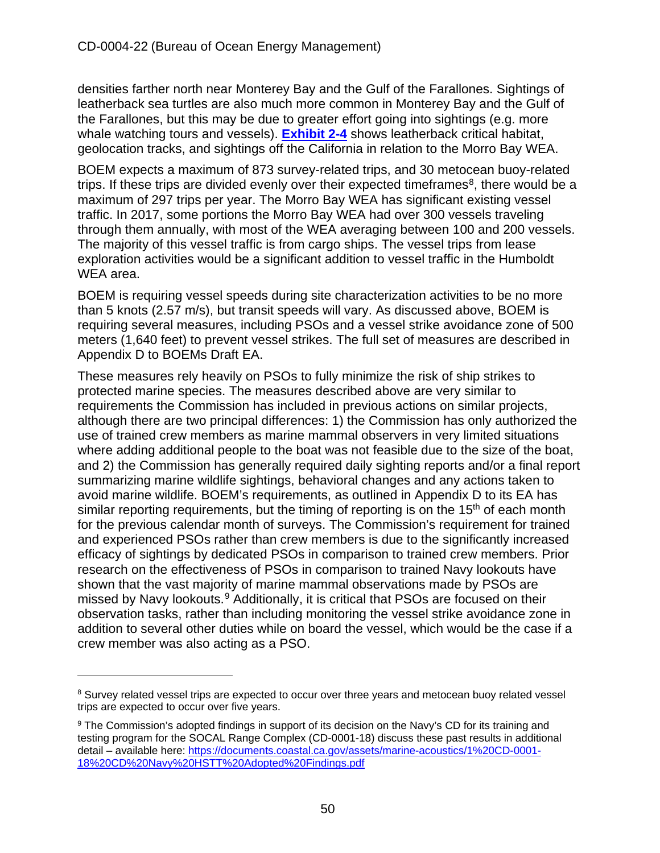densities farther north near Monterey Bay and the Gulf of the Farallones. Sightings of leatherback sea turtles are also much more common in Monterey Bay and the Gulf of the Farallones, but this may be due to greater effort going into sightings (e.g. more whale watching tours and vessels). **[Exhibit 2-4](https://documents.coastal.ca.gov/reports/2022/6/W7a/W7a-6-2022-Exhibits.pdf)** shows leatherback critical habitat, geolocation tracks, and sightings off the California in relation to the Morro Bay WEA.

BOEM expects a maximum of 873 survey-related trips, and 30 metocean buoy-related trips. If these trips are divided evenly over their expected time frames<sup>8</sup>, there would be a maximum of 297 trips per year. The Morro Bay WEA has significant existing vessel traffic. In 2017, some portions the Morro Bay WEA had over 300 vessels traveling through them annually, with most of the WEA averaging between 100 and 200 vessels. The majority of this vessel traffic is from cargo ships. The vessel trips from lease exploration activities would be a significant addition to vessel traffic in the Humboldt WEA area.

BOEM is requiring vessel speeds during site characterization activities to be no more than 5 knots (2.57 m/s), but transit speeds will vary. As discussed above, BOEM is requiring several measures, including PSOs and a vessel strike avoidance zone of 500 meters (1,640 feet) to prevent vessel strikes. The full set of measures are described in Appendix D to BOEMs Draft EA.

These measures rely heavily on PSOs to fully minimize the risk of ship strikes to protected marine species. The measures described above are very similar to requirements the Commission has included in previous actions on similar projects, although there are two principal differences: 1) the Commission has only authorized the use of trained crew members as marine mammal observers in very limited situations where adding additional people to the boat was not feasible due to the size of the boat, and 2) the Commission has generally required daily sighting reports and/or a final report summarizing marine wildlife sightings, behavioral changes and any actions taken to avoid marine wildlife. BOEM's requirements, as outlined in Appendix D to its EA has similar reporting requirements, but the timing of reporting is on the 15<sup>th</sup> of each month for the previous calendar month of surveys. The Commission's requirement for trained and experienced PSOs rather than crew members is due to the significantly increased efficacy of sightings by dedicated PSOs in comparison to trained crew members. Prior research on the effectiveness of PSOs in comparison to trained Navy lookouts have shown that the vast majority of marine mammal observations made by PSOs are missed by Navy lookouts.[9](#page-49-1) Additionally, it is critical that PSOs are focused on their observation tasks, rather than including monitoring the vessel strike avoidance zone in addition to several other duties while on board the vessel, which would be the case if a crew member was also acting as a PSO.

<span id="page-49-0"></span><sup>&</sup>lt;sup>8</sup> Survey related vessel trips are expected to occur over three years and metocean buoy related vessel trips are expected to occur over five years.

<span id="page-49-1"></span><sup>9</sup> The Commission's adopted findings in support of its decision on the Navy's CD for its training and testing program for the SOCAL Range Complex (CD-0001-18) discuss these past results in additional detail – available here: [https://documents.coastal.ca.gov/assets/marine-acoustics/1%20CD-0001-](https://documents.coastal.ca.gov/assets/marine-acoustics/1%20CD-0001-18%20CD%20Navy%20HSTT%20Adopted%20Findings.pdf) [18%20CD%20Navy%20HSTT%20Adopted%20Findings.pdf](https://documents.coastal.ca.gov/assets/marine-acoustics/1%20CD-0001-18%20CD%20Navy%20HSTT%20Adopted%20Findings.pdf)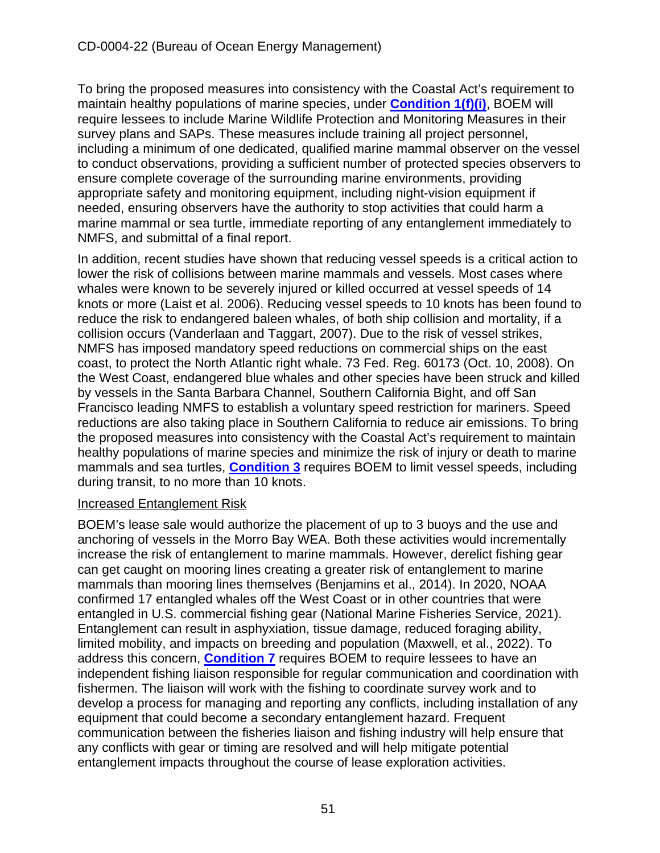To bring the proposed measures into consistency with the Coastal Act's requirement to maintain healthy populations of marine species, under **[Condition 1\(f\)\(i\)](#page-10-0)**, BOEM will require lessees to include Marine Wildlife Protection and Monitoring Measures in their survey plans and SAPs. These measures include training all project personnel, including a minimum of one dedicated, qualified marine mammal observer on the vessel to conduct observations, providing a sufficient number of protected species observers to ensure complete coverage of the surrounding marine environments, providing appropriate safety and monitoring equipment, including night-vision equipment if needed, ensuring observers have the authority to stop activities that could harm a marine mammal or sea turtle, immediate reporting of any entanglement immediately to NMFS, and submittal of a final report.

In addition, recent studies have shown that reducing vessel speeds is a critical action to lower the risk of collisions between marine mammals and vessels. Most cases where whales were known to be severely injured or killed occurred at vessel speeds of 14 knots or more (Laist et al. 2006). Reducing vessel speeds to 10 knots has been found to reduce the risk to endangered baleen whales, of both ship collision and mortality, if a collision occurs (Vanderlaan and Taggart, 2007). Due to the risk of vessel strikes, NMFS has imposed mandatory speed reductions on commercial ships on the east coast, to protect the North Atlantic right whale. 73 Fed. Reg. 60173 (Oct. 10, 2008). On the West Coast, endangered blue whales and other species have been struck and killed by vessels in the Santa Barbara Channel, Southern California Bight, and off San Francisco leading NMFS to establish a voluntary speed restriction for mariners. Speed reductions are also taking place in Southern California to reduce air emissions. To bring the proposed measures into consistency with the Coastal Act's requirement to maintain healthy populations of marine species and minimize the risk of injury or death to marine mammals and sea turtles, **[Condition 3](#page-13-1)** requires BOEM to limit vessel speeds, including during transit, to no more than 10 knots.

#### Increased Entanglement Risk

BOEM's lease sale would authorize the placement of up to 3 buoys and the use and anchoring of vessels in the Morro Bay WEA. Both these activities would incrementally increase the risk of entanglement to marine mammals. However, derelict fishing gear can get caught on mooring lines creating a greater risk of entanglement to marine mammals than mooring lines themselves (Benjamins et al., 2014). In 2020, NOAA confirmed 17 entangled whales off the West Coast or in other countries that were entangled in U.S. commercial fishing gear (National Marine Fisheries Service, 2021). Entanglement can result in asphyxiation, tissue damage, reduced foraging ability, limited mobility, and impacts on breeding and population (Maxwell, et al., 2022). To address this concern, **[Condition 7](#page-15-0)** requires BOEM to require lessees to have an independent fishing liaison responsible for regular communication and coordination with fishermen. The liaison will work with the fishing to coordinate survey work and to develop a process for managing and reporting any conflicts, including installation of any equipment that could become a secondary entanglement hazard. Frequent communication between the fisheries liaison and fishing industry will help ensure that any conflicts with gear or timing are resolved and will help mitigate potential entanglement impacts throughout the course of lease exploration activities.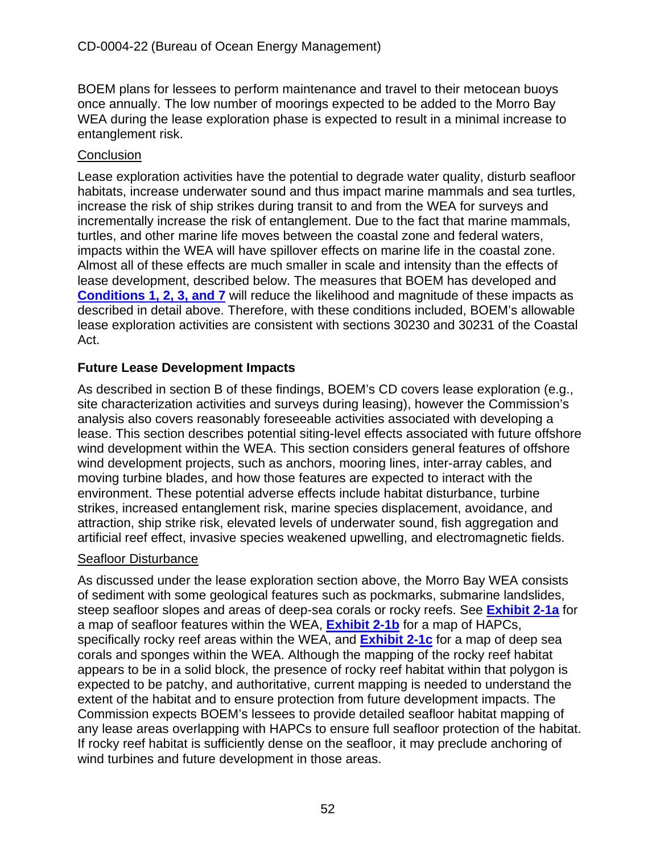BOEM plans for lessees to perform maintenance and travel to their metocean buoys once annually. The low number of moorings expected to be added to the Morro Bay WEA during the lease exploration phase is expected to result in a minimal increase to entanglement risk.

# **Conclusion**

Lease exploration activities have the potential to degrade water quality, disturb seafloor habitats, increase underwater sound and thus impact marine mammals and sea turtles, increase the risk of ship strikes during transit to and from the WEA for surveys and incrementally increase the risk of entanglement. Due to the fact that marine mammals, turtles, and other marine life moves between the coastal zone and federal waters, impacts within the WEA will have spillover effects on marine life in the coastal zone. Almost all of these effects are much smaller in scale and intensity than the effects of lease development, described below. The measures that BOEM has developed and **[Conditions 1, 2, 3, and 7](#page-10-0)** will reduce the likelihood and magnitude of these impacts as described in detail above. Therefore, with these conditions included, BOEM's allowable lease exploration activities are consistent with sections 30230 and 30231 of the Coastal Act.

# **Future Lease Development Impacts**

As described in section B of these findings, BOEM's CD covers lease exploration (e.g., site characterization activities and surveys during leasing), however the Commission's analysis also covers reasonably foreseeable activities associated with developing a lease. This section describes potential siting-level effects associated with future offshore wind development within the WEA. This section considers general features of offshore wind development projects, such as anchors, mooring lines, inter-array cables, and moving turbine blades, and how those features are expected to interact with the environment. These potential adverse effects include habitat disturbance, turbine strikes, increased entanglement risk, marine species displacement, avoidance, and attraction, ship strike risk, elevated levels of underwater sound, fish aggregation and artificial reef effect, invasive species weakened upwelling, and electromagnetic fields.

## Seafloor Disturbance

As discussed under the lease exploration section above, the Morro Bay WEA consists of sediment with some geological features such as pockmarks, submarine landslides, steep seafloor slopes and areas of deep-sea corals or rocky reefs. See **[Exhibit 2-1a](https://documents.coastal.ca.gov/reports/2022/6/W7a/W7a-6-2022-Exhibits.pdf)** for a map of seafloor features within the WEA, **[Exhibit 2-1b](https://documents.coastal.ca.gov/reports/2022/6/W7a/W7a-6-2022-Exhibits.pdf)** for a map of HAPCs, specifically rocky reef areas within the WEA, and **[Exhibit 2-1c](https://documents.coastal.ca.gov/reports/2022/6/W7a/W7a-6-2022-Exhibits.pdf)** for a map of deep sea corals and sponges within the WEA. Although the mapping of the rocky reef habitat appears to be in a solid block, the presence of rocky reef habitat within that polygon is expected to be patchy, and authoritative, current mapping is needed to understand the extent of the habitat and to ensure protection from future development impacts. The Commission expects BOEM's lessees to provide detailed seafloor habitat mapping of any lease areas overlapping with HAPCs to ensure full seafloor protection of the habitat. If rocky reef habitat is sufficiently dense on the seafloor, it may preclude anchoring of wind turbines and future development in those areas.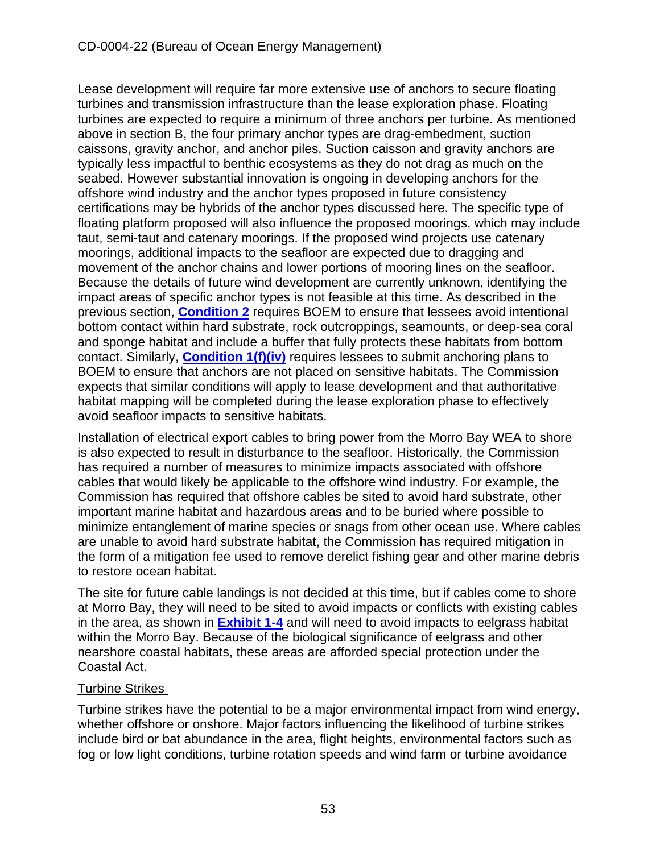Lease development will require far more extensive use of anchors to secure floating turbines and transmission infrastructure than the lease exploration phase. Floating turbines are expected to require a minimum of three anchors per turbine. As mentioned above in section B, the four primary anchor types are drag-embedment, suction caissons, gravity anchor, and anchor piles. Suction caisson and gravity anchors are typically less impactful to benthic ecosystems as they do not drag as much on the seabed. However substantial innovation is ongoing in developing anchors for the offshore wind industry and the anchor types proposed in future consistency certifications may be hybrids of the anchor types discussed here. The specific type of floating platform proposed will also influence the proposed moorings, which may include taut, semi-taut and catenary moorings. If the proposed wind projects use catenary moorings, additional impacts to the seafloor are expected due to dragging and movement of the anchor chains and lower portions of mooring lines on the seafloor. Because the details of future wind development are currently unknown, identifying the impact areas of specific anchor types is not feasible at this time. As described in the previous section, **[Condition 2](#page-13-0)** requires BOEM to ensure that lessees avoid intentional bottom contact within hard substrate, rock outcroppings, seamounts, or deep-sea coral and sponge habitat and include a buffer that fully protects these habitats from bottom contact. Similarly, **[Condition 1\(f\)\(iv\)](#page-10-0)** requires lessees to submit anchoring plans to BOEM to ensure that anchors are not placed on sensitive habitats. The Commission expects that similar conditions will apply to lease development and that authoritative habitat mapping will be completed during the lease exploration phase to effectively avoid seafloor impacts to sensitive habitats.

Installation of electrical export cables to bring power from the Morro Bay WEA to shore is also expected to result in disturbance to the seafloor. Historically, the Commission has required a number of measures to minimize impacts associated with offshore cables that would likely be applicable to the offshore wind industry. For example, the Commission has required that offshore cables be sited to avoid hard substrate, other important marine habitat and hazardous areas and to be buried where possible to minimize entanglement of marine species or snags from other ocean use. Where cables are unable to avoid hard substrate habitat, the Commission has required mitigation in the form of a mitigation fee used to remove derelict fishing gear and other marine debris to restore ocean habitat.

The site for future cable landings is not decided at this time, but if cables come to shore at Morro Bay, they will need to be sited to avoid impacts or conflicts with existing cables in the area, as shown in **[Exhibit 1-4](https://documents.coastal.ca.gov/reports/2022/6/W7a/W7a-6-2022-Exhibits.pdf)** and will need to avoid impacts to eelgrass habitat within the Morro Bay. Because of the biological significance of eelgrass and other nearshore coastal habitats, these areas are afforded special protection under the Coastal Act.

# Turbine Strikes

Turbine strikes have the potential to be a major environmental impact from wind energy, whether offshore or onshore. Major factors influencing the likelihood of turbine strikes include bird or bat abundance in the area, flight heights, environmental factors such as fog or low light conditions, turbine rotation speeds and wind farm or turbine avoidance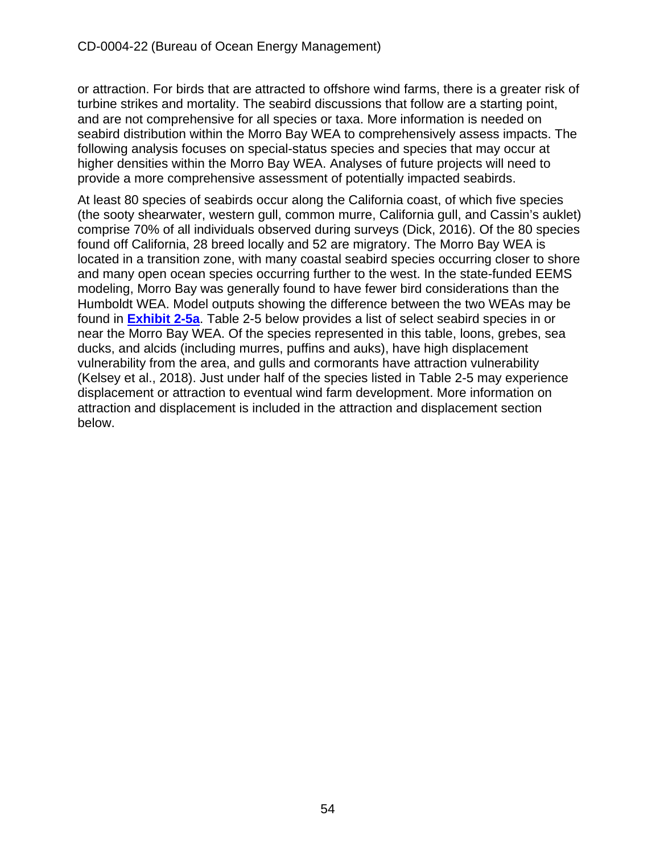or attraction. For birds that are attracted to offshore wind farms, there is a greater risk of turbine strikes and mortality. The seabird discussions that follow are a starting point, and are not comprehensive for all species or taxa. More information is needed on seabird distribution within the Morro Bay WEA to comprehensively assess impacts. The following analysis focuses on special-status species and species that may occur at higher densities within the Morro Bay WEA. Analyses of future projects will need to provide a more comprehensive assessment of potentially impacted seabirds.

At least 80 species of seabirds occur along the California coast, of which five species (the sooty shearwater, western gull, common murre, California gull, and Cassin's auklet) comprise 70% of all individuals observed during surveys (Dick, 2016). Of the 80 species found off California, 28 breed locally and 52 are migratory. The Morro Bay WEA is located in a transition zone, with many coastal seabird species occurring closer to shore and many open ocean species occurring further to the west. In the state-funded EEMS modeling, Morro Bay was generally found to have fewer bird considerations than the Humboldt WEA. Model outputs showing the difference between the two WEAs may be found in **[Exhibit 2-5a](https://documents.coastal.ca.gov/reports/2022/6/W7a/W7a-6-2022-Exhibits.pdf)**. Table 2-5 below provides a list of select seabird species in or near the Morro Bay WEA. Of the species represented in this table, loons, grebes, sea ducks, and alcids (including murres, puffins and auks), have high displacement vulnerability from the area, and gulls and cormorants have attraction vulnerability (Kelsey et al., 2018). Just under half of the species listed in Table 2-5 may experience displacement or attraction to eventual wind farm development. More information on attraction and displacement is included in the attraction and displacement section below.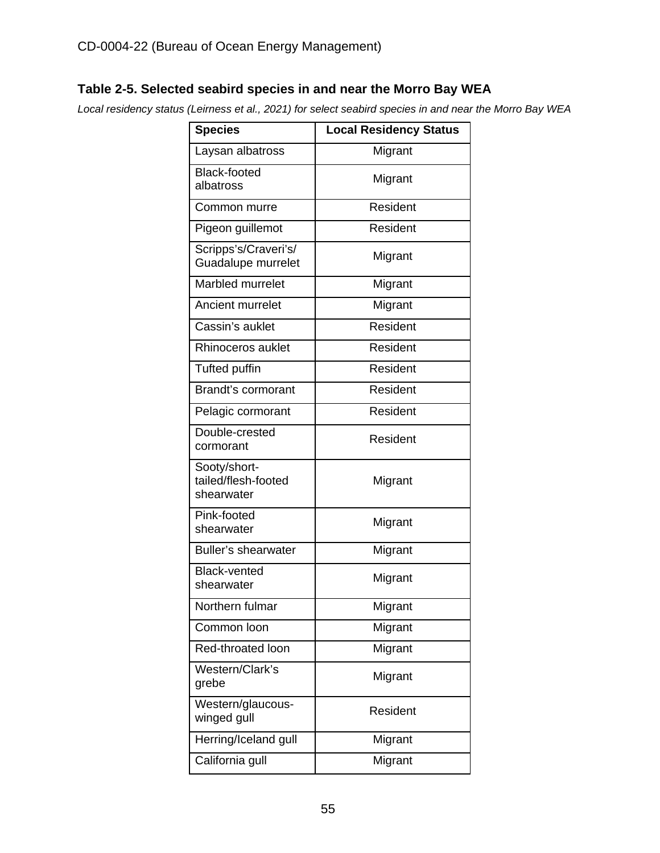## **Table 2-5. Selected seabird species in and near the Morro Bay WEA**

*Local residency status (Leirness et al., 2021) for select seabird species in and near the Morro Bay WEA*

| <b>Species</b>                                    | <b>Local Residency Status</b> |
|---------------------------------------------------|-------------------------------|
| Laysan albatross                                  | Migrant                       |
| <b>Black-footed</b><br>albatross                  | Migrant                       |
| Common murre                                      | Resident                      |
| Pigeon guillemot                                  | Resident                      |
| Scripps's/Craveri's/<br>Guadalupe murrelet        | Migrant                       |
| Marbled murrelet                                  | Migrant                       |
| Ancient murrelet                                  | Migrant                       |
| Cassin's auklet                                   | Resident                      |
| Rhinoceros auklet                                 | Resident                      |
| <b>Tufted puffin</b>                              | Resident                      |
| Brandt's cormorant                                | Resident                      |
| Pelagic cormorant                                 | Resident                      |
| Double-crested<br>cormorant                       | Resident                      |
| Sooty/short-<br>tailed/flesh-footed<br>shearwater | Migrant                       |
| Pink-footed<br>shearwater                         | Migrant                       |
| <b>Buller's shearwater</b>                        | Migrant                       |
| <b>Black-vented</b><br>shearwater                 | Migrant                       |
| Northern fulmar                                   | Migrant                       |
| Common loon                                       | Migrant                       |
| Red-throated loon                                 | Migrant                       |
| Western/Clark's<br>grebe                          | Migrant                       |
| Western/glaucous-<br>winged gull                  | Resident                      |
| Herring/Iceland gull                              | Migrant                       |
| California gull                                   | Migrant                       |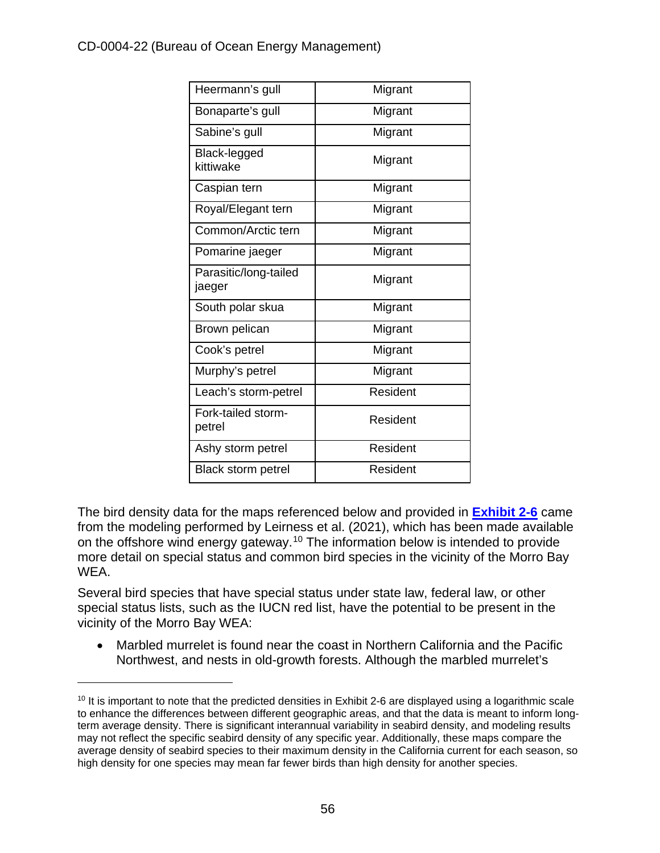## CD-0004-22 (Bureau of Ocean Energy Management)

| Heermann's gull                 | Migrant  |
|---------------------------------|----------|
| Bonaparte's gull                | Migrant  |
| Sabine's gull                   | Migrant  |
| Black-legged<br>kittiwake       | Migrant  |
| Caspian tern                    | Migrant  |
| Royal/Elegant tern              | Migrant  |
| Common/Arctic tern              | Migrant  |
| Pomarine jaeger                 | Migrant  |
| Parasitic/long-tailed<br>jaeger | Migrant  |
| South polar skua                | Migrant  |
| Brown pelican                   | Migrant  |
| Cook's petrel                   | Migrant  |
| Murphy's petrel                 | Migrant  |
| Leach's storm-petrel            | Resident |
| Fork-tailed storm-<br>petrel    | Resident |
| Ashy storm petrel               | Resident |
| Black storm petrel              | Resident |

The bird density data for the maps referenced below and provided in **[Exhibit 2-6](https://documents.coastal.ca.gov/reports/2022/6/W7a/W7a-6-2022-Exhibits.pdf)** came from the modeling performed by Leirness et al. (2021), which has been made available on the offshore wind energy gateway.<sup>[10](#page-55-0)</sup> The information below is intended to provide more detail on special status and common bird species in the vicinity of the Morro Bay WEA.

Several bird species that have special status under state law, federal law, or other special status lists, such as the IUCN red list, have the potential to be present in the vicinity of the Morro Bay WEA:

• Marbled murrelet is found near the coast in Northern California and the Pacific Northwest, and nests in old-growth forests. Although the marbled murrelet's

<span id="page-55-0"></span><sup>&</sup>lt;sup>10</sup> It is important to note that the predicted densities in Exhibit 2-6 are displayed using a logarithmic scale to enhance the differences between different geographic areas, and that the data is meant to inform longterm average density. There is significant interannual variability in seabird density, and modeling results may not reflect the specific seabird density of any specific year. Additionally, these maps compare the average density of seabird species to their maximum density in the California current for each season, so high density for one species may mean far fewer birds than high density for another species.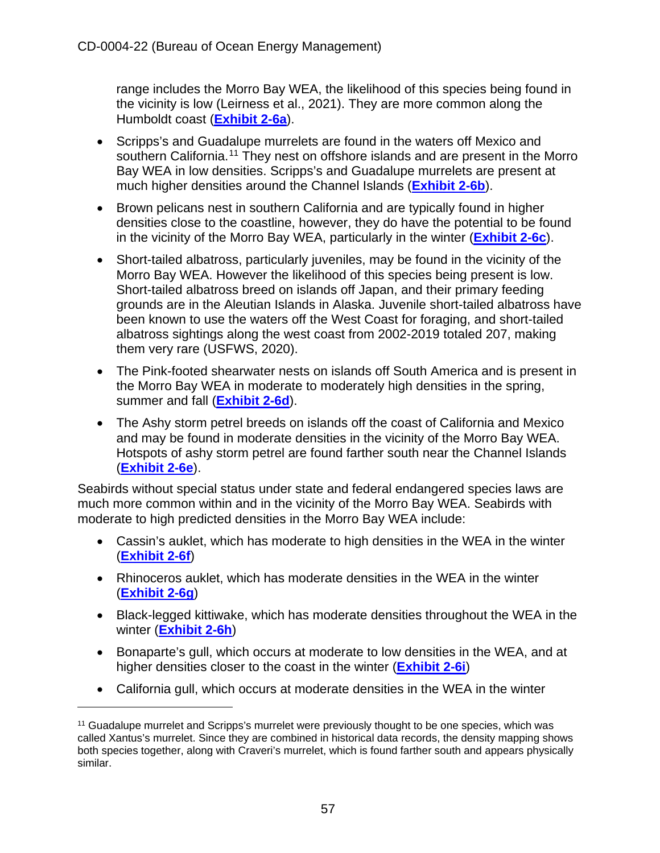range includes the Morro Bay WEA, the likelihood of this species being found in the vicinity is low (Leirness et al., 2021). They are more common along the Humboldt coast (**[Exhibit 2-6a](https://documents.coastal.ca.gov/reports/2022/6/W7a/W7a-6-2022-Exhibits.pdf)**).

- Scripps's and Guadalupe murrelets are found in the waters off Mexico and southern California.<sup>[11](#page-56-0)</sup> They nest on offshore islands and are present in the Morro Bay WEA in low densities. Scripps's and Guadalupe murrelets are present at much higher densities around the Channel Islands (**[Exhibit 2-6b](https://documents.coastal.ca.gov/reports/2022/6/W7a/W7a-6-2022-Exhibits.pdf)**).
- Brown pelicans nest in southern California and are typically found in higher densities close to the coastline, however, they do have the potential to be found in the vicinity of the Morro Bay WEA, particularly in the winter (**[Exhibit 2-6c](https://documents.coastal.ca.gov/reports/2022/6/W7a/W7a-6-2022-Exhibits.pdf)**).
- Short-tailed albatross, particularly juveniles, may be found in the vicinity of the Morro Bay WEA. However the likelihood of this species being present is low. Short-tailed albatross breed on islands off Japan, and their primary feeding grounds are in the Aleutian Islands in Alaska. Juvenile short-tailed albatross have been known to use the waters off the West Coast for foraging, and short-tailed albatross sightings along the west coast from 2002-2019 totaled 207, making them very rare (USFWS, 2020).
- The Pink-footed shearwater nests on islands off South America and is present in the Morro Bay WEA in moderate to moderately high densities in the spring, summer and fall (**[Exhibit 2-6d](https://documents.coastal.ca.gov/reports/2022/6/W7a/W7a-6-2022-Exhibits.pdf)**).
- The Ashy storm petrel breeds on islands off the coast of California and Mexico and may be found in moderate densities in the vicinity of the Morro Bay WEA. Hotspots of ashy storm petrel are found farther south near the Channel Islands (**[Exhibit 2-6e](https://documents.coastal.ca.gov/reports/2022/6/W7a/W7a-6-2022-Exhibits.pdf)**).

Seabirds without special status under state and federal endangered species laws are much more common within and in the vicinity of the Morro Bay WEA. Seabirds with moderate to high predicted densities in the Morro Bay WEA include:

- Cassin's auklet, which has moderate to high densities in the WEA in the winter (**[Exhibit 2-6f](https://documents.coastal.ca.gov/reports/2022/6/W7a/W7a-6-2022-Exhibits.pdf)**)
- Rhinoceros auklet, which has moderate densities in the WEA in the winter (**[Exhibit 2-6g](https://documents.coastal.ca.gov/reports/2022/6/W7a/W7a-6-2022-Exhibits.pdf)**)
- Black-legged kittiwake, which has moderate densities throughout the WEA in the winter (**[Exhibit 2-6h](https://documents.coastal.ca.gov/reports/2022/6/W7a/W7a-6-2022-Exhibits.pdf)**)
- Bonaparte's gull, which occurs at moderate to low densities in the WEA, and at higher densities closer to the coast in the winter (**[Exhibit 2-6i](https://documents.coastal.ca.gov/reports/2022/6/W7a/W7a-6-2022-Exhibits.pdf)**)
- California gull, which occurs at moderate densities in the WEA in the winter

<span id="page-56-0"></span><sup>&</sup>lt;sup>11</sup> Guadalupe murrelet and Scripps's murrelet were previously thought to be one species, which was called Xantus's murrelet. Since they are combined in historical data records, the density mapping shows both species together, along with Craveri's murrelet, which is found farther south and appears physically similar.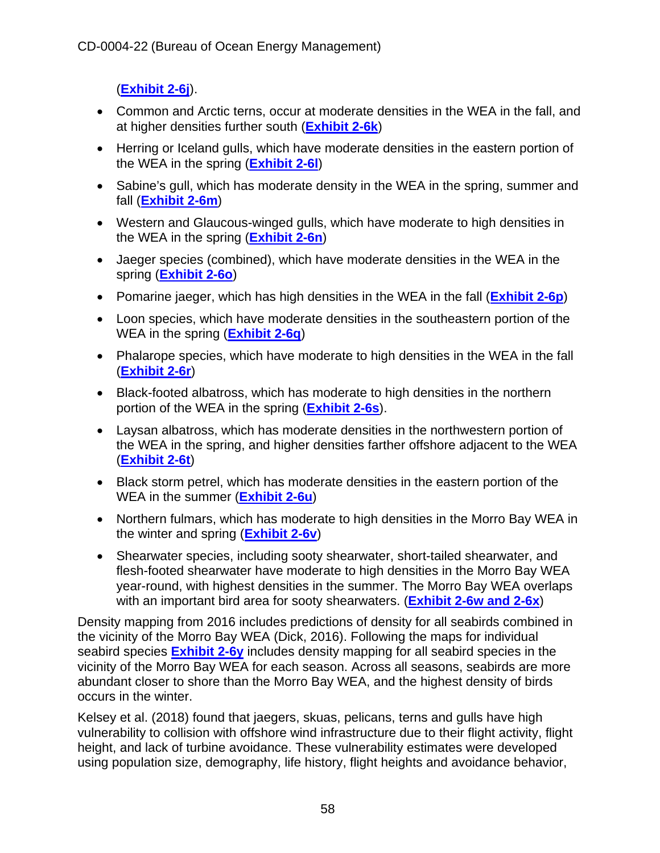(**[Exhibit 2-6j](https://documents.coastal.ca.gov/reports/2022/6/W7a/W7a-6-2022-Exhibits.pdf)**).

- Common and Arctic terns, occur at moderate densities in the WEA in the fall, and at higher densities further south (**[Exhibit 2-6k](https://documents.coastal.ca.gov/reports/2022/6/W7a/W7a-6-2022-Exhibits.pdf)**)
- Herring or Iceland gulls, which have moderate densities in the eastern portion of the WEA in the spring (**[Exhibit 2-6l](https://documents.coastal.ca.gov/reports/2022/6/W7a/W7a-6-2022-Exhibits.pdf)**)
- Sabine's gull, which has moderate density in the WEA in the spring, summer and fall (**[Exhibit 2-6m](https://documents.coastal.ca.gov/reports/2022/6/W7a/W7a-6-2022-Exhibits.pdf)**)
- Western and Glaucous-winged gulls, which have moderate to high densities in the WEA in the spring (**[Exhibit 2-6n](https://documents.coastal.ca.gov/reports/2022/6/W7a/W7a-6-2022-Exhibits.pdf)**)
- Jaeger species (combined), which have moderate densities in the WEA in the spring (**[Exhibit 2-6o](https://documents.coastal.ca.gov/reports/2022/6/W7a/W7a-6-2022-Exhibits.pdf)**)
- Pomarine jaeger, which has high densities in the WEA in the fall (**[Exhibit 2-6p](https://documents.coastal.ca.gov/reports/2022/6/W7a/W7a-6-2022-Exhibits.pdf)**)
- Loon species, which have moderate densities in the southeastern portion of the WEA in the spring (**[Exhibit 2-6q](https://documents.coastal.ca.gov/reports/2022/6/W7a/W7a-6-2022-Exhibits.pdf)**)
- Phalarope species, which have moderate to high densities in the WEA in the fall (**[Exhibit 2-6r](https://documents.coastal.ca.gov/reports/2022/6/W7a/W7a-6-2022-Exhibits.pdf)**)
- Black-footed albatross, which has moderate to high densities in the northern portion of the WEA in the spring (**[Exhibit 2-6s](https://documents.coastal.ca.gov/reports/2022/6/W7a/W7a-6-2022-Exhibits.pdf)**).
- Laysan albatross, which has moderate densities in the northwestern portion of the WEA in the spring, and higher densities farther offshore adjacent to the WEA (**[Exhibit 2-6t](https://documents.coastal.ca.gov/reports/2022/6/W7a/W7a-6-2022-Exhibits.pdf)**)
- Black storm petrel, which has moderate densities in the eastern portion of the WEA in the summer (**[Exhibit 2-6u](https://documents.coastal.ca.gov/reports/2022/6/W7a/W7a-6-2022-Exhibits.pdf)**)
- Northern fulmars, which has moderate to high densities in the Morro Bay WEA in the winter and spring (**[Exhibit 2-6v](https://documents.coastal.ca.gov/reports/2022/6/W7a/W7a-6-2022-Exhibits.pdf)**)
- Shearwater species, including sooty shearwater, short-tailed shearwater, and flesh-footed shearwater have moderate to high densities in the Morro Bay WEA year-round, with highest densities in the summer. The Morro Bay WEA overlaps with an important bird area for sooty shearwaters. (**[Exhibit 2-6w and 2-6x](https://documents.coastal.ca.gov/reports/2022/6/W7a/W7a-6-2022-Exhibits.pdf)**)

Density mapping from 2016 includes predictions of density for all seabirds combined in the vicinity of the Morro Bay WEA (Dick, 2016). Following the maps for individual seabird species **[Exhibit 2-6y](https://documents.coastal.ca.gov/reports/2022/6/W7a/W7a-6-2022-Exhibits.pdf)** includes density mapping for all seabird species in the vicinity of the Morro Bay WEA for each season. Across all seasons, seabirds are more abundant closer to shore than the Morro Bay WEA, and the highest density of birds occurs in the winter.

Kelsey et al. (2018) found that jaegers, skuas, pelicans, terns and gulls have high vulnerability to collision with offshore wind infrastructure due to their flight activity, flight height, and lack of turbine avoidance. These vulnerability estimates were developed using population size, demography, life history, flight heights and avoidance behavior,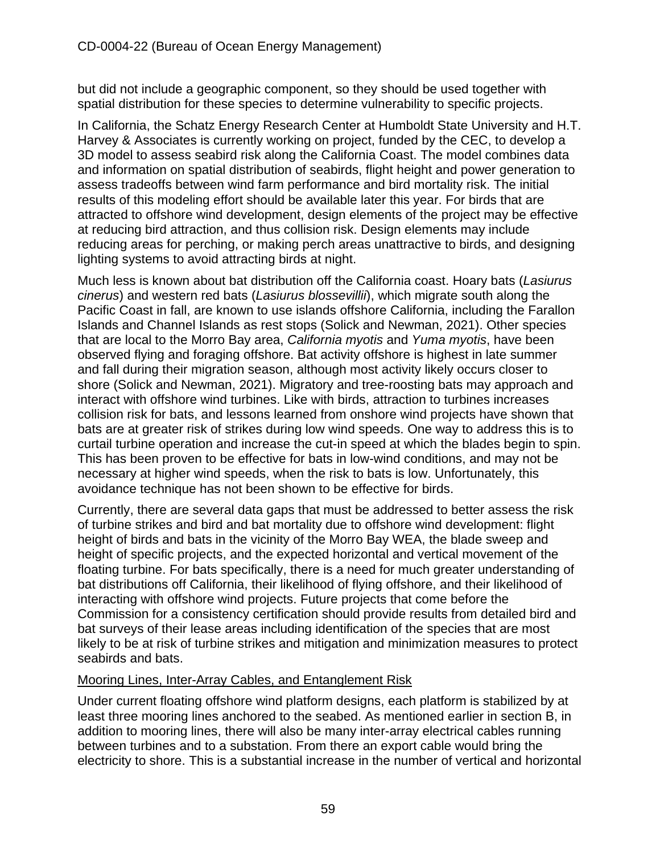but did not include a geographic component, so they should be used together with spatial distribution for these species to determine vulnerability to specific projects.

In California, the Schatz Energy Research Center at Humboldt State University and H.T. Harvey & Associates is currently working on project, funded by the CEC, to develop a 3D model to assess seabird risk along the California Coast. The model combines data and information on spatial distribution of seabirds, flight height and power generation to assess tradeoffs between wind farm performance and bird mortality risk. The initial results of this modeling effort should be available later this year. For birds that are attracted to offshore wind development, design elements of the project may be effective at reducing bird attraction, and thus collision risk. Design elements may include reducing areas for perching, or making perch areas unattractive to birds, and designing lighting systems to avoid attracting birds at night.

Much less is known about bat distribution off the California coast. Hoary bats (*Lasiurus cinerus*) and western red bats (*Lasiurus blossevillii*), which migrate south along the Pacific Coast in fall, are known to use islands offshore California, including the Farallon Islands and Channel Islands as rest stops (Solick and Newman, 2021). Other species that are local to the Morro Bay area, *California myotis* and *Yuma myotis*, have been observed flying and foraging offshore. Bat activity offshore is highest in late summer and fall during their migration season, although most activity likely occurs closer to shore (Solick and Newman, 2021). Migratory and tree-roosting bats may approach and interact with offshore wind turbines. Like with birds, attraction to turbines increases collision risk for bats, and lessons learned from onshore wind projects have shown that bats are at greater risk of strikes during low wind speeds. One way to address this is to curtail turbine operation and increase the cut-in speed at which the blades begin to spin. This has been proven to be effective for bats in low-wind conditions, and may not be necessary at higher wind speeds, when the risk to bats is low. Unfortunately, this avoidance technique has not been shown to be effective for birds.

Currently, there are several data gaps that must be addressed to better assess the risk of turbine strikes and bird and bat mortality due to offshore wind development: flight height of birds and bats in the vicinity of the Morro Bay WEA, the blade sweep and height of specific projects, and the expected horizontal and vertical movement of the floating turbine. For bats specifically, there is a need for much greater understanding of bat distributions off California, their likelihood of flying offshore, and their likelihood of interacting with offshore wind projects. Future projects that come before the Commission for a consistency certification should provide results from detailed bird and bat surveys of their lease areas including identification of the species that are most likely to be at risk of turbine strikes and mitigation and minimization measures to protect seabirds and bats.

## Mooring Lines, Inter-Array Cables, and Entanglement Risk

Under current floating offshore wind platform designs, each platform is stabilized by at least three mooring lines anchored to the seabed. As mentioned earlier in section B, in addition to mooring lines, there will also be many inter-array electrical cables running between turbines and to a substation. From there an export cable would bring the electricity to shore. This is a substantial increase in the number of vertical and horizontal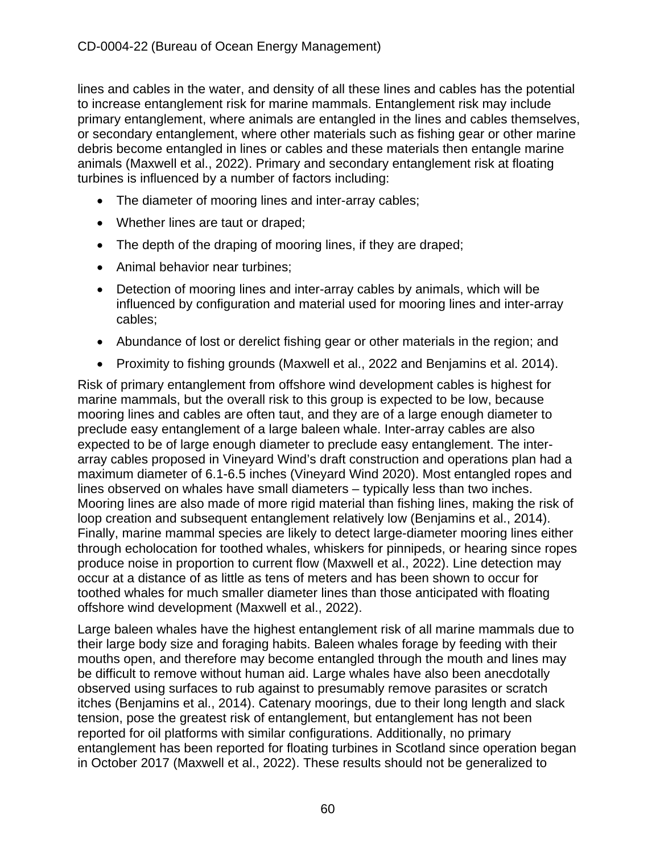lines and cables in the water, and density of all these lines and cables has the potential to increase entanglement risk for marine mammals. Entanglement risk may include primary entanglement, where animals are entangled in the lines and cables themselves, or secondary entanglement, where other materials such as fishing gear or other marine debris become entangled in lines or cables and these materials then entangle marine animals (Maxwell et al., 2022). Primary and secondary entanglement risk at floating turbines is influenced by a number of factors including:

- The diameter of mooring lines and inter-array cables;
- Whether lines are taut or draped;
- The depth of the draping of mooring lines, if they are draped;
- Animal behavior near turbines;
- Detection of mooring lines and inter-array cables by animals, which will be influenced by configuration and material used for mooring lines and inter-array cables;
- Abundance of lost or derelict fishing gear or other materials in the region; and
- Proximity to fishing grounds (Maxwell et al., 2022 and [Benjamins et al. 2014\).](https://ore.exeter.ac.uk/repository/bitstream/handle/10871/21616/Understanding?sequence=1)

Risk of primary entanglement from offshore wind development cables is highest for marine mammals, but the overall risk to this group is expected to be low, because mooring lines and cables are often taut, and they are of a large enough diameter to preclude easy entanglement of a large baleen whale. Inter-array cables are also expected to be of large enough diameter to preclude easy entanglement. The interarray cables proposed in Vineyard Wind's draft construction and operations plan had a maximum diameter of 6.1-6.5 inches (Vineyard Wind 2020). Most entangled ropes and lines observed on whales have small diameters – typically less than two inches. Mooring lines are also made of more rigid material than fishing lines, making the risk of loop creation and subsequent entanglement relatively low (Benjamins et al., 2014). Finally, marine mammal species are likely to detect large-diameter mooring lines either through echolocation for toothed whales, whiskers for pinnipeds, or hearing since ropes produce noise in proportion to current flow (Maxwell et al., 2022). Line detection may occur at a distance of as little as tens of meters and has been shown to occur for toothed whales for much smaller diameter lines than those anticipated with floating offshore wind development (Maxwell et al., 2022).

Large baleen whales have the highest entanglement risk of all marine mammals due to their large body size and foraging habits. Baleen whales forage by feeding with their mouths open, and therefore may become entangled through the mouth and lines may be difficult to remove without human aid. Large whales have also been anecdotally observed using surfaces to rub against to presumably remove parasites or scratch itches (Benjamins et al., 2014). Catenary moorings, due to their long length and slack tension, pose the greatest risk of entanglement, but entanglement has not been reported for oil platforms with similar configurations. Additionally, no primary entanglement has been reported for floating turbines in Scotland since operation began in October 2017 (Maxwell et al., 2022). These results should not be generalized to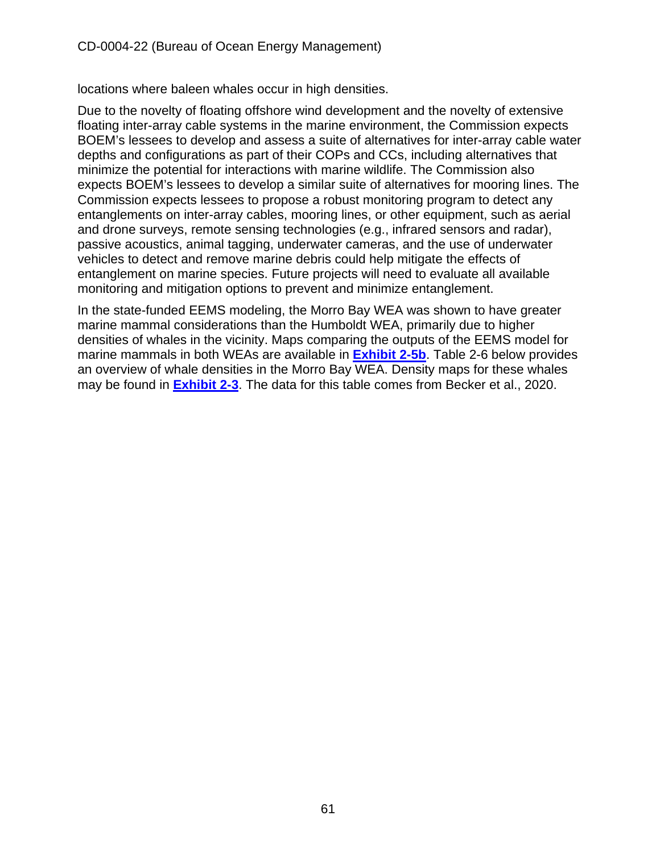locations where baleen whales occur in high densities.

Due to the novelty of floating offshore wind development and the novelty of extensive floating inter-array cable systems in the marine environment, the Commission expects BOEM's lessees to develop and assess a suite of alternatives for inter-array cable water depths and configurations as part of their COPs and CCs, including alternatives that minimize the potential for interactions with marine wildlife. The Commission also expects BOEM's lessees to develop a similar suite of alternatives for mooring lines. The Commission expects lessees to propose a robust monitoring program to detect any entanglements on inter-array cables, mooring lines, or other equipment, such as aerial and drone surveys, remote sensing technologies (e.g., infrared sensors and radar), passive acoustics, animal tagging, underwater cameras, and the use of underwater vehicles to detect and remove marine debris could help mitigate the effects of entanglement on marine species. Future projects will need to evaluate all available monitoring and mitigation options to prevent and minimize entanglement.

In the state-funded EEMS modeling, the Morro Bay WEA was shown to have greater marine mammal considerations than the Humboldt WEA, primarily due to higher densities of whales in the vicinity. Maps comparing the outputs of the EEMS model for marine mammals in both WEAs are available in **[Exhibit 2-5b](https://documents.coastal.ca.gov/reports/2022/6/W7a/W7a-6-2022-Exhibits.pdf)**. Table 2-6 below provides an overview of whale densities in the Morro Bay WEA. Density maps for these whales may be found in **[Exhibit 2-3](https://documents.coastal.ca.gov/reports/2022/6/W7a/W7a-6-2022-Exhibits.pdf)**. The data for this table comes from Becker et al., 2020.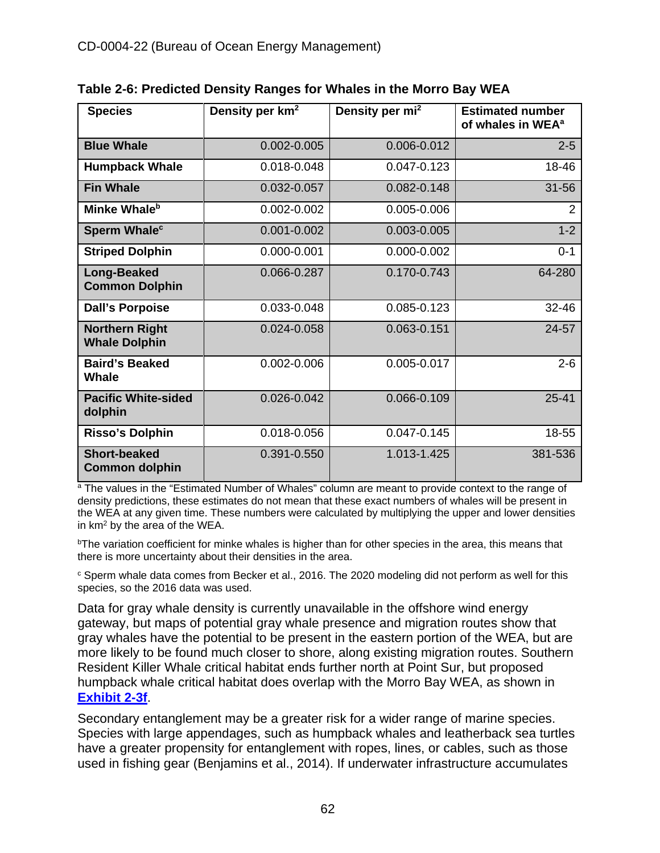| <b>Species</b>                                | Density per km <sup>2</sup> | Density per mi <sup>2</sup> | <b>Estimated number</b><br>of whales in WEA <sup>a</sup> |
|-----------------------------------------------|-----------------------------|-----------------------------|----------------------------------------------------------|
| <b>Blue Whale</b>                             | 0.002-0.005                 | 0.006-0.012                 | $2 - 5$                                                  |
| <b>Humpback Whale</b>                         | 0.018-0.048                 | 0.047-0.123                 | 18-46                                                    |
| <b>Fin Whale</b>                              | 0.032-0.057                 | 0.082-0.148                 | $31 - 56$                                                |
| Minke Whale <sup>b</sup>                      | 0.002-0.002                 | 0.005-0.006                 | $\overline{2}$                                           |
| Sperm Whale <sup>c</sup>                      | $0.001 - 0.002$             | 0.003-0.005                 | $1 - 2$                                                  |
| <b>Striped Dolphin</b>                        | 0.000-0.001                 | 0.000-0.002                 | $0 - 1$                                                  |
| <b>Long-Beaked</b><br><b>Common Dolphin</b>   | 0.066-0.287                 | 0.170-0.743                 | 64-280                                                   |
| <b>Dall's Porpoise</b>                        | 0.033-0.048                 | 0.085-0.123                 | $32 - 46$                                                |
| <b>Northern Right</b><br><b>Whale Dolphin</b> | 0.024-0.058                 | 0.063-0.151                 | 24-57                                                    |
| <b>Baird's Beaked</b><br><b>Whale</b>         | 0.002-0.006                 | 0.005-0.017                 | $2 - 6$                                                  |
| <b>Pacific White-sided</b><br>dolphin         | 0.026-0.042                 | 0.066-0.109                 | $25 - 41$                                                |
| <b>Risso's Dolphin</b>                        | 0.018-0.056                 | 0.047-0.145                 | 18-55                                                    |
| <b>Short-beaked</b><br><b>Common dolphin</b>  | 0.391-0.550                 | 1.013-1.425                 | 381-536                                                  |

**Table 2-6: Predicted Density Ranges for Whales in the Morro Bay WEA**

<sup>a</sup> The values in the "Estimated Number of Whales" column are meant to provide context to the range of density predictions, these estimates do not mean that these exact numbers of whales will be present in the WEA at any given time. These numbers were calculated by multiplying the upper and lower densities in km2 by the area of the WEA.

 $b$ The variation coefficient for minke whales is higher than for other species in the area, this means that there is more uncertainty about their densities in the area.

 $\textdegree$  Sperm whale data comes from Becker et al., 2016. The 2020 modeling did not perform as well for this species, so the 2016 data was used.

Data for gray whale density is currently unavailable in the offshore wind energy gateway, but maps of potential gray whale presence and migration routes show that gray whales have the potential to be present in the eastern portion of the WEA, but are more likely to be found much closer to shore, along existing migration routes. Southern Resident Killer Whale critical habitat ends further north at Point Sur, but proposed humpback whale critical habitat does overlap with the Morro Bay WEA, as shown in **[Exhibit 2-3f](https://documents.coastal.ca.gov/reports/2022/6/W7a/W7a-6-2022-Exhibits.pdf)**.

Secondary entanglement may be a greater risk for a wider range of marine species. Species with large appendages, such as humpback whales and leatherback sea turtles have a greater propensity for entanglement with ropes, lines, or cables, such as those used in fishing gear (Benjamins et al., 2014). If underwater infrastructure accumulates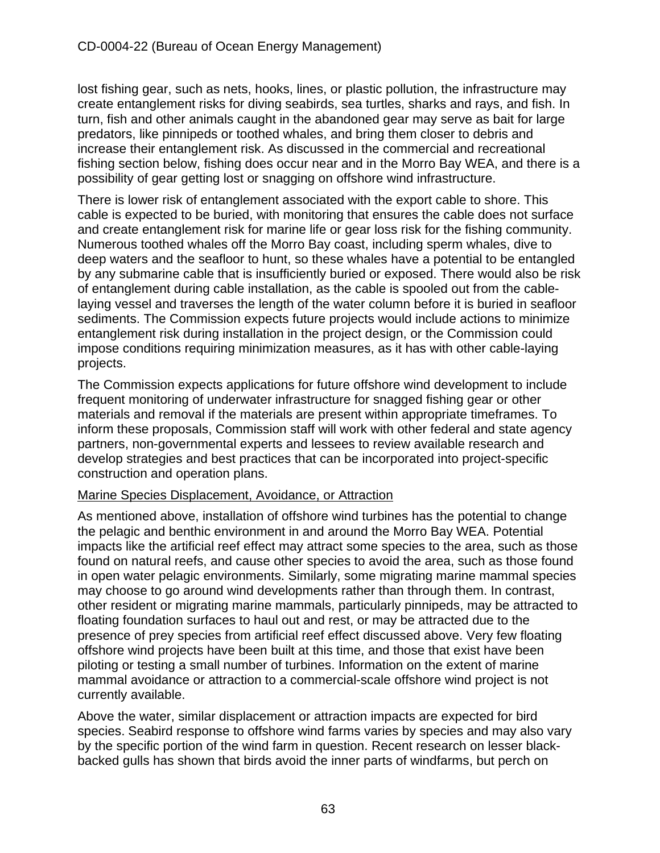lost fishing gear, such as nets, hooks, lines, or plastic pollution, the infrastructure may create entanglement risks for diving seabirds, sea turtles, sharks and rays, and fish. In turn, fish and other animals caught in the abandoned gear may serve as bait for large predators, like pinnipeds or toothed whales, and bring them closer to debris and increase their entanglement risk. As discussed in the commercial and recreational fishing section below, fishing does occur near and in the Morro Bay WEA, and there is a possibility of gear getting lost or snagging on offshore wind infrastructure.

There is lower risk of entanglement associated with the export cable to shore. This cable is expected to be buried, with monitoring that ensures the cable does not surface and create entanglement risk for marine life or gear loss risk for the fishing community. Numerous toothed whales off the Morro Bay coast, including sperm whales, dive to deep waters and the seafloor to hunt, so these whales have a potential to be entangled by any submarine cable that is insufficiently buried or exposed. There would also be risk of entanglement during cable installation, as the cable is spooled out from the cablelaying vessel and traverses the length of the water column before it is buried in seafloor sediments. The Commission expects future projects would include actions to minimize entanglement risk during installation in the project design, or the Commission could impose conditions requiring minimization measures, as it has with other cable-laying projects.

The Commission expects applications for future offshore wind development to include frequent monitoring of underwater infrastructure for snagged fishing gear or other materials and removal if the materials are present within appropriate timeframes. To inform these proposals, Commission staff will work with other federal and state agency partners, non-governmental experts and lessees to review available research and develop strategies and best practices that can be incorporated into project-specific construction and operation plans.

## Marine Species Displacement, Avoidance, or Attraction

As mentioned above, installation of offshore wind turbines has the potential to change the pelagic and benthic environment in and around the Morro Bay WEA. Potential impacts like the artificial reef effect may attract some species to the area, such as those found on natural reefs, and cause other species to avoid the area, such as those found in open water pelagic environments. Similarly, some migrating marine mammal species may choose to go around wind developments rather than through them. In contrast, other resident or migrating marine mammals, particularly pinnipeds, may be attracted to floating foundation surfaces to haul out and rest, or may be attracted due to the presence of prey species from artificial reef effect discussed above. Very few floating offshore wind projects have been built at this time, and those that exist have been piloting or testing a small number of turbines. Information on the extent of marine mammal avoidance or attraction to a commercial-scale offshore wind project is not currently available.

Above the water, similar displacement or attraction impacts are expected for bird species. Seabird response to offshore wind farms varies by species and may also vary by the specific portion of the wind farm in question. Recent research on lesser blackbacked gulls has shown that birds avoid the inner parts of windfarms, but perch on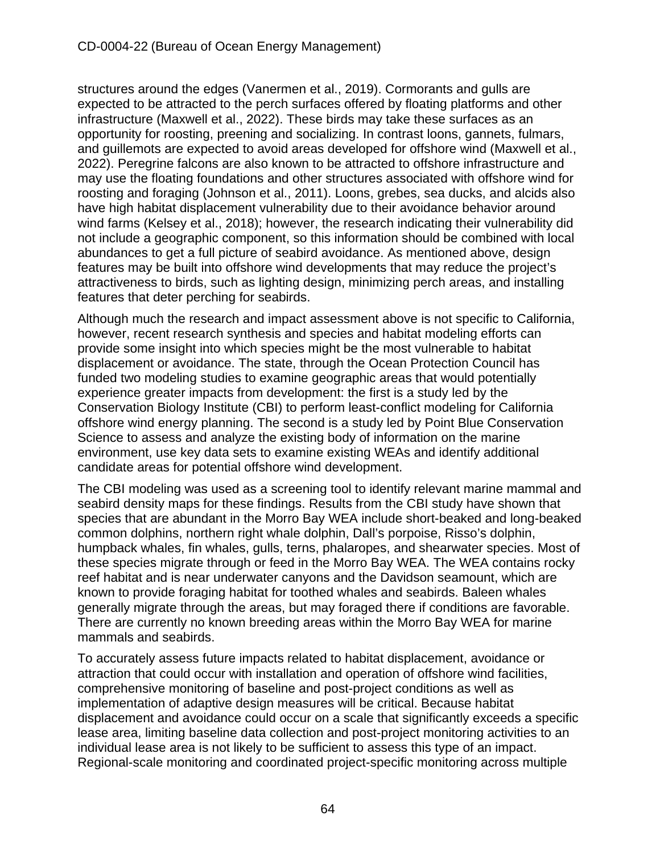structures around the edges (Vanermen et al., 2019). Cormorants and gulls are expected to be attracted to the perch surfaces offered by floating platforms and other infrastructure (Maxwell et al., 2022). These birds may take these surfaces as an opportunity for roosting, preening and socializing. In contrast loons, gannets, fulmars, and guillemots are expected to avoid areas developed for offshore wind (Maxwell et al., 2022). Peregrine falcons are also known to be attracted to offshore infrastructure and may use the floating foundations and other structures associated with offshore wind for roosting and foraging [\(Johnson et al., 2011\)](https://www.boem.gov/sites/default/files/environmental-stewardship/Environmental-Studies/Pacific-Region/Studies/OCS-Study-BOEMRE-2011-047.pdf). Loons, grebes, sea ducks, and alcids also have high habitat displacement vulnerability due to their avoidance behavior around wind farms (Kelsey et al., 2018); however, the research indicating their vulnerability did not include a geographic component, so this information should be combined with local abundances to get a full picture of seabird avoidance. As mentioned above, design features may be built into offshore wind developments that may reduce the project's attractiveness to birds, such as lighting design, minimizing perch areas, and installing features that deter perching for seabirds.

Although much the research and impact assessment above is not specific to California, however, recent research synthesis and species and habitat modeling efforts can provide some insight into which species might be the most vulnerable to habitat displacement or avoidance. The state, through the Ocean Protection Council has funded two modeling studies to examine geographic areas that would potentially experience greater impacts from development: the first is a study led by the Conservation Biology Institute (CBI) to perform least-conflict modeling for California offshore wind energy planning. The second is a study led by Point Blue Conservation Science to assess and analyze the existing body of information on the marine environment, use key data sets to examine existing WEAs and identify additional candidate areas for potential offshore wind development.

The CBI modeling was used as a screening tool to identify relevant marine mammal and seabird density maps for these findings. Results from the CBI study have shown that species that are abundant in the Morro Bay WEA include short-beaked and long-beaked common dolphins, northern right whale dolphin, Dall's porpoise, Risso's dolphin, humpback whales, fin whales, gulls, terns, phalaropes, and shearwater species. Most of these species migrate through or feed in the Morro Bay WEA. The WEA contains rocky reef habitat and is near underwater canyons and the Davidson seamount, which are known to provide foraging habitat for toothed whales and seabirds. Baleen whales generally migrate through the areas, but may foraged there if conditions are favorable. There are currently no known breeding areas within the Morro Bay WEA for marine mammals and seabirds.

To accurately assess future impacts related to habitat displacement, avoidance or attraction that could occur with installation and operation of offshore wind facilities, comprehensive monitoring of baseline and post-project conditions as well as implementation of adaptive design measures will be critical. Because habitat displacement and avoidance could occur on a scale that significantly exceeds a specific lease area, limiting baseline data collection and post-project monitoring activities to an individual lease area is not likely to be sufficient to assess this type of an impact. Regional-scale monitoring and coordinated project-specific monitoring across multiple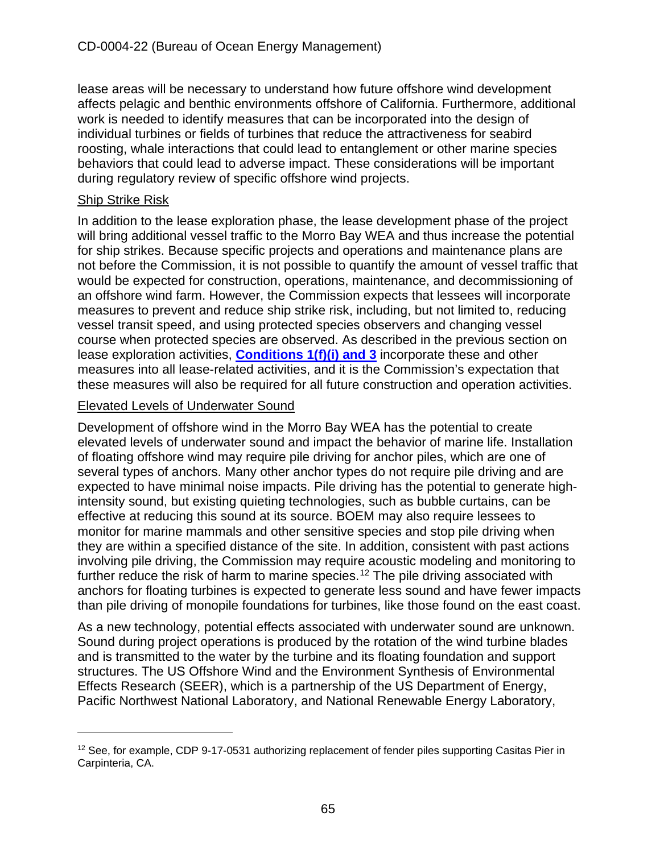lease areas will be necessary to understand how future offshore wind development affects pelagic and benthic environments offshore of California. Furthermore, additional work is needed to identify measures that can be incorporated into the design of individual turbines or fields of turbines that reduce the attractiveness for seabird roosting, whale interactions that could lead to entanglement or other marine species behaviors that could lead to adverse impact. These considerations will be important during regulatory review of specific offshore wind projects.

#### Ship Strike Risk

In addition to the lease exploration phase, the lease development phase of the project will bring additional vessel traffic to the Morro Bay WEA and thus increase the potential for ship strikes. Because specific projects and operations and maintenance plans are not before the Commission, it is not possible to quantify the amount of vessel traffic that would be expected for construction, operations, maintenance, and decommissioning of an offshore wind farm. However, the Commission expects that lessees will incorporate measures to prevent and reduce ship strike risk, including, but not limited to, reducing vessel transit speed, and using protected species observers and changing vessel course when protected species are observed. As described in the previous section on lease exploration activities, **[Conditions 1\(f\)\(i\) and 3](#page-10-0)** incorporate these and other measures into all lease-related activities, and it is the Commission's expectation that these measures will also be required for all future construction and operation activities.

#### Elevated Levels of Underwater Sound

Development of offshore wind in the Morro Bay WEA has the potential to create elevated levels of underwater sound and impact the behavior of marine life. Installation of floating offshore wind may require pile driving for anchor piles, which are one of several types of anchors. Many other anchor types do not require pile driving and are expected to have minimal noise impacts. Pile driving has the potential to generate highintensity sound, but existing quieting technologies, such as bubble curtains, can be effective at reducing this sound at its source. BOEM may also require lessees to monitor for marine mammals and other sensitive species and stop pile driving when they are within a specified distance of the site. In addition, consistent with past actions involving pile driving, the Commission may require acoustic modeling and monitoring to further reduce the risk of harm to marine species.<sup>[12](#page-64-0)</sup> The pile driving associated with anchors for floating turbines is expected to generate less sound and have fewer impacts than pile driving of monopile foundations for turbines, like those found on the east coast.

As a new technology, potential effects associated with underwater sound are unknown. Sound during project operations is produced by the rotation of the wind turbine blades and is transmitted to the water by the turbine and its floating foundation and support structures. The US Offshore Wind and the Environment Synthesis of Environmental Effects Research (SEER), which is a partnership of the US Department of Energy, Pacific Northwest National Laboratory, and National Renewable Energy Laboratory,

<span id="page-64-0"></span> $12$  See, for example, CDP 9-17-0531 authorizing replacement of fender piles supporting Casitas Pier in Carpinteria, CA.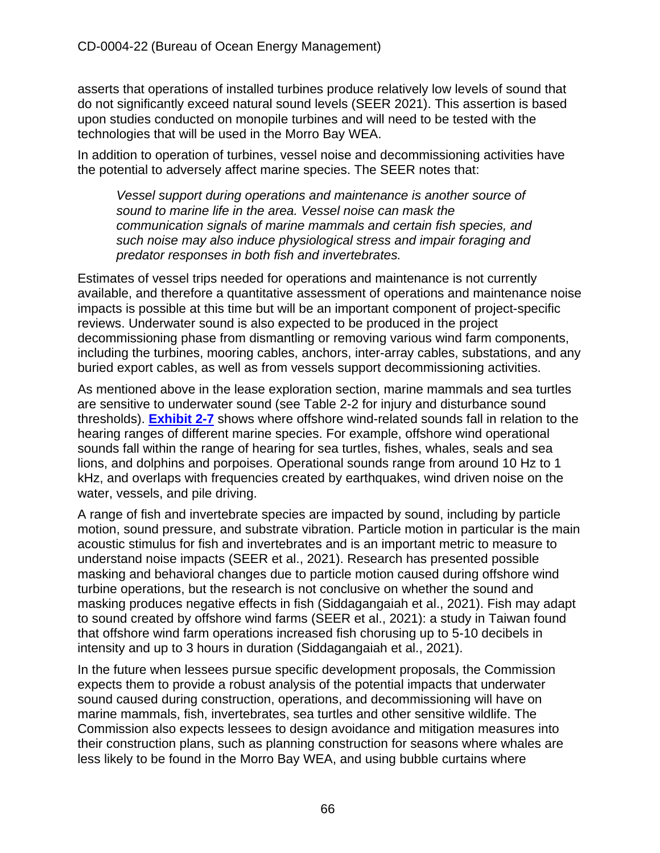asserts that operations of installed turbines produce relatively low levels of sound that do not significantly exceed natural sound levels (SEER 2021). This assertion is based upon studies conducted on monopile turbines and will need to be tested with the technologies that will be used in the Morro Bay WEA.

In addition to operation of turbines, vessel noise and decommissioning activities have the potential to adversely affect marine species. The SEER notes that:

*Vessel support during operations and maintenance is another source of sound to marine life in the area. Vessel noise can mask the communication signals of marine mammals and certain fish species, and such noise may also induce physiological stress and impair foraging and predator responses in both fish and invertebrates.* 

Estimates of vessel trips needed for operations and maintenance is not currently available, and therefore a quantitative assessment of operations and maintenance noise impacts is possible at this time but will be an important component of project-specific reviews. Underwater sound is also expected to be produced in the project decommissioning phase from dismantling or removing various wind farm components, including the turbines, mooring cables, anchors, inter-array cables, substations, and any buried export cables, as well as from vessels support decommissioning activities.

As mentioned above in the lease exploration section, marine mammals and sea turtles are sensitive to underwater sound (see Table 2-2 for injury and disturbance sound thresholds). **[Exhibit 2-7](https://documents.coastal.ca.gov/reports/2022/6/W7a/W7a-6-2022-Exhibits.pdf)** shows where offshore wind-related sounds fall in relation to the hearing ranges of different marine species. For example, offshore wind operational sounds fall within the range of hearing for sea turtles, fishes, whales, seals and sea lions, and dolphins and porpoises. Operational sounds range from around 10 Hz to 1 kHz, and overlaps with frequencies created by earthquakes, wind driven noise on the water, vessels, and pile driving.

A range of fish and invertebrate species are impacted by sound, including by particle motion, sound pressure, and substrate vibration. Particle motion in particular is the main acoustic stimulus for fish and invertebrates and is an important metric to measure to understand noise impacts (SEER et al., 2021). Research has presented possible masking and behavioral changes due to particle motion caused during offshore wind turbine operations, but the research is not conclusive on whether the sound and masking produces negative effects in fish (Siddagangaiah et al., 2021). Fish may adapt to sound created by offshore wind farms (SEER et al., 2021): a study in Taiwan found that offshore wind farm operations increased fish chorusing up to 5-10 decibels in intensity and up to 3 hours in duration (Siddagangaiah et al., 2021).

In the future when lessees pursue specific development proposals, the Commission expects them to provide a robust analysis of the potential impacts that underwater sound caused during construction, operations, and decommissioning will have on marine mammals, fish, invertebrates, sea turtles and other sensitive wildlife. The Commission also expects lessees to design avoidance and mitigation measures into their construction plans, such as planning construction for seasons where whales are less likely to be found in the Morro Bay WEA, and using bubble curtains where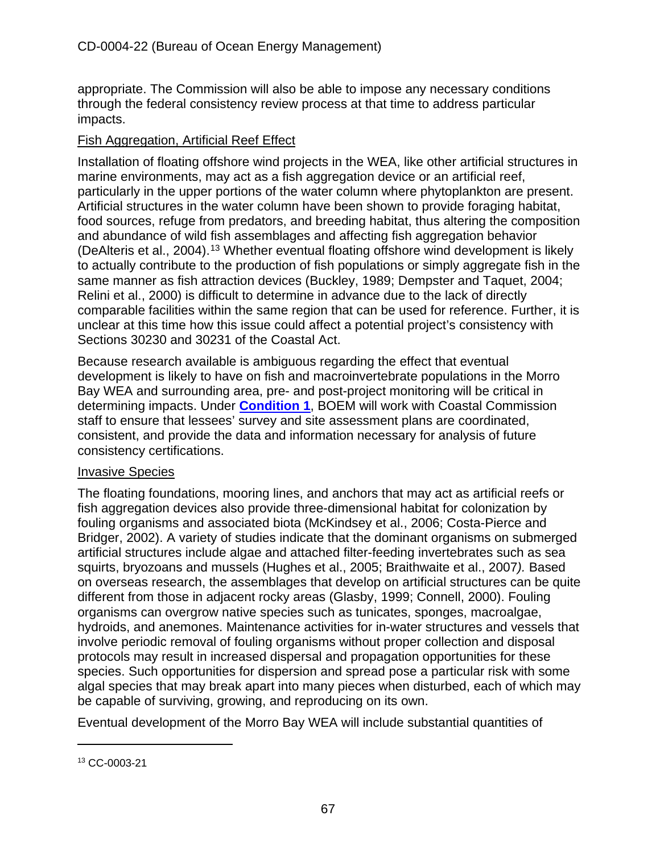appropriate. The Commission will also be able to impose any necessary conditions through the federal consistency review process at that time to address particular impacts.

#### Fish Aggregation, Artificial Reef Effect

Installation of floating offshore wind projects in the WEA, like other artificial structures in marine environments, may act as a fish aggregation device or an artificial reef, particularly in the upper portions of the water column where phytoplankton are present. Artificial structures in the water column have been shown to provide foraging habitat, food sources, refuge from predators, and breeding habitat, thus altering the composition and abundance of wild fish assemblages and affecting fish aggregation behavior (DeAlteris et al., 2004). [13](#page-66-0) Whether eventual floating offshore wind development is likely to actually contribute to the production of fish populations or simply aggregate fish in the same manner as fish attraction devices (Buckley, 1989; Dempster and Taquet, 2004; Relini et al., 2000) is difficult to determine in advance due to the lack of directly comparable facilities within the same region that can be used for reference. Further, it is unclear at this time how this issue could affect a potential project's consistency with Sections 30230 and 30231 of the Coastal Act.

Because research available is ambiguous regarding the effect that eventual development is likely to have on fish and macroinvertebrate populations in the Morro Bay WEA and surrounding area, pre- and post-project monitoring will be critical in determining impacts. Under **[Condition 1](#page-10-0)**, BOEM will work with Coastal Commission staff to ensure that lessees' survey and site assessment plans are coordinated, consistent, and provide the data and information necessary for analysis of future consistency certifications.

#### Invasive Species

The floating foundations, mooring lines, and anchors that may act as artificial reefs or fish aggregation devices also provide three-dimensional habitat for colonization by fouling organisms and associated biota (McKindsey et al., 2006; Costa-Pierce and Bridger, 2002). A variety of studies indicate that the dominant organisms on submerged artificial structures include algae and attached filter-feeding invertebrates such as sea squirts, bryozoans and mussels (Hughes et al., 2005; Braithwaite et al., 2007*).* Based on overseas research, the assemblages that develop on artificial structures can be quite different from those in adjacent rocky areas (Glasby, 1999; Connell, 2000). Fouling organisms can overgrow native species such as tunicates, sponges, macroalgae, hydroids, and anemones. Maintenance activities for in-water structures and vessels that involve periodic removal of fouling organisms without proper collection and disposal protocols may result in increased dispersal and propagation opportunities for these species. Such opportunities for dispersion and spread pose a particular risk with some algal species that may break apart into many pieces when disturbed, each of which may be capable of surviving, growing, and reproducing on its own.

Eventual development of the Morro Bay WEA will include substantial quantities of

<span id="page-66-0"></span><sup>13</sup> CC-0003-21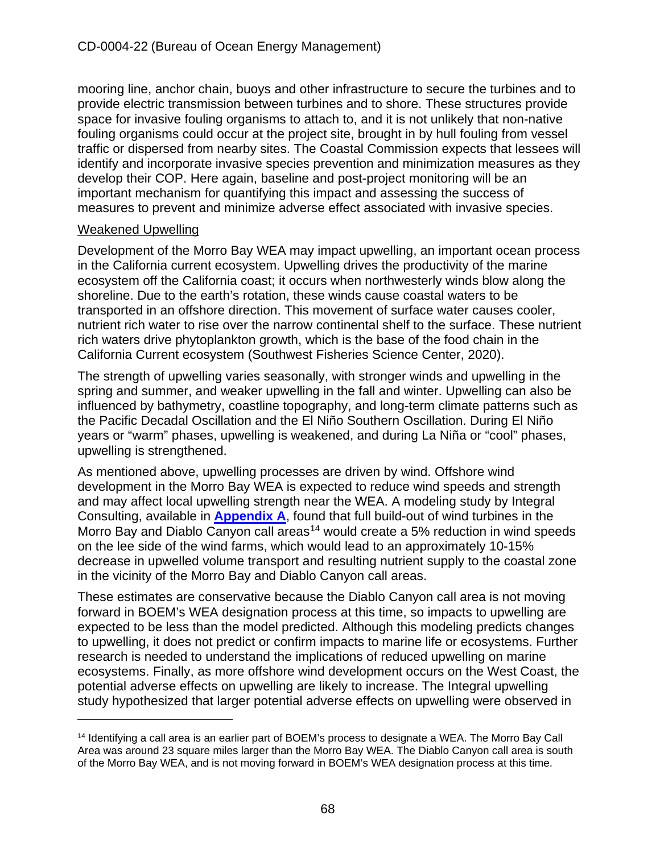mooring line, anchor chain, buoys and other infrastructure to secure the turbines and to provide electric transmission between turbines and to shore. These structures provide space for invasive fouling organisms to attach to, and it is not unlikely that non-native fouling organisms could occur at the project site, brought in by hull fouling from vessel traffic or dispersed from nearby sites. The Coastal Commission expects that lessees will identify and incorporate invasive species prevention and minimization measures as they develop their COP. Here again, baseline and post-project monitoring will be an important mechanism for quantifying this impact and assessing the success of measures to prevent and minimize adverse effect associated with invasive species.

#### Weakened Upwelling

Development of the Morro Bay WEA may impact upwelling, an important ocean process in the California current ecosystem. Upwelling drives the productivity of the marine ecosystem off the California coast; it occurs when northwesterly winds blow along the shoreline. Due to the earth's rotation, these winds cause coastal waters to be transported in an offshore direction. This movement of surface water causes cooler, nutrient rich water to rise over the narrow continental shelf to the surface. These nutrient rich waters drive phytoplankton growth, which is the base of the food chain in the California Current ecosystem (Southwest Fisheries Science Center, 2020).

The strength of upwelling varies seasonally, with stronger winds and upwelling in the spring and summer, and weaker upwelling in the fall and winter. Upwelling can also be influenced by bathymetry, coastline topography, and long-term climate patterns such as the Pacific Decadal Oscillation and the El Niño Southern Oscillation. During El Niño years or "warm" phases, upwelling is weakened, and during La Niña or "cool" phases, upwelling is strengthened.

As mentioned above, upwelling processes are driven by wind. Offshore wind development in the Morro Bay WEA is expected to reduce wind speeds and strength and may affect local upwelling strength near the WEA. A modeling study by Integral Consulting, available in **[Appendix A](https://documents.coastal.ca.gov/reports/2022/6/W7a/W7a-6-2022-Appendices.pdf)**, found that full build-out of wind turbines in the Morro Bay and Diablo Canyon call areas<sup>[14](#page-67-0)</sup> would create a 5% reduction in wind speeds on the lee side of the wind farms, which would lead to an approximately 10-15% decrease in upwelled volume transport and resulting nutrient supply to the coastal zone in the vicinity of the Morro Bay and Diablo Canyon call areas.

These estimates are conservative because the Diablo Canyon call area is not moving forward in BOEM's WEA designation process at this time, so impacts to upwelling are expected to be less than the model predicted. Although this modeling predicts changes to upwelling, it does not predict or confirm impacts to marine life or ecosystems. Further research is needed to understand the implications of reduced upwelling on marine ecosystems. Finally, as more offshore wind development occurs on the West Coast, the potential adverse effects on upwelling are likely to increase. The Integral upwelling study hypothesized that larger potential adverse effects on upwelling were observed in

<span id="page-67-0"></span><sup>&</sup>lt;sup>14</sup> Identifying a call area is an earlier part of BOEM's process to designate a WEA. The Morro Bay Call Area was around 23 square miles larger than the Morro Bay WEA. The Diablo Canyon call area is south of the Morro Bay WEA, and is not moving forward in BOEM's WEA designation process at this time.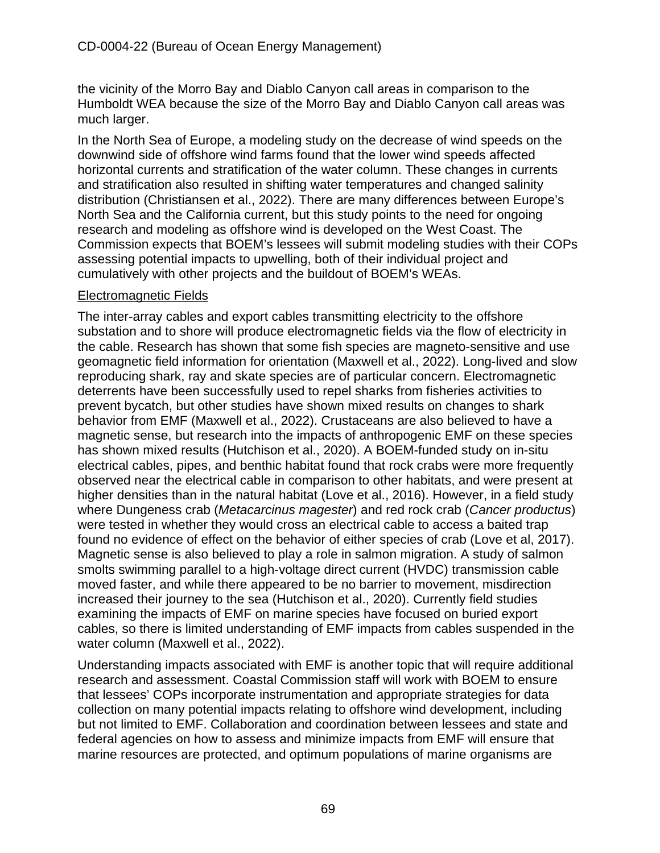the vicinity of the Morro Bay and Diablo Canyon call areas in comparison to the Humboldt WEA because the size of the Morro Bay and Diablo Canyon call areas was much larger.

In the North Sea of Europe, a modeling study on the decrease of wind speeds on the downwind side of offshore wind farms found that the lower wind speeds affected horizontal currents and stratification of the water column. These changes in currents and stratification also resulted in shifting water temperatures and changed salinity distribution (Christiansen et al., 2022). There are many differences between Europe's North Sea and the California current, but this study points to the need for ongoing research and modeling as offshore wind is developed on the West Coast. The Commission expects that BOEM's lessees will submit modeling studies with their COPs assessing potential impacts to upwelling, both of their individual project and cumulatively with other projects and the buildout of BOEM's WEAs.

#### Electromagnetic Fields

The inter-array cables and export cables transmitting electricity to the offshore substation and to shore will produce electromagnetic fields via the flow of electricity in the cable. Research has shown that some fish species are magneto-sensitive and use geomagnetic field information for orientation (Maxwell et al., 2022). Long-lived and slow reproducing shark, ray and skate species are of particular concern. Electromagnetic deterrents have been successfully used to repel sharks from fisheries activities to prevent bycatch, but other studies have shown mixed results on changes to shark behavior from EMF (Maxwell et al., 2022). Crustaceans are also believed to have a magnetic sense, but research into the impacts of anthropogenic EMF on these species has shown mixed results (Hutchison et al., 2020). A BOEM-funded study on in-situ electrical cables, pipes, and benthic habitat found that rock crabs were more frequently observed near the electrical cable in comparison to other habitats, and were present at higher densities than in the natural habitat (Love et al., 2016). However, in a field study where Dungeness crab (*Metacarcinus magester*) and red rock crab (*Cancer productus*) were tested in whether they would cross an electrical cable to access a baited trap found no evidence of effect on the behavior of either species of crab (Love et al, 2017). Magnetic sense is also believed to play a role in salmon migration. A study of salmon smolts swimming parallel to a high-voltage direct current (HVDC) transmission cable moved faster, and while there appeared to be no barrier to movement, misdirection increased their journey to the sea (Hutchison et al., 2020). Currently field studies examining the impacts of EMF on marine species have focused on buried export cables, so there is limited understanding of EMF impacts from cables suspended in the water column (Maxwell et al., 2022).

Understanding impacts associated with EMF is another topic that will require additional research and assessment. Coastal Commission staff will work with BOEM to ensure that lessees' COPs incorporate instrumentation and appropriate strategies for data collection on many potential impacts relating to offshore wind development, including but not limited to EMF. Collaboration and coordination between lessees and state and federal agencies on how to assess and minimize impacts from EMF will ensure that marine resources are protected, and optimum populations of marine organisms are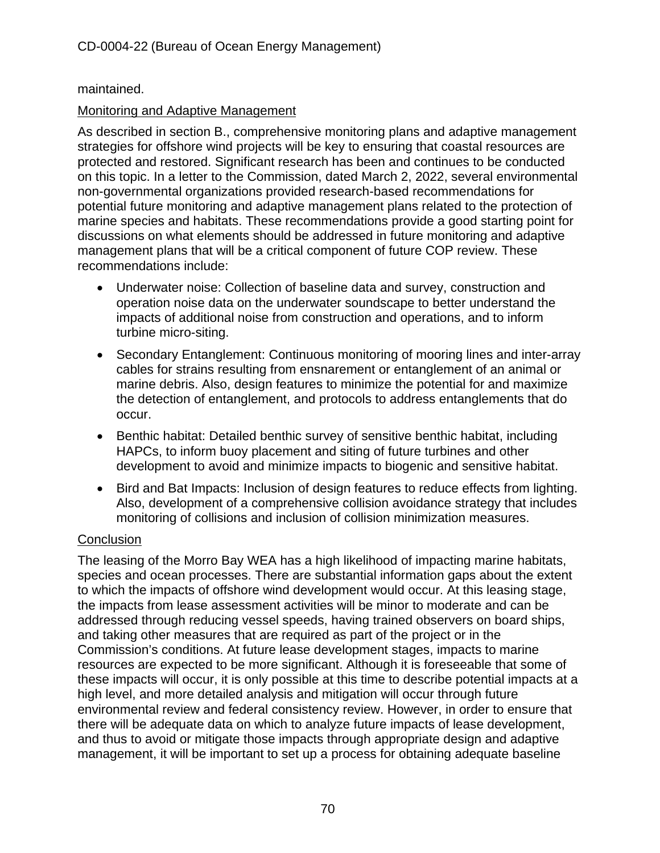# maintained.

# Monitoring and Adaptive Management

As described in section B., comprehensive monitoring plans and adaptive management strategies for offshore wind projects will be key to ensuring that coastal resources are protected and restored. Significant research has been and continues to be conducted on this topic. In a letter to the Commission, dated March 2, 2022, several environmental non-governmental organizations provided research-based recommendations for potential future monitoring and adaptive management plans related to the protection of marine species and habitats. These recommendations provide a good starting point for discussions on what elements should be addressed in future monitoring and adaptive management plans that will be a critical component of future COP review. These recommendations include:

- Underwater noise: Collection of baseline data and survey, construction and operation noise data on the underwater soundscape to better understand the impacts of additional noise from construction and operations, and to inform turbine micro-siting.
- Secondary Entanglement: Continuous monitoring of mooring lines and inter-array cables for strains resulting from ensnarement or entanglement of an animal or marine debris. Also, design features to minimize the potential for and maximize the detection of entanglement, and protocols to address entanglements that do occur.
- Benthic habitat: Detailed benthic survey of sensitive benthic habitat, including HAPCs, to inform buoy placement and siting of future turbines and other development to avoid and minimize impacts to biogenic and sensitive habitat.
- Bird and Bat Impacts: Inclusion of design features to reduce effects from lighting. Also, development of a comprehensive collision avoidance strategy that includes monitoring of collisions and inclusion of collision minimization measures.

## **Conclusion**

The leasing of the Morro Bay WEA has a high likelihood of impacting marine habitats, species and ocean processes. There are substantial information gaps about the extent to which the impacts of offshore wind development would occur. At this leasing stage, the impacts from lease assessment activities will be minor to moderate and can be addressed through reducing vessel speeds, having trained observers on board ships, and taking other measures that are required as part of the project or in the Commission's conditions. At future lease development stages, impacts to marine resources are expected to be more significant. Although it is foreseeable that some of these impacts will occur, it is only possible at this time to describe potential impacts at a high level, and more detailed analysis and mitigation will occur through future environmental review and federal consistency review. However, in order to ensure that there will be adequate data on which to analyze future impacts of lease development, and thus to avoid or mitigate those impacts through appropriate design and adaptive management, it will be important to set up a process for obtaining adequate baseline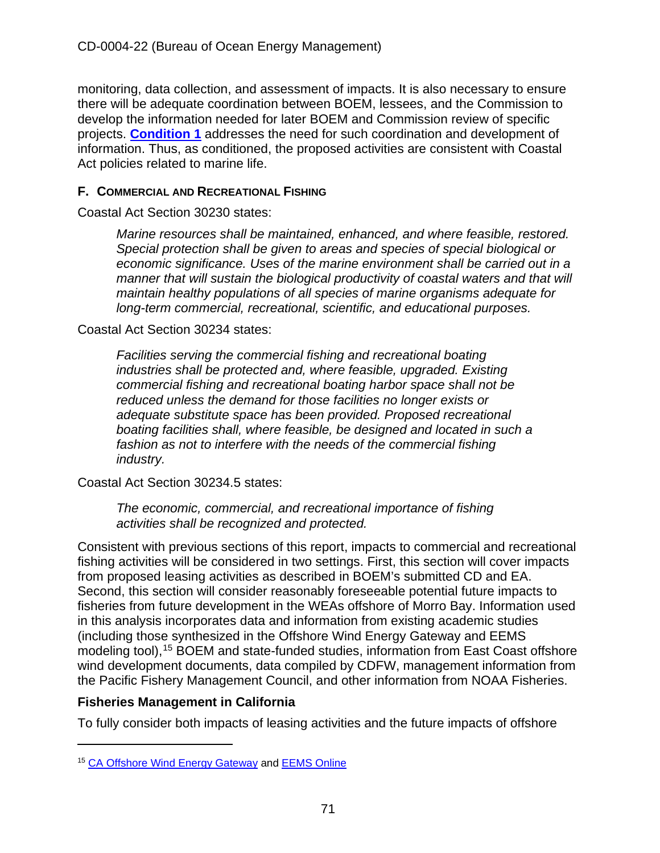monitoring, data collection, and assessment of impacts. It is also necessary to ensure there will be adequate coordination between BOEM, lessees, and the Commission to develop the information needed for later BOEM and Commission review of specific projects. **[Condition 1](#page-10-0)** addresses the need for such coordination and development of information. Thus, as conditioned, the proposed activities are consistent with Coastal Act policies related to marine life.

# **F. COMMERCIAL AND RECREATIONAL FISHING**

Coastal Act Section 30230 states:

*Marine resources shall be maintained, enhanced, and where feasible, restored. Special protection shall be given to areas and species of special biological or economic significance. Uses of the marine environment shall be carried out in a manner that will sustain the biological productivity of coastal waters and that will maintain healthy populations of all species of marine organisms adequate for long-term commercial, recreational, scientific, and educational purposes.* 

## Coastal Act Section 30234 states:

*Facilities serving the commercial fishing and recreational boating industries shall be protected and, where feasible, upgraded. Existing commercial fishing and recreational boating harbor space shall not be reduced unless the demand for those facilities no longer exists or adequate substitute space has been provided. Proposed recreational boating facilities shall, where feasible, be designed and located in such a*  fashion as not to interfere with the needs of the commercial fishing *industry.*

Coastal Act Section 30234.5 states:

*The economic, commercial, and recreational importance of fishing activities shall be recognized and protected.*

Consistent with previous sections of this report, impacts to commercial and recreational fishing activities will be considered in two settings. First, this section will cover impacts from proposed leasing activities as described in BOEM's submitted CD and EA. Second, this section will consider reasonably foreseeable potential future impacts to fisheries from future development in the WEAs offshore of Morro Bay. Information used in this analysis incorporates data and information from existing academic studies (including those synthesized in the Offshore Wind Energy Gateway and EEMS modeling tool),<sup>[15](#page-70-0)</sup> BOEM and state-funded studies, information from East Coast offshore wind development documents, data compiled by CDFW, management information from the Pacific Fishery Management Council, and other information from NOAA Fisheries.

# **Fisheries Management in California**

To fully consider both impacts of leasing activities and the future impacts of offshore

<span id="page-70-0"></span><sup>&</sup>lt;sup>15</sup> [CA Offshore Wind Energy Gateway](https://caoffshorewind.databasin.org/) and **EEMS** Online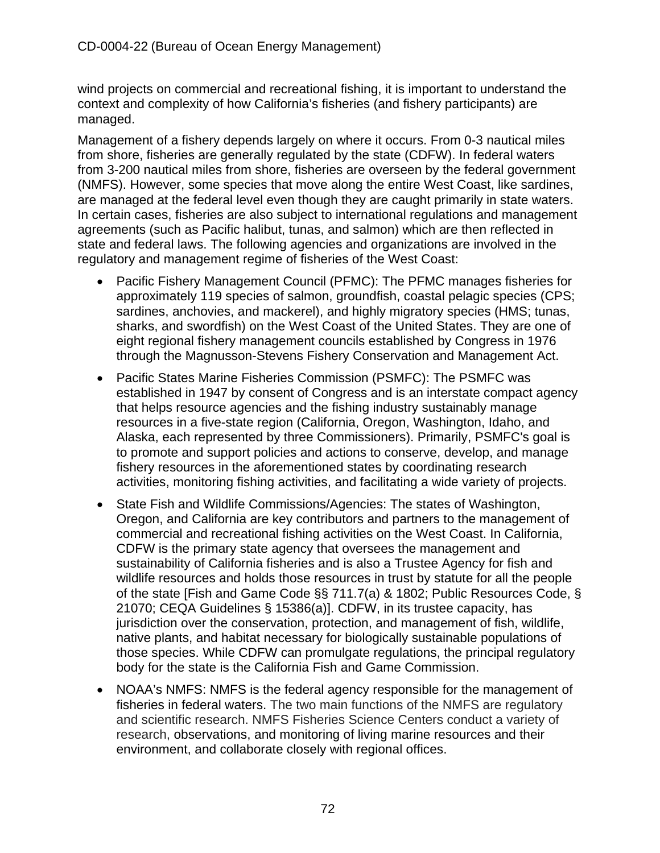wind projects on commercial and recreational fishing, it is important to understand the context and complexity of how California's fisheries (and fishery participants) are managed.

Management of a fishery depends largely on where it occurs. From 0-3 nautical miles from shore, fisheries are generally regulated by the state (CDFW). In federal waters from 3-200 nautical miles from shore, fisheries are overseen by the federal government (NMFS). However, some species that move along the entire West Coast, like sardines, are managed at the federal level even though they are caught primarily in state waters. In certain cases, fisheries are also subject to international regulations and management agreements (such as Pacific halibut, tunas, and salmon) which are then reflected in state and federal laws. The following agencies and organizations are involved in the regulatory and management regime of fisheries of the West Coast:

- Pacific Fishery Management Council (PFMC): The PFMC manages fisheries for approximately 119 species of salmon, groundfish, coastal pelagic species (CPS; sardines, anchovies, and mackerel), and highly migratory species (HMS; tunas, sharks, and swordfish) on the West Coast of the United States. They are one of eight regional fishery management councils established by Congress in 1976 through the Magnusson-Stevens Fishery Conservation and Management Act.
- Pacific States Marine Fisheries Commission (PSMFC): The PSMFC was established in 1947 by consent of Congress and is an interstate compact agency that helps resource agencies and the fishing industry sustainably manage resources in a five-state region (California, Oregon, Washington, Idaho, and Alaska, each represented by three Commissioners). Primarily, PSMFC's goal is to promote and support policies and actions to conserve, develop, and manage fishery resources in the aforementioned states by coordinating research activities, monitoring fishing activities, and facilitating a wide variety of projects.
- State Fish and Wildlife Commissions/Agencies: The states of Washington, Oregon, and California are key contributors and partners to the management of commercial and recreational fishing activities on the West Coast. In California, CDFW is the primary state agency that oversees the management and sustainability of California fisheries and is also a Trustee Agency for fish and wildlife resources and holds those resources in trust by statute for all the people of the state [Fish and Game Code §§ 711.7(a) & 1802; Public Resources Code, § 21070; CEQA Guidelines § 15386(a)]. CDFW, in its trustee capacity, has jurisdiction over the conservation, protection, and management of fish, wildlife, native plants, and habitat necessary for biologically sustainable populations of those species. While CDFW can promulgate regulations, the principal regulatory body for the state is the California Fish and Game Commission.
- NOAA's NMFS: NMFS is the federal agency responsible for the management of fisheries in federal waters. The two main functions of the NMFS are regulatory and scientific research. NMFS Fisheries Science Centers conduct a variety of research, observations, and monitoring of living marine resources and their environment, and collaborate closely with regional offices.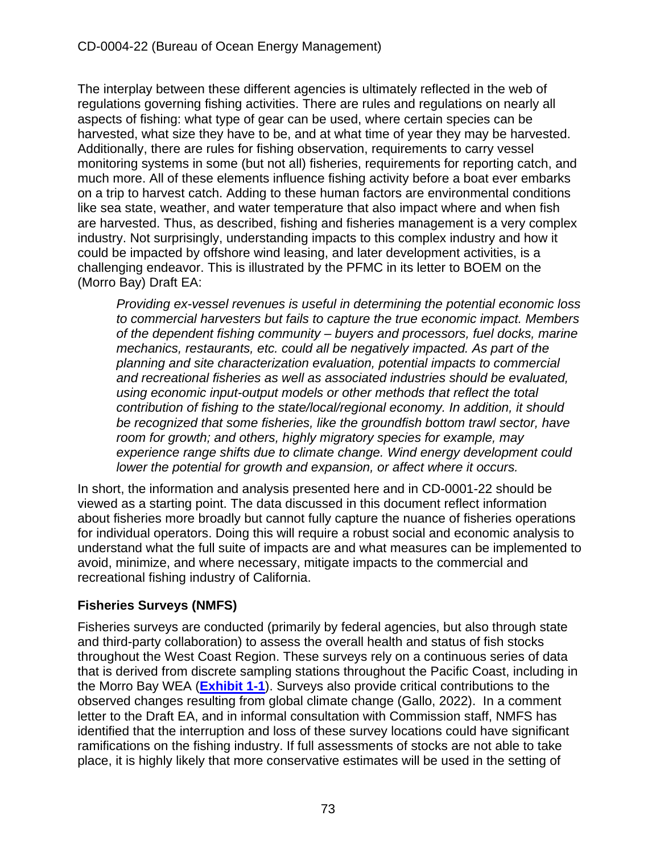The interplay between these different agencies is ultimately reflected in the web of regulations governing fishing activities. There are rules and regulations on nearly all aspects of fishing: what type of gear can be used, where certain species can be harvested, what size they have to be, and at what time of year they may be harvested. Additionally, there are rules for fishing observation, requirements to carry vessel monitoring systems in some (but not all) fisheries, requirements for reporting catch, and much more. All of these elements influence fishing activity before a boat ever embarks on a trip to harvest catch. Adding to these human factors are environmental conditions like sea state, weather, and water temperature that also impact where and when fish are harvested. Thus, as described, fishing and fisheries management is a very complex industry. Not surprisingly, understanding impacts to this complex industry and how it could be impacted by offshore wind leasing, and later development activities, is a challenging endeavor. This is illustrated by the PFMC in its letter to BOEM on the (Morro Bay) Draft EA:

*Providing ex-vessel revenues is useful in determining the potential economic loss to commercial harvesters but fails to capture the true economic impact. Members of the dependent fishing community – buyers and processors, fuel docks, marine mechanics, restaurants, etc. could all be negatively impacted. As part of the planning and site characterization evaluation, potential impacts to commercial and recreational fisheries as well as associated industries should be evaluated, using economic input-output models or other methods that reflect the total contribution of fishing to the state/local/regional economy. In addition, it should be recognized that some fisheries, like the groundfish bottom trawl sector, have room for growth; and others, highly migratory species for example, may experience range shifts due to climate change. Wind energy development could lower the potential for growth and expansion, or affect where it occurs.*

In short, the information and analysis presented here and in CD-0001-22 should be viewed as a starting point. The data discussed in this document reflect information about fisheries more broadly but cannot fully capture the nuance of fisheries operations for individual operators. Doing this will require a robust social and economic analysis to understand what the full suite of impacts are and what measures can be implemented to avoid, minimize, and where necessary, mitigate impacts to the commercial and recreational fishing industry of California.

# **Fisheries Surveys (NMFS)**

Fisheries surveys are conducted (primarily by federal agencies, but also through state and third-party collaboration) to assess the overall health and status of fish stocks throughout the West Coast Region. These surveys rely on a continuous series of data that is derived from discrete sampling stations throughout the Pacific Coast, including in the Morro Bay WEA (**[Exhibit 1-1](https://documents.coastal.ca.gov/reports/2022/6/W7a/W7a-6-2022-Exhibits.pdf)**). Surveys also provide critical contributions to the observed changes resulting from global climate change (Gallo, 2022). In a comment letter to the Draft EA, and in informal consultation with Commission staff, NMFS has identified that the interruption and loss of these survey locations could have significant ramifications on the fishing industry. If full assessments of stocks are not able to take place, it is highly likely that more conservative estimates will be used in the setting of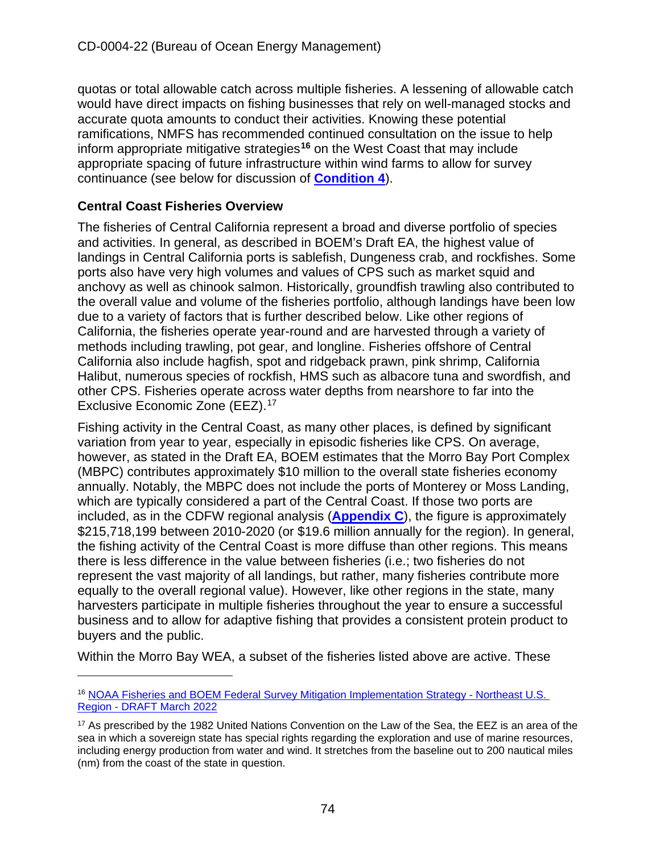quotas or total allowable catch across multiple fisheries. A lessening of allowable catch would have direct impacts on fishing businesses that rely on well-managed stocks and accurate quota amounts to conduct their activities. Knowing these potential ramifications, NMFS has recommended continued consultation on the issue to help inform appropriate mitigative strategies**[16](#page-73-0)** on the West Coast that may include appropriate spacing of future infrastructure within wind farms to allow for survey continuance (see below for discussion of **[Condition 4](#page-14-0)**).

# **Central Coast Fisheries Overview**

The fisheries of Central California represent a broad and diverse portfolio of species and activities. In general, as described in BOEM's Draft EA, the highest value of landings in Central California ports is sablefish, Dungeness crab, and rockfishes. Some ports also have very high volumes and values of CPS such as market squid and anchovy as well as chinook salmon. Historically, groundfish trawling also contributed to the overall value and volume of the fisheries portfolio, although landings have been low due to a variety of factors that is further described below. Like other regions of California, the fisheries operate year-round and are harvested through a variety of methods including trawling, pot gear, and longline. Fisheries offshore of Central California also include hagfish, spot and ridgeback prawn, pink shrimp, California Halibut, numerous species of rockfish, HMS such as albacore tuna and swordfish, and other CPS. Fisheries operate across water depths from nearshore to far into the Exclusive Economic Zone (EEZ).<sup>17</sup>

Fishing activity in the Central Coast, as many other places, is defined by significant variation from year to year, especially in episodic fisheries like CPS. On average, however, as stated in the Draft EA, BOEM estimates that the Morro Bay Port Complex (MBPC) contributes approximately \$10 million to the overall state fisheries economy annually. Notably, the MBPC does not include the ports of Monterey or Moss Landing, which are typically considered a part of the Central Coast. If those two ports are included, as in the CDFW regional analysis (**[Appendix C](https://documents.coastal.ca.gov/reports/2022/6/W7a/W7a-6-2022-Appendices.pdf)**), the figure is approximately \$215,718,199 between 2010-2020 (or \$19.6 million annually for the region). In general, the fishing activity of the Central Coast is more diffuse than other regions. This means there is less difference in the value between fisheries (i.e.; two fisheries do not represent the vast majority of all landings, but rather, many fisheries contribute more equally to the overall regional value). However, like other regions in the state, many harvesters participate in multiple fisheries throughout the year to ensure a successful business and to allow for adaptive fishing that provides a consistent protein product to buyers and the public.

Within the Morro Bay WEA, a subset of the fisheries listed above are active. These

<span id="page-73-0"></span><sup>16</sup> [NOAA Fisheries and BOEM Federal Survey Mitigation Implementation Strategy - Northeast U.S.](https://media.fisheries.noaa.gov/2022-03/NOAA%20Fisheries-and-BOEM-Federal-Survey-Mitigation_Strategy_DRAFT_508.pdf)  [Region - DRAFT March 2022](https://media.fisheries.noaa.gov/2022-03/NOAA%20Fisheries-and-BOEM-Federal-Survey-Mitigation_Strategy_DRAFT_508.pdf)

<span id="page-73-1"></span><sup>&</sup>lt;sup>17</sup> As prescribed by the 1982 United Nations Convention on the Law of the Sea, the EEZ is an area of the sea in which a sovereign state has special rights regarding the exploration and use of marine resources, including energy production from water and wind. It stretches from the baseline out to 200 nautical miles (nm) from the coast of the state in question.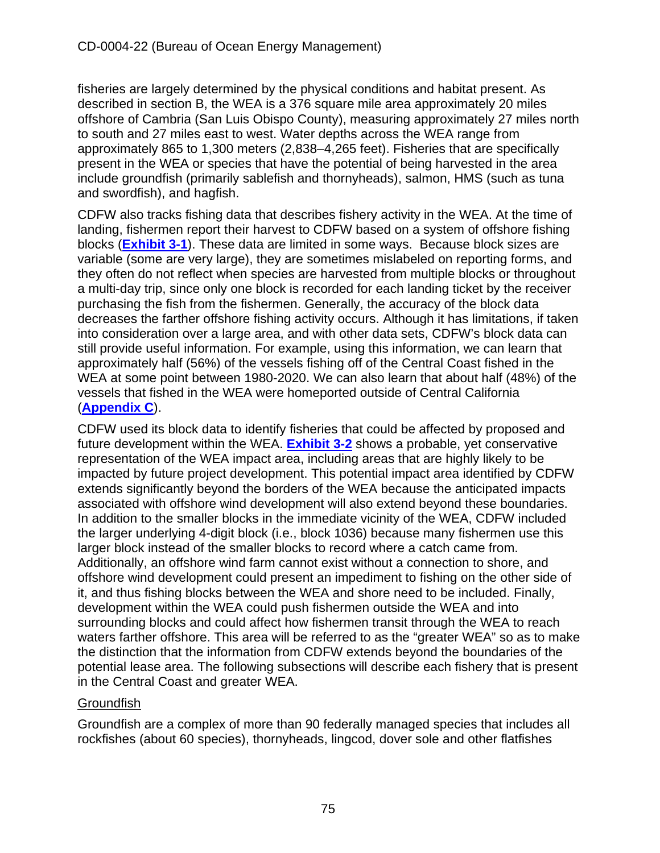fisheries are largely determined by the physical conditions and habitat present. As described in section B, the WEA is a 376 square mile area approximately 20 miles offshore of Cambria (San Luis Obispo County), measuring approximately 27 miles north to south and 27 miles east to west. Water depths across the WEA range from approximately 865 to 1,300 meters (2,838–4,265 feet). Fisheries that are specifically present in the WEA or species that have the potential of being harvested in the area include groundfish (primarily sablefish and thornyheads), salmon, HMS (such as tuna and swordfish), and hagfish.

CDFW also tracks fishing data that describes fishery activity in the WEA. At the time of landing, fishermen report their harvest to CDFW based on a system of offshore fishing blocks (**[Exhibit 3-1](https://documents.coastal.ca.gov/reports/2022/6/W7a/W7a-6-2022-Exhibits.pdf)**). These data are limited in some ways. Because block sizes are variable (some are very large), they are sometimes mislabeled on reporting forms, and they often do not reflect when species are harvested from multiple blocks or throughout a multi-day trip, since only one block is recorded for each landing ticket by the receiver purchasing the fish from the fishermen. Generally, the accuracy of the block data decreases the farther offshore fishing activity occurs. Although it has limitations, if taken into consideration over a large area, and with other data sets, CDFW's block data can still provide useful information. For example, using this information, we can learn that approximately half (56%) of the vessels fishing off of the Central Coast fished in the WEA at some point between 1980-2020. We can also learn that about half (48%) of the vessels that fished in the WEA were homeported outside of Central California (**[Appendix C](https://documents.coastal.ca.gov/reports/2022/6/W7a/W7a-6-2022-Appendices.pdf)**).

CDFW used its block data to identify fisheries that could be affected by proposed and future development within the WEA. **[Exhibit 3-2](https://documents.coastal.ca.gov/reports/2022/6/W7a/W7a-6-2022-Exhibits.pdf)** shows a probable, yet conservative representation of the WEA impact area, including areas that are highly likely to be impacted by future project development. This potential impact area identified by CDFW extends significantly beyond the borders of the WEA because the anticipated impacts associated with offshore wind development will also extend beyond these boundaries. In addition to the smaller blocks in the immediate vicinity of the WEA, CDFW included the larger underlying 4-digit block (i.e., block 1036) because many fishermen use this larger block instead of the smaller blocks to record where a catch came from. Additionally, an offshore wind farm cannot exist without a connection to shore, and offshore wind development could present an impediment to fishing on the other side of it, and thus fishing blocks between the WEA and shore need to be included. Finally, development within the WEA could push fishermen outside the WEA and into surrounding blocks and could affect how fishermen transit through the WEA to reach waters farther offshore. This area will be referred to as the "greater WEA" so as to make the distinction that the information from CDFW extends beyond the boundaries of the potential lease area. The following subsections will describe each fishery that is present in the Central Coast and greater WEA.

# **Groundfish**

Groundfish are a complex of more than 90 federally managed species that includes all rockfishes (about 60 species), thornyheads, lingcod, dover sole and other flatfishes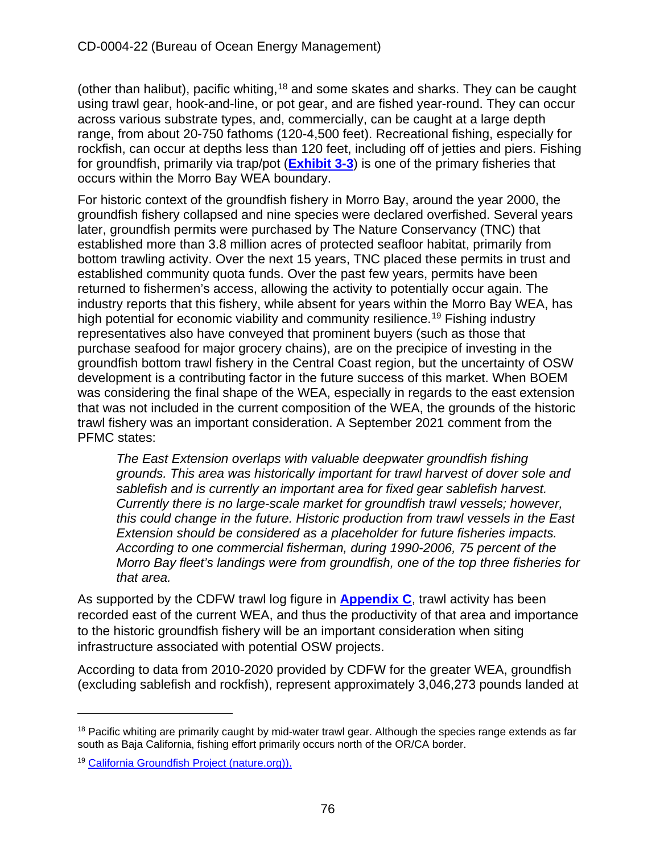(other than halibut), pacific whiting,<sup>[18](#page-75-0)</sup> and some skates and sharks. They can be caught using trawl gear, hook-and-line, or pot gear, and are fished year-round. They can occur across various substrate types, and, commercially, can be caught at a large depth range, from about 20-750 fathoms (120-4,500 feet). Recreational fishing, especially for rockfish, can occur at depths less than 120 feet, including off of jetties and piers. Fishing for groundfish, primarily via trap/pot (**[Exhibit 3-3](https://documents.coastal.ca.gov/reports/2022/6/W7a/W7a-6-2022-Exhibits.pdf)**) is one of the primary fisheries that occurs within the Morro Bay WEA boundary.

For historic context of the groundfish fishery in Morro Bay, around the year 2000, the groundfish fishery collapsed and nine species were declared overfished. Several years later, groundfish permits were purchased by The Nature Conservancy (TNC) that established more than 3.8 million acres of protected seafloor habitat, primarily from bottom trawling activity. Over the next 15 years, TNC placed these permits in trust and established community quota funds. Over the past few years, permits have been returned to fishermen's access, allowing the activity to potentially occur again. The industry reports that this fishery, while absent for years within the Morro Bay WEA, has high potential for economic viability and community resilience.<sup>[19](#page-75-1)</sup> Fishing industry representatives also have conveyed that prominent buyers (such as those that purchase seafood for major grocery chains), are on the precipice of investing in the groundfish bottom trawl fishery in the Central Coast region, but the uncertainty of OSW development is a contributing factor in the future success of this market. When BOEM was considering the final shape of the WEA, especially in regards to the east extension that was not included in the current composition of the WEA, the grounds of the historic trawl fishery was an important consideration. A September 2021 comment from the PFMC states:

*The East Extension overlaps with valuable deepwater groundfish fishing grounds. This area was historically important for trawl harvest of dover sole and sablefish and is currently an important area for fixed gear sablefish harvest. Currently there is no large-scale market for groundfish trawl vessels; however, this could change in the future. Historic production from trawl vessels in the East Extension should be considered as a placeholder for future fisheries impacts. According to one commercial fisherman, during 1990-2006, 75 percent of the Morro Bay fleet's landings were from groundfish, one of the top three fisheries for that area.*

As supported by the CDFW trawl log figure in **[Appendix C](https://documents.coastal.ca.gov/reports/2022/6/W7a/W7a-6-2022-Appendices.pdf)**, trawl activity has been recorded east of the current WEA, and thus the productivity of that area and importance to the historic groundfish fishery will be an important consideration when siting infrastructure associated with potential OSW projects.

According to data from 2010-2020 provided by CDFW for the greater WEA, groundfish (excluding sablefish and rockfish), represent approximately 3,046,273 pounds landed at

<span id="page-75-0"></span> $18$  Pacific whiting are primarily caught by mid-water trawl gear. Although the species range extends as far south as Baja California, fishing effort primarily occurs north of the OR/CA border.

<span id="page-75-1"></span><sup>19</sup> [California Groundfish Project \(nature.org\)\).](https://www.nature.org/en-us/about-us/where-we-work/united-states/california/stories-in-california/california-groundfish-project/)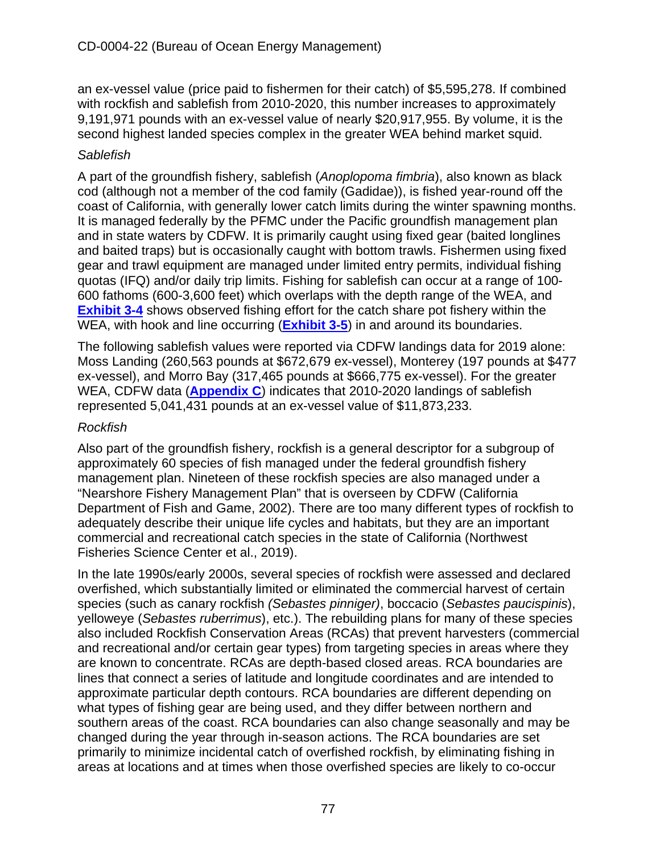an ex-vessel value (price paid to fishermen for their catch) of \$5,595,278. If combined with rockfish and sablefish from 2010-2020, this number increases to approximately 9,191,971 pounds with an ex-vessel value of nearly \$20,917,955. By volume, it is the second highest landed species complex in the greater WEA behind market squid.

### *Sablefish*

A part of the groundfish fishery, sablefish (*Anoplopoma fimbria*), also known as black cod (although not a member of the cod family (Gadidae)), is fished year-round off the coast of California, with generally lower catch limits during the winter spawning months. It is managed federally by the PFMC under the Pacific groundfish management plan and in state waters by CDFW. It is primarily caught using fixed gear (baited longlines and baited traps) but is occasionally caught with bottom trawls. Fishermen using fixed gear and trawl equipment are managed under limited entry permits, individual fishing quotas (IFQ) and/or daily trip limits. Fishing for sablefish can occur at a range of 100- 600 fathoms (600-3,600 feet) which overlaps with the depth range of the WEA, and **[Exhibit 3-4](https://documents.coastal.ca.gov/reports/2022/6/W7a/W7a-6-2022-Exhibits.pdf)** shows observed fishing effort for the catch share pot fishery within the WEA, with hook and line occurring (**[Exhibit 3-5](https://documents.coastal.ca.gov/reports/2022/6/W7a/W7a-6-2022-Exhibits.pdf)**) in and around its boundaries.

The following sablefish values were reported via CDFW landings data for 2019 alone: Moss Landing (260,563 pounds at \$672,679 ex-vessel), Monterey (197 pounds at \$477 ex-vessel), and Morro Bay (317,465 pounds at \$666,775 ex-vessel). For the greater WEA, CDFW data (**[Appendix C](https://documents.coastal.ca.gov/reports/2022/6/W7a/W7a-6-2022-Appendices.pdf)**) indicates that 2010-2020 landings of sablefish represented 5,041,431 pounds at an ex-vessel value of \$11,873,233.

### *Rockfish*

Also part of the groundfish fishery, rockfish is a general descriptor for a subgroup of approximately 60 species of fish managed under the federal groundfish fishery management plan. Nineteen of these rockfish species are also managed under a "Nearshore Fishery Management Plan" that is overseen by CDFW (California Department of Fish and Game, 2002). There are too many different types of rockfish to adequately describe their unique life cycles and habitats, but they are an important commercial and recreational catch species in the state of California (Northwest Fisheries Science Center et al., 2019).

In the late 1990s/early 2000s, several species of rockfish were assessed and declared overfished, which substantially limited or eliminated the commercial harvest of certain species (such as canary rockfish *(Sebastes pinniger)*, boccacio (*Sebastes paucispinis*), yelloweye (*Sebastes ruberrimus*), etc.). The rebuilding plans for many of these species also included Rockfish Conservation Areas (RCAs) that prevent harvesters (commercial and recreational and/or certain gear types) from targeting species in areas where they are known to concentrate. RCAs are depth-based closed areas. RCA boundaries are lines that connect a series of latitude and longitude coordinates and are intended to approximate particular depth contours. RCA boundaries are different depending on what types of fishing gear are being used, and they differ between northern and southern areas of the coast. RCA boundaries can also change seasonally and may be changed during the year through in-season actions. The RCA boundaries are set primarily to minimize incidental catch of overfished rockfish, by eliminating fishing in areas at locations and at times when those overfished species are likely to co-occur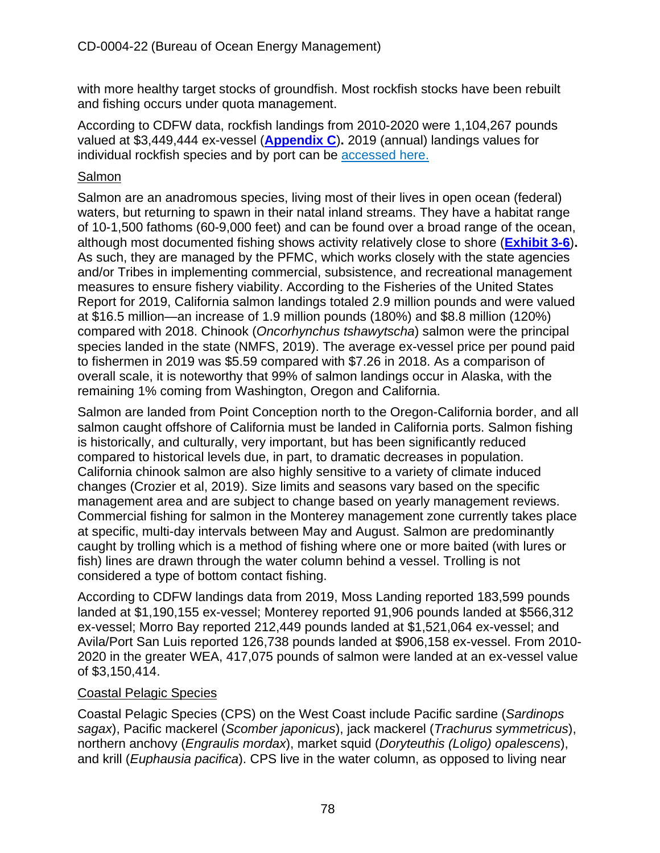with more healthy target stocks of groundfish. Most rockfish stocks have been rebuilt and fishing occurs under quota management.

According to CDFW data, rockfish landings from 2010-2020 were 1,104,267 pounds valued at \$3,449,444 ex-vessel (**[Appendix C](https://documents.coastal.ca.gov/reports/2022/6/W7a/W7a-6-2022-Appendices.pdf)**)**.** 2019 (annual) landings values for individual rockfish species and by port can be [accessed here.](https://wildlife.ca.gov/Fishing/Commercial/Landings#260042586-2019)

### **Salmon**

Salmon are an anadromous species, living most of their lives in open ocean (federal) waters, but returning to spawn in their natal inland streams. They have a habitat range of 10-1,500 fathoms (60-9,000 feet) and can be found over a broad range of the ocean, although most documented fishing shows activity relatively close to shore (**[Exhibit 3-6](https://documents.coastal.ca.gov/reports/2022/6/W7a/W7a-6-2022-Exhibits.pdf)**)**.** As such, they are managed by the PFMC, which works closely with the state agencies and/or Tribes in implementing commercial, subsistence, and recreational management measures to ensure fishery viability. According to the Fisheries of the United States Report for 2019, California salmon landings totaled 2.9 million pounds and were valued at \$16.5 million—an increase of 1.9 million pounds (180%) and \$8.8 million (120%) compared with 2018. Chinook (*Oncorhynchus tshawytscha*) salmon were the principal species landed in the state (NMFS, 2019). The average ex-vessel price per pound paid to fishermen in 2019 was \$5.59 compared with \$7.26 in 2018. As a comparison of overall scale, it is noteworthy that 99% of salmon landings occur in Alaska, with the remaining 1% coming from Washington, Oregon and California.

Salmon are landed from Point Conception north to the Oregon-California border, and all salmon caught offshore of California must be landed in California ports. Salmon fishing is historically, and culturally, very important, but has been significantly reduced compared to historical levels due, in part, to dramatic decreases in population. California chinook salmon are also highly sensitive to a variety of climate induced changes (Crozier et al, 2019). Size limits and seasons vary based on the specific management area and are subject to change based on yearly management reviews. Commercial fishing for salmon in the Monterey management zone currently takes place at specific, multi-day intervals between May and August. Salmon are predominantly caught by trolling which is a method of fishing where one or more baited (with lures or fish) lines are drawn through the water column behind a vessel. Trolling is not considered a type of bottom contact fishing.

According to CDFW landings data from 2019, Moss Landing reported 183,599 pounds landed at \$1,190,155 ex-vessel; Monterey reported 91,906 pounds landed at \$566,312 ex-vessel; Morro Bay reported 212,449 pounds landed at \$1,521,064 ex-vessel; and Avila/Port San Luis reported 126,738 pounds landed at \$906,158 ex-vessel. From 2010- 2020 in the greater WEA, 417,075 pounds of salmon were landed at an ex-vessel value of \$3,150,414.

#### Coastal Pelagic Species

Coastal Pelagic Species (CPS) on the West Coast include Pacific sardine (*Sardinops sagax*), Pacific mackerel (*Scomber japonicus*), jack mackerel (*Trachurus symmetricus*), northern anchovy (*Engraulis mordax*), market squid (*Doryteuthis (Loligo) opalescens*), and krill (*Euphausia pacifica*). CPS live in the water column, as opposed to living near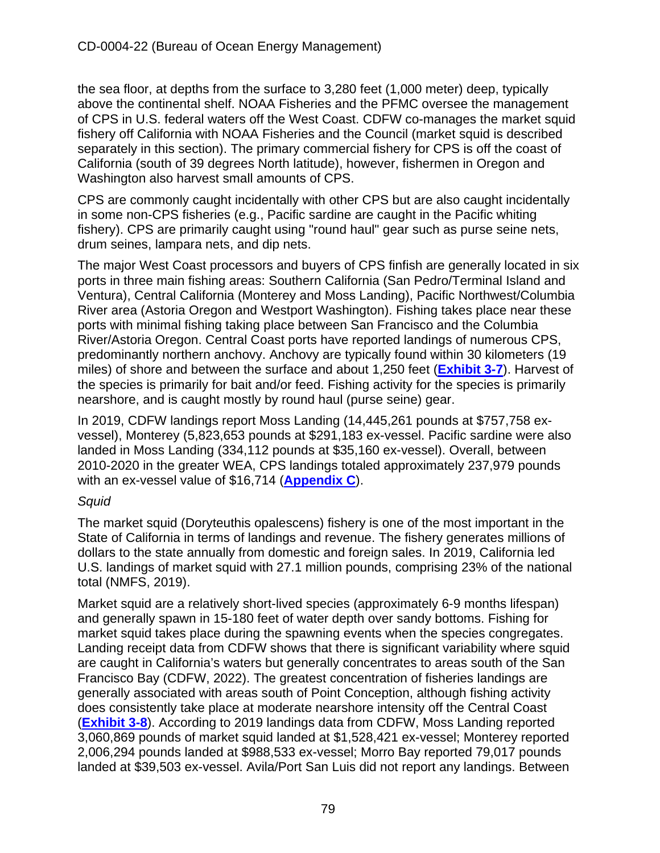the sea floor, at depths from the surface to 3,280 feet (1,000 meter) deep, typically above the continental shelf. NOAA Fisheries and the PFMC oversee the management of CPS in U.S. federal waters off the West Coast. CDFW co-manages the market squid fishery off California with NOAA Fisheries and the Council (market squid is described separately in this section). The primary commercial fishery for CPS is off the coast of California (south of 39 degrees North latitude), however, fishermen in Oregon and Washington also harvest small amounts of CPS.

CPS are commonly caught incidentally with other CPS but are also caught incidentally in some non-CPS fisheries (e.g., Pacific sardine are caught in the Pacific whiting fishery). CPS are primarily caught using "round haul" gear such as purse seine nets, drum seines, lampara nets, and dip nets.

The major West Coast processors and buyers of CPS finfish are generally located in six ports in three main fishing areas: Southern California (San Pedro/Terminal Island and Ventura), Central California (Monterey and Moss Landing), Pacific Northwest/Columbia River area (Astoria Oregon and Westport Washington). Fishing takes place near these ports with minimal fishing taking place between San Francisco and the Columbia River/Astoria Oregon. Central Coast ports have reported landings of numerous CPS, predominantly northern anchovy. Anchovy are typically found within 30 kilometers (19 miles) of shore and between the surface and about 1,250 feet (**[Exhibit 3-7](https://documents.coastal.ca.gov/reports/2022/6/W7a/W7a-6-2022-Exhibits.pdf)**). Harvest of the species is primarily for bait and/or feed. Fishing activity for the species is primarily nearshore, and is caught mostly by round haul (purse seine) gear.

In 2019, CDFW landings report Moss Landing (14,445,261 pounds at \$757,758 exvessel), Monterey (5,823,653 pounds at \$291,183 ex-vessel. Pacific sardine were also landed in Moss Landing (334,112 pounds at \$35,160 ex-vessel). Overall, between 2010-2020 in the greater WEA, CPS landings totaled approximately 237,979 pounds with an ex-vessel value of \$16,714 (**[Appendix C](https://documents.coastal.ca.gov/reports/2022/6/W7a/W7a-6-2022-Appendices.pdf)**).

### *Squid*

The market squid (Doryteuthis opalescens) fishery is one of the most important in the State of California in terms of landings and revenue. The fishery generates millions of dollars to the state annually from domestic and foreign sales. In 2019, California led U.S. landings of market squid with 27.1 million pounds, comprising 23% of the national total (NMFS, 2019).

Market squid are a relatively short-lived species (approximately 6-9 months lifespan) and generally spawn in 15-180 feet of water depth over sandy bottoms. Fishing for market squid takes place during the spawning events when the species congregates. Landing receipt data from CDFW shows that there is significant variability where squid are caught in California's waters but generally concentrates to areas south of the San Francisco Bay (CDFW, 2022). The greatest concentration of fisheries landings are generally associated with areas south of Point Conception, although fishing activity does consistently take place at moderate nearshore intensity off the Central Coast (**[Exhibit 3-8](https://documents.coastal.ca.gov/reports/2022/6/W7a/W7a-6-2022-Exhibits.pdf)**). According to 2019 landings data from CDFW, Moss Landing reported 3,060,869 pounds of market squid landed at \$1,528,421 ex-vessel; Monterey reported 2,006,294 pounds landed at \$988,533 ex-vessel; Morro Bay reported 79,017 pounds landed at \$39,503 ex-vessel. Avila/Port San Luis did not report any landings. Between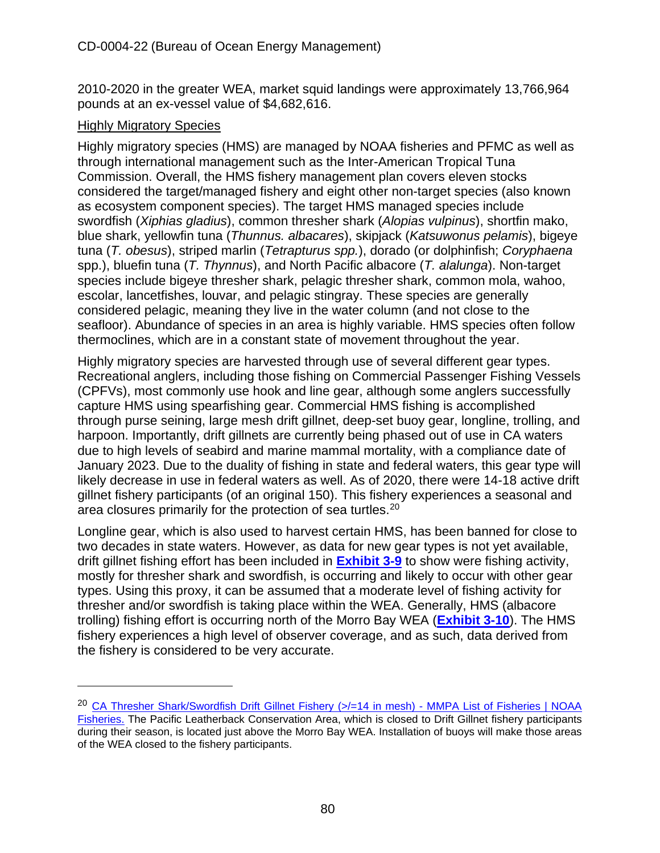2010-2020 in the greater WEA, market squid landings were approximately 13,766,964 pounds at an ex-vessel value of \$4,682,616.

#### Highly Migratory Species

Highly migratory species (HMS) are managed by NOAA fisheries and PFMC as well as through international management such as the Inter-American Tropical Tuna Commission. Overall, the HMS fishery management plan covers eleven stocks considered the target/managed fishery and eight other non-target species (also known as ecosystem component species). The target HMS managed species include swordfish (*Xiphias gladius*), common thresher shark (*Alopias vulpinus*), shortfin mako, blue shark, yellowfin tuna (*Thunnus. albacares*), skipjack (*Katsuwonus pelamis*), bigeye tuna (*T. obesus*), striped marlin (*Tetrapturus spp.*), dorado (or dolphinfish; *Coryphaena* spp.), bluefin tuna (*T. Thynnus*), and North Pacific albacore (*T. alalunga*). Non-target species include bigeye thresher shark, pelagic thresher shark, common mola, wahoo, escolar, lancetfishes, louvar, and pelagic stingray. These species are generally considered pelagic, meaning they live in the water column (and not close to the seafloor). Abundance of species in an area is highly variable. HMS species often follow thermoclines, which are in a constant state of movement throughout the year.

Highly migratory species are harvested through use of several different gear types. Recreational anglers, including those fishing on Commercial Passenger Fishing Vessels (CPFVs), most commonly use hook and line gear, although some anglers successfully capture HMS using spearfishing gear. Commercial HMS fishing is accomplished through purse seining, large mesh drift gillnet, deep-set buoy gear, longline, trolling, and harpoon. Importantly, drift gillnets are currently being phased out of use in CA waters due to high levels of seabird and marine mammal mortality, with a compliance date of January 2023. Due to the duality of fishing in state and federal waters, this gear type will likely decrease in use in federal waters as well. As of 2020, there were 14-18 active drift gillnet fishery participants (of an original 150). This fishery experiences a seasonal and area closures primarily for the protection of sea turtles.<sup>20</sup>

Longline gear, which is also used to harvest certain HMS, has been banned for close to two decades in state waters. However, as data for new gear types is not yet available, drift gillnet fishing effort has been included in **[Exhibit 3-9](https://documents.coastal.ca.gov/reports/2022/6/W7a/W7a-6-2022-Exhibits.pdf)** to show were fishing activity, mostly for thresher shark and swordfish, is occurring and likely to occur with other gear types. Using this proxy, it can be assumed that a moderate level of fishing activity for thresher and/or swordfish is taking place within the WEA. Generally, HMS (albacore trolling) fishing effort is occurring north of the Morro Bay WEA (**[Exhibit 3-10](https://documents.coastal.ca.gov/reports/2022/6/W7a/W7a-6-2022-Exhibits.pdf)**). The HMS fishery experiences a high level of observer coverage, and as such, data derived from the fishery is considered to be very accurate.

<span id="page-79-0"></span><sup>&</sup>lt;sup>20</sup> CA Thresher Shark/Swordfish Drift Gillnet Fishery (>/=14 in mesh) - MMPA List of Fisheries | NOAA [Fisheries. Th](https://www.fisheries.noaa.gov/national/marine-mammal-protection/ca-thresher-shark-swordfish-drift-gillnet-fishery-14-mesh-mmpa)e Pacific Leatherback Conservation Area, which is closed to Drift Gillnet fishery participants during their season, is located just above the Morro Bay WEA. Installation of buoys will make those areas of the WEA closed to the fishery participants.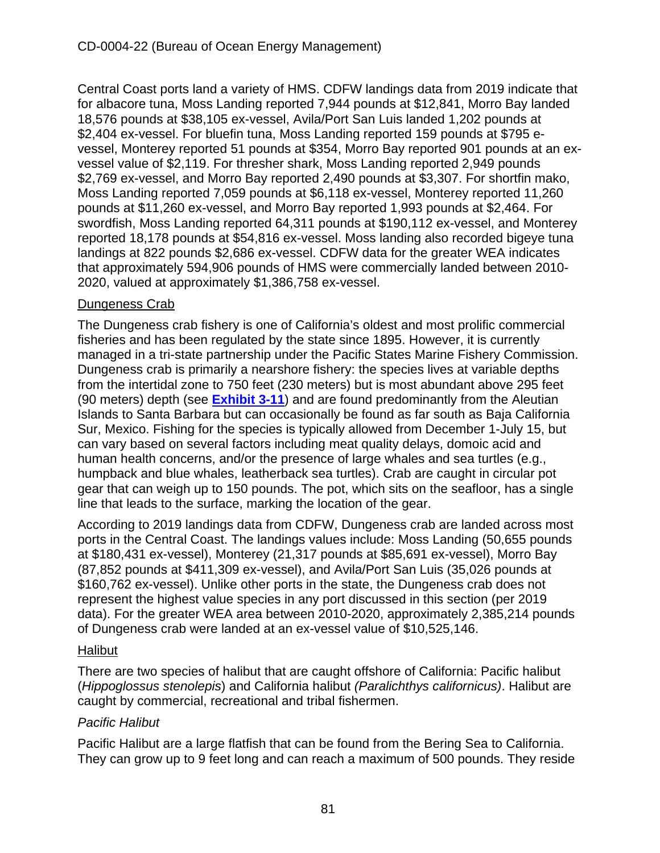Central Coast ports land a variety of HMS. CDFW landings data from 2019 indicate that for albacore tuna, Moss Landing reported 7,944 pounds at \$12,841, Morro Bay landed 18,576 pounds at \$38,105 ex-vessel, Avila/Port San Luis landed 1,202 pounds at \$2,404 ex-vessel. For bluefin tuna, Moss Landing reported 159 pounds at \$795 evessel, Monterey reported 51 pounds at \$354, Morro Bay reported 901 pounds at an exvessel value of \$2,119. For thresher shark, Moss Landing reported 2,949 pounds \$2,769 ex-vessel, and Morro Bay reported 2,490 pounds at \$3,307. For shortfin mako, Moss Landing reported 7,059 pounds at \$6,118 ex-vessel, Monterey reported 11,260 pounds at \$11,260 ex-vessel, and Morro Bay reported 1,993 pounds at \$2,464. For swordfish, Moss Landing reported 64,311 pounds at \$190,112 ex-vessel, and Monterey reported 18,178 pounds at \$54,816 ex-vessel. Moss landing also recorded bigeye tuna landings at 822 pounds \$2,686 ex-vessel. CDFW data for the greater WEA indicates that approximately 594,906 pounds of HMS were commercially landed between 2010- 2020, valued at approximately \$1,386,758 ex-vessel.

### Dungeness Crab

The Dungeness crab fishery is one of California's oldest and most prolific commercial fisheries and has been regulated by the state since 1895. However, it is currently managed in a tri-state partnership under the Pacific States Marine Fishery Commission. Dungeness crab is primarily a nearshore fishery: the species lives at variable depths from the intertidal zone to 750 feet (230 meters) but is most abundant above 295 feet (90 meters) depth (see **[Exhibit 3-11](https://documents.coastal.ca.gov/reports/2022/6/W7a/W7a-6-2022-Exhibits.pdf)**) and are found predominantly from the Aleutian Islands to Santa Barbara but can occasionally be found as far south as Baja California Sur, Mexico. Fishing for the species is typically allowed from December 1-July 15, but can vary based on several factors including meat quality delays, domoic acid and human health concerns, and/or the presence of large whales and sea turtles (e.g., humpback and blue whales, leatherback sea turtles). Crab are caught in circular pot gear that can weigh up to 150 pounds. The pot, which sits on the seafloor, has a single line that leads to the surface, marking the location of the gear.

According to 2019 landings data from CDFW, Dungeness crab are landed across most ports in the Central Coast. The landings values include: Moss Landing (50,655 pounds at \$180,431 ex-vessel), Monterey (21,317 pounds at \$85,691 ex-vessel), Morro Bay (87,852 pounds at \$411,309 ex-vessel), and Avila/Port San Luis (35,026 pounds at \$160,762 ex-vessel). Unlike other ports in the state, the Dungeness crab does not represent the highest value species in any port discussed in this section (per 2019 data). For the greater WEA area between 2010-2020, approximately 2,385,214 pounds of Dungeness crab were landed at an ex-vessel value of \$10,525,146.

### Halibut

There are two species of halibut that are caught offshore of California: Pacific halibut (*Hippoglossus stenolepis*) and California halibut *(Paralichthys californicus)*. Halibut are caught by commercial, recreational and tribal fishermen.

# *Pacific Halibut*

Pacific Halibut are a large flatfish that can be found from the Bering Sea to California. They can grow up to 9 feet long and can reach a maximum of 500 pounds. They reside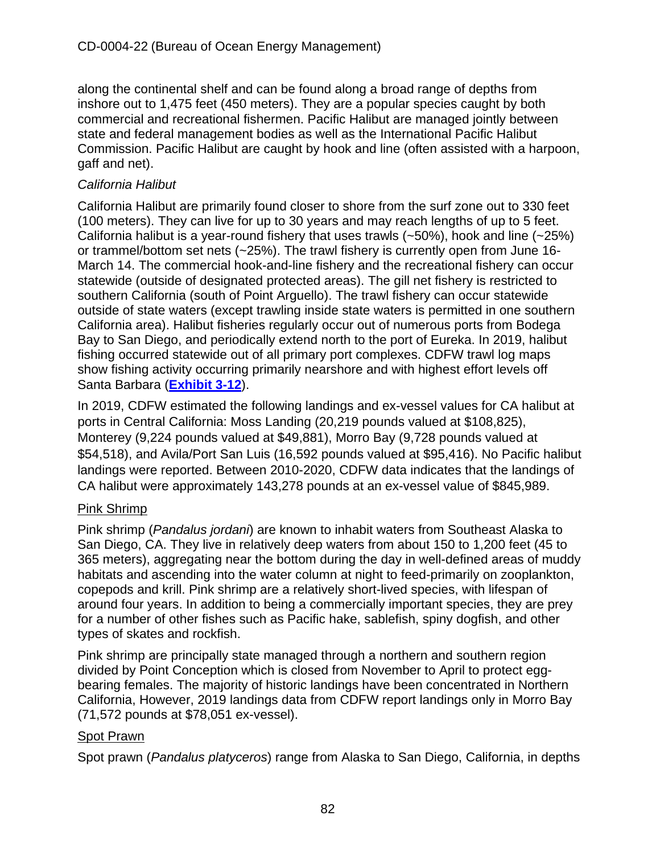along the continental shelf and can be found along a broad range of depths from inshore out to 1,475 feet (450 meters). They are a popular species caught by both commercial and recreational fishermen. Pacific Halibut are managed jointly between state and federal management bodies as well as the International Pacific Halibut Commission. Pacific Halibut are caught by hook and line (often assisted with a harpoon, gaff and net).

## *California Halibut*

California Halibut are primarily found closer to shore from the surf zone out to 330 feet (100 meters). They can live for up to 30 years and may reach lengths of up to 5 feet. California halibut is a year-round fishery that uses trawls  $(-50\%)$ , hook and line  $(-25\%)$ or trammel/bottom set nets (~25%). The trawl fishery is currently open from June 16- March 14. The commercial hook-and-line fishery and the recreational fishery can occur statewide (outside of designated protected areas). The gill net fishery is restricted to southern California (south of Point Arguello). The trawl fishery can occur statewide outside of state waters (except trawling inside state waters is permitted in one southern California area). Halibut fisheries regularly occur out of numerous ports from Bodega Bay to San Diego, and periodically extend north to the port of Eureka. In 2019, halibut fishing occurred statewide out of all primary port complexes. CDFW trawl log maps show fishing activity occurring primarily nearshore and with highest effort levels off Santa Barbara (**[Exhibit 3-12](https://documents.coastal.ca.gov/reports/2022/6/W7a/W7a-6-2022-Exhibits.pdf)**).

In 2019, CDFW estimated the following landings and ex-vessel values for CA halibut at ports in Central California: Moss Landing (20,219 pounds valued at \$108,825), Monterey (9,224 pounds valued at \$49,881), Morro Bay (9,728 pounds valued at \$54,518), and Avila/Port San Luis (16,592 pounds valued at \$95,416). No Pacific halibut landings were reported. Between 2010-2020, CDFW data indicates that the landings of CA halibut were approximately 143,278 pounds at an ex-vessel value of \$845,989.

### Pink Shrimp

Pink shrimp (*Pandalus jordani*) are known to inhabit waters from Southeast Alaska to San Diego, CA. They live in relatively deep waters from about 150 to 1,200 feet (45 to 365 meters), aggregating near the bottom during the day in well-defined areas of muddy habitats and ascending into the water column at night to feed-primarily on zooplankton, copepods and krill. Pink shrimp are a relatively short-lived species, with lifespan of around four years. In addition to being a commercially important species, they are prey for a number of other fishes such as Pacific hake, sablefish, spiny dogfish, and other types of skates and rockfish.

Pink shrimp are principally state managed through a northern and southern region divided by Point Conception which is closed from November to April to protect eggbearing females. The majority of historic landings have been concentrated in Northern California, However, 2019 landings data from CDFW report landings only in Morro Bay (71,572 pounds at \$78,051 ex-vessel).

### Spot Prawn

Spot prawn (*Pandalus platyceros*) range from Alaska to San Diego, California, in depths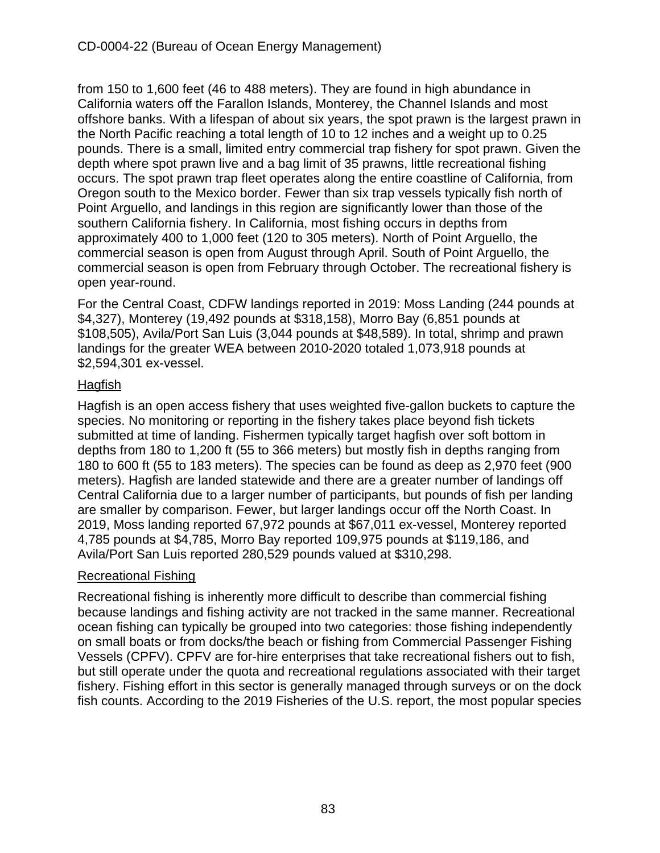from 150 to 1,600 feet (46 to 488 meters). They are found in high abundance in California waters off the Farallon Islands, Monterey, the Channel Islands and most offshore banks. With a lifespan of about six years, the spot prawn is the largest prawn in the North Pacific reaching a total length of 10 to 12 inches and a weight up to 0.25 pounds. There is a small, limited entry commercial trap fishery for spot prawn. Given the depth where spot prawn live and a bag limit of 35 prawns, little recreational fishing occurs. The spot prawn trap fleet operates along the entire coastline of California, from Oregon south to the Mexico border. Fewer than six trap vessels typically fish north of Point Arguello, and landings in this region are significantly lower than those of the southern California fishery. In California, most fishing occurs in depths from approximately 400 to 1,000 feet (120 to 305 meters). North of Point Arguello, the commercial season is open from August through April. South of Point Arguello, the commercial season is open from February through October. The recreational fishery is open year-round.

For the Central Coast, CDFW landings reported in 2019: Moss Landing (244 pounds at \$4,327), Monterey (19,492 pounds at \$318,158), Morro Bay (6,851 pounds at \$108,505), Avila/Port San Luis (3,044 pounds at \$48,589). In total, shrimp and prawn landings for the greater WEA between 2010-2020 totaled 1,073,918 pounds at \$2,594,301 ex-vessel.

### Hagfish

Hagfish is an open access fishery that uses weighted five-gallon buckets to capture the species. No monitoring or reporting in the fishery takes place beyond fish tickets submitted at time of landing. Fishermen typically target hagfish over soft bottom in depths from 180 to 1,200 ft (55 to 366 meters) but mostly fish in depths ranging from 180 to 600 ft (55 to 183 meters). The species can be found as deep as 2,970 feet (900 meters). Hagfish are landed statewide and there are a greater number of landings off Central California due to a larger number of participants, but pounds of fish per landing are smaller by comparison. Fewer, but larger landings occur off the North Coast. In 2019, Moss landing reported 67,972 pounds at \$67,011 ex-vessel, Monterey reported 4,785 pounds at \$4,785, Morro Bay reported 109,975 pounds at \$119,186, and Avila/Port San Luis reported 280,529 pounds valued at \$310,298.

### Recreational Fishing

Recreational fishing is inherently more difficult to describe than commercial fishing because landings and fishing activity are not tracked in the same manner. Recreational ocean fishing can typically be grouped into two categories: those fishing independently on small boats or from docks/the beach or fishing from Commercial Passenger Fishing Vessels (CPFV). CPFV are for-hire enterprises that take recreational fishers out to fish, but still operate under the quota and recreational regulations associated with their target fishery. Fishing effort in this sector is generally managed through surveys or on the dock fish counts. According to the 2019 Fisheries of the U.S. report, the most popular species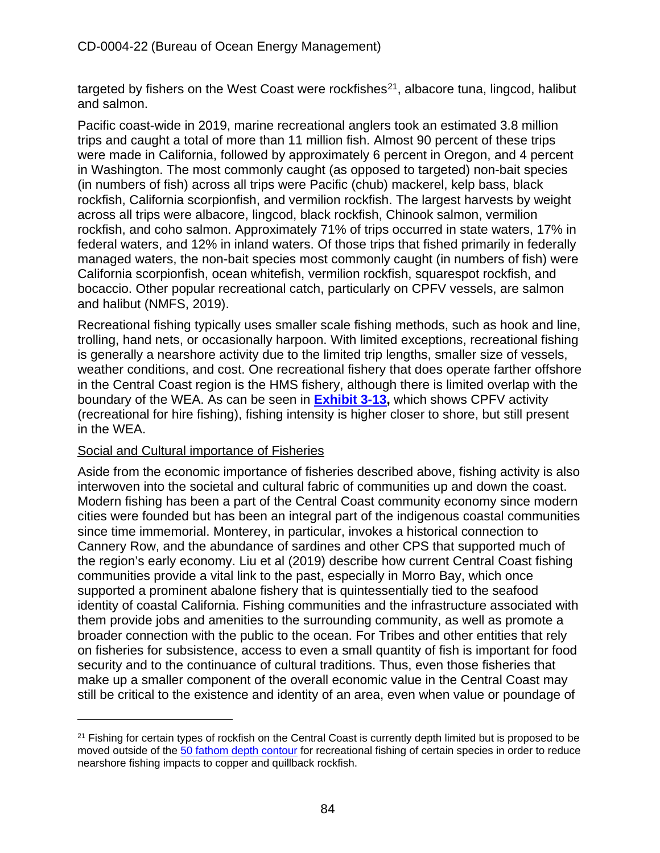targeted by fishers on the West Coast were rockfishes<sup>21</sup>, albacore tuna, lingcod, halibut and salmon.

Pacific coast-wide in 2019, marine recreational anglers took an estimated 3.8 million trips and caught a total of more than 11 million fish. Almost 90 percent of these trips were made in California, followed by approximately 6 percent in Oregon, and 4 percent in Washington. The most commonly caught (as opposed to targeted) non-bait species (in numbers of fish) across all trips were Pacific (chub) mackerel, kelp bass, black rockfish, California scorpionfish, and vermilion rockfish. The largest harvests by weight across all trips were albacore, lingcod, black rockfish, Chinook salmon, vermilion rockfish, and coho salmon. Approximately 71% of trips occurred in state waters, 17% in federal waters, and 12% in inland waters. Of those trips that fished primarily in federally managed waters, the non-bait species most commonly caught (in numbers of fish) were California scorpionfish, ocean whitefish, vermilion rockfish, squarespot rockfish, and bocaccio. Other popular recreational catch, particularly on CPFV vessels, are salmon and halibut (NMFS, 2019).

Recreational fishing typically uses smaller scale fishing methods, such as hook and line, trolling, hand nets, or occasionally harpoon. With limited exceptions, recreational fishing is generally a nearshore activity due to the limited trip lengths, smaller size of vessels, weather conditions, and cost. One recreational fishery that does operate farther offshore in the Central Coast region is the HMS fishery, although there is limited overlap with the boundary of the WEA. As can be seen in **[Exhibit 3-13,](https://documents.coastal.ca.gov/reports/2022/6/W7a/W7a-6-2022-Exhibits.pdf)** which shows CPFV activity (recreational for hire fishing), fishing intensity is higher closer to shore, but still present in the WEA.

#### Social and Cultural importance of Fisheries

Aside from the economic importance of fisheries described above, fishing activity is also interwoven into the societal and cultural fabric of communities up and down the coast. Modern fishing has been a part of the Central Coast community economy since modern cities were founded but has been an integral part of the indigenous coastal communities since time immemorial. Monterey, in particular, invokes a historical connection to Cannery Row, and the abundance of sardines and other CPS that supported much of the region's early economy. Liu et al (2019) describe how current Central Coast fishing communities provide a vital link to the past, especially in Morro Bay, which once supported a prominent abalone fishery that is quintessentially tied to the seafood identity of coastal California. Fishing communities and the infrastructure associated with them provide jobs and amenities to the surrounding community, as well as promote a broader connection with the public to the ocean. For Tribes and other entities that rely on fisheries for subsistence, access to even a small quantity of fish is important for food security and to the continuance of cultural traditions. Thus, even those fisheries that make up a smaller component of the overall economic value in the Central Coast may still be critical to the existence and identity of an area, even when value or poundage of

<span id="page-83-0"></span><sup>&</sup>lt;sup>21</sup> Fishing for certain types of rockfish on the Central Coast is currently depth limited but is proposed to be moved outside of the [50 fathom depth contour](https://www.pcouncil.org/documents/2022/04/f-4-a-supplemental-cdfw-report-1-4.pdf/) for recreational fishing of certain species in order to reduce nearshore fishing impacts to copper and quillback rockfish.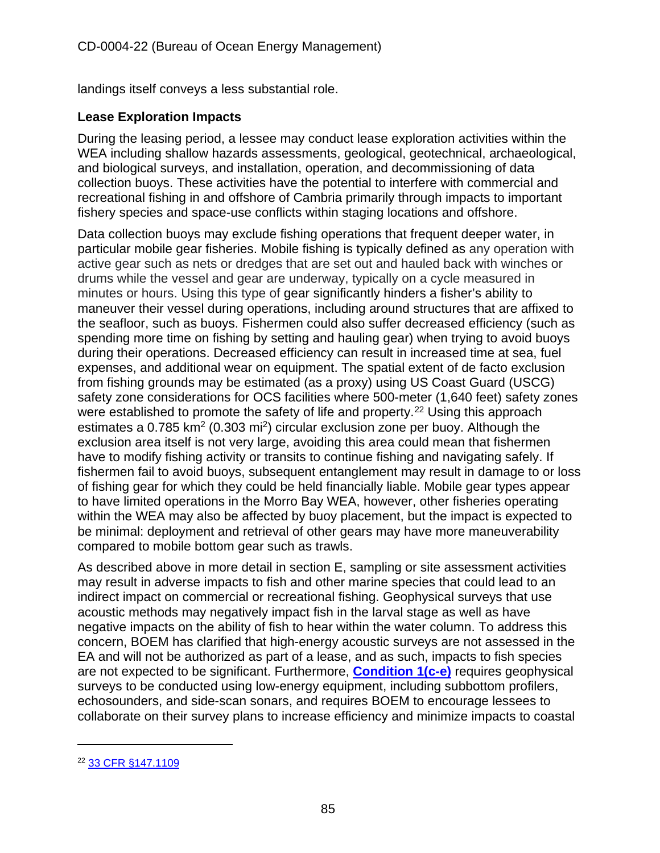landings itself conveys a less substantial role.

### **Lease Exploration Impacts**

During the leasing period, a lessee may conduct lease exploration activities within the WEA including shallow hazards assessments, geological, geotechnical, archaeological, and biological surveys, and installation, operation, and decommissioning of data collection buoys. These activities have the potential to interfere with commercial and recreational fishing in and offshore of Cambria primarily through impacts to important fishery species and space-use conflicts within staging locations and offshore.

Data collection buoys may exclude fishing operations that frequent deeper water, in particular mobile gear fisheries. Mobile fishing is typically defined as any operation with active gear such as nets or dredges that are set out and hauled back with winches or drums while the vessel and gear are underway, typically on a cycle measured in minutes or hours. Using this type of gear significantly hinders a fisher's ability to maneuver their vessel during operations, including around structures that are affixed to the seafloor, such as buoys. Fishermen could also suffer decreased efficiency (such as spending more time on fishing by setting and hauling gear) when trying to avoid buoys during their operations. Decreased efficiency can result in increased time at sea, fuel expenses, and additional wear on equipment. The spatial extent of de facto exclusion from fishing grounds may be estimated (as a proxy) using US Coast Guard (USCG) safety zone considerations for OCS facilities where 500-meter (1,640 feet) safety zones were established to promote the safety of life and property.<sup>22</sup> Using this approach estimates a  $0.785$  km<sup>2</sup> (0.303 mi<sup>2</sup>) circular exclusion zone per buoy. Although the exclusion area itself is not very large, avoiding this area could mean that fishermen have to modify fishing activity or transits to continue fishing and navigating safely. If fishermen fail to avoid buoys, subsequent entanglement may result in damage to or loss of fishing gear for which they could be held financially liable. Mobile gear types appear to have limited operations in the Morro Bay WEA, however, other fisheries operating within the WEA may also be affected by buoy placement, but the impact is expected to be minimal: deployment and retrieval of other gears may have more maneuverability compared to mobile bottom gear such as trawls.

As described above in more detail in section E, sampling or site assessment activities may result in adverse impacts to fish and other marine species that could lead to an indirect impact on commercial or recreational fishing. Geophysical surveys that use acoustic methods may negatively impact fish in the larval stage as well as have negative impacts on the ability of fish to hear within the water column. To address this concern, BOEM has clarified that high-energy acoustic surveys are not assessed in the EA and will not be authorized as part of a lease, and as such, impacts to fish species are not expected to be significant. Furthermore, **[Condition 1\(c-e\)](#page-10-0)** requires geophysical surveys to be conducted using low-energy equipment, including subbottom profilers, echosounders, and side-scan sonars, and requires BOEM to encourage lessees to collaborate on their survey plans to increase efficiency and minimize impacts to coastal

<span id="page-84-0"></span><sup>22</sup> [33 CFR §147.1109](https://www.law.cornell.edu/cfr/text/33/147.1109)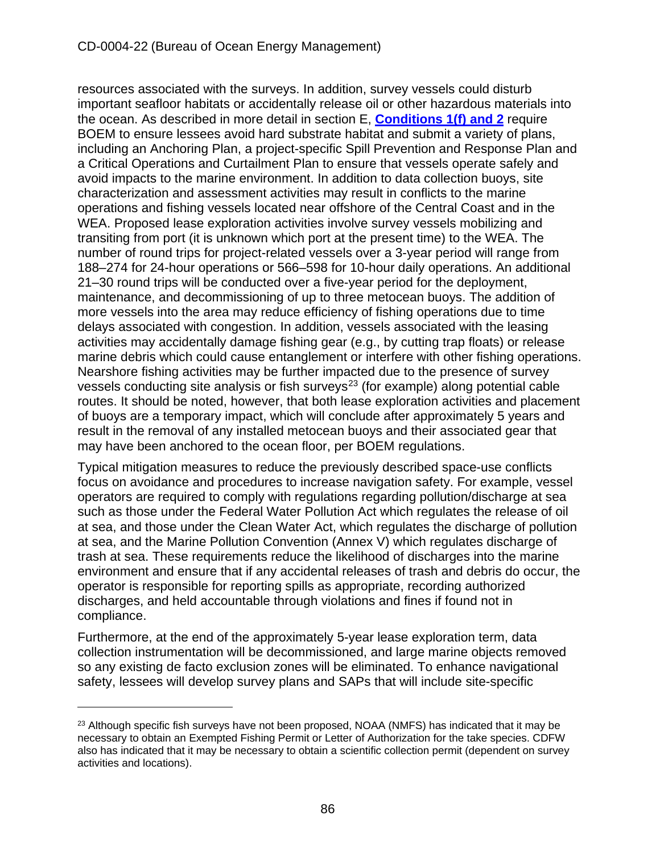resources associated with the surveys. In addition, survey vessels could disturb important seafloor habitats or accidentally release oil or other hazardous materials into the ocean. As described in more detail in section E, **[Conditions 1\(f\)](#page-10-0) and 2** require BOEM to ensure lessees avoid hard substrate habitat and submit a variety of plans, including an Anchoring Plan, a project-specific Spill Prevention and Response Plan and a Critical Operations and Curtailment Plan to ensure that vessels operate safely and avoid impacts to the marine environment. In addition to data collection buoys, site characterization and assessment activities may result in conflicts to the marine operations and fishing vessels located near offshore of the Central Coast and in the WEA. Proposed lease exploration activities involve survey vessels mobilizing and transiting from port (it is unknown which port at the present time) to the WEA. The number of round trips for project-related vessels over a 3-year period will range from 188–274 for 24-hour operations or 566–598 for 10-hour daily operations. An additional 21–30 round trips will be conducted over a five-year period for the deployment, maintenance, and decommissioning of up to three metocean buoys. The addition of more vessels into the area may reduce efficiency of fishing operations due to time delays associated with congestion. In addition, vessels associated with the leasing activities may accidentally damage fishing gear (e.g., by cutting trap floats) or release marine debris which could cause entanglement or interfere with other fishing operations. Nearshore fishing activities may be further impacted due to the presence of survey vessels conducting site analysis or fish surveys<sup>[23](#page-85-0)</sup> (for example) along potential cable routes. It should be noted, however, that both lease exploration activities and placement of buoys are a temporary impact, which will conclude after approximately 5 years and result in the removal of any installed metocean buoys and their associated gear that may have been anchored to the ocean floor, per BOEM regulations.

Typical mitigation measures to reduce the previously described space-use conflicts focus on avoidance and procedures to increase navigation safety. For example, vessel operators are required to comply with regulations regarding pollution/discharge at sea such as those under the Federal Water Pollution Act which regulates the release of oil at sea, and those under the Clean Water Act, which regulates the discharge of pollution at sea, and the Marine Pollution Convention (Annex V) which regulates discharge of trash at sea. These requirements reduce the likelihood of discharges into the marine environment and ensure that if any accidental releases of trash and debris do occur, the operator is responsible for reporting spills as appropriate, recording authorized discharges, and held accountable through violations and fines if found not in compliance.

Furthermore, at the end of the approximately 5-year lease exploration term, data collection instrumentation will be decommissioned, and large marine objects removed so any existing de facto exclusion zones will be eliminated. To enhance navigational safety, lessees will develop survey plans and SAPs that will include site-specific

<span id="page-85-0"></span><sup>&</sup>lt;sup>23</sup> Although specific fish surveys have not been proposed, NOAA (NMFS) has indicated that it may be necessary to obtain an Exempted Fishing Permit or Letter of Authorization for the take species. CDFW also has indicated that it may be necessary to obtain a scientific collection permit (dependent on survey activities and locations).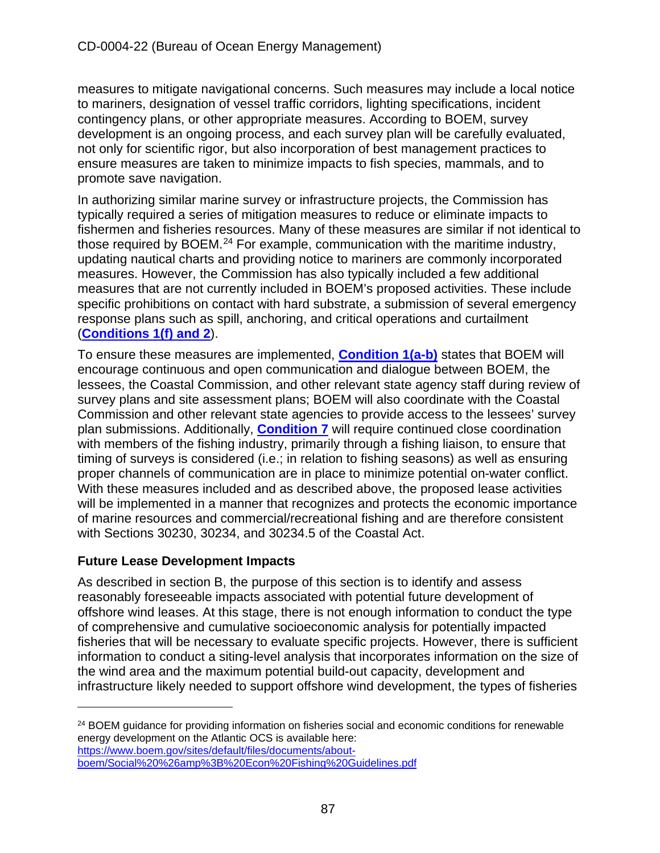measures to mitigate navigational concerns. Such measures may include a local notice to mariners, designation of vessel traffic corridors, lighting specifications, incident contingency plans, or other appropriate measures. According to BOEM, survey development is an ongoing process, and each survey plan will be carefully evaluated, not only for scientific rigor, but also incorporation of best management practices to ensure measures are taken to minimize impacts to fish species, mammals, and to promote save navigation.

In authorizing similar marine survey or infrastructure projects, the Commission has typically required a series of mitigation measures to reduce or eliminate impacts to fishermen and fisheries resources. Many of these measures are similar if not identical to those required by BOEM.<sup>[24](#page-86-0)</sup> For example, communication with the maritime industry, updating nautical charts and providing notice to mariners are commonly incorporated measures. However, the Commission has also typically included a few additional measures that are not currently included in BOEM's proposed activities. These include specific prohibitions on contact with hard substrate, a submission of several emergency response plans such as spill, anchoring, and critical operations and curtailment (**[Conditions 1\(f\) and 2](#page-10-0)**).

To ensure these measures are implemented, **[Condition 1\(a-b\)](#page-10-0)** states that BOEM will encourage continuous and open communication and dialogue between BOEM, the lessees, the Coastal Commission, and other relevant state agency staff during review of survey plans and site assessment plans; BOEM will also coordinate with the Coastal Commission and other relevant state agencies to provide access to the lessees' survey plan submissions. Additionally, **[Condition 7](#page-15-0)** will require continued close coordination with members of the fishing industry, primarily through a fishing liaison, to ensure that timing of surveys is considered (i.e.; in relation to fishing seasons) as well as ensuring proper channels of communication are in place to minimize potential on-water conflict. With these measures included and as described above, the proposed lease activities will be implemented in a manner that recognizes and protects the economic importance of marine resources and commercial/recreational fishing and are therefore consistent with Sections 30230, 30234, and 30234.5 of the Coastal Act.

### **Future Lease Development Impacts**

As described in section B, the purpose of this section is to identify and assess reasonably foreseeable impacts associated with potential future development of offshore wind leases. At this stage, there is not enough information to conduct the type of comprehensive and cumulative socioeconomic analysis for potentially impacted fisheries that will be necessary to evaluate specific projects. However, there is sufficient information to conduct a siting-level analysis that incorporates information on the size of the wind area and the maximum potential build-out capacity, development and infrastructure likely needed to support offshore wind development, the types of fisheries

<span id="page-86-0"></span><sup>&</sup>lt;sup>24</sup> BOEM guidance for providing information on fisheries social and economic conditions for renewable energy development on the Atlantic OCS is available here: [https://www.boem.gov/sites/default/files/documents/about-](https://www.boem.gov/sites/default/files/documents/about-boem/Social%20%26amp%3B%20Econ%20Fishing%20Guidelines.pdf)

[boem/Social%20%26amp%3B%20Econ%20Fishing%20Guidelines.pdf](https://www.boem.gov/sites/default/files/documents/about-boem/Social%20%26amp%3B%20Econ%20Fishing%20Guidelines.pdf)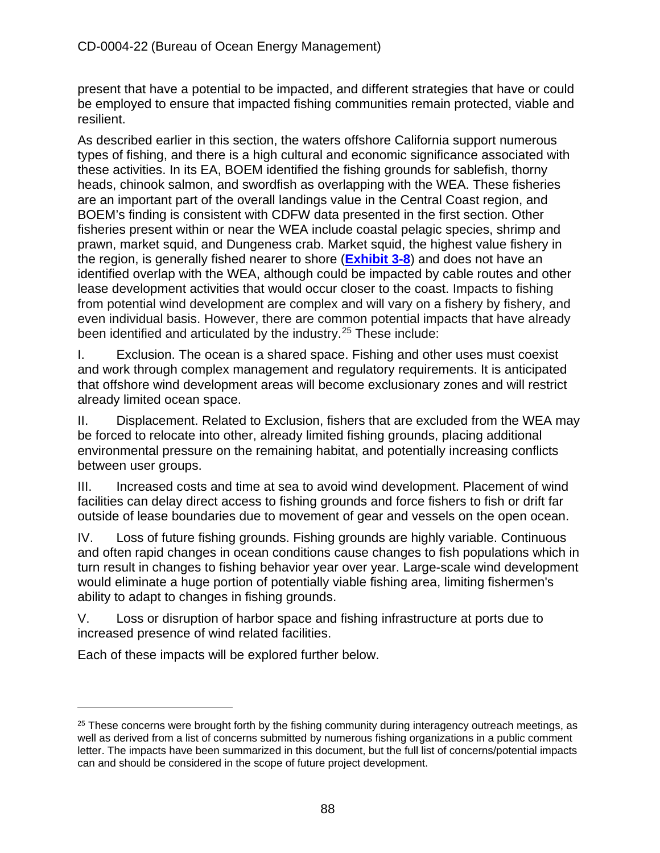present that have a potential to be impacted, and different strategies that have or could be employed to ensure that impacted fishing communities remain protected, viable and resilient.

As described earlier in this section, the waters offshore California support numerous types of fishing, and there is a high cultural and economic significance associated with these activities. In its EA, BOEM identified the fishing grounds for sablefish, thorny heads, chinook salmon, and swordfish as overlapping with the WEA. These fisheries are an important part of the overall landings value in the Central Coast region, and BOEM's finding is consistent with CDFW data presented in the first section. Other fisheries present within or near the WEA include coastal pelagic species, shrimp and prawn, market squid, and Dungeness crab. Market squid, the highest value fishery in the region, is generally fished nearer to shore (**[Exhibit 3-8](https://documents.coastal.ca.gov/reports/2022/6/W7a/W7a-6-2022-Exhibits.pdf)**) and does not have an identified overlap with the WEA, although could be impacted by cable routes and other lease development activities that would occur closer to the coast. Impacts to fishing from potential wind development are complex and will vary on a fishery by fishery, and even individual basis. However, there are common potential impacts that have already been identified and articulated by the industry.[25](#page-87-0) These include:

I. Exclusion. The ocean is a shared space. Fishing and other uses must coexist and work through complex management and regulatory requirements. It is anticipated that offshore wind development areas will become exclusionary zones and will restrict already limited ocean space.

II. Displacement. Related to Exclusion, fishers that are excluded from the WEA may be forced to relocate into other, already limited fishing grounds, placing additional environmental pressure on the remaining habitat, and potentially increasing conflicts between user groups.

III. Increased costs and time at sea to avoid wind development. Placement of wind facilities can delay direct access to fishing grounds and force fishers to fish or drift far outside of lease boundaries due to movement of gear and vessels on the open ocean.

IV. Loss of future fishing grounds. Fishing grounds are highly variable. Continuous and often rapid changes in ocean conditions cause changes to fish populations which in turn result in changes to fishing behavior year over year. Large-scale wind development would eliminate a huge portion of potentially viable fishing area, limiting fishermen's ability to adapt to changes in fishing grounds.

V. Loss or disruption of harbor space and fishing infrastructure at ports due to increased presence of wind related facilities.

Each of these impacts will be explored further below.

<span id="page-87-0"></span> $25$  These concerns were brought forth by the fishing community during interagency outreach meetings, as well as derived from a list of concerns submitted by numerous fishing organizations in a public comment letter. The impacts have been summarized in this document, but the full list of concerns/potential impacts can and should be considered in the scope of future project development.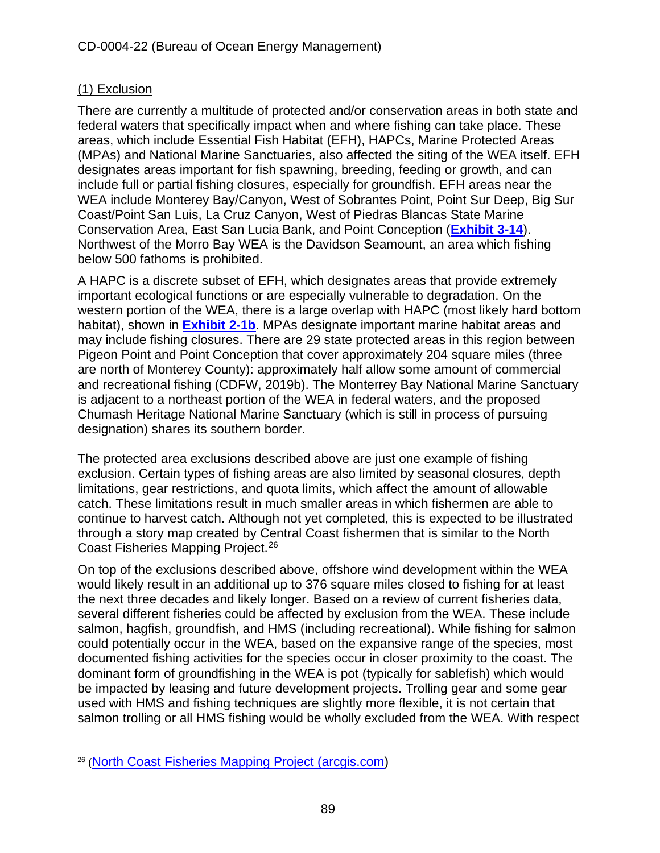### (1) Exclusion

There are currently a multitude of protected and/or conservation areas in both state and federal waters that specifically impact when and where fishing can take place. These areas, which include Essential Fish Habitat (EFH), HAPCs, Marine Protected Areas (MPAs) and National Marine Sanctuaries, also affected the siting of the WEA itself. EFH designates areas important for fish spawning, breeding, feeding or growth, and can include full or partial fishing closures, especially for groundfish. EFH areas near the WEA include Monterey Bay/Canyon, West of Sobrantes Point, Point Sur Deep, Big Sur Coast/Point San Luis, La Cruz Canyon, West of Piedras Blancas State Marine Conservation Area, East San Lucia Bank, and Point Conception (**[Exhibit 3-14](https://documents.coastal.ca.gov/reports/2022/6/W7a/W7a-6-2022-Exhibits.pdf)**). Northwest of the Morro Bay WEA is the Davidson Seamount, an area which fishing below 500 fathoms is prohibited.

A HAPC is a discrete subset of EFH, which designates areas that provide extremely important ecological functions or are especially vulnerable to degradation. On the western portion of the WEA, there is a large overlap with HAPC (most likely hard bottom habitat), shown in **[Exhibit 2-1b](https://documents.coastal.ca.gov/reports/2022/6/W7a/W7a-6-2022-Exhibits.pdf)**. MPAs designate important marine habitat areas and may include fishing closures. There are 29 state protected areas in this region between Pigeon Point and Point Conception that cover approximately 204 square miles (three are north of Monterey County): approximately half allow some amount of commercial and recreational fishing (CDFW, 2019b). The Monterrey Bay National Marine Sanctuary is adjacent to a northeast portion of the WEA in federal waters, and the proposed Chumash Heritage National Marine Sanctuary (which is still in process of pursuing designation) shares its southern border.

The protected area exclusions described above are just one example of fishing exclusion. Certain types of fishing areas are also limited by seasonal closures, depth limitations, gear restrictions, and quota limits, which affect the amount of allowable catch. These limitations result in much smaller areas in which fishermen are able to continue to harvest catch. Although not yet completed, this is expected to be illustrated through a story map created by Central Coast fishermen that is similar to the North Coast Fisheries Mapping Project.[26](#page-88-0)

On top of the exclusions described above, offshore wind development within the WEA would likely result in an additional up to 376 square miles closed to fishing for at least the next three decades and likely longer. Based on a review of current fisheries data, several different fisheries could be affected by exclusion from the WEA. These include salmon, hagfish, groundfish, and HMS (including recreational). While fishing for salmon could potentially occur in the WEA, based on the expansive range of the species, most documented fishing activities for the species occur in closer proximity to the coast. The dominant form of groundfishing in the WEA is pot (typically for sablefish) which would be impacted by leasing and future development projects. Trolling gear and some gear used with HMS and fishing techniques are slightly more flexible, it is not certain that salmon trolling or all HMS fishing would be wholly excluded from the WEA. With respect

<span id="page-88-0"></span><sup>26</sup> [\(North Coast Fisheries Mapping Project \(arcgis.com\)](https://storymaps.arcgis.com/stories/ec90562aada545acb6bb1bf6f3c8f228)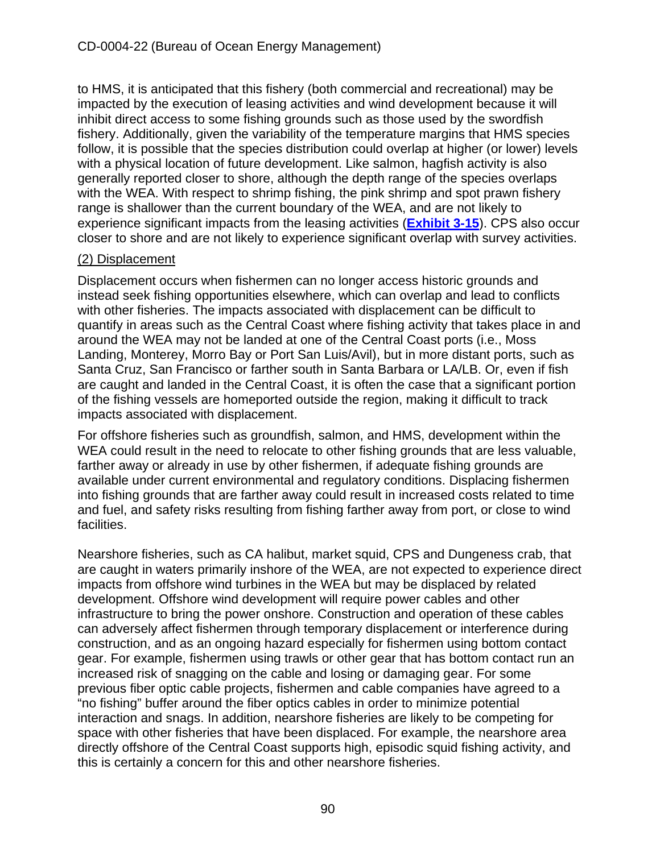to HMS, it is anticipated that this fishery (both commercial and recreational) may be impacted by the execution of leasing activities and wind development because it will inhibit direct access to some fishing grounds such as those used by the swordfish fishery. Additionally, given the variability of the temperature margins that HMS species follow, it is possible that the species distribution could overlap at higher (or lower) levels with a physical location of future development. Like salmon, hagfish activity is also generally reported closer to shore, although the depth range of the species overlaps with the WEA. With respect to shrimp fishing, the pink shrimp and spot prawn fishery range is shallower than the current boundary of the WEA, and are not likely to experience significant impacts from the leasing activities (**[Exhibit 3-15](https://documents.coastal.ca.gov/reports/2022/6/W7a/W7a-6-2022-Exhibits.pdf)**). CPS also occur closer to shore and are not likely to experience significant overlap with survey activities.

### (2) Displacement

Displacement occurs when fishermen can no longer access historic grounds and instead seek fishing opportunities elsewhere, which can overlap and lead to conflicts with other fisheries. The impacts associated with displacement can be difficult to quantify in areas such as the Central Coast where fishing activity that takes place in and around the WEA may not be landed at one of the Central Coast ports (i.e., Moss Landing, Monterey, Morro Bay or Port San Luis/Avil), but in more distant ports, such as Santa Cruz, San Francisco or farther south in Santa Barbara or LA/LB. Or, even if fish are caught and landed in the Central Coast, it is often the case that a significant portion of the fishing vessels are homeported outside the region, making it difficult to track impacts associated with displacement.

For offshore fisheries such as groundfish, salmon, and HMS, development within the WEA could result in the need to relocate to other fishing grounds that are less valuable, farther away or already in use by other fishermen, if adequate fishing grounds are available under current environmental and regulatory conditions. Displacing fishermen into fishing grounds that are farther away could result in increased costs related to time and fuel, and safety risks resulting from fishing farther away from port, or close to wind facilities.

Nearshore fisheries, such as CA halibut, market squid, CPS and Dungeness crab, that are caught in waters primarily inshore of the WEA, are not expected to experience direct impacts from offshore wind turbines in the WEA but may be displaced by related development. Offshore wind development will require power cables and other infrastructure to bring the power onshore. Construction and operation of these cables can adversely affect fishermen through temporary displacement or interference during construction, and as an ongoing hazard especially for fishermen using bottom contact gear. For example, fishermen using trawls or other gear that has bottom contact run an increased risk of snagging on the cable and losing or damaging gear. For some previous fiber optic cable projects, fishermen and cable companies have agreed to a "no fishing" buffer around the fiber optics cables in order to minimize potential interaction and snags. In addition, nearshore fisheries are likely to be competing for space with other fisheries that have been displaced. For example, the nearshore area directly offshore of the Central Coast supports high, episodic squid fishing activity, and this is certainly a concern for this and other nearshore fisheries.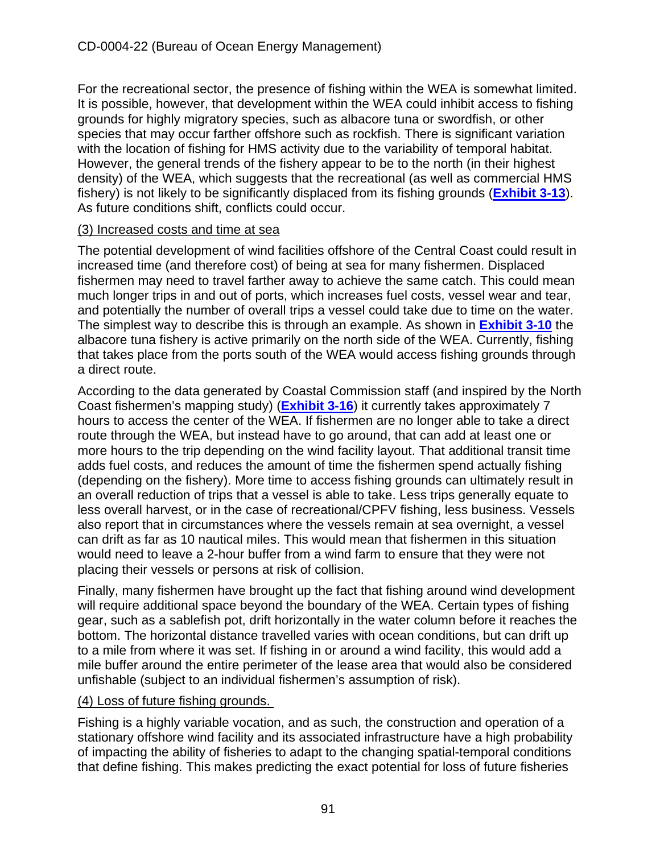For the recreational sector, the presence of fishing within the WEA is somewhat limited. It is possible, however, that development within the WEA could inhibit access to fishing grounds for highly migratory species, such as albacore tuna or swordfish, or other species that may occur farther offshore such as rockfish. There is significant variation with the location of fishing for HMS activity due to the variability of temporal habitat. However, the general trends of the fishery appear to be to the north (in their highest density) of the WEA, which suggests that the recreational (as well as commercial HMS fishery) is not likely to be significantly displaced from its fishing grounds (**[Exhibit 3-13](https://documents.coastal.ca.gov/reports/2022/6/W7a/W7a-6-2022-Exhibits.pdf)**). As future conditions shift, conflicts could occur.

#### (3) Increased costs and time at sea

The potential development of wind facilities offshore of the Central Coast could result in increased time (and therefore cost) of being at sea for many fishermen. Displaced fishermen may need to travel farther away to achieve the same catch. This could mean much longer trips in and out of ports, which increases fuel costs, vessel wear and tear, and potentially the number of overall trips a vessel could take due to time on the water. The simplest way to describe this is through an example. As shown in **[Exhibit 3-10](https://documents.coastal.ca.gov/reports/2022/6/W7a/W7a-6-2022-Exhibits.pdf)** the albacore tuna fishery is active primarily on the north side of the WEA. Currently, fishing that takes place from the ports south of the WEA would access fishing grounds through a direct route.

According to the data generated by Coastal Commission staff (and inspired by the North Coast fishermen's mapping study) (**[Exhibit 3-16](https://documents.coastal.ca.gov/reports/2022/6/W7a/W7a-6-2022-Exhibits.pdf)**) it currently takes approximately 7 hours to access the center of the WEA. If fishermen are no longer able to take a direct route through the WEA, but instead have to go around, that can add at least one or more hours to the trip depending on the wind facility layout. That additional transit time adds fuel costs, and reduces the amount of time the fishermen spend actually fishing (depending on the fishery). More time to access fishing grounds can ultimately result in an overall reduction of trips that a vessel is able to take. Less trips generally equate to less overall harvest, or in the case of recreational/CPFV fishing, less business. Vessels also report that in circumstances where the vessels remain at sea overnight, a vessel can drift as far as 10 nautical miles. This would mean that fishermen in this situation would need to leave a 2-hour buffer from a wind farm to ensure that they were not placing their vessels or persons at risk of collision.

Finally, many fishermen have brought up the fact that fishing around wind development will require additional space beyond the boundary of the WEA. Certain types of fishing gear, such as a sablefish pot, drift horizontally in the water column before it reaches the bottom. The horizontal distance travelled varies with ocean conditions, but can drift up to a mile from where it was set. If fishing in or around a wind facility, this would add a mile buffer around the entire perimeter of the lease area that would also be considered unfishable (subject to an individual fishermen's assumption of risk).

### (4) Loss of future fishing grounds.

Fishing is a highly variable vocation, and as such, the construction and operation of a stationary offshore wind facility and its associated infrastructure have a high probability of impacting the ability of fisheries to adapt to the changing spatial-temporal conditions that define fishing. This makes predicting the exact potential for loss of future fisheries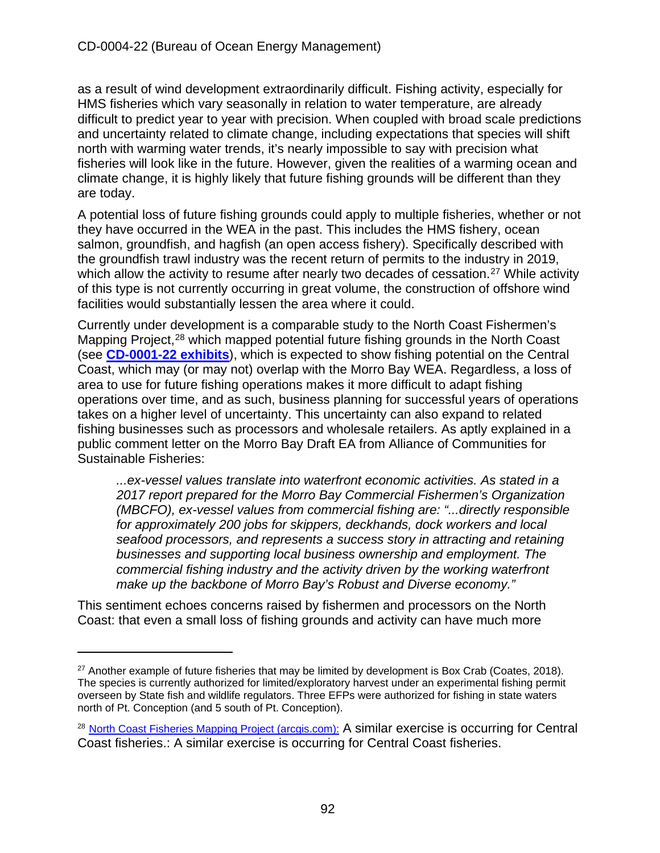as a result of wind development extraordinarily difficult. Fishing activity, especially for HMS fisheries which vary seasonally in relation to water temperature, are already difficult to predict year to year with precision. When coupled with broad scale predictions and uncertainty related to climate change, including expectations that species will shift north with warming water trends, it's nearly impossible to say with precision what fisheries will look like in the future. However, given the realities of a warming ocean and climate change, it is highly likely that future fishing grounds will be different than they are today.

A potential loss of future fishing grounds could apply to multiple fisheries, whether or not they have occurred in the WEA in the past. This includes the HMS fishery, ocean salmon, groundfish, and hagfish (an open access fishery). Specifically described with the groundfish trawl industry was the recent return of permits to the industry in 2019, which allow the activity to resume after nearly two decades of cessation.<sup>[27](#page-91-0)</sup> While activity of this type is not currently occurring in great volume, the construction of offshore wind facilities would substantially lessen the area where it could.

Currently under development is a comparable study to the North Coast Fishermen's Mapping Project,<sup>[28](#page-91-1)</sup> which mapped potential future fishing grounds in the North Coast (see **[CD-0001-22](https://documents.coastal.ca.gov/assets/upcoming-projects/offshore-wind/Th8a-4-2022-exhibits-adoptedfindings.pdf) exhibits**), which is expected to show fishing potential on the Central Coast, which may (or may not) overlap with the Morro Bay WEA. Regardless, a loss of area to use for future fishing operations makes it more difficult to adapt fishing operations over time, and as such, business planning for successful years of operations takes on a higher level of uncertainty. This uncertainty can also expand to related fishing businesses such as processors and wholesale retailers. As aptly explained in a public comment letter on the Morro Bay Draft EA from Alliance of Communities for Sustainable Fisheries:

*...ex-vessel values translate into waterfront economic activities. As stated in a 2017 report prepared for the Morro Bay Commercial Fishermen's Organization (MBCFO), ex-vessel values from commercial fishing are: "...directly responsible for approximately 200 jobs for skippers, deckhands, dock workers and local seafood processors, and represents a success story in attracting and retaining businesses and supporting local business ownership and employment. The commercial fishing industry and the activity driven by the working waterfront make up the backbone of Morro Bay's Robust and Diverse economy."* 

This sentiment echoes concerns raised by fishermen and processors on the North Coast: that even a small loss of fishing grounds and activity can have much more

<span id="page-91-0"></span> $27$  Another example of future fisheries that may be limited by development is Box Crab (Coates, 2018). The species is currently authorized for limited/exploratory harvest under an experimental fishing permit overseen by State fish and wildlife regulators. Three EFPs were authorized for fishing in state waters north of Pt. Conception (and 5 south of Pt. Conception).

<span id="page-91-1"></span><sup>&</sup>lt;sup>28</sup> [North Coast Fisheries Mapping Project \(arcgis.com\):](https://storymaps.arcgis.com/stories/ec90562aada545acb6bb1bf6f3c8f228) A similar exercise is occurring for Central Coast fisheries.: A similar exercise is occurring for Central Coast fisheries.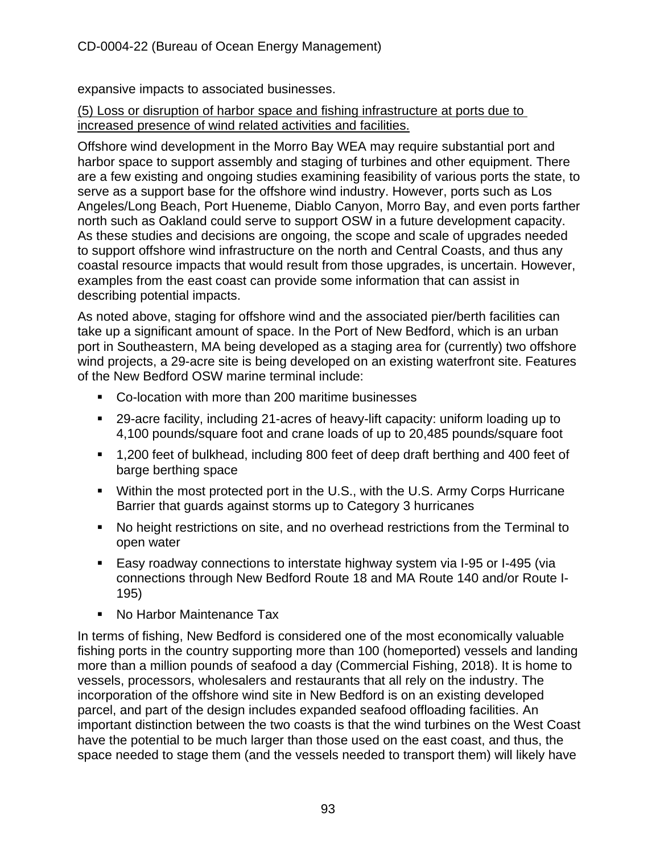expansive impacts to associated businesses.

(5) Loss or disruption of harbor space and fishing infrastructure at ports due to increased presence of wind related activities and facilities.

Offshore wind development in the Morro Bay WEA may require substantial port and harbor space to support assembly and staging of turbines and other equipment. There are a few existing and ongoing studies examining feasibility of various ports the state, to serve as a support base for the offshore wind industry. However, ports such as Los Angeles/Long Beach, Port Hueneme, Diablo Canyon, Morro Bay, and even ports farther north such as Oakland could serve to support OSW in a future development capacity. As these studies and decisions are ongoing, the scope and scale of upgrades needed to support offshore wind infrastructure on the north and Central Coasts, and thus any coastal resource impacts that would result from those upgrades, is uncertain. However, examples from the east coast can provide some information that can assist in describing potential impacts.

As noted above, staging for offshore wind and the associated pier/berth facilities can take up a significant amount of space. In the Port of New Bedford, which is an urban port in Southeastern, MA being developed as a staging area for (currently) two offshore wind projects, a 29-acre site is being developed on an existing waterfront site. Features of the New Bedford OSW marine terminal include:

- Co-location with more than 200 maritime businesses
- 29-acre facility, including 21-acres of heavy-lift capacity: uniform loading up to 4,100 pounds/square foot and crane loads of up to 20,485 pounds/square foot
- 1,200 feet of bulkhead, including 800 feet of deep draft berthing and 400 feet of barge berthing space
- Within the most protected port in the U.S., with the U.S. Army Corps Hurricane Barrier that guards against storms up to Category 3 hurricanes
- No height restrictions on site, and no overhead restrictions from the Terminal to open water
- Easy roadway connections to interstate highway system via I-95 or I-495 (via connections through New Bedford Route 18 and MA Route 140 and/or Route I-195)
- No Harbor Maintenance Tax

In terms of fishing, New Bedford is considered one of the most economically valuable fishing ports in the country supporting more than 100 (homeported) vessels and landing more than a million pounds of seafood a day (Commercial Fishing, 2018). It is home to vessels, processors, wholesalers and restaurants that all rely on the industry. The incorporation of the offshore wind site in New Bedford is on an existing developed parcel, and part of the design includes expanded seafood offloading facilities. An important distinction between the two coasts is that the wind turbines on the West Coast have the potential to be much larger than those used on the east coast, and thus, the space needed to stage them (and the vessels needed to transport them) will likely have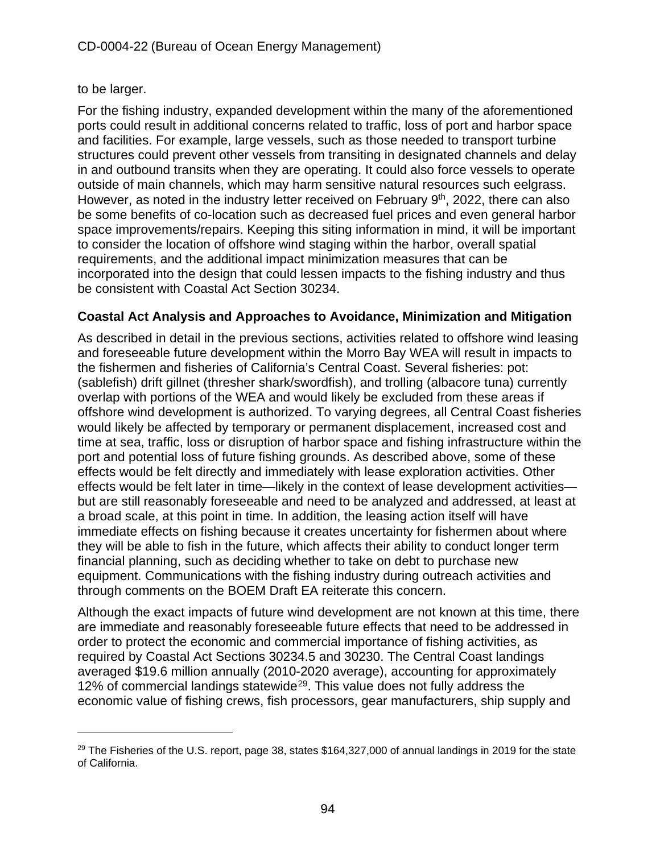### to be larger.

For the fishing industry, expanded development within the many of the aforementioned ports could result in additional concerns related to traffic, loss of port and harbor space and facilities. For example, large vessels, such as those needed to transport turbine structures could prevent other vessels from transiting in designated channels and delay in and outbound transits when they are operating. It could also force vessels to operate outside of main channels, which may harm sensitive natural resources such eelgrass. However, as noted in the industry letter received on February 9<sup>th</sup>, 2022, there can also be some benefits of co-location such as decreased fuel prices and even general harbor space improvements/repairs. Keeping this siting information in mind, it will be important to consider the location of offshore wind staging within the harbor, overall spatial requirements, and the additional impact minimization measures that can be incorporated into the design that could lessen impacts to the fishing industry and thus be consistent with Coastal Act Section 30234.

### **Coastal Act Analysis and Approaches to Avoidance, Minimization and Mitigation**

As described in detail in the previous sections, activities related to offshore wind leasing and foreseeable future development within the Morro Bay WEA will result in impacts to the fishermen and fisheries of California's Central Coast. Several fisheries: pot: (sablefish) drift gillnet (thresher shark/swordfish), and trolling (albacore tuna) currently overlap with portions of the WEA and would likely be excluded from these areas if offshore wind development is authorized. To varying degrees, all Central Coast fisheries would likely be affected by temporary or permanent displacement, increased cost and time at sea, traffic, loss or disruption of harbor space and fishing infrastructure within the port and potential loss of future fishing grounds. As described above, some of these effects would be felt directly and immediately with lease exploration activities. Other effects would be felt later in time—likely in the context of lease development activities but are still reasonably foreseeable and need to be analyzed and addressed, at least at a broad scale, at this point in time. In addition, the leasing action itself will have immediate effects on fishing because it creates uncertainty for fishermen about where they will be able to fish in the future, which affects their ability to conduct longer term financial planning, such as deciding whether to take on debt to purchase new equipment. Communications with the fishing industry during outreach activities and through comments on the BOEM Draft EA reiterate this concern.

Although the exact impacts of future wind development are not known at this time, there are immediate and reasonably foreseeable future effects that need to be addressed in order to protect the economic and commercial importance of fishing activities, as required by Coastal Act Sections 30234.5 and 30230. The Central Coast landings averaged \$19.6 million annually (2010-2020 average), accounting for approximately 12% of commercial landings statewide<sup>[29](#page-93-0)</sup>. This value does not fully address the economic value of fishing crews, fish processors, gear manufacturers, ship supply and

<span id="page-93-0"></span> $29$  The Fisheries of the U.S. report, page 38, states \$164,327,000 of annual landings in 2019 for the state of California.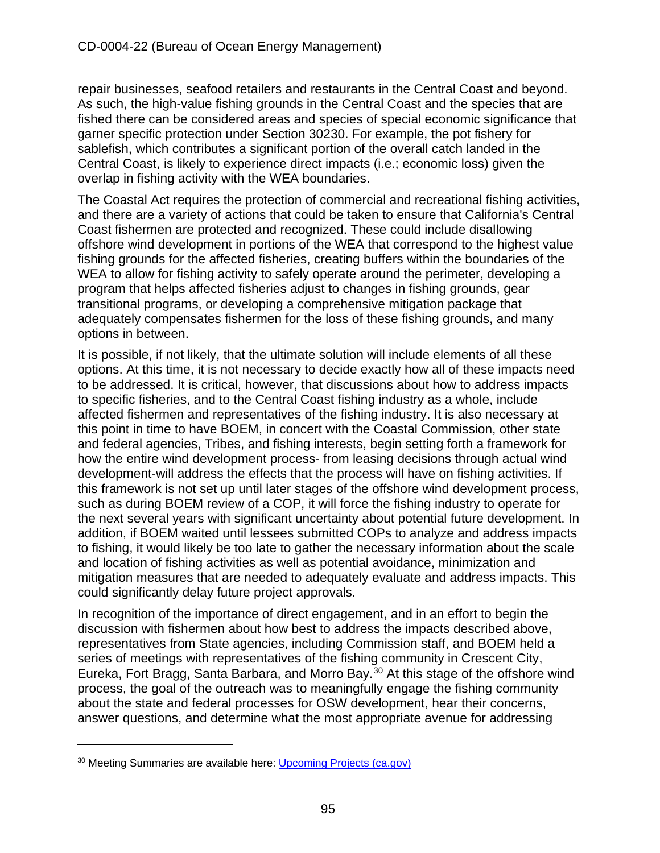repair businesses, seafood retailers and restaurants in the Central Coast and beyond. As such, the high-value fishing grounds in the Central Coast and the species that are fished there can be considered areas and species of special economic significance that garner specific protection under Section 30230. For example, the pot fishery for sablefish, which contributes a significant portion of the overall catch landed in the Central Coast, is likely to experience direct impacts (i.e.; economic loss) given the overlap in fishing activity with the WEA boundaries.

The Coastal Act requires the protection of commercial and recreational fishing activities, and there are a variety of actions that could be taken to ensure that California's Central Coast fishermen are protected and recognized. These could include disallowing offshore wind development in portions of the WEA that correspond to the highest value fishing grounds for the affected fisheries, creating buffers within the boundaries of the WEA to allow for fishing activity to safely operate around the perimeter, developing a program that helps affected fisheries adjust to changes in fishing grounds, gear transitional programs, or developing a comprehensive mitigation package that adequately compensates fishermen for the loss of these fishing grounds, and many options in between.

It is possible, if not likely, that the ultimate solution will include elements of all these options. At this time, it is not necessary to decide exactly how all of these impacts need to be addressed. It is critical, however, that discussions about how to address impacts to specific fisheries, and to the Central Coast fishing industry as a whole, include affected fishermen and representatives of the fishing industry. It is also necessary at this point in time to have BOEM, in concert with the Coastal Commission, other state and federal agencies, Tribes, and fishing interests, begin setting forth a framework for how the entire wind development process- from leasing decisions through actual wind development-will address the effects that the process will have on fishing activities. If this framework is not set up until later stages of the offshore wind development process, such as during BOEM review of a COP, it will force the fishing industry to operate for the next several years with significant uncertainty about potential future development. In addition, if BOEM waited until lessees submitted COPs to analyze and address impacts to fishing, it would likely be too late to gather the necessary information about the scale and location of fishing activities as well as potential avoidance, minimization and mitigation measures that are needed to adequately evaluate and address impacts. This could significantly delay future project approvals.

In recognition of the importance of direct engagement, and in an effort to begin the discussion with fishermen about how best to address the impacts described above, representatives from State agencies, including Commission staff, and BOEM held a series of meetings with representatives of the fishing community in Crescent City, Eureka, Fort Bragg, Santa Barbara, and Morro Bay.[30](#page-94-0) At this stage of the offshore wind process, the goal of the outreach was to meaningfully engage the fishing community about the state and federal processes for OSW development, hear their concerns, answer questions, and determine what the most appropriate avenue for addressing

<span id="page-94-0"></span><sup>&</sup>lt;sup>30</sup> Meeting Summaries are available here: [Upcoming Projects \(ca.gov\)](https://www.coastal.ca.gov/upcoming-projects/offshore-wind/)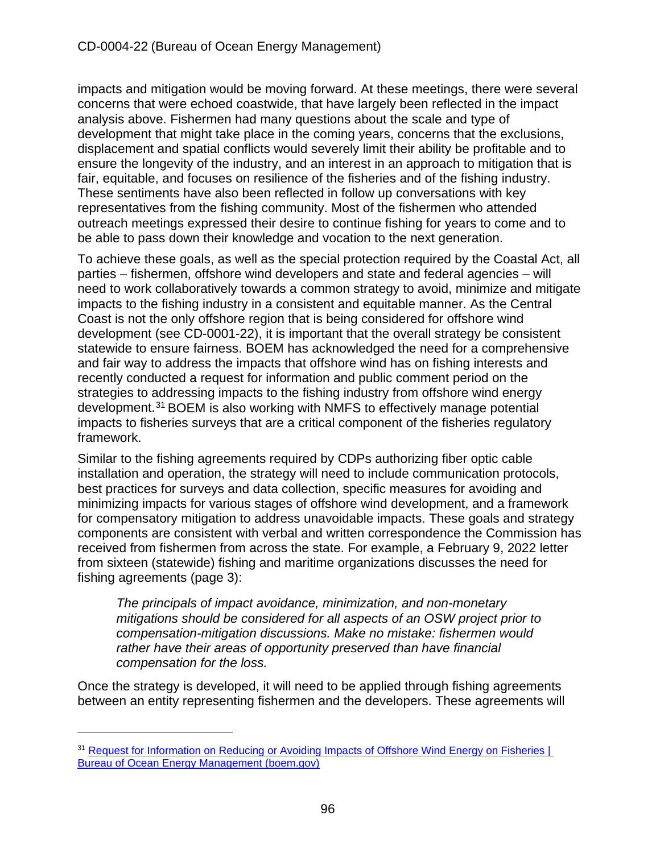impacts and mitigation would be moving forward. At these meetings, there were several concerns that were echoed coastwide, that have largely been reflected in the impact analysis above. Fishermen had many questions about the scale and type of development that might take place in the coming years, concerns that the exclusions, displacement and spatial conflicts would severely limit their ability be profitable and to ensure the longevity of the industry, and an interest in an approach to mitigation that is fair, equitable, and focuses on resilience of the fisheries and of the fishing industry. These sentiments have also been reflected in follow up conversations with key representatives from the fishing community. Most of the fishermen who attended outreach meetings expressed their desire to continue fishing for years to come and to be able to pass down their knowledge and vocation to the next generation.

To achieve these goals, as well as the special protection required by the Coastal Act, all parties – fishermen, offshore wind developers and state and federal agencies – will need to work collaboratively towards a common strategy to avoid, minimize and mitigate impacts to the fishing industry in a consistent and equitable manner. As the Central Coast is not the only offshore region that is being considered for offshore wind development (see CD-0001-22), it is important that the overall strategy be consistent statewide to ensure fairness. BOEM has acknowledged the need for a comprehensive and fair way to address the impacts that offshore wind has on fishing interests and recently conducted a request for information and public comment period on the strategies to addressing impacts to the fishing industry from offshore wind energy development.[31](#page-95-0) BOEM is also working with NMFS to effectively manage potential impacts to fisheries surveys that are a critical component of the fisheries regulatory framework.

Similar to the fishing agreements required by CDPs authorizing fiber optic cable installation and operation, the strategy will need to include communication protocols, best practices for surveys and data collection, specific measures for avoiding and minimizing impacts for various stages of offshore wind development, and a framework for compensatory mitigation to address unavoidable impacts. These goals and strategy components are consistent with verbal and written correspondence the Commission has received from fishermen from across the state. For example, a February 9, 2022 letter from sixteen (statewide) fishing and maritime organizations discusses the need for fishing agreements (page 3):

*The principals of impact avoidance, minimization, and non-monetary mitigations should be considered for all aspects of an OSW project prior to compensation-mitigation discussions. Make no mistake: fishermen would rather have their areas of opportunity preserved than have financial compensation for the loss.* 

Once the strategy is developed, it will need to be applied through fishing agreements between an entity representing fishermen and the developers. These agreements will

<span id="page-95-0"></span><sup>&</sup>lt;sup>31</sup> Request for Information on Reducing or Avoiding Impacts of Offshore Wind Energy on Fisheries | [Bureau of Ocean Energy Management \(boem.gov\)](https://www.boem.gov/renewable-energy/request-information-reducing-or-avoiding-impacts-offshore-wind-energy-fisheries#:%7E:text=On%20November%2023%2C%202021%2C%20BOEM%20published%20a%20%E2%80%9C,wind%20energy%20projects%20to%20commercial%20and%20recreational%20fisheries.)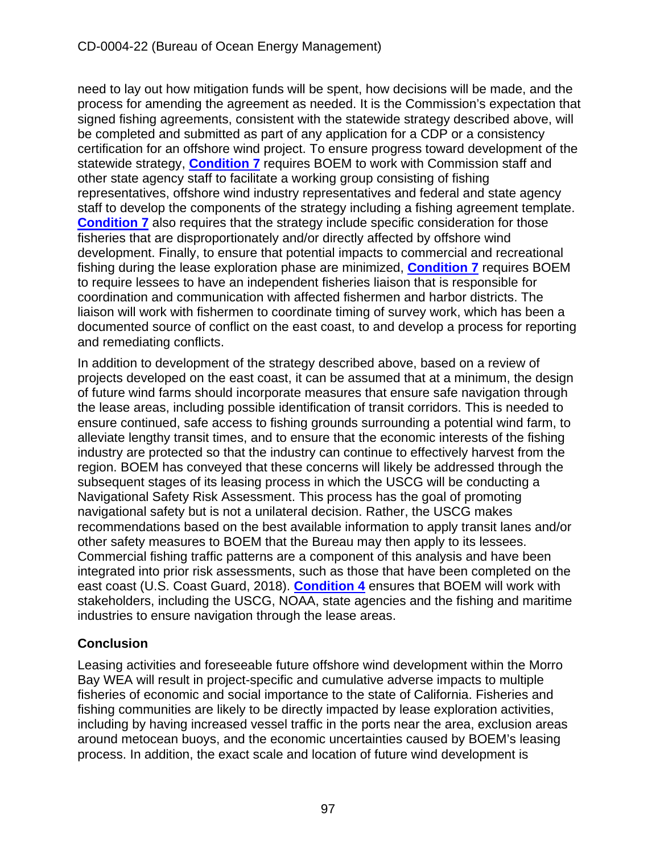need to lay out how mitigation funds will be spent, how decisions will be made, and the process for amending the agreement as needed. It is the Commission's expectation that signed fishing agreements, consistent with the statewide strategy described above, will be completed and submitted as part of any application for a CDP or a consistency certification for an offshore wind project. To ensure progress toward development of the statewide strategy, **[Condition 7](#page-15-0)** requires BOEM to work with Commission staff and other state agency staff to facilitate a working group consisting of fishing representatives, offshore wind industry representatives and federal and state agency staff to develop the components of the strategy including a fishing agreement template. **[Condition 7](#page-15-0)** also requires that the strategy include specific consideration for those fisheries that are disproportionately and/or directly affected by offshore wind development. Finally, to ensure that potential impacts to commercial and recreational fishing during the lease exploration phase are minimized, **[Condition 7](#page-15-0)** requires BOEM to require lessees to have an independent fisheries liaison that is responsible for coordination and communication with affected fishermen and harbor districts. The liaison will work with fishermen to coordinate timing of survey work, which has been a documented source of conflict on the east coast, to and develop a process for reporting and remediating conflicts.

In addition to development of the strategy described above, based on a review of projects developed on the east coast, it can be assumed that at a minimum, the design of future wind farms should incorporate measures that ensure safe navigation through the lease areas, including possible identification of transit corridors. This is needed to ensure continued, safe access to fishing grounds surrounding a potential wind farm, to alleviate lengthy transit times, and to ensure that the economic interests of the fishing industry are protected so that the industry can continue to effectively harvest from the region. BOEM has conveyed that these concerns will likely be addressed through the subsequent stages of its leasing process in which the USCG will be conducting a Navigational Safety Risk Assessment. This process has the goal of promoting navigational safety but is not a unilateral decision. Rather, the USCG makes recommendations based on the best available information to apply transit lanes and/or other safety measures to BOEM that the Bureau may then apply to its lessees. Commercial fishing traffic patterns are a component of this analysis and have been integrated into prior risk assessments, such as those that have been completed on the east coast (U.S. Coast Guard, 2018). **[Condition 4](#page-14-0)** ensures that BOEM will work with stakeholders, including the USCG, NOAA, state agencies and the fishing and maritime industries to ensure navigation through the lease areas.

# **Conclusion**

Leasing activities and foreseeable future offshore wind development within the Morro Bay WEA will result in project-specific and cumulative adverse impacts to multiple fisheries of economic and social importance to the state of California. Fisheries and fishing communities are likely to be directly impacted by lease exploration activities, including by having increased vessel traffic in the ports near the area, exclusion areas around metocean buoys, and the economic uncertainties caused by BOEM's leasing process. In addition, the exact scale and location of future wind development is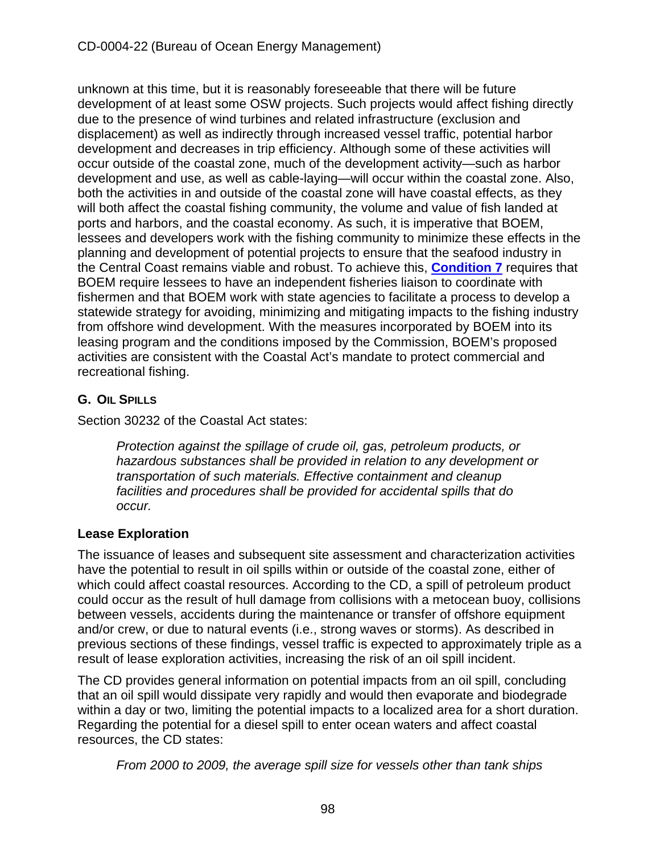unknown at this time, but it is reasonably foreseeable that there will be future development of at least some OSW projects. Such projects would affect fishing directly due to the presence of wind turbines and related infrastructure (exclusion and displacement) as well as indirectly through increased vessel traffic, potential harbor development and decreases in trip efficiency. Although some of these activities will occur outside of the coastal zone, much of the development activity—such as harbor development and use, as well as cable-laying—will occur within the coastal zone. Also, both the activities in and outside of the coastal zone will have coastal effects, as they will both affect the coastal fishing community, the volume and value of fish landed at ports and harbors, and the coastal economy. As such, it is imperative that BOEM, lessees and developers work with the fishing community to minimize these effects in the planning and development of potential projects to ensure that the seafood industry in the Central Coast remains viable and robust. To achieve this, **[Condition 7](#page-15-0)** requires that BOEM require lessees to have an independent fisheries liaison to coordinate with fishermen and that BOEM work with state agencies to facilitate a process to develop a statewide strategy for avoiding, minimizing and mitigating impacts to the fishing industry from offshore wind development. With the measures incorporated by BOEM into its leasing program and the conditions imposed by the Commission, BOEM's proposed activities are consistent with the Coastal Act's mandate to protect commercial and recreational fishing.

# **G. OIL SPILLS**

Section 30232 of the Coastal Act states:

*Protection against the spillage of crude oil, gas, petroleum products, or hazardous substances shall be provided in relation to any development or transportation of such materials. Effective containment and cleanup facilities and procedures shall be provided for accidental spills that do occur.* 

# **Lease Exploration**

The issuance of leases and subsequent site assessment and characterization activities have the potential to result in oil spills within or outside of the coastal zone, either of which could affect coastal resources. According to the CD, a spill of petroleum product could occur as the result of hull damage from collisions with a metocean buoy, collisions between vessels, accidents during the maintenance or transfer of offshore equipment and/or crew, or due to natural events (i.e., strong waves or storms). As described in previous sections of these findings, vessel traffic is expected to approximately triple as a result of lease exploration activities, increasing the risk of an oil spill incident.

The CD provides general information on potential impacts from an oil spill, concluding that an oil spill would dissipate very rapidly and would then evaporate and biodegrade within a day or two, limiting the potential impacts to a localized area for a short duration. Regarding the potential for a diesel spill to enter ocean waters and affect coastal resources, the CD states:

*From 2000 to 2009, the average spill size for vessels other than tank ships*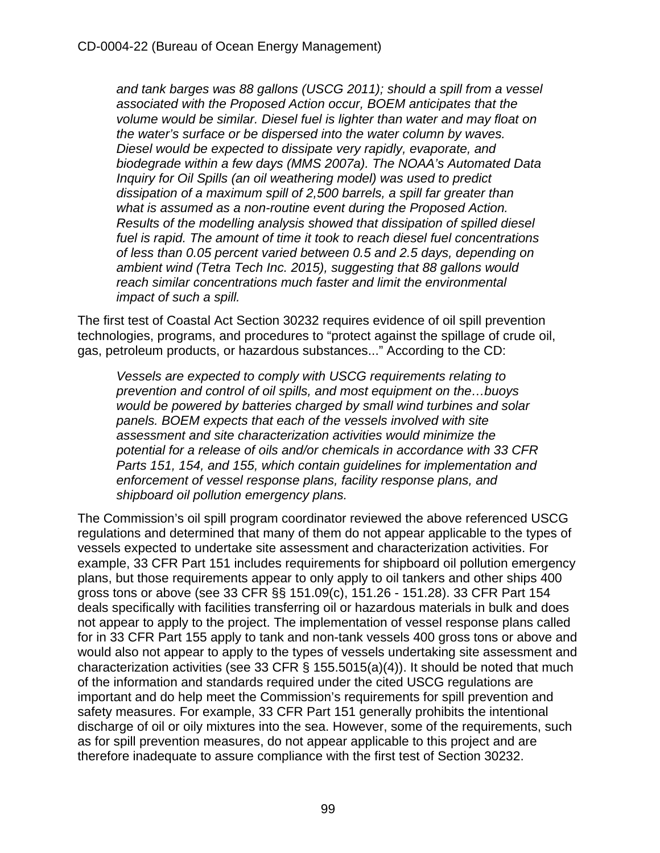*and tank barges was 88 gallons (USCG 2011); should a spill from a vessel associated with the Proposed Action occur, BOEM anticipates that the volume would be similar. Diesel fuel is lighter than water and may float on the water's surface or be dispersed into the water column by waves. Diesel would be expected to dissipate very rapidly, evaporate, and biodegrade within a few days (MMS 2007a). The NOAA's Automated Data Inquiry for Oil Spills (an oil weathering model) was used to predict dissipation of a maximum spill of 2,500 barrels, a spill far greater than what is assumed as a non-routine event during the Proposed Action. Results of the modelling analysis showed that dissipation of spilled diesel fuel is rapid. The amount of time it took to reach diesel fuel concentrations of less than 0.05 percent varied between 0.5 and 2.5 days, depending on ambient wind (Tetra Tech Inc. 2015), suggesting that 88 gallons would reach similar concentrations much faster and limit the environmental impact of such a spill.*

The first test of Coastal Act Section 30232 requires evidence of oil spill prevention technologies, programs, and procedures to "protect against the spillage of crude oil, gas, petroleum products, or hazardous substances..." According to the CD:

*Vessels are expected to comply with USCG requirements relating to prevention and control of oil spills, and most equipment on the…buoys would be powered by batteries charged by small wind turbines and solar panels. BOEM expects that each of the vessels involved with site assessment and site characterization activities would minimize the potential for a release of oils and/or chemicals in accordance with 33 CFR Parts 151, 154, and 155, which contain guidelines for implementation and enforcement of vessel response plans, facility response plans, and shipboard oil pollution emergency plans.* 

The Commission's oil spill program coordinator reviewed the above referenced USCG regulations and determined that many of them do not appear applicable to the types of vessels expected to undertake site assessment and characterization activities. For example, 33 CFR Part 151 includes requirements for shipboard oil pollution emergency plans, but those requirements appear to only apply to oil tankers and other ships 400 gross tons or above (see 33 CFR §§ 151.09(c), 151.26 - 151.28). 33 CFR Part 154 deals specifically with facilities transferring oil or hazardous materials in bulk and does not appear to apply to the project. The implementation of vessel response plans called for in 33 CFR Part 155 apply to tank and non-tank vessels 400 gross tons or above and would also not appear to apply to the types of vessels undertaking site assessment and characterization activities (see 33 CFR  $\S$  155.5015(a)(4)). It should be noted that much of the information and standards required under the cited USCG regulations are important and do help meet the Commission's requirements for spill prevention and safety measures. For example, 33 CFR Part 151 generally prohibits the intentional discharge of oil or oily mixtures into the sea. However, some of the requirements, such as for spill prevention measures, do not appear applicable to this project and are therefore inadequate to assure compliance with the first test of Section 30232.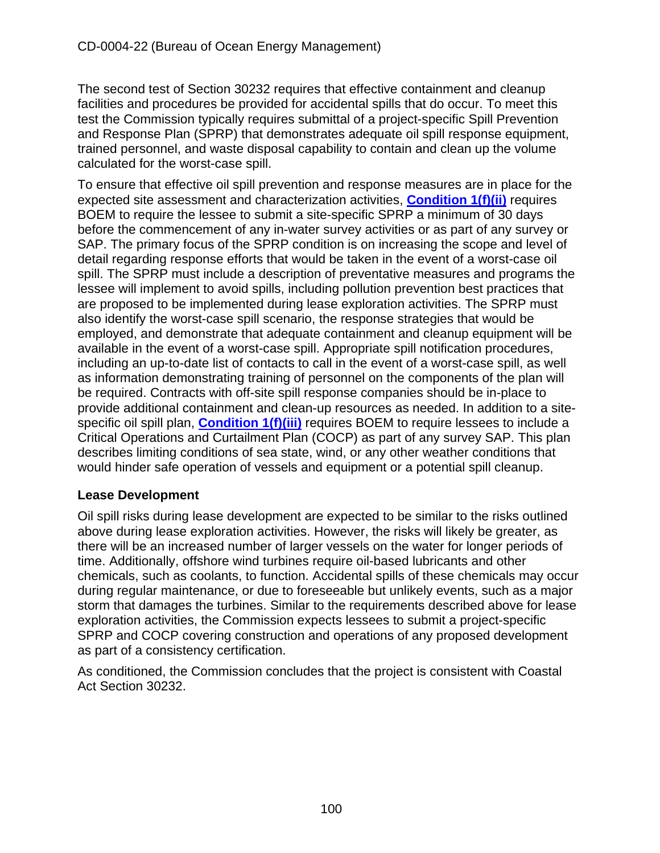The second test of Section 30232 requires that effective containment and cleanup facilities and procedures be provided for accidental spills that do occur. To meet this test the Commission typically requires submittal of a project-specific Spill Prevention and Response Plan (SPRP) that demonstrates adequate oil spill response equipment, trained personnel, and waste disposal capability to contain and clean up the volume calculated for the worst-case spill.

To ensure that effective oil spill prevention and response measures are in place for the expected site assessment and characterization activities, **[Condition 1\(f\)\(ii\)](#page-10-0)** requires BOEM to require the lessee to submit a site-specific SPRP a minimum of 30 days before the commencement of any in-water survey activities or as part of any survey or SAP. The primary focus of the SPRP condition is on increasing the scope and level of detail regarding response efforts that would be taken in the event of a worst-case oil spill. The SPRP must include a description of preventative measures and programs the lessee will implement to avoid spills, including pollution prevention best practices that are proposed to be implemented during lease exploration activities. The SPRP must also identify the worst-case spill scenario, the response strategies that would be employed, and demonstrate that adequate containment and cleanup equipment will be available in the event of a worst-case spill. Appropriate spill notification procedures, including an up-to-date list of contacts to call in the event of a worst-case spill, as well as information demonstrating training of personnel on the components of the plan will be required. Contracts with off-site spill response companies should be in-place to provide additional containment and clean-up resources as needed. In addition to a sitespecific oil spill plan, **[Condition 1\(f\)\(iii\)](#page-10-0)** requires BOEM to require lessees to include a Critical Operations and Curtailment Plan (COCP) as part of any survey SAP. This plan describes limiting conditions of sea state, wind, or any other weather conditions that would hinder safe operation of vessels and equipment or a potential spill cleanup.

### **Lease Development**

Oil spill risks during lease development are expected to be similar to the risks outlined above during lease exploration activities. However, the risks will likely be greater, as there will be an increased number of larger vessels on the water for longer periods of time. Additionally, offshore wind turbines require oil-based lubricants and other chemicals, such as coolants, to function. Accidental spills of these chemicals may occur during regular maintenance, or due to foreseeable but unlikely events, such as a major storm that damages the turbines. Similar to the requirements described above for lease exploration activities, the Commission expects lessees to submit a project-specific SPRP and COCP covering construction and operations of any proposed development as part of a consistency certification.

As conditioned, the Commission concludes that the project is consistent with Coastal Act Section 30232.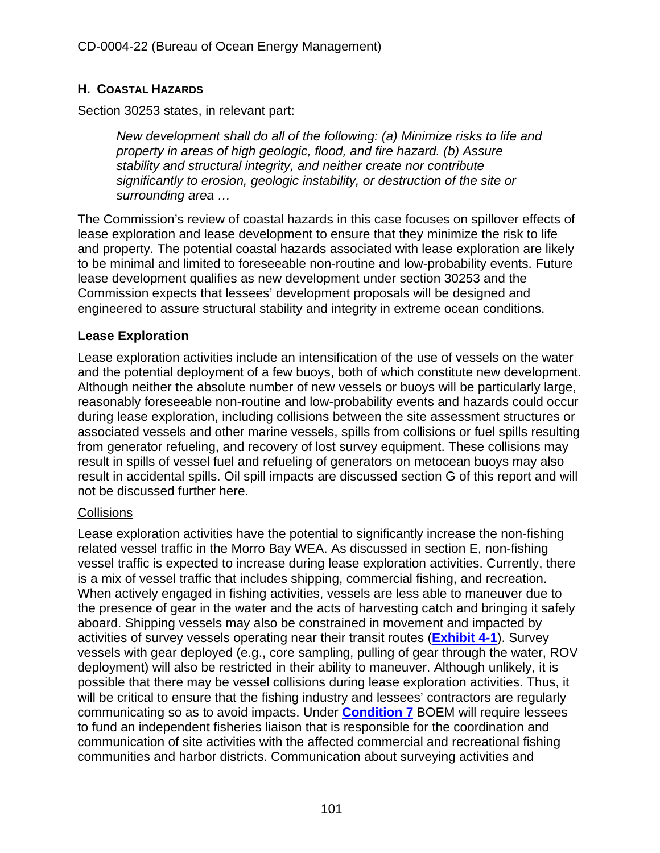# **H. COASTAL HAZARDS**

Section 30253 states, in relevant part:

*New development shall do all of the following: (a) Minimize risks to life and property in areas of high geologic, flood, and fire hazard. (b) Assure stability and structural integrity, and neither create nor contribute significantly to erosion, geologic instability, or destruction of the site or surrounding area …*

The Commission's review of coastal hazards in this case focuses on spillover effects of lease exploration and lease development to ensure that they minimize the risk to life and property. The potential coastal hazards associated with lease exploration are likely to be minimal and limited to foreseeable non-routine and low-probability events. Future lease development qualifies as new development under section 30253 and the Commission expects that lessees' development proposals will be designed and engineered to assure structural stability and integrity in extreme ocean conditions.

# **Lease Exploration**

Lease exploration activities include an intensification of the use of vessels on the water and the potential deployment of a few buoys, both of which constitute new development. Although neither the absolute number of new vessels or buoys will be particularly large, reasonably foreseeable non-routine and low-probability events and hazards could occur during lease exploration, including collisions between the site assessment structures or associated vessels and other marine vessels, spills from collisions or fuel spills resulting from generator refueling, and recovery of lost survey equipment. These collisions may result in spills of vessel fuel and refueling of generators on metocean buoys may also result in accidental spills. Oil spill impacts are discussed section G of this report and will not be discussed further here.

# **Collisions**

Lease exploration activities have the potential to significantly increase the non-fishing related vessel traffic in the Morro Bay WEA. As discussed in section E, non-fishing vessel traffic is expected to increase during lease exploration activities. Currently, there is a mix of vessel traffic that includes shipping, commercial fishing, and recreation. When actively engaged in fishing activities, vessels are less able to maneuver due to the presence of gear in the water and the acts of harvesting catch and bringing it safely aboard. Shipping vessels may also be constrained in movement and impacted by activities of survey vessels operating near their transit routes (**[Exhibit 4-1](https://documents.coastal.ca.gov/reports/2022/6/W7a/W7a-6-2022-Exhibits.pdf)**). Survey vessels with gear deployed (e.g., core sampling, pulling of gear through the water, ROV deployment) will also be restricted in their ability to maneuver. Although unlikely, it is possible that there may be vessel collisions during lease exploration activities. Thus, it will be critical to ensure that the fishing industry and lessees' contractors are regularly communicating so as to avoid impacts. Under **[Condition 7](#page-15-0)** BOEM will require lessees to fund an independent fisheries liaison that is responsible for the coordination and communication of site activities with the affected commercial and recreational fishing communities and harbor districts. Communication about surveying activities and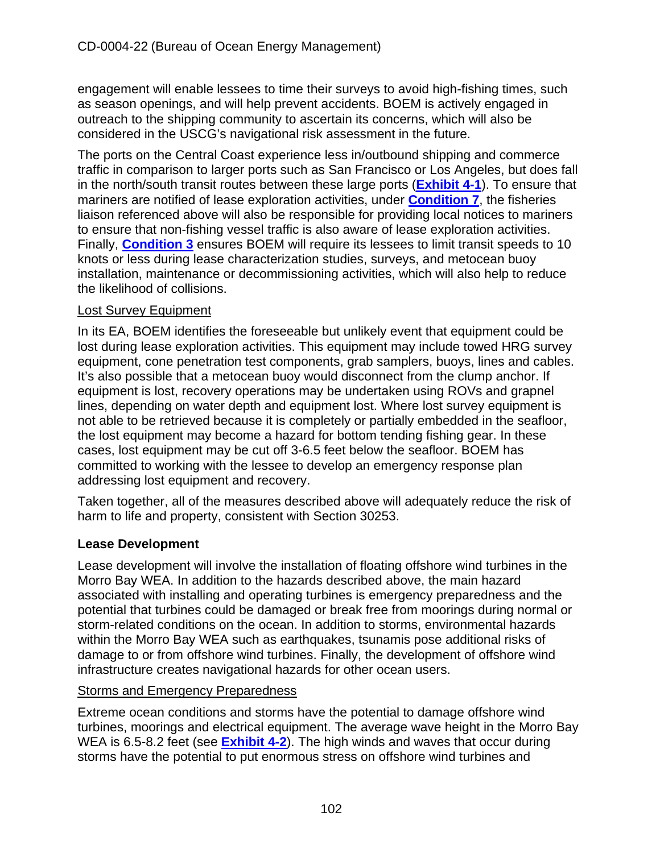engagement will enable lessees to time their surveys to avoid high-fishing times, such as season openings, and will help prevent accidents. BOEM is actively engaged in outreach to the shipping community to ascertain its concerns, which will also be considered in the USCG's navigational risk assessment in the future.

The ports on the Central Coast experience less in/outbound shipping and commerce traffic in comparison to larger ports such as San Francisco or Los Angeles, but does fall in the north/south transit routes between these large ports (**[Exhibit 4-1](https://documents.coastal.ca.gov/reports/2022/6/W7a/W7a-6-2022-Exhibits.pdf)**). To ensure that mariners are notified of lease exploration activities, under **[Condition 7](#page-15-0)**, the fisheries liaison referenced above will also be responsible for providing local notices to mariners to ensure that non-fishing vessel traffic is also aware of lease exploration activities. Finally, **[Condition 3](#page-13-0)** ensures BOEM will require its lessees to limit transit speeds to 10 knots or less during lease characterization studies, surveys, and metocean buoy installation, maintenance or decommissioning activities, which will also help to reduce the likelihood of collisions.

### Lost Survey Equipment

In its EA, BOEM identifies the foreseeable but unlikely event that equipment could be lost during lease exploration activities. This equipment may include towed HRG survey equipment, cone penetration test components, grab samplers, buoys, lines and cables. It's also possible that a metocean buoy would disconnect from the clump anchor. If equipment is lost, recovery operations may be undertaken using ROVs and grapnel lines, depending on water depth and equipment lost. Where lost survey equipment is not able to be retrieved because it is completely or partially embedded in the seafloor, the lost equipment may become a hazard for bottom tending fishing gear. In these cases, lost equipment may be cut off 3-6.5 feet below the seafloor. BOEM has committed to working with the lessee to develop an emergency response plan addressing lost equipment and recovery.

Taken together, all of the measures described above will adequately reduce the risk of harm to life and property, consistent with Section 30253.

### **Lease Development**

Lease development will involve the installation of floating offshore wind turbines in the Morro Bay WEA. In addition to the hazards described above, the main hazard associated with installing and operating turbines is emergency preparedness and the potential that turbines could be damaged or break free from moorings during normal or storm-related conditions on the ocean. In addition to storms, environmental hazards within the Morro Bay WEA such as earthquakes, tsunamis pose additional risks of damage to or from offshore wind turbines. Finally, the development of offshore wind infrastructure creates navigational hazards for other ocean users.

#### Storms and Emergency Preparedness

Extreme ocean conditions and storms have the potential to damage offshore wind turbines, moorings and electrical equipment. The average wave height in the Morro Bay WEA is 6.5-8.2 feet (see **[Exhibit 4-2](https://documents.coastal.ca.gov/reports/2022/6/W7a/W7a-6-2022-Exhibits.pdf)**). The high winds and waves that occur during storms have the potential to put enormous stress on offshore wind turbines and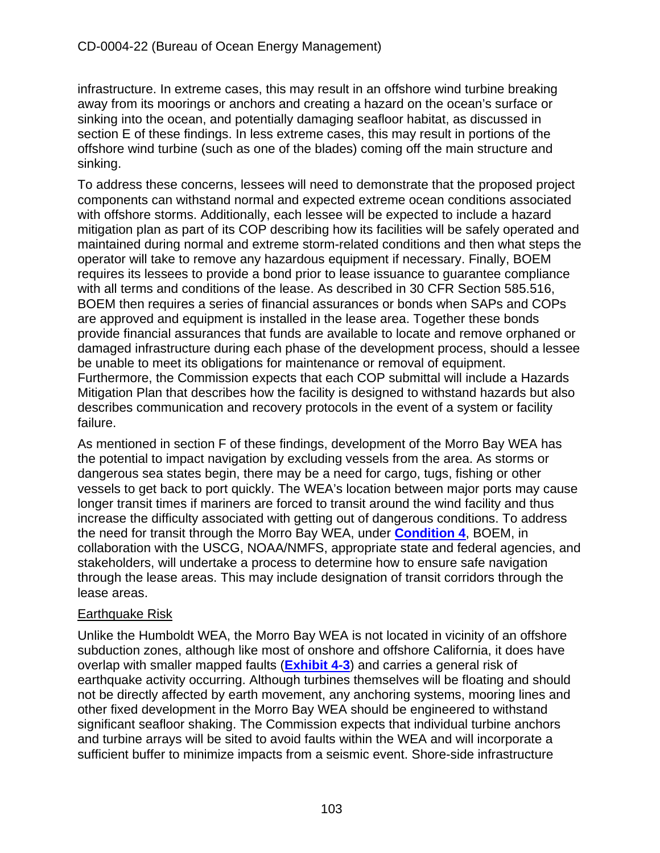infrastructure. In extreme cases, this may result in an offshore wind turbine breaking away from its moorings or anchors and creating a hazard on the ocean's surface or sinking into the ocean, and potentially damaging seafloor habitat, as discussed in section E of these findings. In less extreme cases, this may result in portions of the offshore wind turbine (such as one of the blades) coming off the main structure and sinking.

To address these concerns, lessees will need to demonstrate that the proposed project components can withstand normal and expected extreme ocean conditions associated with offshore storms. Additionally, each lessee will be expected to include a hazard mitigation plan as part of its COP describing how its facilities will be safely operated and maintained during normal and extreme storm-related conditions and then what steps the operator will take to remove any hazardous equipment if necessary. Finally, BOEM requires its lessees to provide a bond prior to lease issuance to guarantee compliance with all terms and conditions of the lease. As described in 30 CFR Section 585.516, BOEM then requires a series of financial assurances or bonds when SAPs and COPs are approved and equipment is installed in the lease area. Together these bonds provide financial assurances that funds are available to locate and remove orphaned or damaged infrastructure during each phase of the development process, should a lessee be unable to meet its obligations for maintenance or removal of equipment. Furthermore, the Commission expects that each COP submittal will include a Hazards Mitigation Plan that describes how the facility is designed to withstand hazards but also describes communication and recovery protocols in the event of a system or facility failure.

As mentioned in section F of these findings, development of the Morro Bay WEA has the potential to impact navigation by excluding vessels from the area. As storms or dangerous sea states begin, there may be a need for cargo, tugs, fishing or other vessels to get back to port quickly. The WEA's location between major ports may cause longer transit times if mariners are forced to transit around the wind facility and thus increase the difficulty associated with getting out of dangerous conditions. To address the need for transit through the Morro Bay WEA, under **[Condition 4](#page-14-0)**, BOEM, in collaboration with the USCG, NOAA/NMFS, appropriate state and federal agencies, and stakeholders, will undertake a process to determine how to ensure safe navigation through the lease areas. This may include designation of transit corridors through the lease areas.

# Earthquake Risk

Unlike the Humboldt WEA, the Morro Bay WEA is not located in vicinity of an offshore subduction zones, although like most of onshore and offshore California, it does have overlap with smaller mapped faults (**[Exhibit 4-3](https://documents.coastal.ca.gov/reports/2022/6/W7a/W7a-6-2022-Exhibits.pdf)**) and carries a general risk of earthquake activity occurring. Although turbines themselves will be floating and should not be directly affected by earth movement, any anchoring systems, mooring lines and other fixed development in the Morro Bay WEA should be engineered to withstand significant seafloor shaking. The Commission expects that individual turbine anchors and turbine arrays will be sited to avoid faults within the WEA and will incorporate a sufficient buffer to minimize impacts from a seismic event. Shore-side infrastructure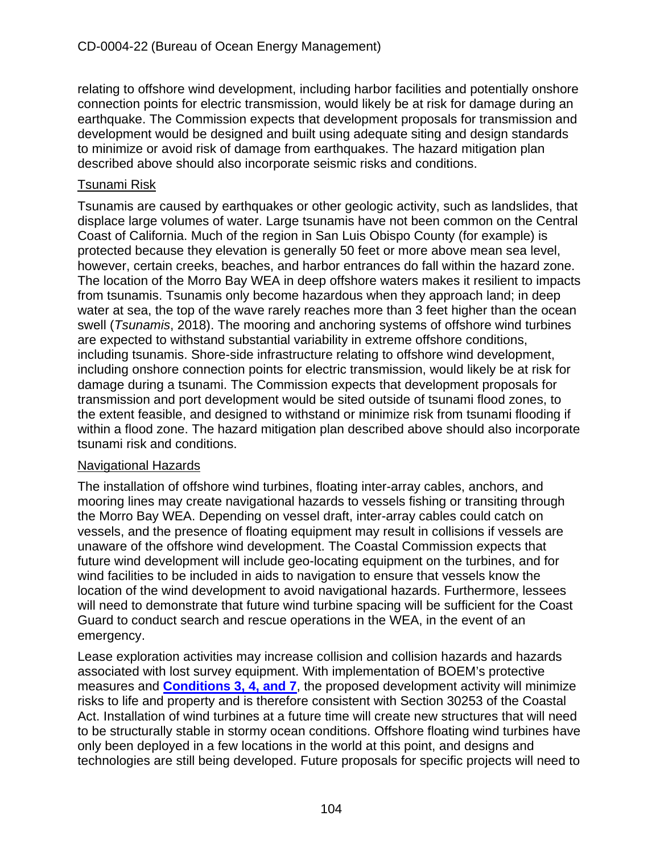relating to offshore wind development, including harbor facilities and potentially onshore connection points for electric transmission, would likely be at risk for damage during an earthquake. The Commission expects that development proposals for transmission and development would be designed and built using adequate siting and design standards to minimize or avoid risk of damage from earthquakes. The hazard mitigation plan described above should also incorporate seismic risks and conditions.

#### Tsunami Risk

Tsunamis are caused by earthquakes or other geologic activity, such as landslides, that displace large volumes of water. Large tsunamis have not been common on the Central Coast of California. Much of the region in San Luis Obispo County (for example) is protected because they elevation is generally 50 feet or more above mean sea level, however, certain creeks, beaches, and harbor entrances do fall within the hazard zone. The location of the Morro Bay WEA in deep offshore waters makes it resilient to impacts from tsunamis. Tsunamis only become hazardous when they approach land; in deep water at sea, the top of the wave rarely reaches more than 3 feet higher than the ocean swell (*Tsunamis*, 2018). The mooring and anchoring systems of offshore wind turbines are expected to withstand substantial variability in extreme offshore conditions, including tsunamis. Shore-side infrastructure relating to offshore wind development, including onshore connection points for electric transmission, would likely be at risk for damage during a tsunami. The Commission expects that development proposals for transmission and port development would be sited outside of tsunami flood zones, to the extent feasible, and designed to withstand or minimize risk from tsunami flooding if within a flood zone. The hazard mitigation plan described above should also incorporate tsunami risk and conditions.

#### Navigational Hazards

The installation of offshore wind turbines, floating inter-array cables, anchors, and mooring lines may create navigational hazards to vessels fishing or transiting through the Morro Bay WEA. Depending on vessel draft, inter-array cables could catch on vessels, and the presence of floating equipment may result in collisions if vessels are unaware of the offshore wind development. The Coastal Commission expects that future wind development will include geo-locating equipment on the turbines, and for wind facilities to be included in aids to navigation to ensure that vessels know the location of the wind development to avoid navigational hazards. Furthermore, lessees will need to demonstrate that future wind turbine spacing will be sufficient for the Coast Guard to conduct search and rescue operations in the WEA, in the event of an emergency.

Lease exploration activities may increase collision and collision hazards and hazards associated with lost survey equipment. With implementation of BOEM's protective measures and **[Conditions 3, 4, and 7](#page-13-0)**, the proposed development activity will minimize risks to life and property and is therefore consistent with Section 30253 of the Coastal Act. Installation of wind turbines at a future time will create new structures that will need to be structurally stable in stormy ocean conditions. Offshore floating wind turbines have only been deployed in a few locations in the world at this point, and designs and technologies are still being developed. Future proposals for specific projects will need to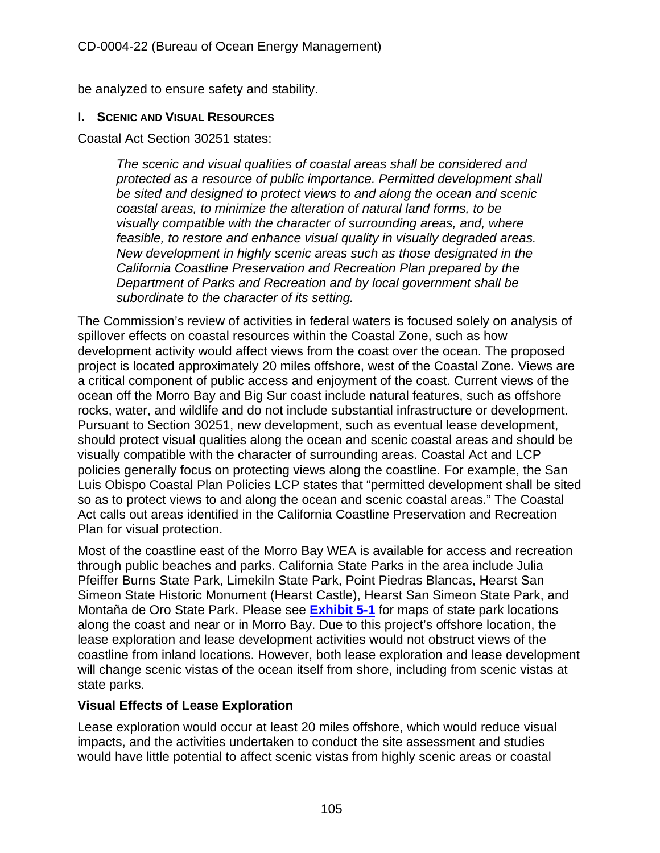be analyzed to ensure safety and stability.

#### **I. SCENIC AND VISUAL RESOURCES**

Coastal Act Section 30251 states:

*The scenic and visual qualities of coastal areas shall be considered and protected as a resource of public importance. Permitted development shall be sited and designed to protect views to and along the ocean and scenic coastal areas, to minimize the alteration of natural land forms, to be visually compatible with the character of surrounding areas, and, where feasible, to restore and enhance visual quality in visually degraded areas. New development in highly scenic areas such as those designated in the California Coastline Preservation and Recreation Plan prepared by the Department of Parks and Recreation and by local government shall be subordinate to the character of its setting.* 

The Commission's review of activities in federal waters is focused solely on analysis of spillover effects on coastal resources within the Coastal Zone, such as how development activity would affect views from the coast over the ocean. The proposed project is located approximately 20 miles offshore, west of the Coastal Zone. Views are a critical component of public access and enjoyment of the coast. Current views of the ocean off the Morro Bay and Big Sur coast include natural features, such as offshore rocks, water, and wildlife and do not include substantial infrastructure or development. Pursuant to Section 30251, new development, such as eventual lease development, should protect visual qualities along the ocean and scenic coastal areas and should be visually compatible with the character of surrounding areas. Coastal Act and LCP policies generally focus on protecting views along the coastline. For example, the San Luis Obispo Coastal Plan Policies LCP states that "permitted development shall be sited so as to protect views to and along the ocean and scenic coastal areas." The Coastal Act calls out areas identified in the California Coastline Preservation and Recreation Plan for visual protection.

Most of the coastline east of the Morro Bay WEA is available for access and recreation through public beaches and parks. California State Parks in the area include Julia Pfeiffer Burns State Park, Limekiln State Park, Point Piedras Blancas, Hearst San Simeon State Historic Monument (Hearst Castle), Hearst San Simeon State Park, and Montaña de Oro State Park. Please see **[Exhibit 5-1](https://documents.coastal.ca.gov/reports/2022/6/W7a/W7a-6-2022-Exhibits.pdf)** for maps of state park locations along the coast and near or in Morro Bay. Due to this project's offshore location, the lease exploration and lease development activities would not obstruct views of the coastline from inland locations. However, both lease exploration and lease development will change scenic vistas of the ocean itself from shore, including from scenic vistas at state parks.

### **Visual Effects of Lease Exploration**

Lease exploration would occur at least 20 miles offshore, which would reduce visual impacts, and the activities undertaken to conduct the site assessment and studies would have little potential to affect scenic vistas from highly scenic areas or coastal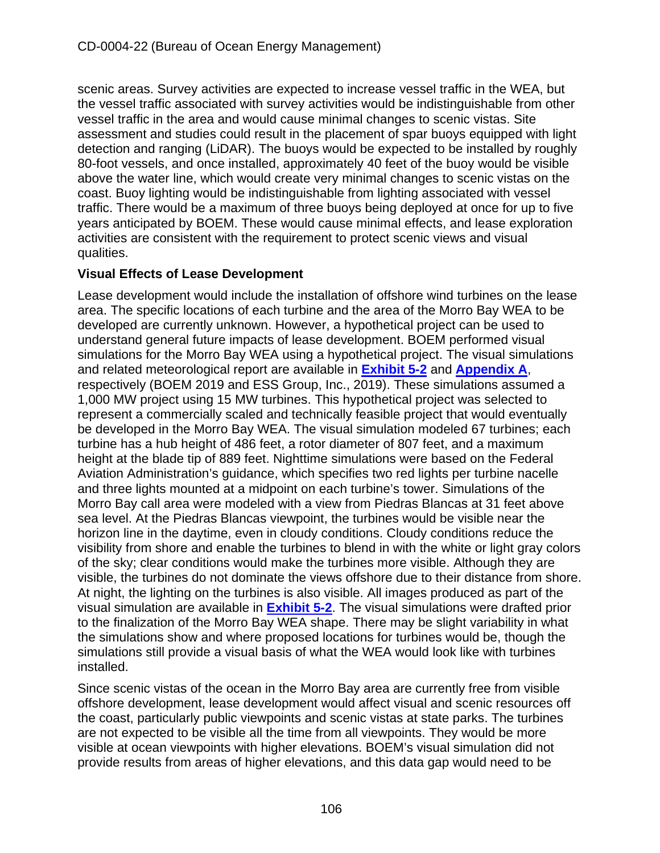scenic areas. Survey activities are expected to increase vessel traffic in the WEA, but the vessel traffic associated with survey activities would be indistinguishable from other vessel traffic in the area and would cause minimal changes to scenic vistas. Site assessment and studies could result in the placement of spar buoys equipped with light detection and ranging (LiDAR). The buoys would be expected to be installed by roughly 80-foot vessels, and once installed, approximately 40 feet of the buoy would be visible above the water line, which would create very minimal changes to scenic vistas on the coast. Buoy lighting would be indistinguishable from lighting associated with vessel traffic. There would be a maximum of three buoys being deployed at once for up to five years anticipated by BOEM. These would cause minimal effects, and lease exploration activities are consistent with the requirement to protect scenic views and visual qualities.

# **Visual Effects of Lease Development**

Lease development would include the installation of offshore wind turbines on the lease area. The specific locations of each turbine and the area of the Morro Bay WEA to be developed are currently unknown. However, a hypothetical project can be used to understand general future impacts of lease development. BOEM performed visual simulations for the Morro Bay WEA using a hypothetical project. The visual simulations and related meteorological report are available in **[Exhibit 5-2](https://documents.coastal.ca.gov/reports/2022/6/W7a/W7a-6-2022-Exhibits.pdf)** and **[Appendix A](https://documents.coastal.ca.gov/reports/2022/6/W7a/W7a-6-2022-Appendices.pdf)**, respectively (BOEM 2019 and ESS Group, Inc., 2019). These simulations assumed a 1,000 MW project using 15 MW turbines. This hypothetical project was selected to represent a commercially scaled and technically feasible project that would eventually be developed in the Morro Bay WEA. The visual simulation modeled 67 turbines; each turbine has a hub height of 486 feet, a rotor diameter of 807 feet, and a maximum height at the blade tip of 889 feet. Nighttime simulations were based on the Federal Aviation Administration's guidance, which specifies two red lights per turbine nacelle and three lights mounted at a midpoint on each turbine's tower. Simulations of the Morro Bay call area were modeled with a view from Piedras Blancas at 31 feet above sea level. At the Piedras Blancas viewpoint, the turbines would be visible near the horizon line in the daytime, even in cloudy conditions. Cloudy conditions reduce the visibility from shore and enable the turbines to blend in with the white or light gray colors of the sky; clear conditions would make the turbines more visible. Although they are visible, the turbines do not dominate the views offshore due to their distance from shore. At night, the lighting on the turbines is also visible. All images produced as part of the visual simulation are available in **[Exhibit 5-2](https://documents.coastal.ca.gov/reports/2022/6/W7a/W7a-6-2022-Exhibits.pdf)**. The visual simulations were drafted prior to the finalization of the Morro Bay WEA shape. There may be slight variability in what the simulations show and where proposed locations for turbines would be, though the simulations still provide a visual basis of what the WEA would look like with turbines installed.

Since scenic vistas of the ocean in the Morro Bay area are currently free from visible offshore development, lease development would affect visual and scenic resources off the coast, particularly public viewpoints and scenic vistas at state parks. The turbines are not expected to be visible all the time from all viewpoints. They would be more visible at ocean viewpoints with higher elevations. BOEM's visual simulation did not provide results from areas of higher elevations, and this data gap would need to be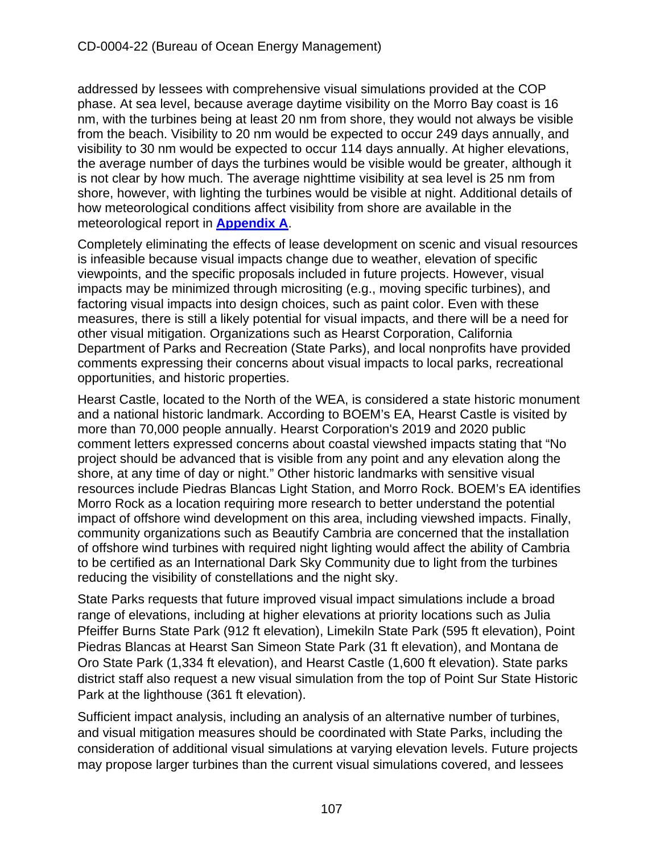addressed by lessees with comprehensive visual simulations provided at the COP phase. At sea level, because average daytime visibility on the Morro Bay coast is 16 nm, with the turbines being at least 20 nm from shore, they would not always be visible from the beach. Visibility to 20 nm would be expected to occur 249 days annually, and visibility to 30 nm would be expected to occur 114 days annually. At higher elevations, the average number of days the turbines would be visible would be greater, although it is not clear by how much. The average nighttime visibility at sea level is 25 nm from shore, however, with lighting the turbines would be visible at night. Additional details of how meteorological conditions affect visibility from shore are available in the meteorological report in **[Appendix A](https://documents.coastal.ca.gov/reports/2022/6/W7a/W7a-6-2022-Appendices.pdf)**.

Completely eliminating the effects of lease development on scenic and visual resources is infeasible because visual impacts change due to weather, elevation of specific viewpoints, and the specific proposals included in future projects. However, visual impacts may be minimized through micrositing (e.g., moving specific turbines), and factoring visual impacts into design choices, such as paint color. Even with these measures, there is still a likely potential for visual impacts, and there will be a need for other visual mitigation. Organizations such as Hearst Corporation, California Department of Parks and Recreation (State Parks), and local nonprofits have provided comments expressing their concerns about visual impacts to local parks, recreational opportunities, and historic properties.

Hearst Castle, located to the North of the WEA, is considered a state historic monument and a national historic landmark. According to BOEM's EA, Hearst Castle is visited by more than 70,000 people annually. Hearst Corporation's 2019 and 2020 public comment letters expressed concerns about coastal viewshed impacts stating that "No project should be advanced that is visible from any point and any elevation along the shore, at any time of day or night." Other historic landmarks with sensitive visual resources include Piedras Blancas Light Station, and Morro Rock. BOEM's EA identifies Morro Rock as a location requiring more research to better understand the potential impact of offshore wind development on this area, including viewshed impacts. Finally, community organizations such as Beautify Cambria are concerned that the installation of offshore wind turbines with required night lighting would affect the ability of Cambria to be certified as an International Dark Sky Community due to light from the turbines reducing the visibility of constellations and the night sky.

State Parks requests that future improved visual impact simulations include a broad range of elevations, including at higher elevations at priority locations such as Julia Pfeiffer Burns State Park (912 ft elevation), Limekiln State Park (595 ft elevation), Point Piedras Blancas at Hearst San Simeon State Park (31 ft elevation), and Montana de Oro State Park (1,334 ft elevation), and Hearst Castle (1,600 ft elevation). State parks district staff also request a new visual simulation from the top of Point Sur State Historic Park at the lighthouse (361 ft elevation).

Sufficient impact analysis, including an analysis of an alternative number of turbines, and visual mitigation measures should be coordinated with State Parks, including the consideration of additional visual simulations at varying elevation levels. Future projects may propose larger turbines than the current visual simulations covered, and lessees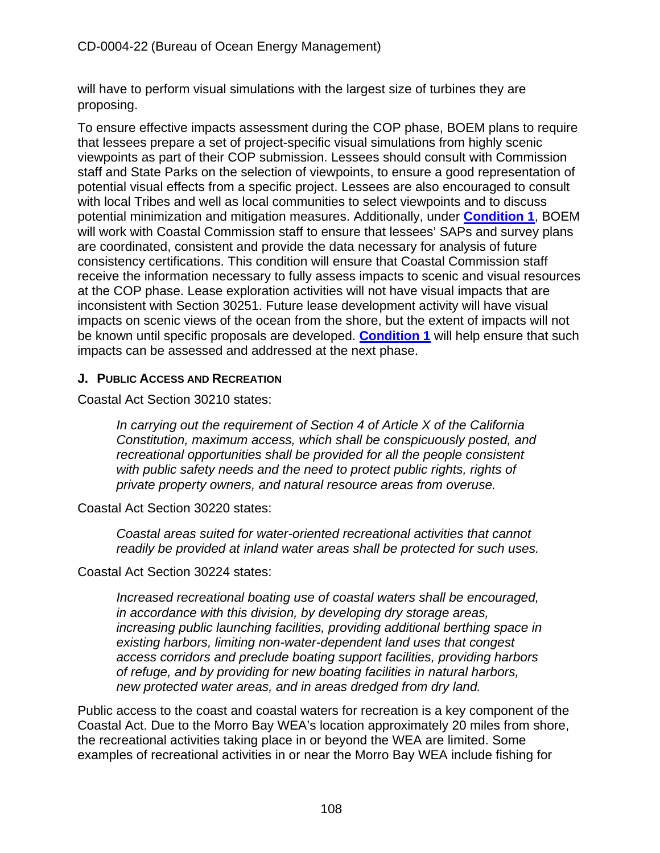will have to perform visual simulations with the largest size of turbines they are proposing.

To ensure effective impacts assessment during the COP phase, BOEM plans to require that lessees prepare a set of project-specific visual simulations from highly scenic viewpoints as part of their COP submission. Lessees should consult with Commission staff and State Parks on the selection of viewpoints, to ensure a good representation of potential visual effects from a specific project. Lessees are also encouraged to consult with local Tribes and well as local communities to select viewpoints and to discuss potential minimization and mitigation measures. Additionally, under **[Condition 1](#page-10-0)**, BOEM will work with Coastal Commission staff to ensure that lessees' SAPs and survey plans are coordinated, consistent and provide the data necessary for analysis of future consistency certifications. This condition will ensure that Coastal Commission staff receive the information necessary to fully assess impacts to scenic and visual resources at the COP phase. Lease exploration activities will not have visual impacts that are inconsistent with Section 30251. Future lease development activity will have visual impacts on scenic views of the ocean from the shore, but the extent of impacts will not be known until specific proposals are developed. **[Condition 1](#page-10-0)** will help ensure that such impacts can be assessed and addressed at the next phase.

### **J. PUBLIC ACCESS AND RECREATION**

Coastal Act Section 30210 states:

*In carrying out the requirement of Section 4 of Article X of the California Constitution, maximum access, which shall be conspicuously posted, and recreational opportunities shall be provided for all the people consistent with public safety needs and the need to protect public rights, rights of private property owners, and natural resource areas from overuse.*

Coastal Act Section 30220 states:

*Coastal areas suited for water-oriented recreational activities that cannot readily be provided at inland water areas shall be protected for such uses.*

Coastal Act Section 30224 states:

*Increased recreational boating use of coastal waters shall be encouraged, in accordance with this division, by developing dry storage areas, increasing public launching facilities, providing additional berthing space in existing harbors, limiting non-water-dependent land uses that congest access corridors and preclude boating support facilities, providing harbors of refuge, and by providing for new boating facilities in natural harbors, new protected water areas, and in areas dredged from dry land.*

Public access to the coast and coastal waters for recreation is a key component of the Coastal Act. Due to the Morro Bay WEA's location approximately 20 miles from shore, the recreational activities taking place in or beyond the WEA are limited. Some examples of recreational activities in or near the Morro Bay WEA include fishing for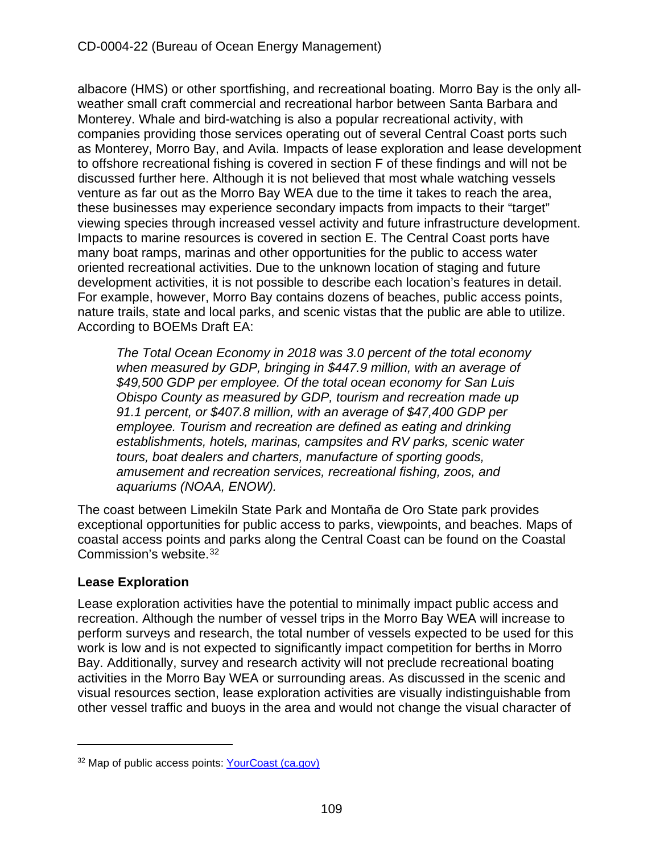albacore (HMS) or other sportfishing, and recreational boating. Morro Bay is the only allweather small craft commercial and recreational harbor between Santa Barbara and Monterey. Whale and bird-watching is also a popular recreational activity, with companies providing those services operating out of several Central Coast ports such as Monterey, Morro Bay, and Avila. Impacts of lease exploration and lease development to offshore recreational fishing is covered in section F of these findings and will not be discussed further here. Although it is not believed that most whale watching vessels venture as far out as the Morro Bay WEA due to the time it takes to reach the area, these businesses may experience secondary impacts from impacts to their "target" viewing species through increased vessel activity and future infrastructure development. Impacts to marine resources is covered in section E. The Central Coast ports have many boat ramps, marinas and other opportunities for the public to access water oriented recreational activities. Due to the unknown location of staging and future development activities, it is not possible to describe each location's features in detail. For example, however, Morro Bay contains dozens of beaches, public access points, nature trails, state and local parks, and scenic vistas that the public are able to utilize. According to BOEMs Draft EA:

*The Total Ocean Economy in 2018 was 3.0 percent of the total economy when measured by GDP, bringing in \$447.9 million, with an average of \$49,500 GDP per employee. Of the total ocean economy for San Luis Obispo County as measured by GDP, tourism and recreation made up 91.1 percent, or \$407.8 million, with an average of \$47,400 GDP per employee. Tourism and recreation are defined as eating and drinking establishments, hotels, marinas, campsites and RV parks, scenic water tours, boat dealers and charters, manufacture of sporting goods, amusement and recreation services, recreational fishing, zoos, and aquariums (NOAA, ENOW).*

The coast between Limekiln State Park and Montaña de Oro State park provides exceptional opportunities for public access to parks, viewpoints, and beaches. Maps of coastal access points and parks along the Central Coast can be found on the Coastal Commission's website.[32](#page-108-0)

## **Lease Exploration**

Lease exploration activities have the potential to minimally impact public access and recreation. Although the number of vessel trips in the Morro Bay WEA will increase to perform surveys and research, the total number of vessels expected to be used for this work is low and is not expected to significantly impact competition for berths in Morro Bay. Additionally, survey and research activity will not preclude recreational boating activities in the Morro Bay WEA or surrounding areas. As discussed in the scenic and visual resources section, lease exploration activities are visually indistinguishable from other vessel traffic and buoys in the area and would not change the visual character of

<span id="page-108-0"></span><sup>32</sup> Map of public access points: [YourCoast \(ca.gov\)](https://www.coastal.ca.gov/YourCoast/#/map)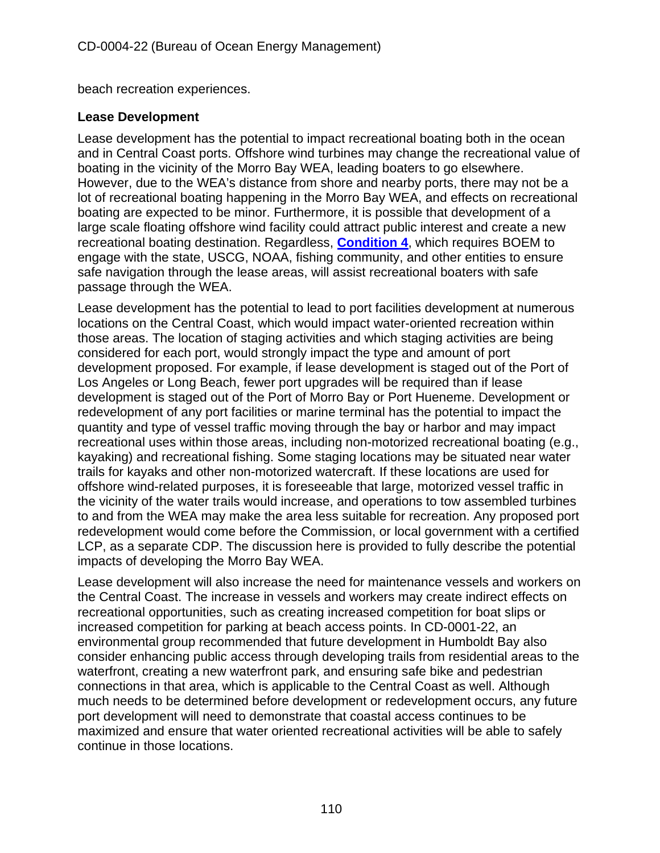beach recreation experiences.

#### **Lease Development**

Lease development has the potential to impact recreational boating both in the ocean and in Central Coast ports. Offshore wind turbines may change the recreational value of boating in the vicinity of the Morro Bay WEA, leading boaters to go elsewhere. However, due to the WEA's distance from shore and nearby ports, there may not be a lot of recreational boating happening in the Morro Bay WEA, and effects on recreational boating are expected to be minor. Furthermore, it is possible that development of a large scale floating offshore wind facility could attract public interest and create a new recreational boating destination. Regardless, **[Condition 4](#page-14-0)**, which requires BOEM to engage with the state, USCG, NOAA, fishing community, and other entities to ensure safe navigation through the lease areas, will assist recreational boaters with safe passage through the WEA.

Lease development has the potential to lead to port facilities development at numerous locations on the Central Coast, which would impact water-oriented recreation within those areas. The location of staging activities and which staging activities are being considered for each port, would strongly impact the type and amount of port development proposed. For example, if lease development is staged out of the Port of Los Angeles or Long Beach, fewer port upgrades will be required than if lease development is staged out of the Port of Morro Bay or Port Hueneme. Development or redevelopment of any port facilities or marine terminal has the potential to impact the quantity and type of vessel traffic moving through the bay or harbor and may impact recreational uses within those areas, including non-motorized recreational boating (e.g., kayaking) and recreational fishing. Some staging locations may be situated near water trails for kayaks and other non-motorized watercraft. If these locations are used for offshore wind-related purposes, it is foreseeable that large, motorized vessel traffic in the vicinity of the water trails would increase, and operations to tow assembled turbines to and from the WEA may make the area less suitable for recreation. Any proposed port redevelopment would come before the Commission, or local government with a certified LCP, as a separate CDP. The discussion here is provided to fully describe the potential impacts of developing the Morro Bay WEA.

Lease development will also increase the need for maintenance vessels and workers on the Central Coast. The increase in vessels and workers may create indirect effects on recreational opportunities, such as creating increased competition for boat slips or increased competition for parking at beach access points. In CD-0001-22, an environmental group recommended that future development in Humboldt Bay also consider enhancing public access through developing trails from residential areas to the waterfront, creating a new waterfront park, and ensuring safe bike and pedestrian connections in that area, which is applicable to the Central Coast as well. Although much needs to be determined before development or redevelopment occurs, any future port development will need to demonstrate that coastal access continues to be maximized and ensure that water oriented recreational activities will be able to safely continue in those locations.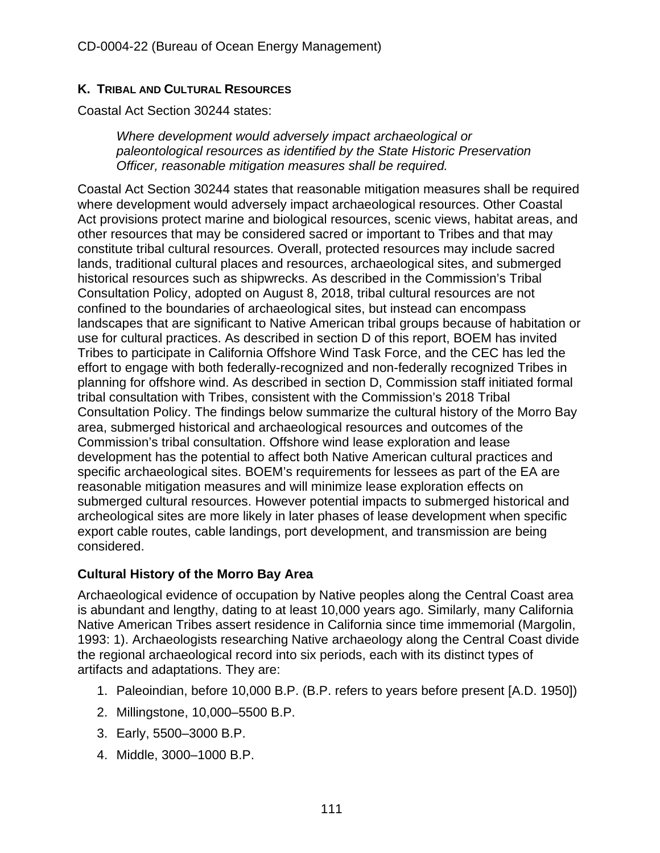## **K. TRIBAL AND CULTURAL RESOURCES**

Coastal Act Section 30244 states:

*Where development would adversely impact archaeological or paleontological resources as identified by the State Historic Preservation Officer, reasonable mitigation measures shall be required.*

Coastal Act Section 30244 states that reasonable mitigation measures shall be required where development would adversely impact archaeological resources. Other Coastal Act provisions protect marine and biological resources, scenic views, habitat areas, and other resources that may be considered sacred or important to Tribes and that may constitute tribal cultural resources. Overall, protected resources may include sacred lands, traditional cultural places and resources, archaeological sites, and submerged historical resources such as shipwrecks. As described in the Commission's Tribal Consultation Policy, adopted on August 8, 2018, tribal cultural resources are not confined to the boundaries of archaeological sites, but instead can encompass landscapes that are significant to Native American tribal groups because of habitation or use for cultural practices. As described in section D of this report, BOEM has invited Tribes to participate in California Offshore Wind Task Force, and the CEC has led the effort to engage with both federally-recognized and non-federally recognized Tribes in planning for offshore wind. As described in section D, Commission staff initiated formal tribal consultation with Tribes, consistent with the Commission's 2018 Tribal Consultation Policy. The findings below summarize the cultural history of the Morro Bay area, submerged historical and archaeological resources and outcomes of the Commission's tribal consultation. Offshore wind lease exploration and lease development has the potential to affect both Native American cultural practices and specific archaeological sites. BOEM's requirements for lessees as part of the EA are reasonable mitigation measures and will minimize lease exploration effects on submerged cultural resources. However potential impacts to submerged historical and archeological sites are more likely in later phases of lease development when specific export cable routes, cable landings, port development, and transmission are being considered.

## **Cultural History of the Morro Bay Area**

Archaeological evidence of occupation by Native peoples along the Central Coast area is abundant and lengthy, dating to at least 10,000 years ago. Similarly, many California Native American Tribes assert residence in California since time immemorial (Margolin, 1993: 1). Archaeologists researching Native archaeology along the Central Coast divide the regional archaeological record into six periods, each with its distinct types of artifacts and adaptations. They are:

- 1. Paleoindian, before 10,000 B.P. (B.P. refers to years before present [A.D. 1950])
- 2. Millingstone, 10,000–5500 B.P.
- 3. Early, 5500–3000 B.P.
- 4. Middle, 3000–1000 B.P.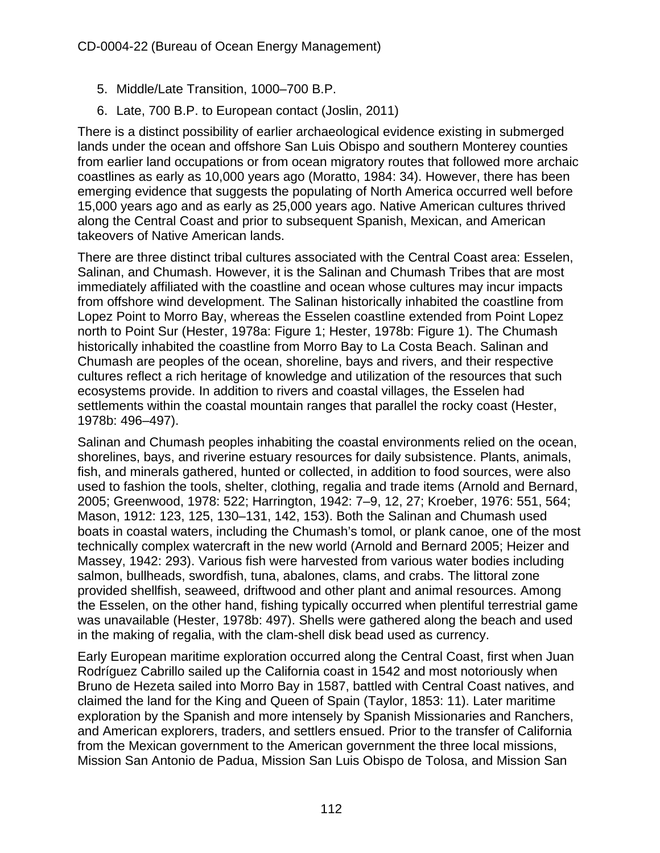- 5. Middle/Late Transition, 1000–700 B.P.
- 6. Late, 700 B.P. to European contact (Joslin, 2011)

There is a distinct possibility of earlier archaeological evidence existing in submerged lands under the ocean and offshore San Luis Obispo and southern Monterey counties from earlier land occupations or from ocean migratory routes that followed more archaic coastlines as early as 10,000 years ago (Moratto, 1984: 34). However, there has been emerging evidence that suggests the populating of North America occurred well before 15,000 years ago and as early as 25,000 years ago. Native American cultures thrived along the Central Coast and prior to subsequent Spanish, Mexican, and American takeovers of Native American lands.

There are three distinct tribal cultures associated with the Central Coast area: Esselen, Salinan, and Chumash. However, it is the Salinan and Chumash Tribes that are most immediately affiliated with the coastline and ocean whose cultures may incur impacts from offshore wind development. The Salinan historically inhabited the coastline from Lopez Point to Morro Bay, whereas the Esselen coastline extended from Point Lopez north to Point Sur (Hester, 1978a: Figure 1; Hester, 1978b: Figure 1). The Chumash historically inhabited the coastline from Morro Bay to La Costa Beach. Salinan and Chumash are peoples of the ocean, shoreline, bays and rivers, and their respective cultures reflect a rich heritage of knowledge and utilization of the resources that such ecosystems provide. In addition to rivers and coastal villages, the Esselen had settlements within the coastal mountain ranges that parallel the rocky coast (Hester, 1978b: 496–497).

Salinan and Chumash peoples inhabiting the coastal environments relied on the ocean, shorelines, bays, and riverine estuary resources for daily subsistence. Plants, animals, fish, and minerals gathered, hunted or collected, in addition to food sources, were also used to fashion the tools, shelter, clothing, regalia and trade items (Arnold and Bernard, 2005; Greenwood, 1978: 522; Harrington, 1942: 7–9, 12, 27; Kroeber, 1976: 551, 564; Mason, 1912: 123, 125, 130–131, 142, 153). Both the Salinan and Chumash used boats in coastal waters, including the Chumash's tomol, or plank canoe, one of the most technically complex watercraft in the new world (Arnold and Bernard 2005; Heizer and Massey, 1942: 293). Various fish were harvested from various water bodies including salmon, bullheads, swordfish, tuna, abalones, clams, and crabs. The littoral zone provided shellfish, seaweed, driftwood and other plant and animal resources. Among the Esselen, on the other hand, fishing typically occurred when plentiful terrestrial game was unavailable (Hester, 1978b: 497). Shells were gathered along the beach and used in the making of regalia, with the clam-shell disk bead used as currency.

Early European maritime exploration occurred along the Central Coast, first when Juan Rodríguez Cabrillo sailed up the California coast in 1542 and most notoriously when Bruno de Hezeta sailed into Morro Bay in 1587, battled with Central Coast natives, and claimed the land for the King and Queen of Spain (Taylor, 1853: 11). Later maritime exploration by the Spanish and more intensely by Spanish Missionaries and Ranchers, and American explorers, traders, and settlers ensued. Prior to the transfer of California from the Mexican government to the American government the three local missions, Mission San Antonio de Padua, Mission San Luis Obispo de Tolosa, and Mission San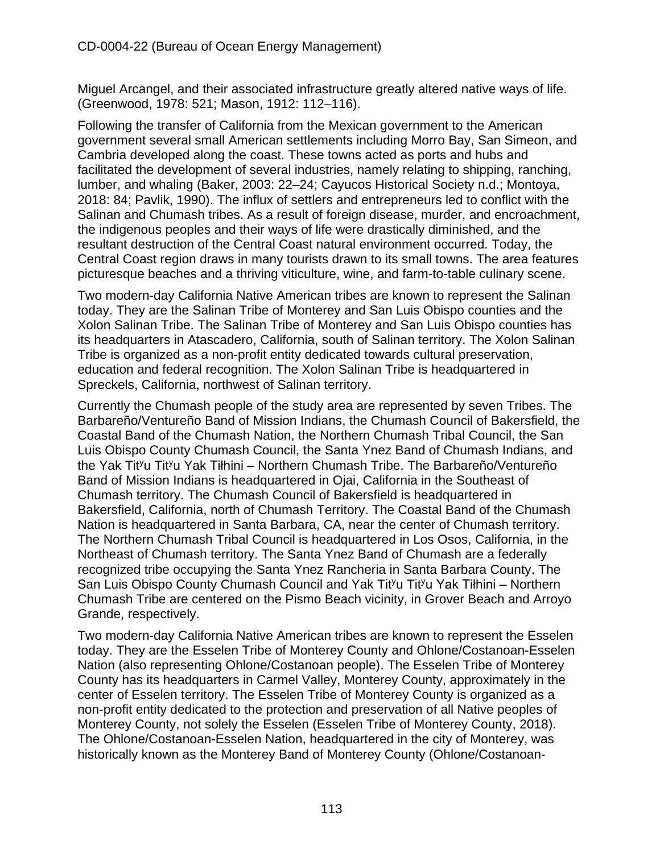Miguel Arcangel, and their associated infrastructure greatly altered native ways of life. (Greenwood, 1978: 521; Mason, 1912: 112–116).

Following the transfer of California from the Mexican government to the American government several small American settlements including Morro Bay, San Simeon, and Cambria developed along the coast. These towns acted as ports and hubs and facilitated the development of several industries, namely relating to shipping, ranching, lumber, and whaling (Baker, 2003: 22–24; Cayucos Historical Society n.d.; Montoya, 2018: 84; Pavlik, 1990). The influx of settlers and entrepreneurs led to conflict with the Salinan and Chumash tribes. As a result of foreign disease, murder, and encroachment, the indigenous peoples and their ways of life were drastically diminished, and the resultant destruction of the Central Coast natural environment occurred. Today, the Central Coast region draws in many tourists drawn to its small towns. The area features picturesque beaches and a thriving viticulture, wine, and farm-to-table culinary scene.

Two modern-day California Native American tribes are known to represent the Salinan today. They are the Salinan Tribe of Monterey and San Luis Obispo counties and the Xolon Salinan Tribe. The Salinan Tribe of Monterey and San Luis Obispo counties has its headquarters in Atascadero, California, south of Salinan territory. The Xolon Salinan Tribe is organized as a non-profit entity dedicated towards cultural preservation, education and federal recognition. The Xolon Salinan Tribe is headquartered in Spreckels, California, northwest of Salinan territory.

Currently the Chumash people of the study area are represented by seven Tribes. The Barbareño/Ventureño Band of Mission Indians, the Chumash Council of Bakersfield, the Coastal Band of the Chumash Nation, the Northern Chumash Tribal Council, the San Luis Obispo County Chumash Council, the Santa Ynez Band of Chumash Indians, and the Yak Tit<sup>y</sup>u Tit<sup>y</sup>u Yak Tiłhini – Northern Chumash Tribe. The Barbareño/Ventureño Band of Mission Indians is headquartered in Ojai, California in the Southeast of Chumash territory. The Chumash Council of Bakersfield is headquartered in Bakersfield, California, north of Chumash Territory. The Coastal Band of the Chumash Nation is headquartered in Santa Barbara, CA, near the center of Chumash territory. The Northern Chumash Tribal Council is headquartered in Los Osos, California, in the Northeast of Chumash territory. The Santa Ynez Band of Chumash are a federally recognized tribe occupying the Santa Ynez Rancheria in Santa Barbara County. The San Luis Obispo County Chumash Council and Yak Tityu Tityu Yak Tiłhini – Northern Chumash Tribe are centered on the Pismo Beach vicinity, in Grover Beach and Arroyo Grande, respectively.

Two modern-day California Native American tribes are known to represent the Esselen today. They are the Esselen Tribe of Monterey County and Ohlone/Costanoan-Esselen Nation (also representing Ohlone/Costanoan people). The Esselen Tribe of Monterey County has its headquarters in Carmel Valley, Monterey County, approximately in the center of Esselen territory. The Esselen Tribe of Monterey County is organized as a non-profit entity dedicated to the protection and preservation of all Native peoples of Monterey County, not solely the Esselen (Esselen Tribe of Monterey County, 2018). The Ohlone/Costanoan-Esselen Nation, headquartered in the city of Monterey, was historically known as the Monterey Band of Monterey County (Ohlone/Costanoan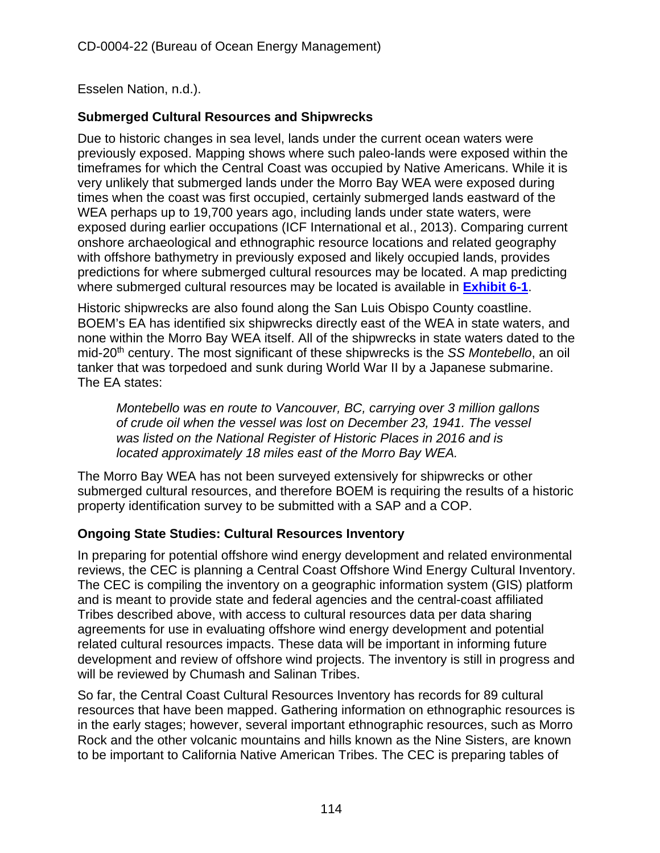Esselen Nation, n.d.).

## **Submerged Cultural Resources and Shipwrecks**

Due to historic changes in sea level, lands under the current ocean waters were previously exposed. Mapping shows where such paleo-lands were exposed within the timeframes for which the Central Coast was occupied by Native Americans. While it is very unlikely that submerged lands under the Morro Bay WEA were exposed during times when the coast was first occupied, certainly submerged lands eastward of the WEA perhaps up to 19,700 years ago, including lands under state waters, were exposed during earlier occupations (ICF International et al., 2013). Comparing current onshore archaeological and ethnographic resource locations and related geography with offshore bathymetry in previously exposed and likely occupied lands, provides predictions for where submerged cultural resources may be located. A map predicting where submerged cultural resources may be located is available in **[Exhibit 6-1](https://documents.coastal.ca.gov/reports/2022/6/W7a/W7a-6-2022-Exhibits.pdf)**.

Historic shipwrecks are also found along the San Luis Obispo County coastline. BOEM's EA has identified six shipwrecks directly east of the WEA in state waters, and none within the Morro Bay WEA itself. All of the shipwrecks in state waters dated to the mid-20th century. The most significant of these shipwrecks is the *SS Montebello*, an oil tanker that was torpedoed and sunk during World War II by a Japanese submarine. The EA states:

*Montebello was en route to Vancouver, BC, carrying over 3 million gallons of crude oil when the vessel was lost on December 23, 1941. The vessel was listed on the National Register of Historic Places in 2016 and is located approximately 18 miles east of the Morro Bay WEA.*

The Morro Bay WEA has not been surveyed extensively for shipwrecks or other submerged cultural resources, and therefore BOEM is requiring the results of a historic property identification survey to be submitted with a SAP and a COP.

## **Ongoing State Studies: Cultural Resources Inventory**

In preparing for potential offshore wind energy development and related environmental reviews, the CEC is planning a Central Coast Offshore Wind Energy Cultural Inventory. The CEC is compiling the inventory on a geographic information system (GIS) platform and is meant to provide state and federal agencies and the central-coast affiliated Tribes described above, with access to cultural resources data per data sharing agreements for use in evaluating offshore wind energy development and potential related cultural resources impacts. These data will be important in informing future development and review of offshore wind projects. The inventory is still in progress and will be reviewed by Chumash and Salinan Tribes.

So far, the Central Coast Cultural Resources Inventory has records for 89 cultural resources that have been mapped. Gathering information on ethnographic resources is in the early stages; however, several important ethnographic resources, such as Morro Rock and the other volcanic mountains and hills known as the Nine Sisters, are known to be important to California Native American Tribes. The CEC is preparing tables of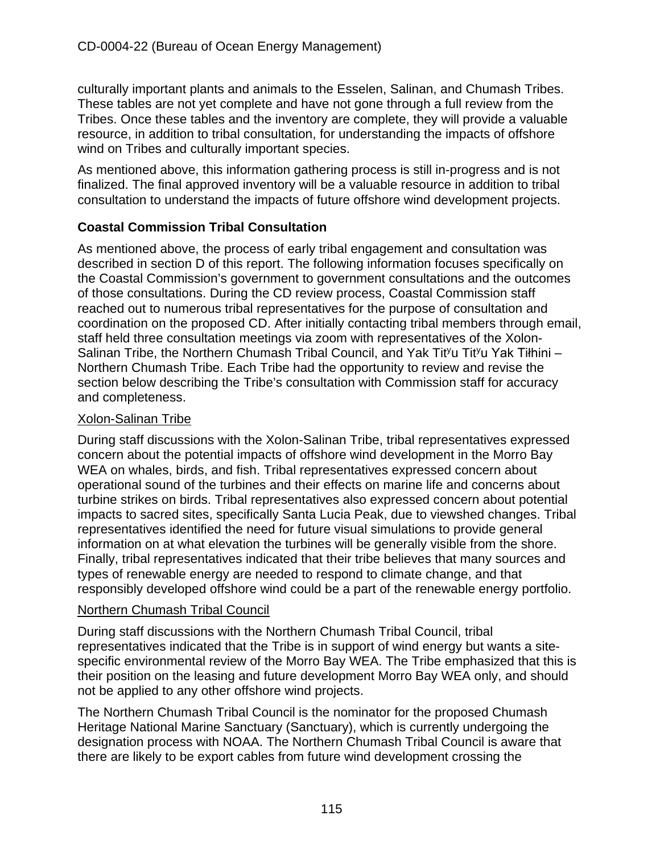culturally important plants and animals to the Esselen, Salinan, and Chumash Tribes. These tables are not yet complete and have not gone through a full review from the Tribes. Once these tables and the inventory are complete, they will provide a valuable resource, in addition to tribal consultation, for understanding the impacts of offshore wind on Tribes and culturally important species.

As mentioned above, this information gathering process is still in-progress and is not finalized. The final approved inventory will be a valuable resource in addition to tribal consultation to understand the impacts of future offshore wind development projects.

## **Coastal Commission Tribal Consultation**

As mentioned above, the process of early tribal engagement and consultation was described in section D of this report. The following information focuses specifically on the Coastal Commission's government to government consultations and the outcomes of those consultations. During the CD review process, Coastal Commission staff reached out to numerous tribal representatives for the purpose of consultation and coordination on the proposed CD. After initially contacting tribal members through email, staff held three consultation meetings via zoom with representatives of the Xolon-Salinan Tribe, the Northern Chumash Tribal Council, and Yak Tit<sup>y</sup>u Tit<sup>y</sup>u Yak Tiłhini – Northern Chumash Tribe. Each Tribe had the opportunity to review and revise the section below describing the Tribe's consultation with Commission staff for accuracy and completeness.

#### Xolon-Salinan Tribe

During staff discussions with the Xolon-Salinan Tribe, tribal representatives expressed concern about the potential impacts of offshore wind development in the Morro Bay WEA on whales, birds, and fish. Tribal representatives expressed concern about operational sound of the turbines and their effects on marine life and concerns about turbine strikes on birds. Tribal representatives also expressed concern about potential impacts to sacred sites, specifically Santa Lucia Peak, due to viewshed changes. Tribal representatives identified the need for future visual simulations to provide general information on at what elevation the turbines will be generally visible from the shore. Finally, tribal representatives indicated that their tribe believes that many sources and types of renewable energy are needed to respond to climate change, and that responsibly developed offshore wind could be a part of the renewable energy portfolio.

#### Northern Chumash Tribal Council

During staff discussions with the Northern Chumash Tribal Council, tribal representatives indicated that the Tribe is in support of wind energy but wants a sitespecific environmental review of the Morro Bay WEA. The Tribe emphasized that this is their position on the leasing and future development Morro Bay WEA only, and should not be applied to any other offshore wind projects.

The Northern Chumash Tribal Council is the nominator for the proposed Chumash Heritage National Marine Sanctuary (Sanctuary), which is currently undergoing the designation process with NOAA. The Northern Chumash Tribal Council is aware that there are likely to be export cables from future wind development crossing the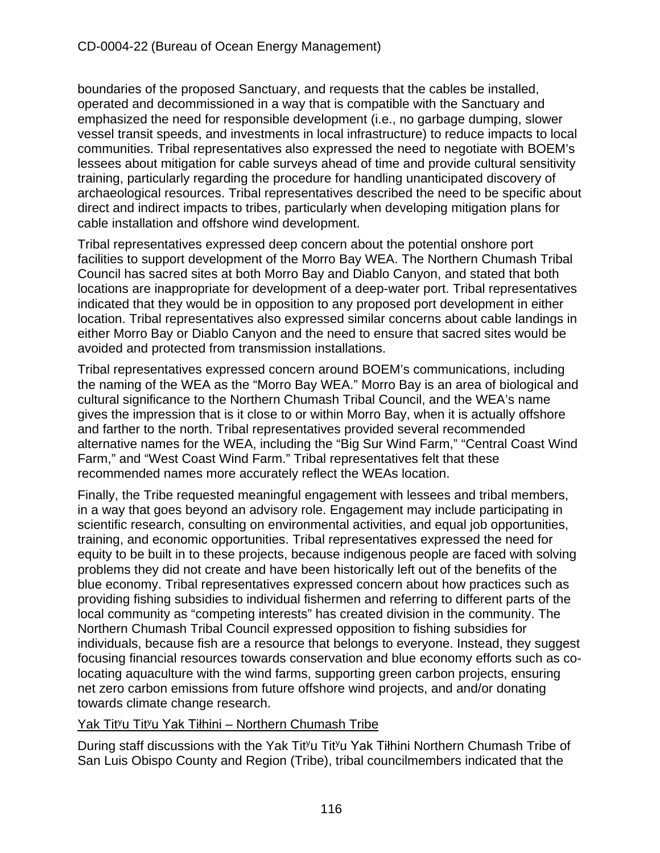boundaries of the proposed Sanctuary, and requests that the cables be installed, operated and decommissioned in a way that is compatible with the Sanctuary and emphasized the need for responsible development (i.e., no garbage dumping, slower vessel transit speeds, and investments in local infrastructure) to reduce impacts to local communities. Tribal representatives also expressed the need to negotiate with BOEM's lessees about mitigation for cable surveys ahead of time and provide cultural sensitivity training, particularly regarding the procedure for handling unanticipated discovery of archaeological resources. Tribal representatives described the need to be specific about direct and indirect impacts to tribes, particularly when developing mitigation plans for cable installation and offshore wind development.

Tribal representatives expressed deep concern about the potential onshore port facilities to support development of the Morro Bay WEA. The Northern Chumash Tribal Council has sacred sites at both Morro Bay and Diablo Canyon, and stated that both locations are inappropriate for development of a deep-water port. Tribal representatives indicated that they would be in opposition to any proposed port development in either location. Tribal representatives also expressed similar concerns about cable landings in either Morro Bay or Diablo Canyon and the need to ensure that sacred sites would be avoided and protected from transmission installations.

Tribal representatives expressed concern around BOEM's communications, including the naming of the WEA as the "Morro Bay WEA." Morro Bay is an area of biological and cultural significance to the Northern Chumash Tribal Council, and the WEA's name gives the impression that is it close to or within Morro Bay, when it is actually offshore and farther to the north. Tribal representatives provided several recommended alternative names for the WEA, including the "Big Sur Wind Farm," "Central Coast Wind Farm," and "West Coast Wind Farm." Tribal representatives felt that these recommended names more accurately reflect the WEAs location.

Finally, the Tribe requested meaningful engagement with lessees and tribal members, in a way that goes beyond an advisory role. Engagement may include participating in scientific research, consulting on environmental activities, and equal job opportunities, training, and economic opportunities. Tribal representatives expressed the need for equity to be built in to these projects, because indigenous people are faced with solving problems they did not create and have been historically left out of the benefits of the blue economy. Tribal representatives expressed concern about how practices such as providing fishing subsidies to individual fishermen and referring to different parts of the local community as "competing interests" has created division in the community. The Northern Chumash Tribal Council expressed opposition to fishing subsidies for individuals, because fish are a resource that belongs to everyone. Instead, they suggest focusing financial resources towards conservation and blue economy efforts such as colocating aquaculture with the wind farms, supporting green carbon projects, ensuring net zero carbon emissions from future offshore wind projects, and and/or donating towards climate change research.

## Yak Tit<sup>y</sup>u Tit<sup>y</sup>u Yak Tiłhini – Northern Chumash Tribe

During staff discussions with the Yak Tit<sup>y</sup>u Tit<sup>y</sup>u Yak Tiłhini Northern Chumash Tribe of San Luis Obispo County and Region (Tribe), tribal councilmembers indicated that the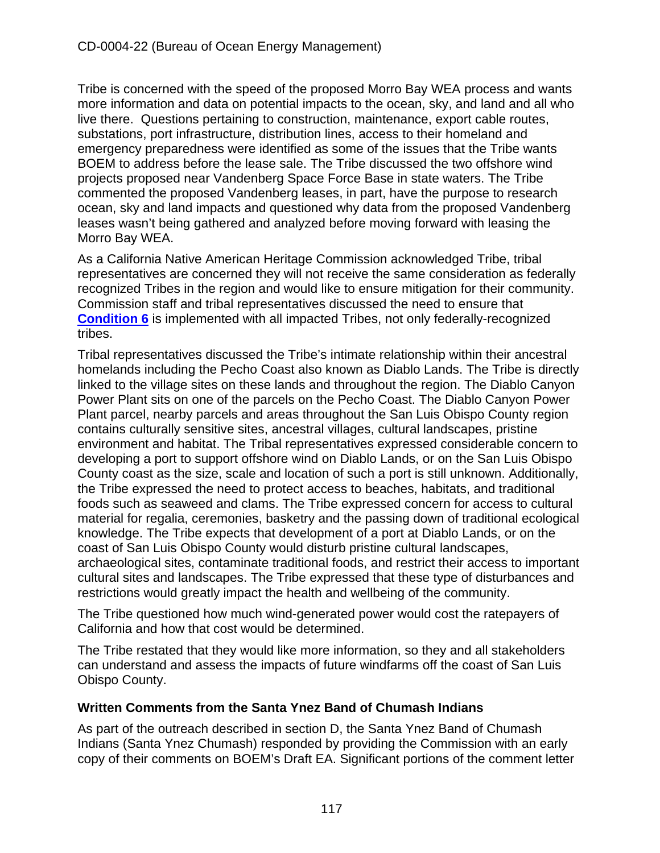Tribe is concerned with the speed of the proposed Morro Bay WEA process and wants more information and data on potential impacts to the ocean, sky, and land and all who live there. Questions pertaining to construction, maintenance, export cable routes, substations, port infrastructure, distribution lines, access to their homeland and emergency preparedness were identified as some of the issues that the Tribe wants BOEM to address before the lease sale. The Tribe discussed the two offshore wind projects proposed near Vandenberg Space Force Base in state waters. The Tribe commented the proposed Vandenberg leases, in part, have the purpose to research ocean, sky and land impacts and questioned why data from the proposed Vandenberg leases wasn't being gathered and analyzed before moving forward with leasing the Morro Bay WEA.

As a California Native American Heritage Commission acknowledged Tribe, tribal representatives are concerned they will not receive the same consideration as federally recognized Tribes in the region and would like to ensure mitigation for their community. Commission staff and tribal representatives discussed the need to ensure that **[Condition 6](#page-14-1)** is implemented with all impacted Tribes, not only federally-recognized tribes.

Tribal representatives discussed the Tribe's intimate relationship within their ancestral homelands including the Pecho Coast also known as Diablo Lands. The Tribe is directly linked to the village sites on these lands and throughout the region. The Diablo Canyon Power Plant sits on one of the parcels on the Pecho Coast. The Diablo Canyon Power Plant parcel, nearby parcels and areas throughout the San Luis Obispo County region contains culturally sensitive sites, ancestral villages, cultural landscapes, pristine environment and habitat. The Tribal representatives expressed considerable concern to developing a port to support offshore wind on Diablo Lands, or on the San Luis Obispo County coast as the size, scale and location of such a port is still unknown. Additionally, the Tribe expressed the need to protect access to beaches, habitats, and traditional foods such as seaweed and clams. The Tribe expressed concern for access to cultural material for regalia, ceremonies, basketry and the passing down of traditional ecological knowledge. The Tribe expects that development of a port at Diablo Lands, or on the coast of San Luis Obispo County would disturb pristine cultural landscapes, archaeological sites, contaminate traditional foods, and restrict their access to important cultural sites and landscapes. The Tribe expressed that these type of disturbances and restrictions would greatly impact the health and wellbeing of the community.

The Tribe questioned how much wind-generated power would cost the ratepayers of California and how that cost would be determined.

The Tribe restated that they would like more information, so they and all stakeholders can understand and assess the impacts of future windfarms off the coast of San Luis Obispo County.

## **Written Comments from the Santa Ynez Band of Chumash Indians**

As part of the outreach described in section D, the Santa Ynez Band of Chumash Indians (Santa Ynez Chumash) responded by providing the Commission with an early copy of their comments on BOEM's Draft EA. Significant portions of the comment letter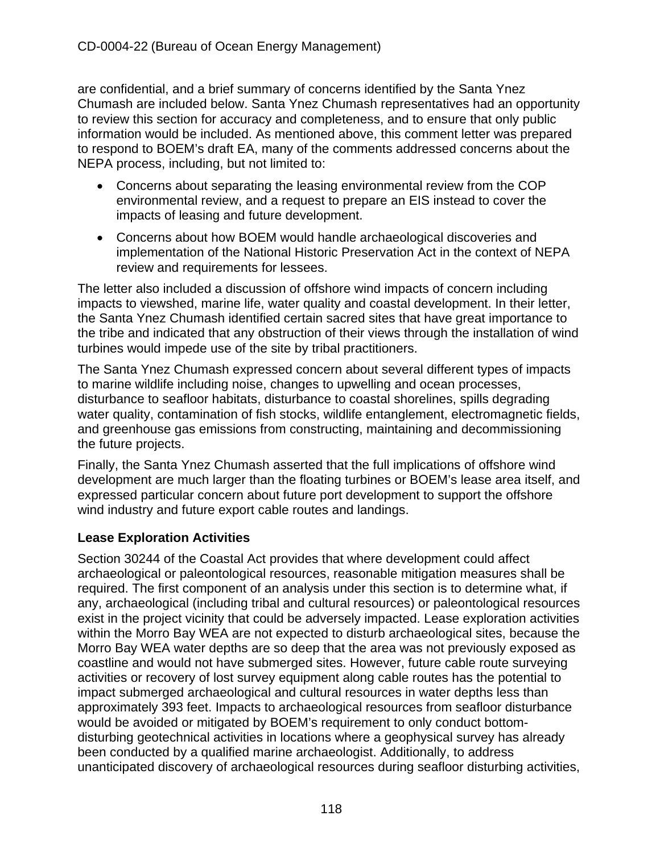are confidential, and a brief summary of concerns identified by the Santa Ynez Chumash are included below. Santa Ynez Chumash representatives had an opportunity to review this section for accuracy and completeness, and to ensure that only public information would be included. As mentioned above, this comment letter was prepared to respond to BOEM's draft EA, many of the comments addressed concerns about the NEPA process, including, but not limited to:

- Concerns about separating the leasing environmental review from the COP environmental review, and a request to prepare an EIS instead to cover the impacts of leasing and future development.
- Concerns about how BOEM would handle archaeological discoveries and implementation of the National Historic Preservation Act in the context of NEPA review and requirements for lessees.

The letter also included a discussion of offshore wind impacts of concern including impacts to viewshed, marine life, water quality and coastal development. In their letter, the Santa Ynez Chumash identified certain sacred sites that have great importance to the tribe and indicated that any obstruction of their views through the installation of wind turbines would impede use of the site by tribal practitioners.

The Santa Ynez Chumash expressed concern about several different types of impacts to marine wildlife including noise, changes to upwelling and ocean processes, disturbance to seafloor habitats, disturbance to coastal shorelines, spills degrading water quality, contamination of fish stocks, wildlife entanglement, electromagnetic fields, and greenhouse gas emissions from constructing, maintaining and decommissioning the future projects.

Finally, the Santa Ynez Chumash asserted that the full implications of offshore wind development are much larger than the floating turbines or BOEM's lease area itself, and expressed particular concern about future port development to support the offshore wind industry and future export cable routes and landings.

## **Lease Exploration Activities**

Section 30244 of the Coastal Act provides that where development could affect archaeological or paleontological resources, reasonable mitigation measures shall be required. The first component of an analysis under this section is to determine what, if any, archaeological (including tribal and cultural resources) or paleontological resources exist in the project vicinity that could be adversely impacted. Lease exploration activities within the Morro Bay WEA are not expected to disturb archaeological sites, because the Morro Bay WEA water depths are so deep that the area was not previously exposed as coastline and would not have submerged sites. However, future cable route surveying activities or recovery of lost survey equipment along cable routes has the potential to impact submerged archaeological and cultural resources in water depths less than approximately 393 feet. Impacts to archaeological resources from seafloor disturbance would be avoided or mitigated by BOEM's requirement to only conduct bottomdisturbing geotechnical activities in locations where a geophysical survey has already been conducted by a qualified marine archaeologist. Additionally, to address unanticipated discovery of archaeological resources during seafloor disturbing activities,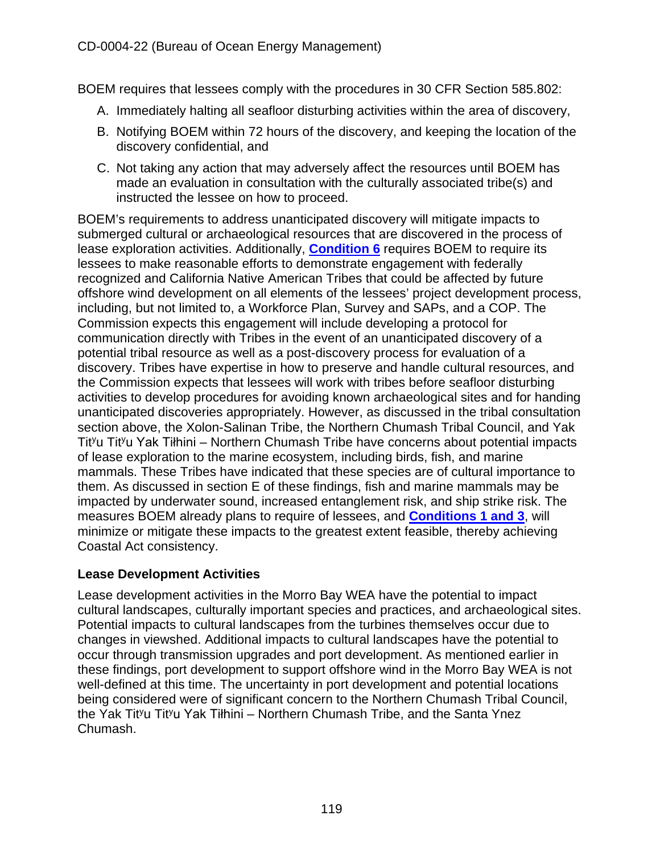BOEM requires that lessees comply with the procedures in 30 CFR Section 585.802:

- A. Immediately halting all seafloor disturbing activities within the area of discovery,
- B. Notifying BOEM within 72 hours of the discovery, and keeping the location of the discovery confidential, and
- C. Not taking any action that may adversely affect the resources until BOEM has made an evaluation in consultation with the culturally associated tribe(s) and instructed the lessee on how to proceed.

BOEM's requirements to address unanticipated discovery will mitigate impacts to submerged cultural or archaeological resources that are discovered in the process of lease exploration activities. Additionally, **[Condition 6](#page-14-1)** requires BOEM to require its lessees to make reasonable efforts to demonstrate engagement with federally recognized and California Native American Tribes that could be affected by future offshore wind development on all elements of the lessees' project development process, including, but not limited to, a Workforce Plan, Survey and SAPs, and a COP. The Commission expects this engagement will include developing a protocol for communication directly with Tribes in the event of an unanticipated discovery of a potential tribal resource as well as a post-discovery process for evaluation of a discovery. Tribes have expertise in how to preserve and handle cultural resources, and the Commission expects that lessees will work with tribes before seafloor disturbing activities to develop procedures for avoiding known archaeological sites and for handing unanticipated discoveries appropriately. However, as discussed in the tribal consultation section above, the Xolon-Salinan Tribe, the Northern Chumash Tribal Council, and Yak  $Ti<sup>y</sup>u Ti<sup>y</sup>u Yak Ti<sup>th</sup>ini – Northern Chumash Tribe have concerns about potential impacts$ of lease exploration to the marine ecosystem, including birds, fish, and marine mammals. These Tribes have indicated that these species are of cultural importance to them. As discussed in section E of these findings, fish and marine mammals may be impacted by underwater sound, increased entanglement risk, and ship strike risk. The measures BOEM already plans to require of lessees, and **[Conditions 1 and 3](#page-10-0)**, will minimize or mitigate these impacts to the greatest extent feasible, thereby achieving Coastal Act consistency.

## **Lease Development Activities**

Lease development activities in the Morro Bay WEA have the potential to impact cultural landscapes, culturally important species and practices, and archaeological sites. Potential impacts to cultural landscapes from the turbines themselves occur due to changes in viewshed. Additional impacts to cultural landscapes have the potential to occur through transmission upgrades and port development. As mentioned earlier in these findings, port development to support offshore wind in the Morro Bay WEA is not well-defined at this time. The uncertainty in port development and potential locations being considered were of significant concern to the Northern Chumash Tribal Council, the Yak Tit<sup>y</sup>u Tit<sup>y</sup>u Yak Tiłhini – Northern Chumash Tribe, and the Santa Ynez Chumash.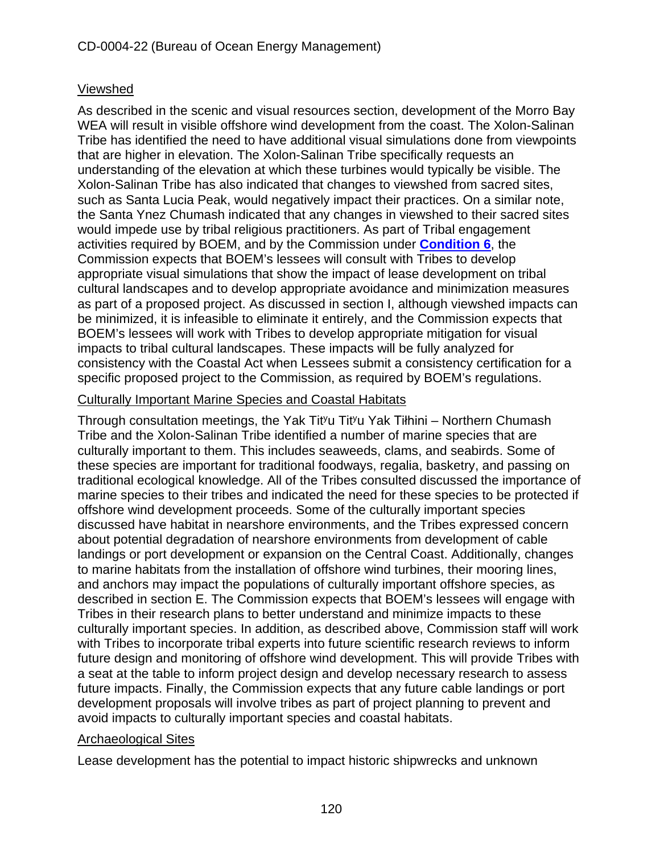## Viewshed

As described in the scenic and visual resources section, development of the Morro Bay WEA will result in visible offshore wind development from the coast. The Xolon-Salinan Tribe has identified the need to have additional visual simulations done from viewpoints that are higher in elevation. The Xolon-Salinan Tribe specifically requests an understanding of the elevation at which these turbines would typically be visible. The Xolon-Salinan Tribe has also indicated that changes to viewshed from sacred sites, such as Santa Lucia Peak, would negatively impact their practices. On a similar note, the Santa Ynez Chumash indicated that any changes in viewshed to their sacred sites would impede use by tribal religious practitioners. As part of Tribal engagement activities required by BOEM, and by the Commission under **[Condition 6](#page-14-1)**, the Commission expects that BOEM's lessees will consult with Tribes to develop appropriate visual simulations that show the impact of lease development on tribal cultural landscapes and to develop appropriate avoidance and minimization measures as part of a proposed project. As discussed in section I, although viewshed impacts can be minimized, it is infeasible to eliminate it entirely, and the Commission expects that BOEM's lessees will work with Tribes to develop appropriate mitigation for visual impacts to tribal cultural landscapes. These impacts will be fully analyzed for consistency with the Coastal Act when Lessees submit a consistency certification for a specific proposed project to the Commission, as required by BOEM's regulations.

## Culturally Important Marine Species and Coastal Habitats

Through consultation meetings, the Yak Tityu Tityu Yak Tiłhini – Northern Chumash Tribe and the Xolon-Salinan Tribe identified a number of marine species that are culturally important to them. This includes seaweeds, clams, and seabirds. Some of these species are important for traditional foodways, regalia, basketry, and passing on traditional ecological knowledge. All of the Tribes consulted discussed the importance of marine species to their tribes and indicated the need for these species to be protected if offshore wind development proceeds. Some of the culturally important species discussed have habitat in nearshore environments, and the Tribes expressed concern about potential degradation of nearshore environments from development of cable landings or port development or expansion on the Central Coast. Additionally, changes to marine habitats from the installation of offshore wind turbines, their mooring lines, and anchors may impact the populations of culturally important offshore species, as described in section E. The Commission expects that BOEM's lessees will engage with Tribes in their research plans to better understand and minimize impacts to these culturally important species. In addition, as described above, Commission staff will work with Tribes to incorporate tribal experts into future scientific research reviews to inform future design and monitoring of offshore wind development. This will provide Tribes with a seat at the table to inform project design and develop necessary research to assess future impacts. Finally, the Commission expects that any future cable landings or port development proposals will involve tribes as part of project planning to prevent and avoid impacts to culturally important species and coastal habitats.

## Archaeological Sites

Lease development has the potential to impact historic shipwrecks and unknown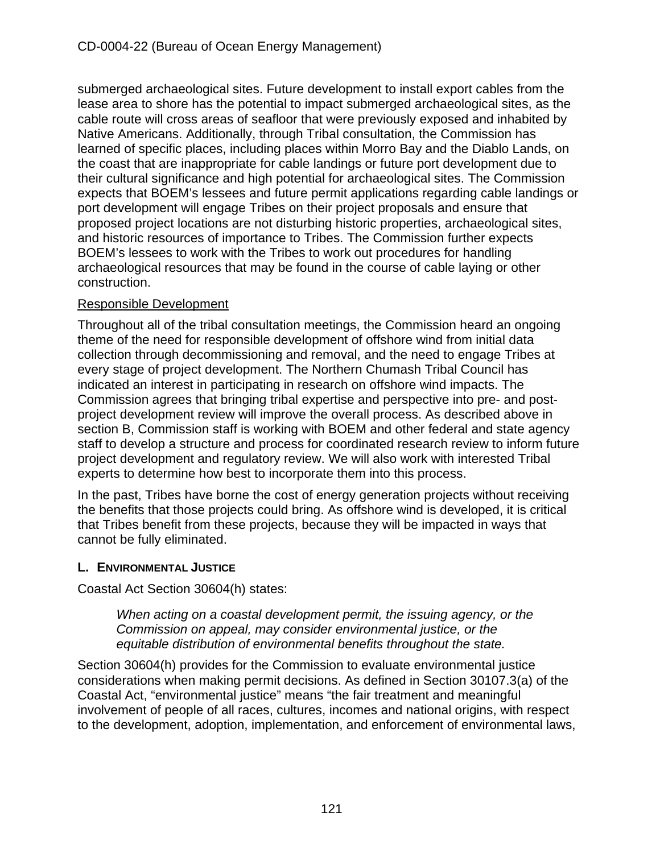submerged archaeological sites. Future development to install export cables from the lease area to shore has the potential to impact submerged archaeological sites, as the cable route will cross areas of seafloor that were previously exposed and inhabited by Native Americans. Additionally, through Tribal consultation, the Commission has learned of specific places, including places within Morro Bay and the Diablo Lands, on the coast that are inappropriate for cable landings or future port development due to their cultural significance and high potential for archaeological sites. The Commission expects that BOEM's lessees and future permit applications regarding cable landings or port development will engage Tribes on their project proposals and ensure that proposed project locations are not disturbing historic properties, archaeological sites, and historic resources of importance to Tribes. The Commission further expects BOEM's lessees to work with the Tribes to work out procedures for handling archaeological resources that may be found in the course of cable laying or other construction.

## Responsible Development

Throughout all of the tribal consultation meetings, the Commission heard an ongoing theme of the need for responsible development of offshore wind from initial data collection through decommissioning and removal, and the need to engage Tribes at every stage of project development. The Northern Chumash Tribal Council has indicated an interest in participating in research on offshore wind impacts. The Commission agrees that bringing tribal expertise and perspective into pre- and postproject development review will improve the overall process. As described above in section B, Commission staff is working with BOEM and other federal and state agency staff to develop a structure and process for coordinated research review to inform future project development and regulatory review. We will also work with interested Tribal experts to determine how best to incorporate them into this process.

In the past, Tribes have borne the cost of energy generation projects without receiving the benefits that those projects could bring. As offshore wind is developed, it is critical that Tribes benefit from these projects, because they will be impacted in ways that cannot be fully eliminated.

## **L. ENVIRONMENTAL JUSTICE**

Coastal Act Section 30604(h) states:

*When acting on a coastal development permit, the issuing agency, or the Commission on appeal, may consider environmental justice, or the equitable distribution of environmental benefits throughout the state.* 

Section 30604(h) provides for the Commission to evaluate environmental justice considerations when making permit decisions. As defined in Section 30107.3(a) of the Coastal Act, "environmental justice" means "the fair treatment and meaningful involvement of people of all races, cultures, incomes and national origins, with respect to the development, adoption, implementation, and enforcement of environmental laws,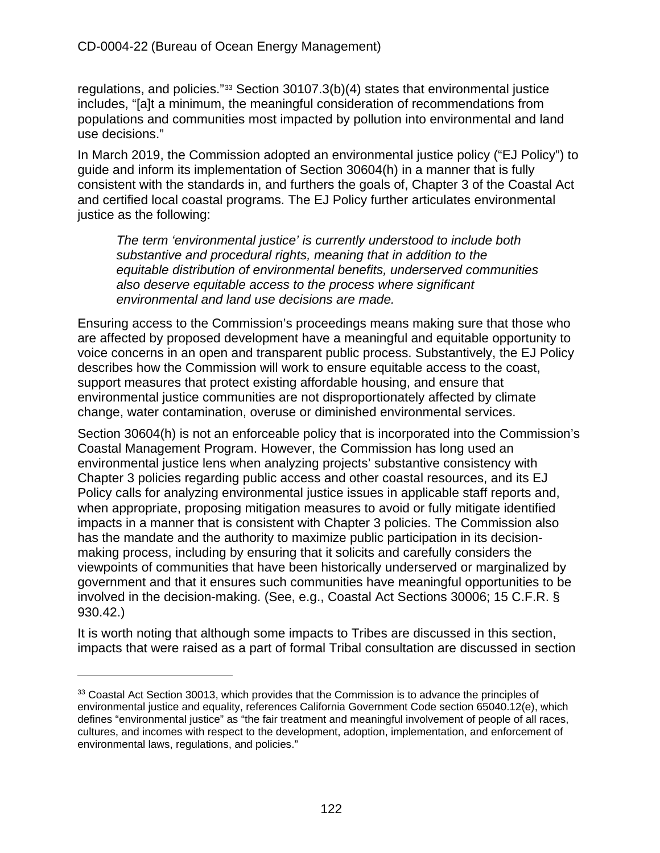regulations, and policies."[33](#page-121-0) Section 30107.3(b)(4) states that environmental justice includes, "[a]t a minimum, the meaningful consideration of recommendations from populations and communities most impacted by pollution into environmental and land use decisions."

In March 2019, the Commission adopted an environmental justice policy ("EJ Policy") to guide and inform its implementation of Section 30604(h) in a manner that is fully consistent with the standards in, and furthers the goals of, Chapter 3 of the Coastal Act and certified local coastal programs. The EJ Policy further articulates environmental justice as the following:

*The term 'environmental justice' is currently understood to include both substantive and procedural rights, meaning that in addition to the equitable distribution of environmental benefits, underserved communities also deserve equitable access to the process where significant environmental and land use decisions are made.* 

Ensuring access to the Commission's proceedings means making sure that those who are affected by proposed development have a meaningful and equitable opportunity to voice concerns in an open and transparent public process. Substantively, the EJ Policy describes how the Commission will work to ensure equitable access to the coast, support measures that protect existing affordable housing, and ensure that environmental justice communities are not disproportionately affected by climate change, water contamination, overuse or diminished environmental services.

Section 30604(h) is not an enforceable policy that is incorporated into the Commission's Coastal Management Program. However, the Commission has long used an environmental justice lens when analyzing projects' substantive consistency with Chapter 3 policies regarding public access and other coastal resources, and its EJ Policy calls for analyzing environmental justice issues in applicable staff reports and, when appropriate, proposing mitigation measures to avoid or fully mitigate identified impacts in a manner that is consistent with Chapter 3 policies. The Commission also has the mandate and the authority to maximize public participation in its decisionmaking process, including by ensuring that it solicits and carefully considers the viewpoints of communities that have been historically underserved or marginalized by government and that it ensures such communities have meaningful opportunities to be involved in the decision-making. (See, e.g., Coastal Act Sections 30006; 15 C.F.R. § 930.42.)

It is worth noting that although some impacts to Tribes are discussed in this section, impacts that were raised as a part of formal Tribal consultation are discussed in section

<span id="page-121-0"></span><sup>&</sup>lt;sup>33</sup> Coastal Act Section 30013, which provides that the Commission is to advance the principles of environmental justice and equality, references California Government Code section 65040.12(e), which defines "environmental justice" as "the fair treatment and meaningful involvement of people of all races, cultures, and incomes with respect to the development, adoption, implementation, and enforcement of environmental laws, regulations, and policies."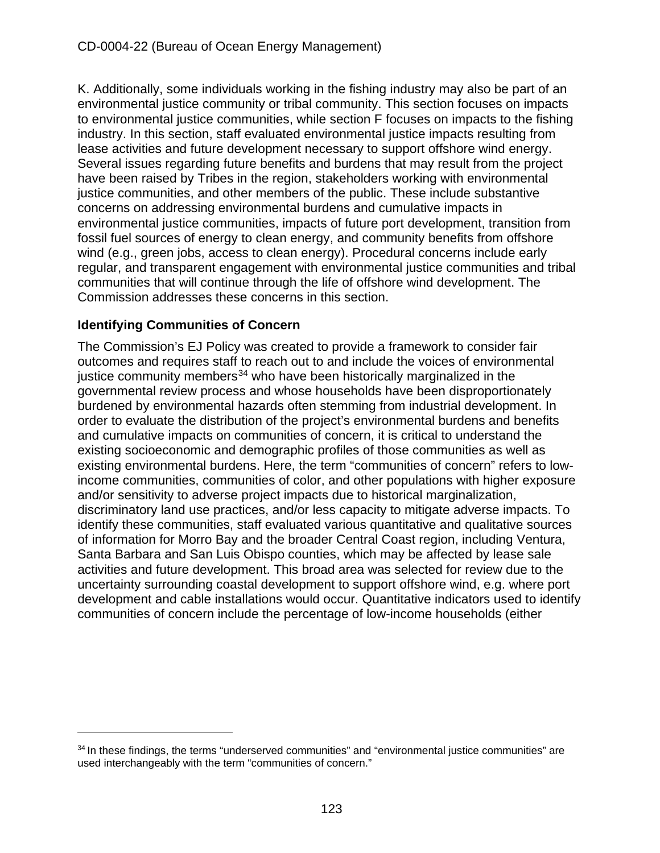K. Additionally, some individuals working in the fishing industry may also be part of an environmental justice community or tribal community. This section focuses on impacts to environmental justice communities, while section F focuses on impacts to the fishing industry. In this section, staff evaluated environmental justice impacts resulting from lease activities and future development necessary to support offshore wind energy. Several issues regarding future benefits and burdens that may result from the project have been raised by Tribes in the region, stakeholders working with environmental justice communities, and other members of the public. These include substantive concerns on addressing environmental burdens and cumulative impacts in environmental justice communities, impacts of future port development, transition from fossil fuel sources of energy to clean energy, and community benefits from offshore wind (e.g., green jobs, access to clean energy). Procedural concerns include early regular, and transparent engagement with environmental justice communities and tribal communities that will continue through the life of offshore wind development. The Commission addresses these concerns in this section.

# **Identifying Communities of Concern**

The Commission's EJ Policy was created to provide a framework to consider fair outcomes and requires staff to reach out to and include the voices of environmental justice community members<sup>[34](#page-122-0)</sup> who have been historically marginalized in the governmental review process and whose households have been disproportionately burdened by environmental hazards often stemming from industrial development. In order to evaluate the distribution of the project's environmental burdens and benefits and cumulative impacts on communities of concern, it is critical to understand the existing socioeconomic and demographic profiles of those communities as well as existing environmental burdens. Here, the term "communities of concern" refers to lowincome communities, communities of color, and other populations with higher exposure and/or sensitivity to adverse project impacts due to historical marginalization, discriminatory land use practices, and/or less capacity to mitigate adverse impacts. To identify these communities, staff evaluated various quantitative and qualitative sources of information for Morro Bay and the broader Central Coast region, including Ventura, Santa Barbara and San Luis Obispo counties, which may be affected by lease sale activities and future development. This broad area was selected for review due to the uncertainty surrounding coastal development to support offshore wind, e.g. where port development and cable installations would occur. Quantitative indicators used to identify communities of concern include the percentage of low-income households (either

<span id="page-122-0"></span><sup>&</sup>lt;sup>34</sup> In these findings, the terms "underserved communities" and "environmental justice communities" are used interchangeably with the term "communities of concern."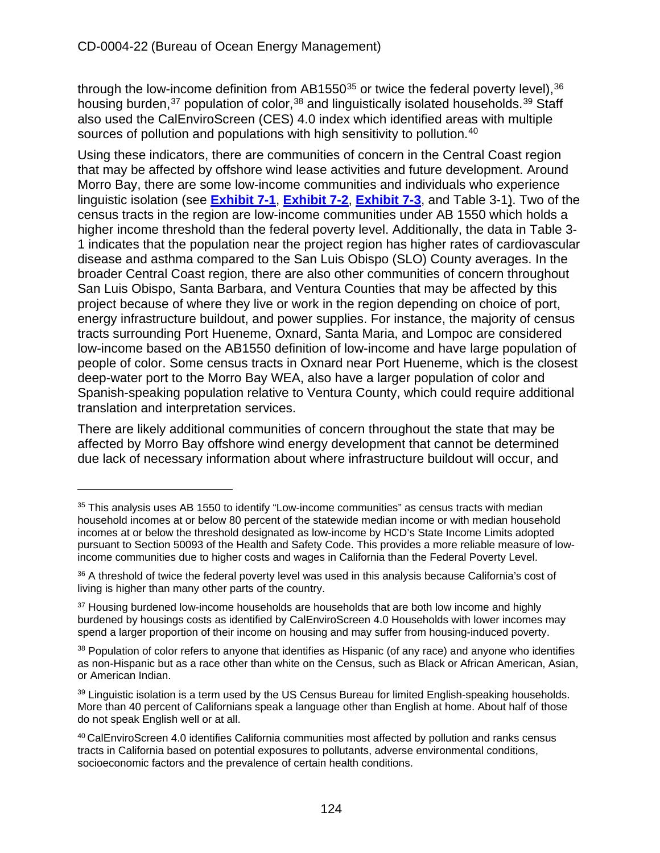through the low-income definition from  $AB1550^{35}$  $AB1550^{35}$  $AB1550^{35}$  or twice the federal poverty level),  $36$ housing burden,<sup>[37](#page-123-2)</sup> population of color,<sup>[38](#page-123-3)</sup> and linguistically isolated households.<sup>[39](#page-123-4)</sup> Staff also used the CalEnviroScreen (CES) 4.0 index which identified areas with multiple sources of pollution and populations with high sensitivity to pollution.<sup>[40](#page-123-5)</sup>

Using these indicators, there are communities of concern in the Central Coast region that may be affected by offshore wind lease activities and future development. Around Morro Bay, there are some low-income communities and individuals who experience linguistic isolation (see **[Exhibit 7-1](https://documents.coastal.ca.gov/reports/2022/6/W7a/W7a-6-2022-Exhibits.pdf)**, **[Exhibit 7-2](https://documents.coastal.ca.gov/reports/2022/6/W7a/W7a-6-2022-Exhibits.pdf)**, **[Exhibit 7-3](https://documents.coastal.ca.gov/reports/2022/6/W7a/W7a-6-2022-Exhibits.pdf)**, and Table 3-1). Two of the census tracts in the region are low-income communities under AB 1550 which holds a higher income threshold than the federal poverty level. Additionally, the data in Table 3- 1 indicates that the population near the project region has higher rates of cardiovascular disease and asthma compared to the San Luis Obispo (SLO) County averages. In the broader Central Coast region, there are also other communities of concern throughout San Luis Obispo, Santa Barbara, and Ventura Counties that may be affected by this project because of where they live or work in the region depending on choice of port, energy infrastructure buildout, and power supplies. For instance, the majority of census tracts surrounding Port Hueneme, Oxnard, Santa Maria, and Lompoc are considered low-income based on the AB1550 definition of low-income and have large population of people of color. Some census tracts in Oxnard near Port Hueneme, which is the closest deep-water port to the Morro Bay WEA, also have a larger population of color and Spanish-speaking population relative to Ventura County, which could require additional translation and interpretation services.

There are likely additional communities of concern throughout the state that may be affected by Morro Bay offshore wind energy development that cannot be determined due lack of necessary information about where infrastructure buildout will occur, and

<span id="page-123-0"></span><sup>&</sup>lt;sup>35</sup> This analysis uses AB 1550 to identify "Low-income communities" as census tracts with median household incomes at or below 80 percent of the statewide median income or with median household incomes at or below the threshold designated as low-income by HCD's State Income Limits adopted pursuant to Section 50093 of the Health and Safety Code. This provides a more reliable measure of lowincome communities due to higher costs and wages in California than the Federal Poverty Level.

<span id="page-123-1"></span><sup>&</sup>lt;sup>36</sup> A threshold of twice the federal poverty level was used in this analysis because California's cost of living is higher than many other parts of the country.

<span id="page-123-2"></span><sup>&</sup>lt;sup>37</sup> Housing burdened low-income households are households that are both low income and highly burdened by housings costs as identified by CalEnviroScreen 4.0 Households with lower incomes may spend a larger proportion of their income on housing and may suffer from housing-induced poverty.

<span id="page-123-3"></span><sup>38</sup> Population of color refers to anyone that identifies as Hispanic (of any race) and anyone who identifies as non-Hispanic but as a race other than white on the Census, such as Black or African American, Asian, or American Indian.

<span id="page-123-4"></span><sup>&</sup>lt;sup>39</sup> Linguistic isolation is a term used by the US Census Bureau for limited English-speaking households. More than 40 percent of Californians speak a language other than English at home. About half of those do not speak English well or at all.

<span id="page-123-5"></span><sup>40</sup> CalEnviroScreen 4.0 identifies California communities most affected by pollution and ranks census tracts in California based on potential exposures to pollutants, adverse environmental conditions, socioeconomic factors and the prevalence of certain health conditions.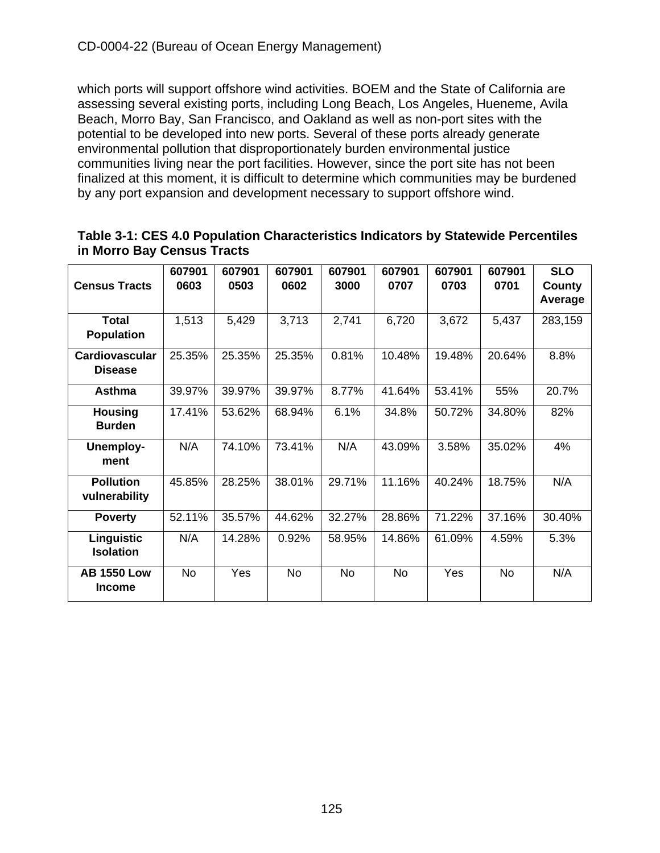which ports will support offshore wind activities. BOEM and the State of California are assessing several existing ports, including Long Beach, Los Angeles, Hueneme, Avila Beach, Morro Bay, San Francisco, and Oakland as well as non-port sites with the potential to be developed into new ports. Several of these ports already generate environmental pollution that disproportionately burden environmental justice communities living near the port facilities. However, since the port site has not been finalized at this moment, it is difficult to determine which communities may be burdened by any port expansion and development necessary to support offshore wind.

| Table 3-1: CES 4.0 Population Characteristics Indicators by Statewide Percentiles |  |
|-----------------------------------------------------------------------------------|--|
| in Morro Bay Census Tracts                                                        |  |

| <b>Census Tracts</b>                    | 607901<br>0603 | 607901<br>0503 | 607901<br>0602 | 607901<br>3000 | 607901<br>0707 | 607901<br>0703 | 607901<br>0701 | <b>SLO</b><br>County<br>Average |
|-----------------------------------------|----------------|----------------|----------------|----------------|----------------|----------------|----------------|---------------------------------|
| <b>Total</b><br><b>Population</b>       | 1,513          | 5,429          | 3,713          | 2,741          | 6,720          | 3,672          | 5,437          | 283,159                         |
| <b>Cardiovascular</b><br><b>Disease</b> | 25.35%         | 25.35%         | 25.35%         | 0.81%          | 10.48%         | 19.48%         | 20.64%         | 8.8%                            |
| <b>Asthma</b>                           | 39.97%         | 39.97%         | 39.97%         | 8.77%          | 41.64%         | 53.41%         | 55%            | 20.7%                           |
| <b>Housing</b><br><b>Burden</b>         | 17.41%         | 53.62%         | 68.94%         | 6.1%           | 34.8%          | 50.72%         | 34.80%         | 82%                             |
| <b>Unemploy-</b><br>ment                | N/A            | 74.10%         | 73.41%         | N/A            | 43.09%         | 3.58%          | 35.02%         | 4%                              |
| <b>Pollution</b><br>vulnerability       | 45.85%         | 28.25%         | 38.01%         | 29.71%         | 11.16%         | 40.24%         | 18.75%         | N/A                             |
| <b>Poverty</b>                          | 52.11%         | 35.57%         | 44.62%         | 32.27%         | 28.86%         | 71.22%         | 37.16%         | 30.40%                          |
| Linguistic<br><b>Isolation</b>          | N/A            | 14.28%         | 0.92%          | 58.95%         | 14.86%         | 61.09%         | 4.59%          | 5.3%                            |
| <b>AB 1550 Low</b><br><b>Income</b>     | <b>No</b>      | Yes            | No             | <b>No</b>      | <b>No</b>      | Yes            | <b>No</b>      | N/A                             |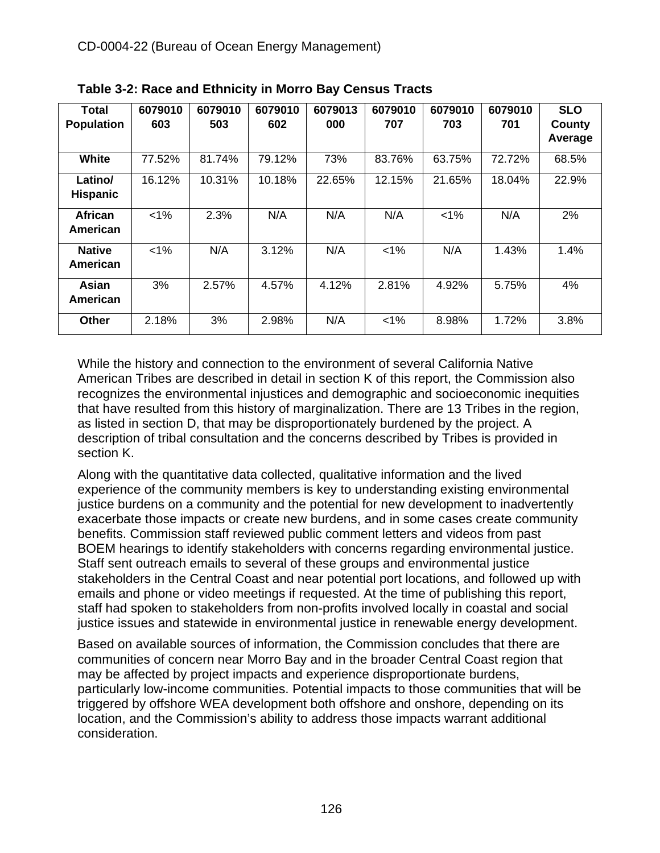| Total<br><b>Population</b> | 6079010<br>603 | 6079010<br>503 | 6079010<br>602 | 6079013<br>000 | 6079010<br>707 | 6079010<br>703 | 6079010<br>701 | <b>SLO</b><br>County<br>Average |
|----------------------------|----------------|----------------|----------------|----------------|----------------|----------------|----------------|---------------------------------|
| White                      | 77.52%         | 81.74%         | 79.12%         | 73%            | 83.76%         | 63.75%         | 72.72%         | 68.5%                           |
| Latino/<br><b>Hispanic</b> | 16.12%         | 10.31%         | 10.18%         | 22.65%         | 12.15%         | 21.65%         | 18.04%         | 22.9%                           |
| <b>African</b><br>American | $< 1\%$        | 2.3%           | N/A            | N/A            | N/A            | $< 1\%$        | N/A            | 2%                              |
| <b>Native</b><br>American  | $1\%$          | N/A            | 3.12%          | N/A            | $< 1\%$        | N/A            | 1.43%          | 1.4%                            |
| Asian<br>American          | 3%             | 2.57%          | 4.57%          | 4.12%          | 2.81%          | 4.92%          | 5.75%          | 4%                              |
| <b>Other</b>               | 2.18%          | 3%             | 2.98%          | N/A            | $< 1\%$        | 8.98%          | 1.72%          | 3.8%                            |

**Table 3-2: Race and Ethnicity in Morro Bay Census Tracts**

While the history and connection to the environment of several California Native American Tribes are described in detail in section K of this report, the Commission also recognizes the environmental injustices and demographic and socioeconomic inequities that have resulted from this history of marginalization. There are 13 Tribes in the region, as listed in section D, that may be disproportionately burdened by the project. A description of tribal consultation and the concerns described by Tribes is provided in section K.

Along with the quantitative data collected, qualitative information and the lived experience of the community members is key to understanding existing environmental justice burdens on a community and the potential for new development to inadvertently exacerbate those impacts or create new burdens, and in some cases create community benefits. Commission staff reviewed public comment letters and videos from past BOEM hearings to identify stakeholders with concerns regarding environmental justice. Staff sent outreach emails to several of these groups and environmental justice stakeholders in the Central Coast and near potential port locations, and followed up with emails and phone or video meetings if requested. At the time of publishing this report, staff had spoken to stakeholders from non-profits involved locally in coastal and social justice issues and statewide in environmental justice in renewable energy development.

Based on available sources of information, the Commission concludes that there are communities of concern near Morro Bay and in the broader Central Coast region that may be affected by project impacts and experience disproportionate burdens, particularly low-income communities. Potential impacts to those communities that will be triggered by offshore WEA development both offshore and onshore, depending on its location, and the Commission's ability to address those impacts warrant additional consideration.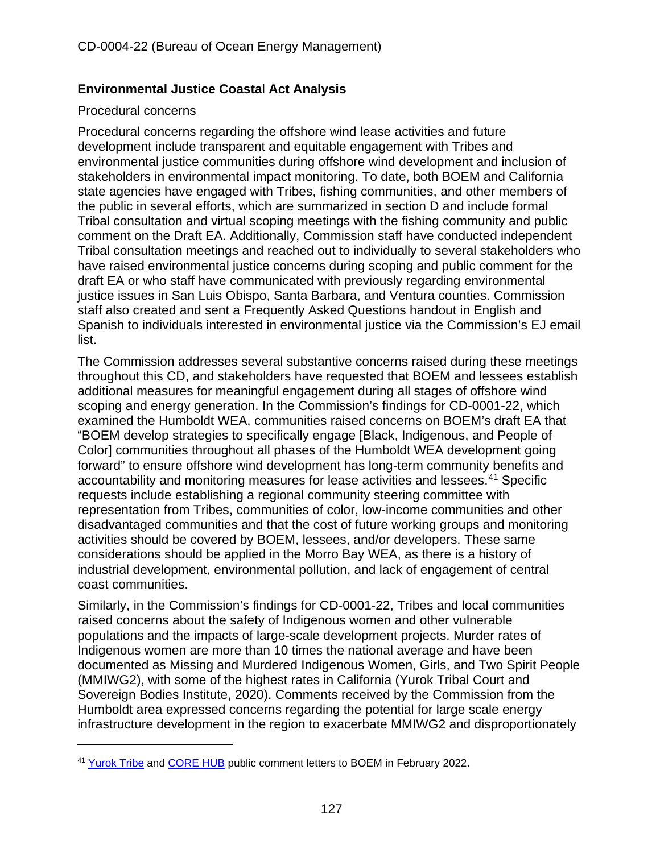## **Environmental Justice Coasta**l **Act Analysis**

## Procedural concerns

Procedural concerns regarding the offshore wind lease activities and future development include transparent and equitable engagement with Tribes and environmental justice communities during offshore wind development and inclusion of stakeholders in environmental impact monitoring. To date, both BOEM and California state agencies have engaged with Tribes, fishing communities, and other members of the public in several efforts, which are summarized in section D and include formal Tribal consultation and virtual scoping meetings with the fishing community and public comment on the Draft EA. Additionally, Commission staff have conducted independent Tribal consultation meetings and reached out to individually to several stakeholders who have raised environmental justice concerns during scoping and public comment for the draft EA or who staff have communicated with previously regarding environmental justice issues in San Luis Obispo, Santa Barbara, and Ventura counties. Commission staff also created and sent a Frequently Asked Questions handout in English and Spanish to individuals interested in environmental justice via the Commission's EJ email list.

<span id="page-126-1"></span>The Commission addresses several substantive concerns raised during these meetings throughout this CD, and stakeholders have requested that BOEM and lessees establish additional measures for meaningful engagement during all stages of offshore wind scoping and energy generation. In the Commission's findings for CD-0001-22, which examined the Humboldt WEA, communities raised concerns on BOEM's draft EA that "BOEM develop strategies to specifically engage [Black, Indigenous, and People of Color] communities throughout all phases of the Humboldt WEA development going forward" to ensure offshore wind development has long-term community benefits and accountability and monitoring measures for lease activities and lessees.[41](#page-126-0) Specific requests include establishing a regional community steering committee with representation from Tribes, communities of color, low-income communities and other disadvantaged communities and that the cost of future working groups and monitoring activities should be covered by BOEM, lessees, and/or developers. These same considerations should be applied in the Morro Bay WEA, as there is a history of industrial development, environmental pollution, and lack of engagement of central coast communities.

Similarly, in the Commission's findings for CD-0001-22, Tribes and local communities raised concerns about the safety of Indigenous women and other vulnerable populations and the impacts of large-scale development projects. Murder rates of Indigenous women are more than 10 times the national average and have been documented as Missing and Murdered Indigenous Women, Girls, and Two Spirit People (MMIWG2), with some of the highest rates in California (Yurok Tribal Court and Sovereign Bodies Institute, 2020). Comments received by the Commission from the Humboldt area expressed concerns regarding the potential for large scale energy infrastructure development in the region to exacerbate MMIWG2 and disproportionately

<span id="page-126-0"></span><sup>&</sup>lt;sup>41</sup> [Yurok Tribe](https://www.regulations.gov/comment/BOEM-2021-0085-0028) and [CORE HUB](https://www.regulations.gov/comment/BOEM-2021-0085-0020) public comment letters to BOEM in February 2022.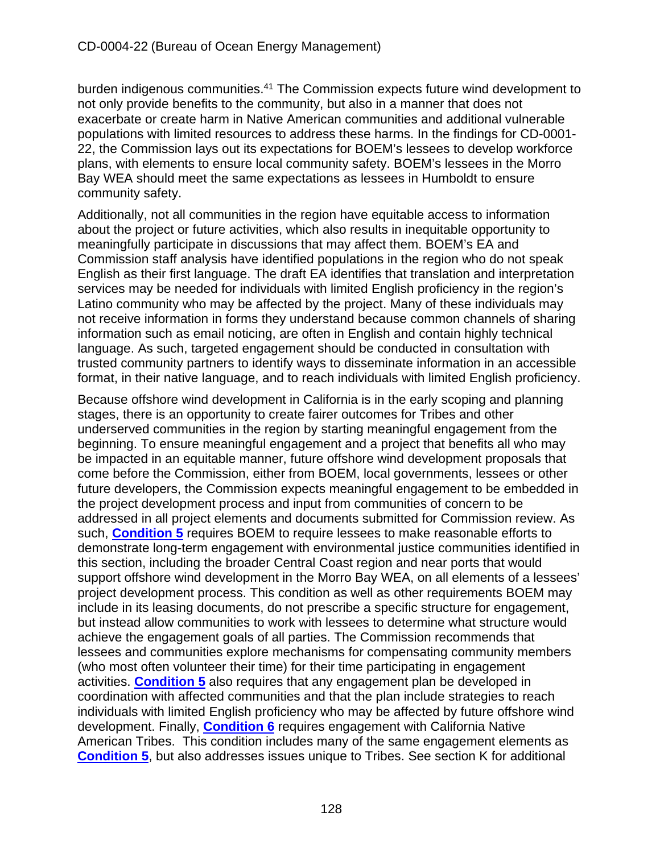burden indigenous communities.<sup>41</sup> The Commission expects future wind development to not only provide benefits to the community, but also in a manner that does not exacerbate or create harm in Native American communities and additional vulnerable populations with limited resources to address these harms. In the findings for CD-0001- 22, the Commission lays out its expectations for BOEM's lessees to develop workforce plans, with elements to ensure local community safety. BOEM's lessees in the Morro Bay WEA should meet the same expectations as lessees in Humboldt to ensure community safety.

Additionally, not all communities in the region have equitable access to information about the project or future activities, which also results in inequitable opportunity to meaningfully participate in discussions that may affect them. BOEM's EA and Commission staff analysis have identified populations in the region who do not speak English as their first language. The draft EA identifies that translation and interpretation services may be needed for individuals with limited English proficiency in the region's Latino community who may be affected by the project. Many of these individuals may not receive information in forms they understand because common channels of sharing information such as email noticing, are often in English and contain highly technical language. As such, targeted engagement should be conducted in consultation with trusted community partners to identify ways to disseminate information in an accessible format, in their native language, and to reach individuals with limited English proficiency.

Because offshore wind development in California is in the early scoping and planning stages, there is an opportunity to create fairer outcomes for Tribes and other underserved communities in the region by starting meaningful engagement from the beginning. To ensure meaningful engagement and a project that benefits all who may be impacted in an equitable manner, future offshore wind development proposals that come before the Commission, either from BOEM, local governments, lessees or other future developers, the Commission expects meaningful engagement to be embedded in the project development process and input from communities of concern to be addressed in all project elements and documents submitted for Commission review. As such, **[Condition 5](#page-14-2)** requires BOEM to require lessees to make reasonable efforts to demonstrate long-term engagement with environmental justice communities identified in this section, including the broader Central Coast region and near ports that would support offshore wind development in the Morro Bay WEA, on all elements of a lessees' project development process. This condition as well as other requirements BOEM may include in its leasing documents, do not prescribe a specific structure for engagement, but instead allow communities to work with lessees to determine what structure would achieve the engagement goals of all parties. The Commission recommends that lessees and communities explore mechanisms for compensating community members (who most often volunteer their time) for their time participating in engagement activities. **[Condition 5](#page-14-2)** also requires that any engagement plan be developed in coordination with affected communities and that the plan include strategies to reach individuals with limited English proficiency who may be affected by future offshore wind development. Finally, **[Condition 6](#page-14-1)** requires engagement with California Native American Tribes. This condition includes many of the same engagement elements as **[Condition 5](#page-14-2)**, but also addresses issues unique to Tribes. See section K for additional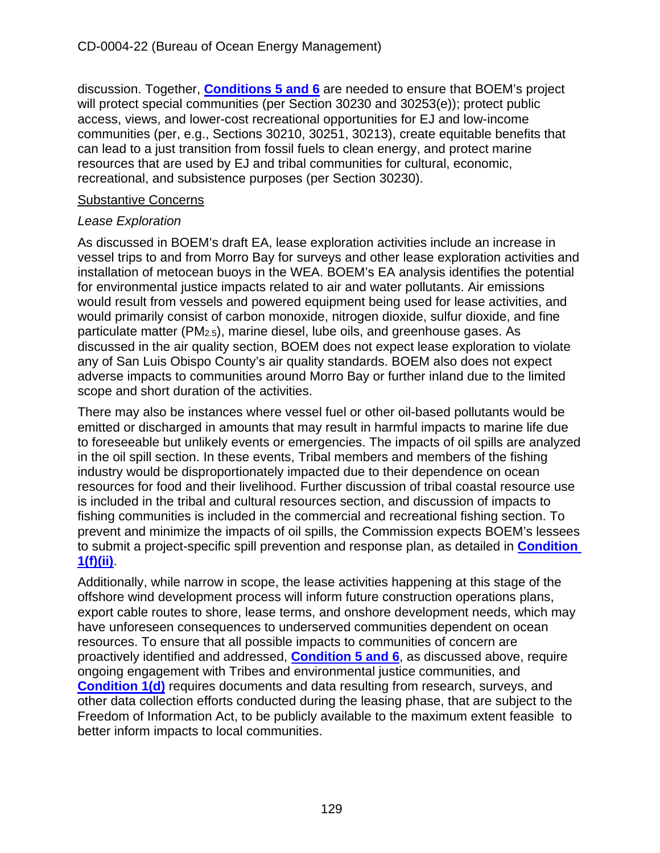discussion. Together, **[Conditions 5 and 6](#page-14-2)** are needed to ensure that BOEM's project will protect special communities (per Section 30230 and 30253(e)); protect public access, views, and lower-cost recreational opportunities for EJ and low-income communities (per, e.g., Sections 30210, 30251, 30213), create equitable benefits that can lead to a just transition from fossil fuels to clean energy, and protect marine resources that are used by EJ and tribal communities for cultural, economic, recreational, and subsistence purposes (per Section 30230).

#### Substantive Concerns

#### *Lease Exploration*

As discussed in BOEM's draft EA, lease exploration activities include an increase in vessel trips to and from Morro Bay for surveys and other lease exploration activities and installation of metocean buoys in the WEA. BOEM's EA analysis identifies the potential for environmental justice impacts related to air and water pollutants. Air emissions would result from vessels and powered equipment being used for lease activities, and would primarily consist of carbon monoxide, nitrogen dioxide, sulfur dioxide, and fine particulate matter (PM2.5), marine diesel, lube oils, and greenhouse gases. As discussed in the air quality section, BOEM does not expect lease exploration to violate any of San Luis Obispo County's air quality standards. BOEM also does not expect adverse impacts to communities around Morro Bay or further inland due to the limited scope and short duration of the activities.

There may also be instances where vessel fuel or other oil-based pollutants would be emitted or discharged in amounts that may result in harmful impacts to marine life due to foreseeable but unlikely events or emergencies. The impacts of oil spills are analyzed in the oil spill section. In these events, Tribal members and members of the fishing industry would be disproportionately impacted due to their dependence on ocean resources for food and their livelihood. Further discussion of tribal coastal resource use is included in the tribal and cultural resources section, and discussion of impacts to fishing communities is included in the commercial and recreational fishing section. To prevent and minimize the impacts of oil spills, the Commission expects BOEM's lessees to submit a project-specific spill prevention and response plan, as detailed in **[Condition](#page-10-0)  [1\(f\)\(ii\)](#page-10-0)**.

Additionally, while narrow in scope, the lease activities happening at this stage of the offshore wind development process will inform future construction operations plans, export cable routes to shore, lease terms, and onshore development needs, which may have unforeseen consequences to underserved communities dependent on ocean resources. To ensure that all possible impacts to communities of concern are proactively identified and addressed, **[Condition 5 and 6](#page-14-2)**, as discussed above, require ongoing engagement with Tribes and environmental justice communities, and **[Condition 1\(d\)](#page-10-0)** requires documents and data resulting from research, surveys, and other data collection efforts conducted during the leasing phase, that are subject to the Freedom of Information Act, to be publicly available to the maximum extent feasible to better inform impacts to local communities.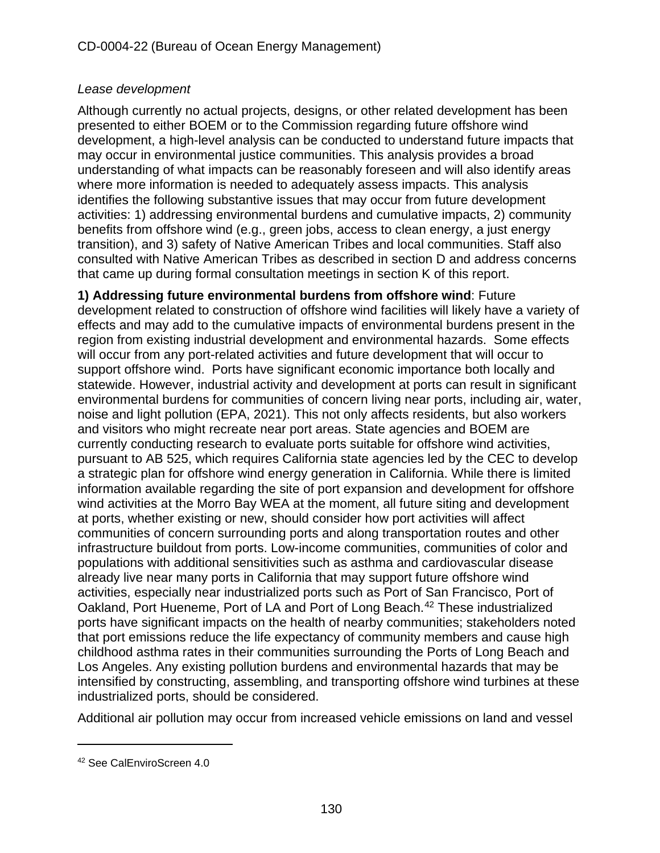## *Lease development*

Although currently no actual projects, designs, or other related development has been presented to either BOEM or to the Commission regarding future offshore wind development, a high-level analysis can be conducted to understand future impacts that may occur in environmental justice communities. This analysis provides a broad understanding of what impacts can be reasonably foreseen and will also identify areas where more information is needed to adequately assess impacts. This analysis identifies the following substantive issues that may occur from future development activities: 1) addressing environmental burdens and cumulative impacts, 2) community benefits from offshore wind (e.g., green jobs, access to clean energy, a just energy transition), and 3) safety of Native American Tribes and local communities. Staff also consulted with Native American Tribes as described in section D and address concerns that came up during formal consultation meetings in section K of this report.

**1) Addressing future environmental burdens from offshore wind**: Future development related to construction of offshore wind facilities will likely have a variety of effects and may add to the cumulative impacts of environmental burdens present in the region from existing industrial development and environmental hazards. Some effects will occur from any port-related activities and future development that will occur to support offshore wind. Ports have significant economic importance both locally and statewide. However, industrial activity and development at ports can result in significant environmental burdens for communities of concern living near ports, including air, water, noise and light pollution (EPA, 2021). This not only affects residents, but also workers and visitors who might recreate near port areas. State agencies and BOEM are currently conducting research to evaluate ports suitable for offshore wind activities, pursuant to AB 525, which requires California state agencies led by the CEC to develop a strategic plan for offshore wind energy generation in California. While there is limited information available regarding the site of port expansion and development for offshore wind activities at the Morro Bay WEA at the moment, all future siting and development at ports, whether existing or new, should consider how port activities will affect communities of concern surrounding ports and along transportation routes and other infrastructure buildout from ports. Low-income communities, communities of color and populations with additional sensitivities such as asthma and cardiovascular disease already live near many ports in California that may support future offshore wind activities, especially near industrialized ports such as Port of San Francisco, Port of Oakland, Port Hueneme, Port of LA and Port of Long Beach.<sup>[42](#page-129-0)</sup> These industrialized ports have significant impacts on the health of nearby communities; stakeholders noted that port emissions reduce the life expectancy of community members and cause high childhood asthma rates in their communities surrounding the Ports of Long Beach and Los Angeles. Any existing pollution burdens and environmental hazards that may be intensified by constructing, assembling, and transporting offshore wind turbines at these industrialized ports, should be considered.

Additional air pollution may occur from increased vehicle emissions on land and vessel

<span id="page-129-0"></span><sup>42</sup> See CalEnviroScreen 4.0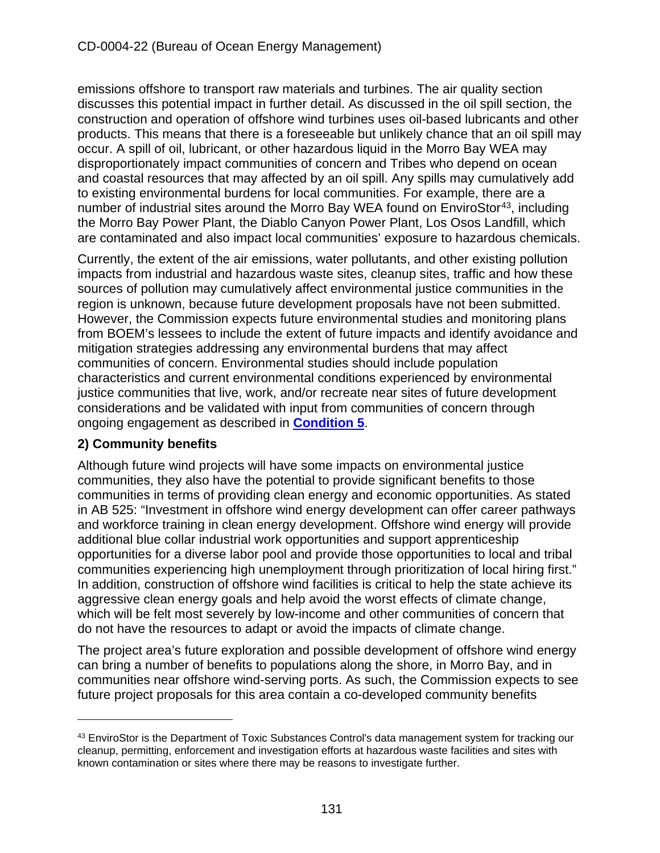emissions offshore to transport raw materials and turbines. The air quality section discusses this potential impact in further detail. As discussed in the oil spill section, the construction and operation of offshore wind turbines uses oil-based lubricants and other products. This means that there is a foreseeable but unlikely chance that an oil spill may occur. A spill of oil, lubricant, or other hazardous liquid in the Morro Bay WEA may disproportionately impact communities of concern and Tribes who depend on ocean and coastal resources that may affected by an oil spill. Any spills may cumulatively add to existing environmental burdens for local communities. For example, there are a number of industrial sites around the Morro Bay WEA found on EnviroStor<sup>[43](#page-130-0)</sup>, including the Morro Bay Power Plant, the Diablo Canyon Power Plant, Los Osos Landfill, which are contaminated and also impact local communities' exposure to hazardous chemicals.

Currently, the extent of the air emissions, water pollutants, and other existing pollution impacts from industrial and hazardous waste sites, cleanup sites, traffic and how these sources of pollution may cumulatively affect environmental justice communities in the region is unknown, because future development proposals have not been submitted. However, the Commission expects future environmental studies and monitoring plans from BOEM's lessees to include the extent of future impacts and identify avoidance and mitigation strategies addressing any environmental burdens that may affect communities of concern. Environmental studies should include population characteristics and current environmental conditions experienced by environmental justice communities that live, work, and/or recreate near sites of future development considerations and be validated with input from communities of concern through ongoing engagement as described in **[Condition 5](#page-14-2)**.

## **2) Community benefits**

Although future wind projects will have some impacts on environmental justice communities, they also have the potential to provide significant benefits to those communities in terms of providing clean energy and economic opportunities. As stated in AB 525: "Investment in offshore wind energy development can offer career pathways and workforce training in clean energy development. Offshore wind energy will provide additional blue collar industrial work opportunities and support apprenticeship opportunities for a diverse labor pool and provide those opportunities to local and tribal communities experiencing high unemployment through prioritization of local hiring first." In addition, construction of offshore wind facilities is critical to help the state achieve its aggressive clean energy goals and help avoid the worst effects of climate change, which will be felt most severely by low-income and other communities of concern that do not have the resources to adapt or avoid the impacts of climate change.

The project area's future exploration and possible development of offshore wind energy can bring a number of benefits to populations along the shore, in Morro Bay, and in communities near offshore wind-serving ports. As such, the Commission expects to see future project proposals for this area contain a co-developed community benefits

<span id="page-130-0"></span><sup>&</sup>lt;sup>43</sup> EnviroStor is the Department of Toxic Substances Control's data management system for tracking our cleanup, permitting, enforcement and investigation efforts at hazardous waste facilities and sites with known contamination or sites where there may be reasons to investigate further.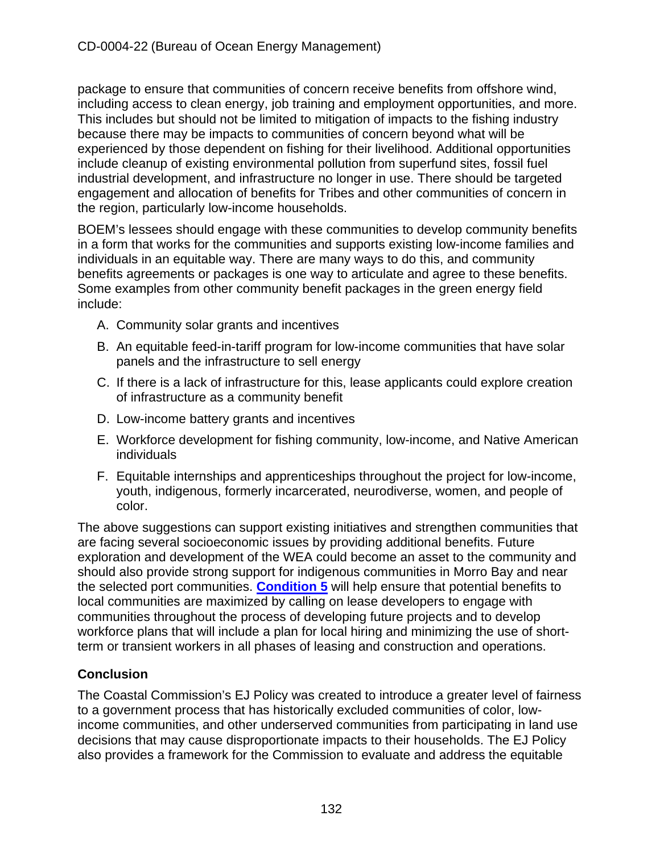package to ensure that communities of concern receive benefits from offshore wind, including access to clean energy, job training and employment opportunities, and more. This includes but should not be limited to mitigation of impacts to the fishing industry because there may be impacts to communities of concern beyond what will be experienced by those dependent on fishing for their livelihood. Additional opportunities include cleanup of existing environmental pollution from superfund sites, fossil fuel industrial development, and infrastructure no longer in use. There should be targeted engagement and allocation of benefits for Tribes and other communities of concern in the region, particularly low-income households.

BOEM's lessees should engage with these communities to develop community benefits in a form that works for the communities and supports existing low-income families and individuals in an equitable way. There are many ways to do this, and community benefits agreements or packages is one way to articulate and agree to these benefits. Some examples from other community benefit packages in the green energy field include:

- A. Community solar grants and incentives
- B. An equitable feed-in-tariff program for low-income communities that have solar panels and the infrastructure to sell energy
- C. If there is a lack of infrastructure for this, lease applicants could explore creation of infrastructure as a community benefit
- D. Low-income battery grants and incentives
- E. Workforce development for fishing community, low-income, and Native American individuals
- F. Equitable internships and apprenticeships throughout the project for low-income, youth, indigenous, formerly incarcerated, neurodiverse, women, and people of color.

The above suggestions can support existing initiatives and strengthen communities that are facing several socioeconomic issues by providing additional benefits. Future exploration and development of the WEA could become an asset to the community and should also provide strong support for indigenous communities in Morro Bay and near the selected port communities. **[Condition 5](#page-14-2)** will help ensure that potential benefits to local communities are maximized by calling on lease developers to engage with communities throughout the process of developing future projects and to develop workforce plans that will include a plan for local hiring and minimizing the use of shortterm or transient workers in all phases of leasing and construction and operations.

# **Conclusion**

The Coastal Commission's EJ Policy was created to introduce a greater level of fairness to a government process that has historically excluded communities of color, lowincome communities, and other underserved communities from participating in land use decisions that may cause disproportionate impacts to their households. The EJ Policy also provides a framework for the Commission to evaluate and address the equitable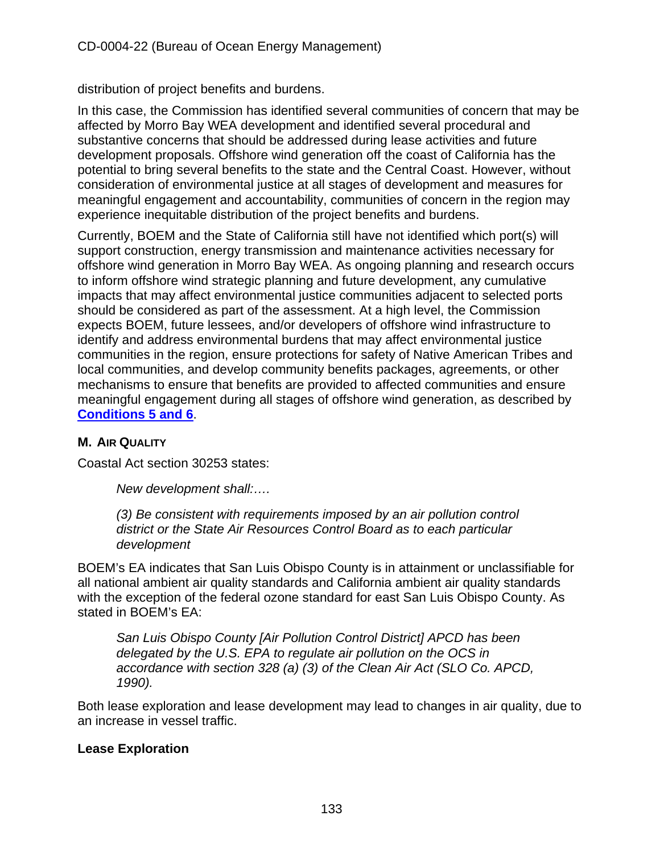distribution of project benefits and burdens.

In this case, the Commission has identified several communities of concern that may be affected by Morro Bay WEA development and identified several procedural and substantive concerns that should be addressed during lease activities and future development proposals. Offshore wind generation off the coast of California has the potential to bring several benefits to the state and the Central Coast. However, without consideration of environmental justice at all stages of development and measures for meaningful engagement and accountability, communities of concern in the region may experience inequitable distribution of the project benefits and burdens.

Currently, BOEM and the State of California still have not identified which port(s) will support construction, energy transmission and maintenance activities necessary for offshore wind generation in Morro Bay WEA. As ongoing planning and research occurs to inform offshore wind strategic planning and future development, any cumulative impacts that may affect environmental justice communities adjacent to selected ports should be considered as part of the assessment. At a high level, the Commission expects BOEM, future lessees, and/or developers of offshore wind infrastructure to identify and address environmental burdens that may affect environmental justice communities in the region, ensure protections for safety of Native American Tribes and local communities, and develop community benefits packages, agreements, or other mechanisms to ensure that benefits are provided to affected communities and ensure meaningful engagement during all stages of offshore wind generation, as described by **[Conditions 5 and 6](#page-14-2)**.

## **M. AIR QUALITY**

Coastal Act section 30253 states:

*New development shall:….* 

*(3) Be consistent with requirements imposed by an air pollution control district or the State Air Resources Control Board as to each particular development*

BOEM's EA indicates that San Luis Obispo County is in attainment or unclassifiable for all national ambient air quality standards and California ambient air quality standards with the exception of the federal ozone standard for east San Luis Obispo County. As stated in BOEM's EA:

*San Luis Obispo County [Air Pollution Control District] APCD has been delegated by the U.S. EPA to regulate air pollution on the OCS in accordance with section 328 (a) (3) of the Clean Air Act (SLO Co. APCD, 1990).*

Both lease exploration and lease development may lead to changes in air quality, due to an increase in vessel traffic.

## **Lease Exploration**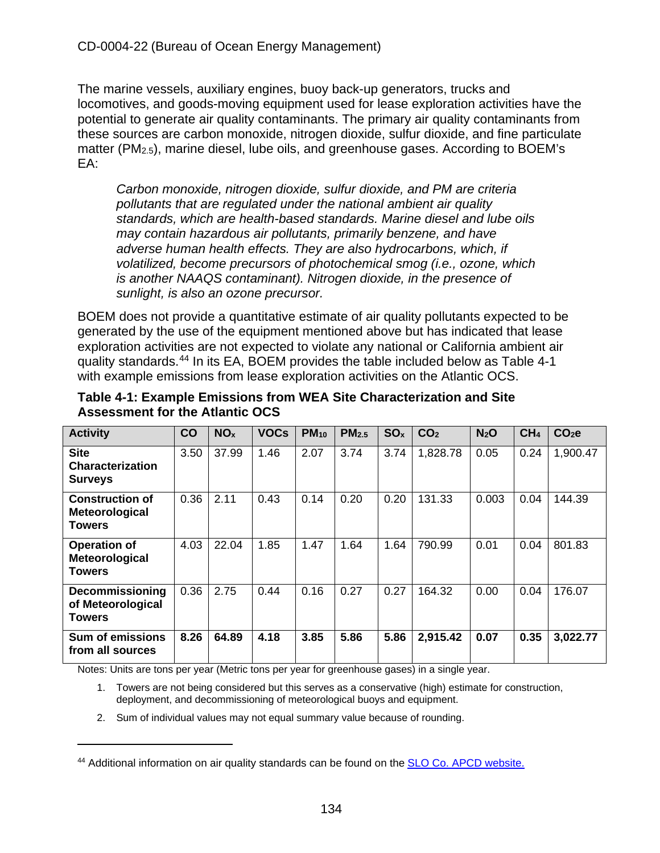The marine vessels, auxiliary engines, buoy back-up generators, trucks and locomotives, and goods-moving equipment used for lease exploration activities have the potential to generate air quality contaminants. The primary air quality contaminants from these sources are carbon monoxide, nitrogen dioxide, sulfur dioxide, and fine particulate matter (PM2.5), marine diesel, lube oils, and greenhouse gases. According to BOEM's EA:

*Carbon monoxide, nitrogen dioxide, sulfur dioxide, and PM are criteria pollutants that are regulated under the national ambient air quality standards, which are health-based standards. Marine diesel and lube oils may contain hazardous air pollutants, primarily benzene, and have adverse human health effects. They are also hydrocarbons, which, if volatilized, become precursors of photochemical smog (i.e., ozone, which is another NAAQS contaminant). Nitrogen dioxide, in the presence of sunlight, is also an ozone precursor.* 

BOEM does not provide a quantitative estimate of air quality pollutants expected to be generated by the use of the equipment mentioned above but has indicated that lease exploration activities are not expected to violate any national or California ambient air quality standards.[44](#page-133-0) In its EA, BOEM provides the table included below as Table 4-1 with example emissions from lease exploration activities on the Atlantic OCS.

| <b>Activity</b>                                           | CO   | NO <sub>x</sub> | <b>VOCs</b> | $PM_{10}$ | PM <sub>2.5</sub> | SO <sub>x</sub> | CO <sub>2</sub> | N <sub>2</sub> O | CH <sub>4</sub> | CO <sub>2</sub> e |
|-----------------------------------------------------------|------|-----------------|-------------|-----------|-------------------|-----------------|-----------------|------------------|-----------------|-------------------|
| <b>Site</b><br><b>Characterization</b><br><b>Surveys</b>  | 3.50 | 37.99           | 1.46        | 2.07      | 3.74              | 3.74            | 1,828.78        | 0.05             | 0.24            | 1,900.47          |
| <b>Construction of</b><br>Meteorological<br><b>Towers</b> | 0.36 | 2.11            | 0.43        | 0.14      | 0.20              | 0.20            | 131.33          | 0.003            | 0.04            | 144.39            |
| <b>Operation of</b><br>Meteorological<br><b>Towers</b>    | 4.03 | 22.04           | 1.85        | 1.47      | 1.64              | 1.64            | 790.99          | 0.01             | 0.04            | 801.83            |
| <b>Decommissioning</b><br>of Meteorological<br>Towers     | 0.36 | 2.75            | 0.44        | 0.16      | 0.27              | 0.27            | 164.32          | 0.00             | 0.04            | 176.07            |
| <b>Sum of emissions</b><br>from all sources               | 8.26 | 64.89           | 4.18        | 3.85      | 5.86              | 5.86            | 2,915.42        | 0.07             | 0.35            | 3,022.77          |

#### **Table 4-1: Example Emissions from WEA Site Characterization and Site Assessment for the Atlantic OCS**

Notes: Units are tons per year (Metric tons per year for greenhouse gases) in a single year.

- 1. Towers are not being considered but this serves as a conservative (high) estimate for construction, deployment, and decommissioning of meteorological buoys and equipment.
- 2. Sum of individual values may not equal summary value because of rounding.

<span id="page-133-0"></span><sup>44</sup> Additional information on air quality standards can be found on the [SLO Co. APCD website.](https://storage.googleapis.com/slocleanair-org/images/cms/upload/files/%28E-2%29.pdf)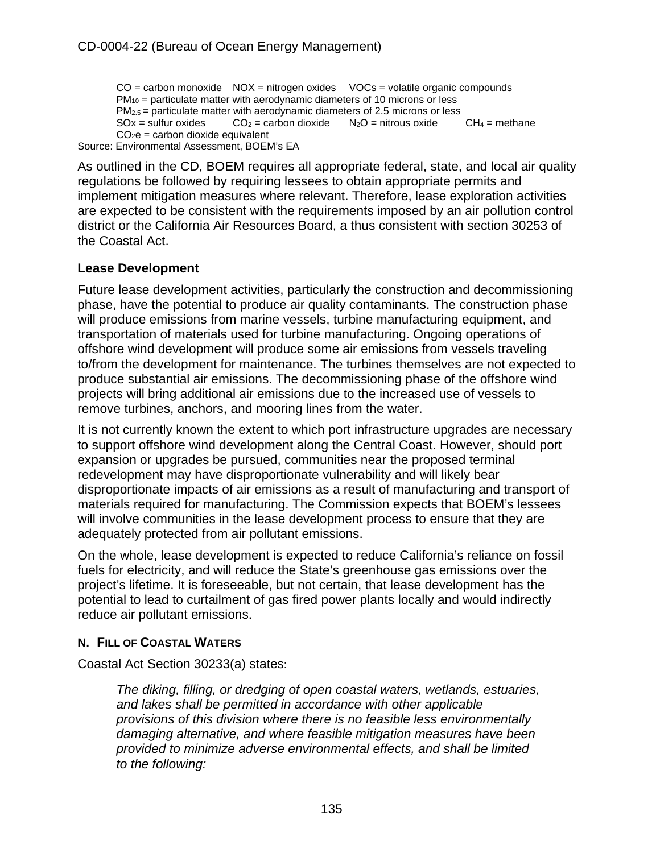$CO =$  carbon monoxide  $NOX =$  nitrogen oxides  $VOCs =$  volatile organic compounds  $PM_{10}$  = particulate matter with aerodynamic diameters of 10 microns or less  $PM_{2.5}$  = particulate matter with aerodynamic diameters of 2.5 microns or less<br>SOx = sulfur oxides  $CO_2$  = carbon dioxide  $N_2O$  = nitrous oxide  $CH_4$  = methane  $CO<sub>2</sub> =$  carbon dioxide  $CO<sub>2</sub>e =$  carbon dioxide equivalent

Source: Environmental Assessment, BOEM's EA

As outlined in the CD, BOEM requires all appropriate federal, state, and local air quality regulations be followed by requiring lessees to obtain appropriate permits and implement mitigation measures where relevant. Therefore, lease exploration activities are expected to be consistent with the requirements imposed by an air pollution control district or the California Air Resources Board, a thus consistent with section 30253 of the Coastal Act.

## **Lease Development**

Future lease development activities, particularly the construction and decommissioning phase, have the potential to produce air quality contaminants. The construction phase will produce emissions from marine vessels, turbine manufacturing equipment, and transportation of materials used for turbine manufacturing. Ongoing operations of offshore wind development will produce some air emissions from vessels traveling to/from the development for maintenance. The turbines themselves are not expected to produce substantial air emissions. The decommissioning phase of the offshore wind projects will bring additional air emissions due to the increased use of vessels to remove turbines, anchors, and mooring lines from the water.

It is not currently known the extent to which port infrastructure upgrades are necessary to support offshore wind development along the Central Coast. However, should port expansion or upgrades be pursued, communities near the proposed terminal redevelopment may have disproportionate vulnerability and will likely bear disproportionate impacts of air emissions as a result of manufacturing and transport of materials required for manufacturing. The Commission expects that BOEM's lessees will involve communities in the lease development process to ensure that they are adequately protected from air pollutant emissions.

On the whole, lease development is expected to reduce California's reliance on fossil fuels for electricity, and will reduce the State's greenhouse gas emissions over the project's lifetime. It is foreseeable, but not certain, that lease development has the potential to lead to curtailment of gas fired power plants locally and would indirectly reduce air pollutant emissions.

## **N. FILL OF COASTAL WATERS**

Coastal Act Section 30233(a) states:

*The diking, filling, or dredging of open coastal waters, wetlands, estuaries, and lakes shall be permitted in accordance with other applicable provisions of this division where there is no feasible less environmentally damaging alternative, and where feasible mitigation measures have been provided to minimize adverse environmental effects, and shall be limited to the following:*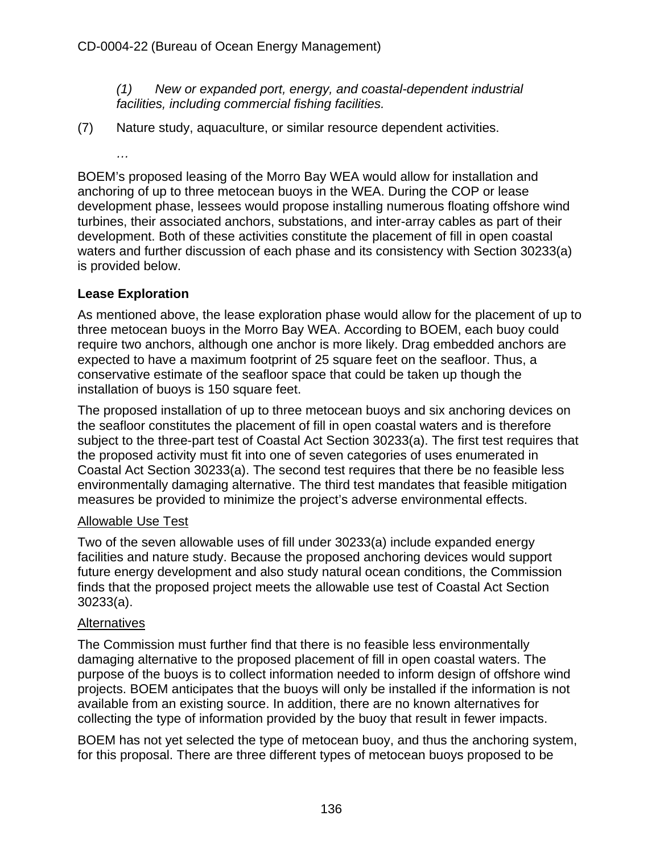*(1) New or expanded port, energy, and coastal-dependent industrial facilities, including commercial fishing facilities.*

- (7) Nature study, aquaculture, or similar resource dependent activities.
	- *…*

BOEM's proposed leasing of the Morro Bay WEA would allow for installation and anchoring of up to three metocean buoys in the WEA. During the COP or lease development phase, lessees would propose installing numerous floating offshore wind turbines, their associated anchors, substations, and inter-array cables as part of their development. Both of these activities constitute the placement of fill in open coastal waters and further discussion of each phase and its consistency with Section 30233(a) is provided below.

#### **Lease Exploration**

As mentioned above, the lease exploration phase would allow for the placement of up to three metocean buoys in the Morro Bay WEA. According to BOEM, each buoy could require two anchors, although one anchor is more likely. Drag embedded anchors are expected to have a maximum footprint of 25 square feet on the seafloor. Thus, a conservative estimate of the seafloor space that could be taken up though the installation of buoys is 150 square feet.

The proposed installation of up to three metocean buoys and six anchoring devices on the seafloor constitutes the placement of fill in open coastal waters and is therefore subject to the three-part test of Coastal Act Section 30233(a). The first test requires that the proposed activity must fit into one of seven categories of uses enumerated in Coastal Act Section 30233(a). The second test requires that there be no feasible less environmentally damaging alternative. The third test mandates that feasible mitigation measures be provided to minimize the project's adverse environmental effects.

#### Allowable Use Test

Two of the seven allowable uses of fill under 30233(a) include expanded energy facilities and nature study. Because the proposed anchoring devices would support future energy development and also study natural ocean conditions, the Commission finds that the proposed project meets the allowable use test of Coastal Act Section 30233(a).

#### **Alternatives**

The Commission must further find that there is no feasible less environmentally damaging alternative to the proposed placement of fill in open coastal waters. The purpose of the buoys is to collect information needed to inform design of offshore wind projects. BOEM anticipates that the buoys will only be installed if the information is not available from an existing source. In addition, there are no known alternatives for collecting the type of information provided by the buoy that result in fewer impacts.

BOEM has not yet selected the type of metocean buoy, and thus the anchoring system, for this proposal. There are three different types of metocean buoys proposed to be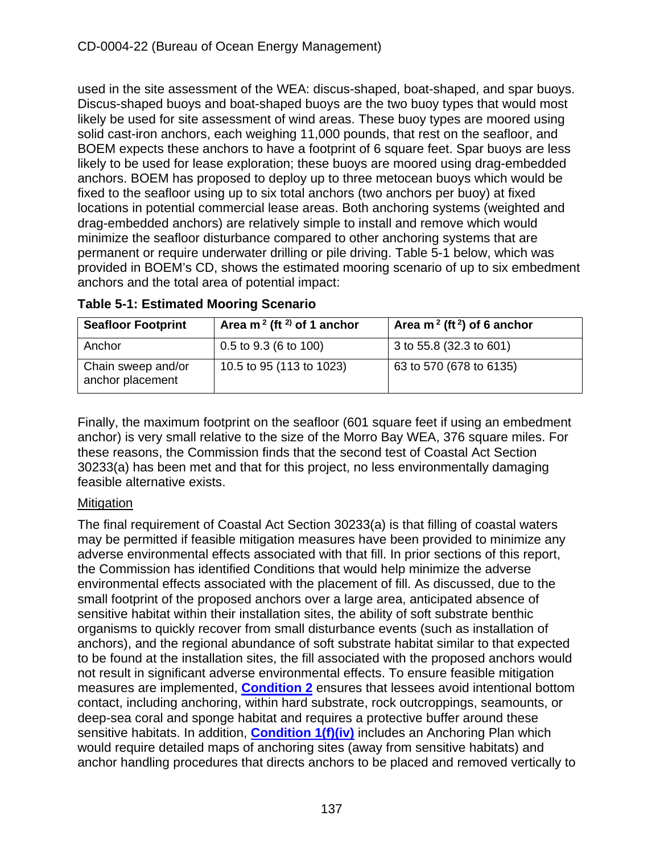used in the site assessment of the WEA: discus-shaped, boat-shaped, and spar buoys. Discus-shaped buoys and boat-shaped buoys are the two buoy types that would most likely be used for site assessment of wind areas. These buoy types are moored using solid cast-iron anchors, each weighing 11,000 pounds, that rest on the seafloor, and BOEM expects these anchors to have a footprint of 6 square feet. Spar buoys are less likely to be used for lease exploration; these buoys are moored using drag-embedded anchors. BOEM has proposed to deploy up to three metocean buoys which would be fixed to the seafloor using up to six total anchors (two anchors per buoy) at fixed locations in potential commercial lease areas. Both anchoring systems (weighted and drag-embedded anchors) are relatively simple to install and remove which would minimize the seafloor disturbance compared to other anchoring systems that are permanent or require underwater drilling or pile driving. Table 5-1 below, which was provided in BOEM's CD, shows the estimated mooring scenario of up to six embedment anchors and the total area of potential impact:

| <b>Seafloor Footprint</b>              | Area m <sup>2</sup> (ft <sup>2)</sup> of 1 anchor | Area m <sup>2</sup> (ft <sup>2</sup> ) of 6 anchor |
|----------------------------------------|---------------------------------------------------|----------------------------------------------------|
| Anchor                                 | $0.5$ to $9.3$ (6 to 100)                         | 3 to 55.8 (32.3 to 601)                            |
| Chain sweep and/or<br>anchor placement | 10.5 to 95 (113 to 1023)                          | 63 to 570 (678 to 6135)                            |

**Table 5-1: Estimated Mooring Scenario**

Finally, the maximum footprint on the seafloor (601 square feet if using an embedment anchor) is very small relative to the size of the Morro Bay WEA, 376 square miles. For these reasons, the Commission finds that the second test of Coastal Act Section 30233(a) has been met and that for this project, no less environmentally damaging feasible alternative exists.

## **Mitigation**

The final requirement of Coastal Act Section 30233(a) is that filling of coastal waters may be permitted if feasible mitigation measures have been provided to minimize any adverse environmental effects associated with that fill. In prior sections of this report, the Commission has identified Conditions that would help minimize the adverse environmental effects associated with the placement of fill. As discussed, due to the small footprint of the proposed anchors over a large area, anticipated absence of sensitive habitat within their installation sites, the ability of soft substrate benthic organisms to quickly recover from small disturbance events (such as installation of anchors), and the regional abundance of soft substrate habitat similar to that expected to be found at the installation sites, the fill associated with the proposed anchors would not result in significant adverse environmental effects. To ensure feasible mitigation measures are implemented, **[Condition 2](#page-13-0)** ensures that lessees avoid intentional bottom contact, including anchoring, within hard substrate, rock outcroppings, seamounts, or deep-sea coral and sponge habitat and requires a protective buffer around these sensitive habitats. In addition, **[Condition 1\(f\)\(iv\)](#page-10-0)** includes an Anchoring Plan which would require detailed maps of anchoring sites (away from sensitive habitats) and anchor handling procedures that directs anchors to be placed and removed vertically to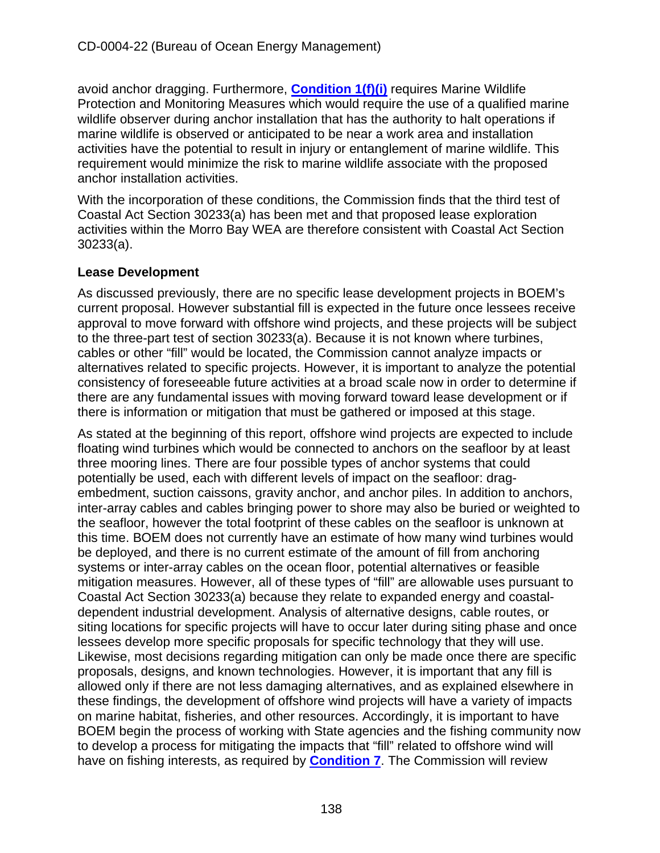avoid anchor dragging. Furthermore, **[Condition 1\(f\)\(i\)](#page-10-0)** requires Marine Wildlife Protection and Monitoring Measures which would require the use of a qualified marine wildlife observer during anchor installation that has the authority to halt operations if marine wildlife is observed or anticipated to be near a work area and installation activities have the potential to result in injury or entanglement of marine wildlife. This requirement would minimize the risk to marine wildlife associate with the proposed anchor installation activities.

With the incorporation of these conditions, the Commission finds that the third test of Coastal Act Section 30233(a) has been met and that proposed lease exploration activities within the Morro Bay WEA are therefore consistent with Coastal Act Section 30233(a).

## **Lease Development**

As discussed previously, there are no specific lease development projects in BOEM's current proposal. However substantial fill is expected in the future once lessees receive approval to move forward with offshore wind projects, and these projects will be subject to the three-part test of section 30233(a). Because it is not known where turbines, cables or other "fill" would be located, the Commission cannot analyze impacts or alternatives related to specific projects. However, it is important to analyze the potential consistency of foreseeable future activities at a broad scale now in order to determine if there are any fundamental issues with moving forward toward lease development or if there is information or mitigation that must be gathered or imposed at this stage.

As stated at the beginning of this report, offshore wind projects are expected to include floating wind turbines which would be connected to anchors on the seafloor by at least three mooring lines. There are four possible types of anchor systems that could potentially be used, each with different levels of impact on the seafloor: dragembedment, suction caissons, gravity anchor, and anchor piles. In addition to anchors, inter-array cables and cables bringing power to shore may also be buried or weighted to the seafloor, however the total footprint of these cables on the seafloor is unknown at this time. BOEM does not currently have an estimate of how many wind turbines would be deployed, and there is no current estimate of the amount of fill from anchoring systems or inter-array cables on the ocean floor, potential alternatives or feasible mitigation measures. However, all of these types of "fill" are allowable uses pursuant to Coastal Act Section 30233(a) because they relate to expanded energy and coastaldependent industrial development. Analysis of alternative designs, cable routes, or siting locations for specific projects will have to occur later during siting phase and once lessees develop more specific proposals for specific technology that they will use. Likewise, most decisions regarding mitigation can only be made once there are specific proposals, designs, and known technologies. However, it is important that any fill is allowed only if there are not less damaging alternatives, and as explained elsewhere in these findings, the development of offshore wind projects will have a variety of impacts on marine habitat, fisheries, and other resources. Accordingly, it is important to have BOEM begin the process of working with State agencies and the fishing community now to develop a process for mitigating the impacts that "fill" related to offshore wind will have on fishing interests, as required by **[Condition 7](#page-15-0)**. The Commission will review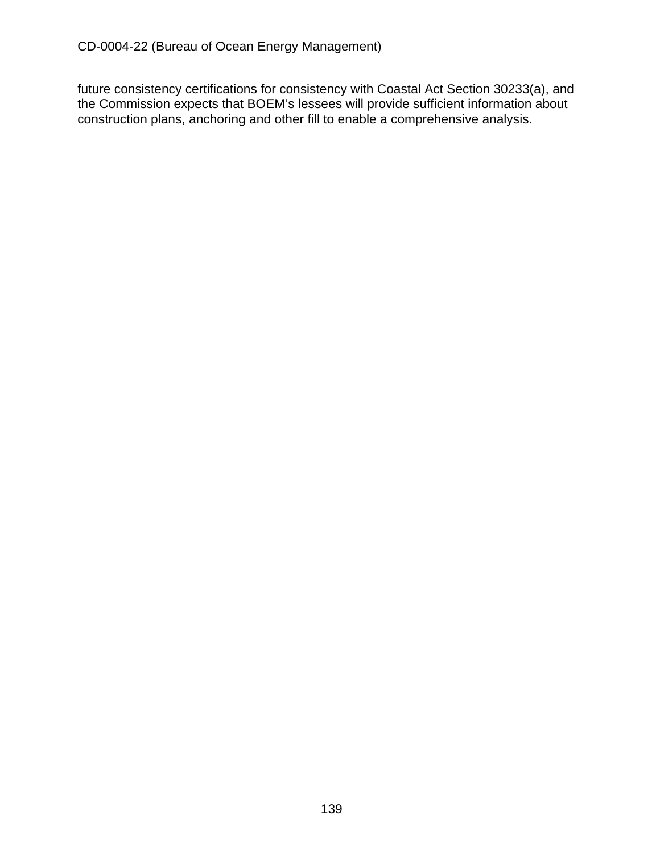future consistency certifications for consistency with Coastal Act Section 30233(a), and the Commission expects that BOEM's lessees will provide sufficient information about construction plans, anchoring and other fill to enable a comprehensive analysis.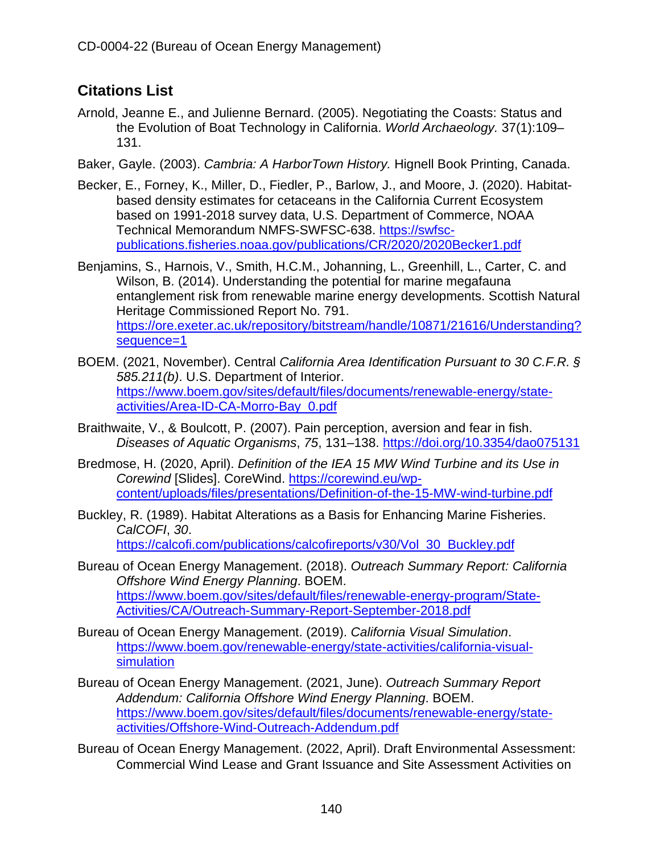# **Citations List**

- Arnold, Jeanne E., and Julienne Bernard. (2005). Negotiating the Coasts: Status and the Evolution of Boat Technology in California. *World Archaeology.* 37(1):109– 131.
- Baker, Gayle. (2003). *Cambria: A HarborTown History.* Hignell Book Printing, Canada.
- Becker, E., Forney, K., Miller, D., Fiedler, P., Barlow, J., and Moore, J. (2020). Habitatbased density estimates for cetaceans in the California Current Ecosystem based on 1991-2018 survey data, U.S. Department of Commerce, NOAA Technical Memorandum NMFS-SWFSC-638. [https://swfsc](https://swfsc-publications.fisheries.noaa.gov/publications/CR/2020/2020Becker1.pdf)[publications.fisheries.noaa.gov/publications/CR/2020/2020Becker1.pdf](https://swfsc-publications.fisheries.noaa.gov/publications/CR/2020/2020Becker1.pdf)

Benjamins, S., Harnois, V., Smith, H.C.M., Johanning, L., Greenhill, L., Carter, C. and Wilson, B. (2014). Understanding the potential for marine megafauna entanglement risk from renewable marine energy developments. Scottish Natural Heritage Commissioned Report No. 791. [https://ore.exeter.ac.uk/repository/bitstream/handle/10871/21616/Understanding?](https://ore.exeter.ac.uk/repository/bitstream/handle/10871/21616/Understanding?sequence=1) [sequence=1](https://ore.exeter.ac.uk/repository/bitstream/handle/10871/21616/Understanding?sequence=1)

- BOEM. (2021, November). Central *California Area Identification Pursuant to 30 C.F.R. § 585.211(b)*. U.S. Department of Interior. [https://www.boem.gov/sites/default/files/documents/renewable-energy/state](https://www.boem.gov/sites/default/files/documents/renewable-energy/state-activities/Area-ID-CA-Morro-Bay_0.pdf)[activities/Area-ID-CA-Morro-Bay\\_0.pdf](https://www.boem.gov/sites/default/files/documents/renewable-energy/state-activities/Area-ID-CA-Morro-Bay_0.pdf)
- Braithwaite, V., & Boulcott, P. (2007). Pain perception, aversion and fear in fish. *Diseases of Aquatic Organisms*, *75*, 131–138.<https://doi.org/10.3354/dao075131>
- Bredmose, H. (2020, April). *Definition of the IEA 15 MW Wind Turbine and its Use in Corewind* [Slides]. CoreWind. [https://corewind.eu/wp](https://corewind.eu/wp-content/uploads/files/presentations/Definition-of-the-15-MW-wind-turbine.pdf)[content/uploads/files/presentations/Definition-of-the-15-MW-wind-turbine.pdf](https://corewind.eu/wp-content/uploads/files/presentations/Definition-of-the-15-MW-wind-turbine.pdf)
- Buckley, R. (1989). Habitat Alterations as a Basis for Enhancing Marine Fisheries. *CalCOFI*, *30*.

[https://calcofi.com/publications/calcofireports/v30/Vol\\_30\\_Buckley.pdf](https://calcofi.com/publications/calcofireports/v30/Vol_30_Buckley.pdf)

- Bureau of Ocean Energy Management. (2018). *Outreach Summary Report: California Offshore Wind Energy Planning*. BOEM. [https://www.boem.gov/sites/default/files/renewable-energy-program/State-](https://www.boem.gov/sites/default/files/renewable-energy-program/State-Activities/CA/Outreach-Summary-Report-September-2018.pdf)[Activities/CA/Outreach-Summary-Report-September-2018.pdf](https://www.boem.gov/sites/default/files/renewable-energy-program/State-Activities/CA/Outreach-Summary-Report-September-2018.pdf)
- Bureau of Ocean Energy Management. (2019). *California Visual Simulation*. [https://www.boem.gov/renewable-energy/state-activities/california-visual](https://www.boem.gov/renewable-energy/state-activities/california-visual-simulation)[simulation](https://www.boem.gov/renewable-energy/state-activities/california-visual-simulation)
- Bureau of Ocean Energy Management. (2021, June). *Outreach Summary Report Addendum: California Offshore Wind Energy Planning*. BOEM. [https://www.boem.gov/sites/default/files/documents/renewable-energy/state](https://www.boem.gov/sites/default/files/documents/renewable-energy/state-activities/Offshore-Wind-Outreach-Addendum.pdf)[activities/Offshore-Wind-Outreach-Addendum.pdf](https://www.boem.gov/sites/default/files/documents/renewable-energy/state-activities/Offshore-Wind-Outreach-Addendum.pdf)
- Bureau of Ocean Energy Management. (2022, April). Draft Environmental Assessment: Commercial Wind Lease and Grant Issuance and Site Assessment Activities on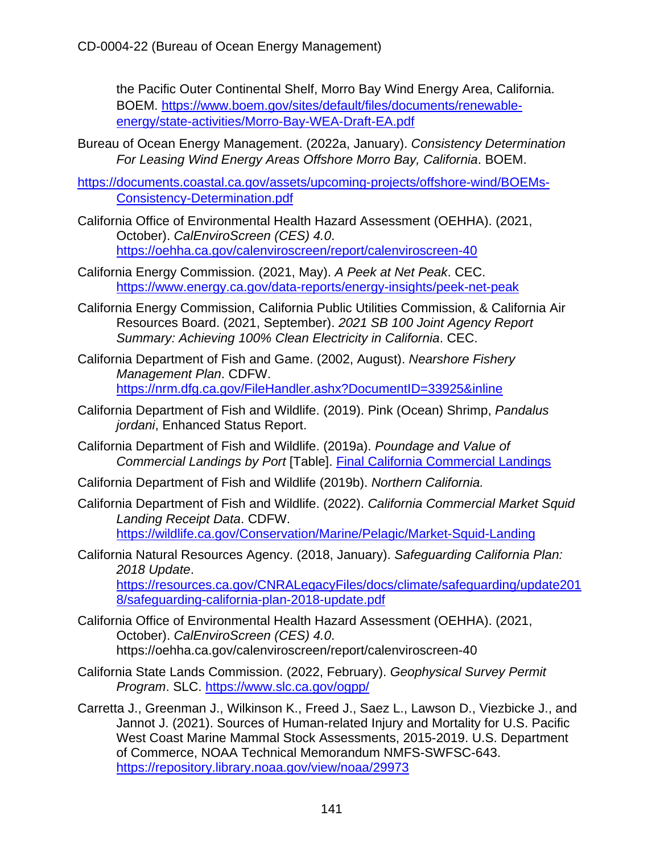the Pacific Outer Continental Shelf, Morro Bay Wind Energy Area, California. BOEM. [https://www.boem.gov/sites/default/files/documents/renewable](https://www.boem.gov/sites/default/files/documents/renewable-energy/state-activities/Morro-Bay-WEA-Draft-EA.pdf)[energy/state-activities/Morro-Bay-WEA-Draft-EA.pdf](https://www.boem.gov/sites/default/files/documents/renewable-energy/state-activities/Morro-Bay-WEA-Draft-EA.pdf)

- Bureau of Ocean Energy Management. (2022a, January). *Consistency Determination For Leasing Wind Energy Areas Offshore Morro Bay, California*. BOEM.
- [https://documents.coastal.ca.gov/assets/upcoming-projects/offshore-wind/BOEMs-](https://documents.coastal.ca.gov/assets/upcoming-projects/offshore-wind/BOEMs-Consistency-Determination.pdf)[Consistency-Determination.pdf](https://documents.coastal.ca.gov/assets/upcoming-projects/offshore-wind/BOEMs-Consistency-Determination.pdf)
- California Office of Environmental Health Hazard Assessment (OEHHA). (2021, October). *CalEnviroScreen (CES) 4.0*. <https://oehha.ca.gov/calenviroscreen/report/calenviroscreen-40>
- California Energy Commission. (2021, May). *A Peek at Net Peak*. CEC. <https://www.energy.ca.gov/data-reports/energy-insights/peek-net-peak>
- California Energy Commission, California Public Utilities Commission, & California Air Resources Board. (2021, September). *2021 SB 100 Joint Agency Report Summary: Achieving 100% Clean Electricity in California*. CEC.
- California Department of Fish and Game. (2002, August). *Nearshore Fishery Management Plan*. CDFW. <https://nrm.dfg.ca.gov/FileHandler.ashx?DocumentID=33925&inline>
- California Department of Fish and Wildlife. (2019). Pink (Ocean) Shrimp, *Pandalus jordani*, Enhanced Status Report.
- California Department of Fish and Wildlife. (2019a). *Poundage and Value of Commercial Landings by Port* [Table]. [Final California Commercial Landings](https://wildlife.ca.gov/Fishing/Commercial/Landings#260042586-2019)
- California Department of Fish and Wildlife (2019b). *Northern California.*
- California Department of Fish and Wildlife. (2022). *California Commercial Market Squid Landing Receipt Data*. CDFW. <https://wildlife.ca.gov/Conservation/Marine/Pelagic/Market-Squid-Landing>
- California Natural Resources Agency. (2018, January). *Safeguarding California Plan: 2018 Update*. [https://resources.ca.gov/CNRALegacyFiles/docs/climate/safeguarding/update201](https://resources.ca.gov/CNRALegacyFiles/docs/climate/safeguarding/update2018/safeguarding-california-plan-2018-update.pdf) [8/safeguarding-california-plan-2018-update.pdf](https://resources.ca.gov/CNRALegacyFiles/docs/climate/safeguarding/update2018/safeguarding-california-plan-2018-update.pdf)
- California Office of Environmental Health Hazard Assessment (OEHHA). (2021, October). *CalEnviroScreen (CES) 4.0*. <https://oehha.ca.gov/calenviroscreen/report/calenviroscreen-40>
- California State Lands Commission. (2022, February). *Geophysical Survey Permit Program*. SLC.<https://www.slc.ca.gov/ogpp/>
- Carretta J., Greenman J., Wilkinson K., Freed J., Saez L., Lawson D., Viezbicke J., and Jannot J. (2021). Sources of Human-related Injury and Mortality for U.S. Pacific West Coast Marine Mammal Stock Assessments, 2015-2019. U.S. Department of Commerce, NOAA Technical Memorandum NMFS-SWFSC-643. <https://repository.library.noaa.gov/view/noaa/29973>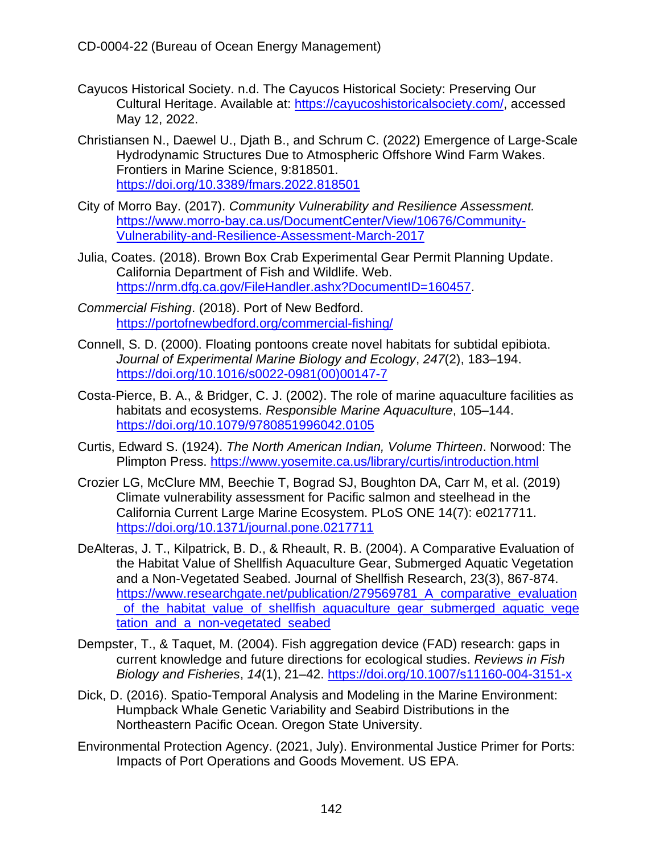- Cayucos Historical Society. n.d. The Cayucos Historical Society: Preserving Our Cultural Heritage. Available at: [https://cayucoshistoricalsociety.com/,](https://cayucoshistoricalsociety.com/) accessed May 12, 2022.
- Christiansen N., Daewel U., Djath B., and Schrum C. (2022) Emergence of Large-Scale Hydrodynamic Structures Due to Atmospheric Offshore Wind Farm Wakes. Frontiers in Marine Science, 9:818501. <https://doi.org/10.3389/fmars.2022.818501>
- City of Morro Bay. (2017). *Community Vulnerability and Resilience Assessment.* [https://www.morro-bay.ca.us/DocumentCenter/View/10676/Community-](https://www.morro-bay.ca.us/DocumentCenter/View/10676/Community-Vulnerability-and-Resilience-Assessment-March-2017)[Vulnerability-and-Resilience-Assessment-March-2017](https://www.morro-bay.ca.us/DocumentCenter/View/10676/Community-Vulnerability-and-Resilience-Assessment-March-2017)
- Julia, Coates. (2018). Brown Box Crab Experimental Gear Permit Planning Update. California Department of Fish and Wildlife. Web. [https://nrm.dfg.ca.gov/FileHandler.ashx?DocumentID=160457.](https://nrm.dfg.ca.gov/FileHandler.ashx?DocumentID=160457)
- *Commercial Fishing*. (2018). Port of New Bedford. <https://portofnewbedford.org/commercial-fishing/>
- Connell, S. D. (2000). Floating pontoons create novel habitats for subtidal epibiota. *Journal of Experimental Marine Biology and Ecology*, *247*(2), 183–194. [https://doi.org/10.1016/s0022-0981\(00\)00147-7](https://doi.org/10.1016/s0022-0981(00)00147-7)
- Costa-Pierce, B. A., & Bridger, C. J. (2002). The role of marine aquaculture facilities as habitats and ecosystems. *Responsible Marine Aquaculture*, 105–144. <https://doi.org/10.1079/9780851996042.0105>
- Curtis, Edward S. (1924). *The North American Indian, Volume Thirteen*. Norwood: The Plimpton Press.<https://www.yosemite.ca.us/library/curtis/introduction.html>
- Crozier LG, McClure MM, Beechie T, Bograd SJ, Boughton DA, Carr M, et al. (2019) Climate vulnerability assessment for Pacific salmon and steelhead in the California Current Large Marine Ecosystem. PLoS ONE 14(7): e0217711. <https://doi.org/10.1371/journal.pone.0217711>
- DeAlteras, J. T., Kilpatrick, B. D., & Rheault, R. B. (2004). A Comparative Evaluation of the Habitat Value of Shellfish Aquaculture Gear, Submerged Aquatic Vegetation and a Non-Vegetated Seabed. Journal of Shellfish Research, 23(3), 867-874. [https://www.researchgate.net/publication/279569781\\_A\\_comparative\\_evaluation](https://www.researchgate.net/publication/279569781_A_comparative_evaluation_of_the_habitat_value_of_shellfish_aquaculture_gear_submerged_aquatic_vegetation_and_a_non-vegetated_seabed) [\\_of\\_the\\_habitat\\_value\\_of\\_shellfish\\_aquaculture\\_gear\\_submerged\\_aquatic\\_vege](https://www.researchgate.net/publication/279569781_A_comparative_evaluation_of_the_habitat_value_of_shellfish_aquaculture_gear_submerged_aquatic_vegetation_and_a_non-vegetated_seabed) tation and a non-vegetated seabed
- Dempster, T., & Taquet, M. (2004). Fish aggregation device (FAD) research: gaps in current knowledge and future directions for ecological studies. *Reviews in Fish Biology and Fisheries*, *14*(1), 21–42.<https://doi.org/10.1007/s11160-004-3151-x>
- Dick, D. (2016). Spatio-Temporal Analysis and Modeling in the Marine Environment: Humpback Whale Genetic Variability and Seabird Distributions in the Northeastern Pacific Ocean. Oregon State University.
- Environmental Protection Agency. (2021, July). Environmental Justice Primer for Ports: Impacts of Port Operations and Goods Movement. US EPA.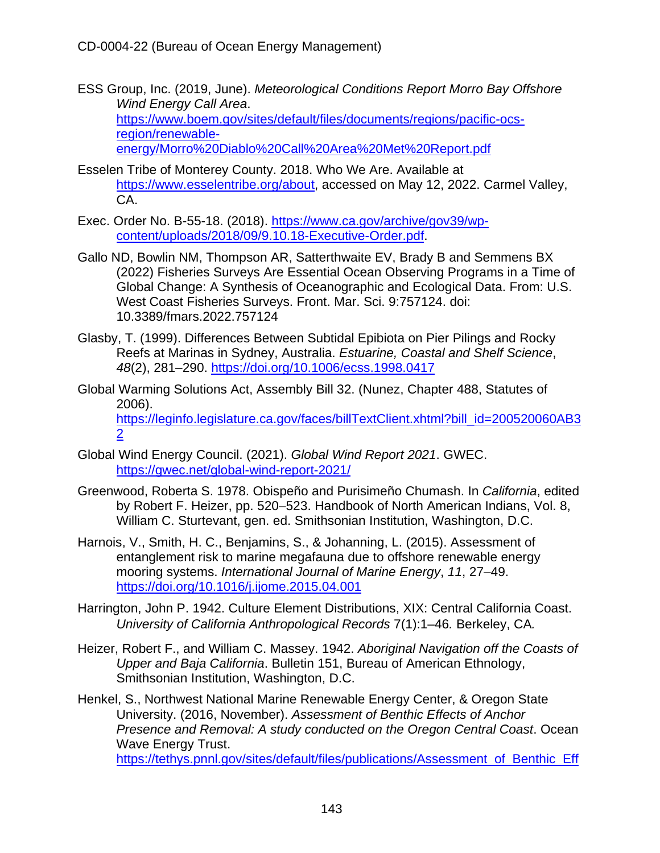- ESS Group, Inc. (2019, June). *Meteorological Conditions Report Morro Bay Offshore Wind Energy Call Area*. [https://www.boem.gov/sites/default/files/documents/regions/pacific-ocs](https://www.boem.gov/sites/default/files/documents/regions/pacific-ocs-region/renewable-energy/Morro%20Diablo%20Call%20Area%20Met%20Report.pdf)[region/renewable](https://www.boem.gov/sites/default/files/documents/regions/pacific-ocs-region/renewable-energy/Morro%20Diablo%20Call%20Area%20Met%20Report.pdf)[energy/Morro%20Diablo%20Call%20Area%20Met%20Report.pdf](https://www.boem.gov/sites/default/files/documents/regions/pacific-ocs-region/renewable-energy/Morro%20Diablo%20Call%20Area%20Met%20Report.pdf)
- Esselen Tribe of Monterey County. 2018. Who We Are. Available at [https://www.esselentribe.org/about,](https://www.esselentribe.org/about) accessed on May 12, 2022. Carmel Valley. CA.
- Exec. Order No. B-55-18. (2018). [https://www.ca.gov/archive/gov39/wp](https://www.ca.gov/archive/gov39/wp-content/uploads/2018/09/9.10.18-Executive-Order.pdf)[content/uploads/2018/09/9.10.18-Executive-Order.pdf.](https://www.ca.gov/archive/gov39/wp-content/uploads/2018/09/9.10.18-Executive-Order.pdf)
- Gallo ND, Bowlin NM, Thompson AR, Satterthwaite EV, Brady B and Semmens BX (2022) Fisheries Surveys Are Essential Ocean Observing Programs in a Time of Global Change: A Synthesis of Oceanographic and Ecological Data. From: U.S. West Coast Fisheries Surveys. Front. Mar. Sci. 9:757124. doi: 10.3389/fmars.2022.757124
- Glasby, T. (1999). Differences Between Subtidal Epibiota on Pier Pilings and Rocky Reefs at Marinas in Sydney, Australia. *Estuarine, Coastal and Shelf Science*, *48*(2), 281–290.<https://doi.org/10.1006/ecss.1998.0417>
- Global Warming Solutions Act, Assembly Bill 32. (Nunez, Chapter 488, Statutes of 2006). [https://leginfo.legislature.ca.gov/faces/billTextClient.xhtml?bill\\_id=200520060AB3](https://leginfo.legislature.ca.gov/faces/billTextClient.xhtml?bill_id=200520060AB32) [2](https://leginfo.legislature.ca.gov/faces/billTextClient.xhtml?bill_id=200520060AB32)
- Global Wind Energy Council. (2021). *Global Wind Report 2021*. GWEC. <https://gwec.net/global-wind-report-2021/>
- Greenwood, Roberta S. 1978. Obispeño and Purisimeño Chumash. In *California*, edited by Robert F. Heizer, pp. 520–523. Handbook of North American Indians, Vol. 8, William C. Sturtevant, gen. ed. Smithsonian Institution, Washington, D.C.
- Harnois, V., Smith, H. C., Benjamins, S., & Johanning, L. (2015). Assessment of entanglement risk to marine megafauna due to offshore renewable energy mooring systems. *International Journal of Marine Energy*, *11*, 27–49. <https://doi.org/10.1016/j.ijome.2015.04.001>
- Harrington, John P. 1942. Culture Element Distributions, XIX: Central California Coast. *University of California Anthropological Records* 7(1):1–46*.* Berkeley, CA*.*
- Heizer, Robert F., and William C. Massey. 1942. *Aboriginal Navigation off the Coasts of Upper and Baja California*. Bulletin 151, Bureau of American Ethnology, Smithsonian Institution, Washington, D.C.

Henkel, S., Northwest National Marine Renewable Energy Center, & Oregon State University. (2016, November). *Assessment of Benthic Effects of Anchor Presence and Removal: A study conducted on the Oregon Central Coast*. Ocean Wave Energy Trust. [https://tethys.pnnl.gov/sites/default/files/publications/Assessment\\_of\\_Benthic\\_Eff](https://tethys.pnnl.gov/sites/default/files/publications/Assessment_of_Benthic_Effects_of_Anchor_Presence_and_Removal_0.pdf)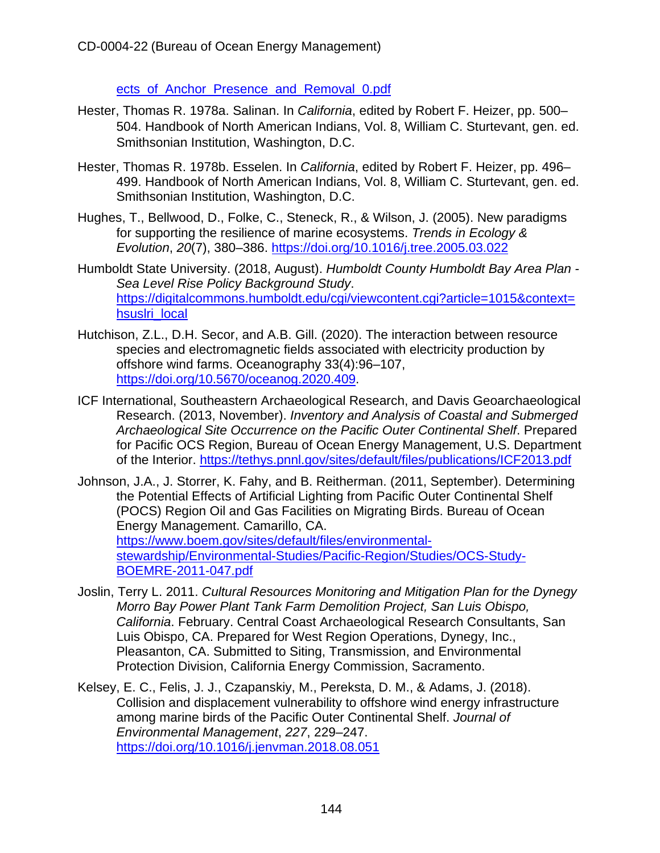ects of Anchor Presence and Removal 0.pdf

- Hester, Thomas R. 1978a. Salinan. In *California*, edited by Robert F. Heizer, pp. 500– 504. Handbook of North American Indians, Vol. 8, William C. Sturtevant, gen. ed. Smithsonian Institution, Washington, D.C.
- Hester, Thomas R. 1978b. Esselen. In *California*, edited by Robert F. Heizer, pp. 496– 499. Handbook of North American Indians, Vol. 8, William C. Sturtevant, gen. ed. Smithsonian Institution, Washington, D.C.
- Hughes, T., Bellwood, D., Folke, C., Steneck, R., & Wilson, J. (2005). New paradigms for supporting the resilience of marine ecosystems. *Trends in Ecology & Evolution*, *20*(7), 380–386.<https://doi.org/10.1016/j.tree.2005.03.022>
- Humboldt State University. (2018, August). *Humboldt County Humboldt Bay Area Plan Sea Level Rise Policy Background Study*. [https://digitalcommons.humboldt.edu/cgi/viewcontent.cgi?article=1015&context=](https://digitalcommons.humboldt.edu/cgi/viewcontent.cgi?article=1015&context=hsuslri_local) [hsuslri\\_local](https://digitalcommons.humboldt.edu/cgi/viewcontent.cgi?article=1015&context=hsuslri_local)
- Hutchison, Z.L., D.H. Secor, and A.B. Gill. (2020). The interaction between resource species and electromagnetic fields associated with electricity production by offshore wind farms. Oceanography 33(4):96–107, [https://doi.org/10.5670/oceanog.2020.409.](https://doi.org/10.5670/oceanog.2020.409)
- ICF International, Southeastern Archaeological Research, and Davis Geoarchaeological Research. (2013, November). *Inventory and Analysis of Coastal and Submerged Archaeological Site Occurrence on the Pacific Outer Continental Shelf*. Prepared for Pacific OCS Region, Bureau of Ocean Energy Management, U.S. Department of the Interior.<https://tethys.pnnl.gov/sites/default/files/publications/ICF2013.pdf>
- Johnson, J.A., J. Storrer, K. Fahy, and B. Reitherman. (2011, September). Determining the Potential Effects of Artificial Lighting from Pacific Outer Continental Shelf (POCS) Region Oil and Gas Facilities on Migrating Birds. Bureau of Ocean Energy Management. Camarillo, CA. [https://www.boem.gov/sites/default/files/environmental](https://www.boem.gov/sites/default/files/environmental-stewardship/Environmental-Studies/Pacific-Region/Studies/OCS-Study-BOEMRE-2011-047.pdf)[stewardship/Environmental-Studies/Pacific-Region/Studies/OCS-Study-](https://www.boem.gov/sites/default/files/environmental-stewardship/Environmental-Studies/Pacific-Region/Studies/OCS-Study-BOEMRE-2011-047.pdf)[BOEMRE-2011-047.pdf](https://www.boem.gov/sites/default/files/environmental-stewardship/Environmental-Studies/Pacific-Region/Studies/OCS-Study-BOEMRE-2011-047.pdf)
- Joslin, Terry L. 2011. *Cultural Resources Monitoring and Mitigation Plan for the Dynegy Morro Bay Power Plant Tank Farm Demolition Project, San Luis Obispo, California*. February. Central Coast Archaeological Research Consultants, San Luis Obispo, CA. Prepared for West Region Operations, Dynegy, Inc., Pleasanton, CA. Submitted to Siting, Transmission, and Environmental Protection Division, California Energy Commission, Sacramento.
- Kelsey, E. C., Felis, J. J., Czapanskiy, M., Pereksta, D. M., & Adams, J. (2018). Collision and displacement vulnerability to offshore wind energy infrastructure among marine birds of the Pacific Outer Continental Shelf. *Journal of Environmental Management*, *227*, 229–247. <https://doi.org/10.1016/j.jenvman.2018.08.051>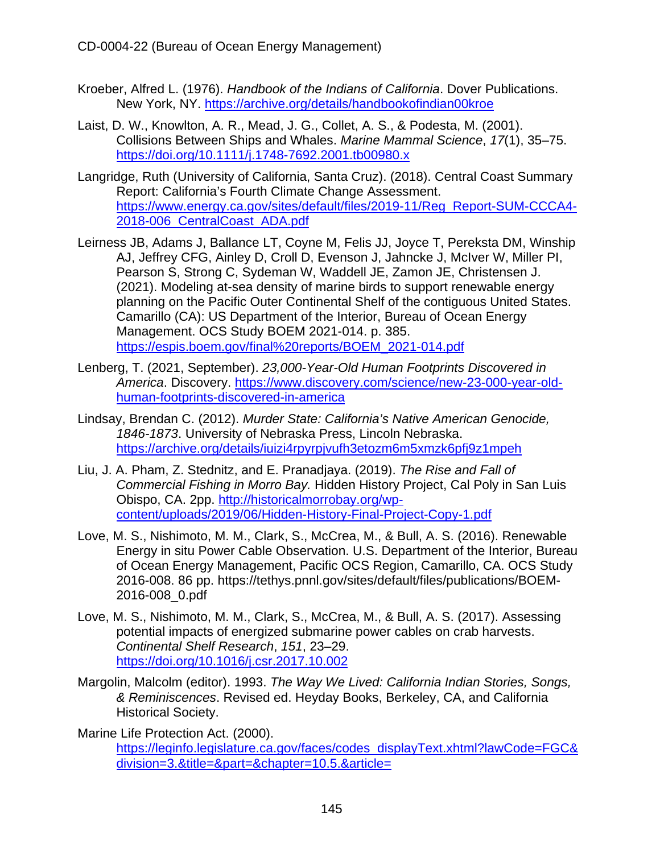- Kroeber, Alfred L. (1976). *Handbook of the Indians of California*. Dover Publications. New York, NY.<https://archive.org/details/handbookofindian00kroe>
- Laist, D. W., Knowlton, A. R., Mead, J. G., Collet, A. S., & Podesta, M. (2001). Collisions Between Ships and Whales. *Marine Mammal Science*, *17*(1), 35–75. <https://doi.org/10.1111/j.1748-7692.2001.tb00980.x>
- Langridge, Ruth (University of California, Santa Cruz). (2018). Central Coast Summary Report: California's Fourth Climate Change Assessment. [https://www.energy.ca.gov/sites/default/files/2019-11/Reg\\_Report-SUM-CCCA4-](https://www.energy.ca.gov/sites/default/files/2019-11/Reg_Report-SUM-CCCA4-2018-006_CentralCoast_ADA.pdf) [2018-006\\_CentralCoast\\_ADA.pdf](https://www.energy.ca.gov/sites/default/files/2019-11/Reg_Report-SUM-CCCA4-2018-006_CentralCoast_ADA.pdf)
- Leirness JB, Adams J, Ballance LT, Coyne M, Felis JJ, Joyce T, Pereksta DM, Winship AJ, Jeffrey CFG, Ainley D, Croll D, Evenson J, Jahncke J, McIver W, Miller PI, Pearson S, Strong C, Sydeman W, Waddell JE, Zamon JE, Christensen J. (2021). Modeling at-sea density of marine birds to support renewable energy planning on the Pacific Outer Continental Shelf of the contiguous United States. Camarillo (CA): US Department of the Interior, Bureau of Ocean Energy Management. OCS Study BOEM 2021-014. p. 385. [https://espis.boem.gov/final%20reports/BOEM\\_2021-014.pdf](https://espis.boem.gov/final%20reports/BOEM_2021-014.pdf)
- Lenberg, T. (2021, September). *23,000-Year-Old Human Footprints Discovered in America*. Discovery. [https://www.discovery.com/science/new-23-000-year-old](https://www.discovery.com/science/new-23-000-year-old-human-footprints-discovered-in-america)[human-footprints-discovered-in-america](https://www.discovery.com/science/new-23-000-year-old-human-footprints-discovered-in-america)
- Lindsay, Brendan C. (2012). *Murder State: California's Native American Genocide, 1846-1873*. University of Nebraska Press, Lincoln Nebraska. <https://archive.org/details/iuizi4rpyrpjvufh3etozm6m5xmzk6pfj9z1mpeh>
- Liu, J. A. Pham, Z. Stednitz, and E. Pranadjaya. (2019). *The Rise and Fall of Commercial Fishing in Morro Bay.* Hidden History Project, Cal Poly in San Luis Obispo, CA. 2pp. [http://historicalmorrobay.org/wp](http://historicalmorrobay.org/wp-content/uploads/2019/06/Hidden-History-Final-Project-Copy-1.pdf)[content/uploads/2019/06/Hidden-History-Final-Project-Copy-1.pdf](http://historicalmorrobay.org/wp-content/uploads/2019/06/Hidden-History-Final-Project-Copy-1.pdf)
- Love, M. S., Nishimoto, M. M., Clark, S., McCrea, M., & Bull, A. S. (2016). Renewable Energy in situ Power Cable Observation. U.S. Department of the Interior, Bureau of Ocean Energy Management, Pacific OCS Region, Camarillo, CA. OCS Study 2016-008. 86 pp. [https://tethys.pnnl.gov/sites/default/files/publications/BOEM-](https://tethys.pnnl.gov/sites/default/files/publications/BOEM-2016-008_0.pdf)[2016-008\\_0.pdf](https://tethys.pnnl.gov/sites/default/files/publications/BOEM-2016-008_0.pdf)
- Love, M. S., Nishimoto, M. M., Clark, S., McCrea, M., & Bull, A. S. (2017). Assessing potential impacts of energized submarine power cables on crab harvests. *Continental Shelf Research*, *151*, 23–29. <https://doi.org/10.1016/j.csr.2017.10.002>
- Margolin, Malcolm (editor). 1993. *The Way We Lived: California Indian Stories, Songs, & Reminiscences*. Revised ed. Heyday Books, Berkeley, CA, and California Historical Society.

Marine Life Protection Act. (2000). [https://leginfo.legislature.ca.gov/faces/codes\\_displayText.xhtml?lawCode=FGC&](https://leginfo.legislature.ca.gov/faces/codes_displayText.xhtml?lawCode=FGC&division=3.&title=&part=&chapter=10.5.&article=) [division=3.&title=&part=&chapter=10.5.&article=](https://leginfo.legislature.ca.gov/faces/codes_displayText.xhtml?lawCode=FGC&division=3.&title=&part=&chapter=10.5.&article=)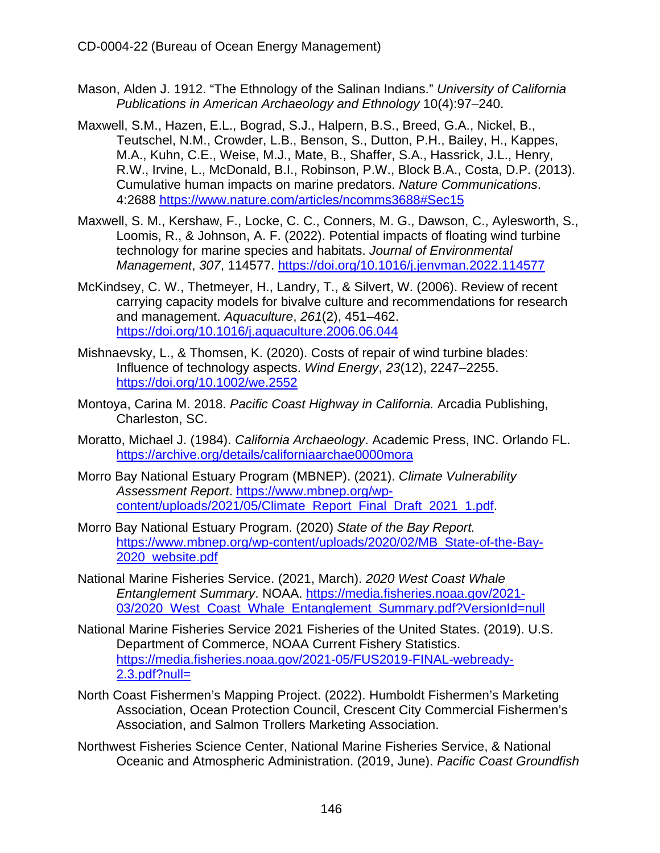- Mason, Alden J. 1912. "The Ethnology of the Salinan Indians." *University of California Publications in American Archaeology and Ethnology* 10(4):97–240.
- Maxwell, S.M., Hazen, E.L., Bograd, S.J., Halpern, B.S., Breed, G.A., Nickel, B., Teutschel, N.M., Crowder, L.B., Benson, S., Dutton, P.H., Bailey, H., Kappes, M.A., Kuhn, C.E., Weise, M.J., Mate, B., Shaffer, S.A., Hassrick, J.L., Henry, R.W., Irvine, L., McDonald, B.I., Robinson, P.W., Block B.A., Costa, D.P. (2013). Cumulative human impacts on marine predators. *Nature Communications*. 4:2688<https://www.nature.com/articles/ncomms3688#Sec15>
- Maxwell, S. M., Kershaw, F., Locke, C. C., Conners, M. G., Dawson, C., Aylesworth, S., Loomis, R., & Johnson, A. F. (2022). Potential impacts of floating wind turbine technology for marine species and habitats. *Journal of Environmental Management*, *307*, 114577.<https://doi.org/10.1016/j.jenvman.2022.114577>
- McKindsey, C. W., Thetmeyer, H., Landry, T., & Silvert, W. (2006). Review of recent carrying capacity models for bivalve culture and recommendations for research and management. *Aquaculture*, *261*(2), 451–462. <https://doi.org/10.1016/j.aquaculture.2006.06.044>
- Mishnaevsky, L., & Thomsen, K. (2020). Costs of repair of wind turbine blades: Influence of technology aspects. *Wind Energy*, *23*(12), 2247–2255. <https://doi.org/10.1002/we.2552>
- Montoya, Carina M. 2018. *Pacific Coast Highway in California.* Arcadia Publishing, Charleston, SC.
- Moratto, Michael J. (1984). *California Archaeology*. Academic Press, INC. Orlando FL. <https://archive.org/details/californiaarchae0000mora>
- Morro Bay National Estuary Program (MBNEP). (2021). *Climate Vulnerability Assessment Report*. [https://www.mbnep.org/wp](https://www.mbnep.org/wp-content/uploads/2021/05/Climate_Report_Final_Draft_2021_1.pdf)[content/uploads/2021/05/Climate\\_Report\\_Final\\_Draft\\_2021\\_1.pdf.](https://www.mbnep.org/wp-content/uploads/2021/05/Climate_Report_Final_Draft_2021_1.pdf)
- Morro Bay National Estuary Program. (2020) *State of the Bay Report.* [https://www.mbnep.org/wp-content/uploads/2020/02/MB\\_State-of-the-Bay-](https://www.mbnep.org/wp-content/uploads/2020/02/MB_State-of-the-Bay-2020_website.pdf)[2020\\_website.pdf](https://www.mbnep.org/wp-content/uploads/2020/02/MB_State-of-the-Bay-2020_website.pdf)
- National Marine Fisheries Service. (2021, March). *2020 West Coast Whale Entanglement Summary*. NOAA. [https://media.fisheries.noaa.gov/2021-](https://media.fisheries.noaa.gov/2021-03/2020_West_Coast_Whale_Entanglement_Summary.pdf?VersionId=null) [03/2020\\_West\\_Coast\\_Whale\\_Entanglement\\_Summary.pdf?VersionId=null](https://media.fisheries.noaa.gov/2021-03/2020_West_Coast_Whale_Entanglement_Summary.pdf?VersionId=null)
- National Marine Fisheries Service 2021 Fisheries of the United States. (2019). U.S. Department of Commerce, NOAA Current Fishery Statistics. [https://media.fisheries.noaa.gov/2021-05/FUS2019-FINAL-webready-](https://media.fisheries.noaa.gov/2021-05/FUS2019-FINAL-webready-2.3.pdf?null=) $2.3.$ pdf?null=
- North Coast Fishermen's Mapping Project. (2022). Humboldt Fishermen's Marketing Association, Ocean Protection Council, Crescent City Commercial Fishermen's Association, and Salmon Trollers Marketing Association.
- Northwest Fisheries Science Center, National Marine Fisheries Service, & National Oceanic and Atmospheric Administration. (2019, June). *Pacific Coast Groundfish*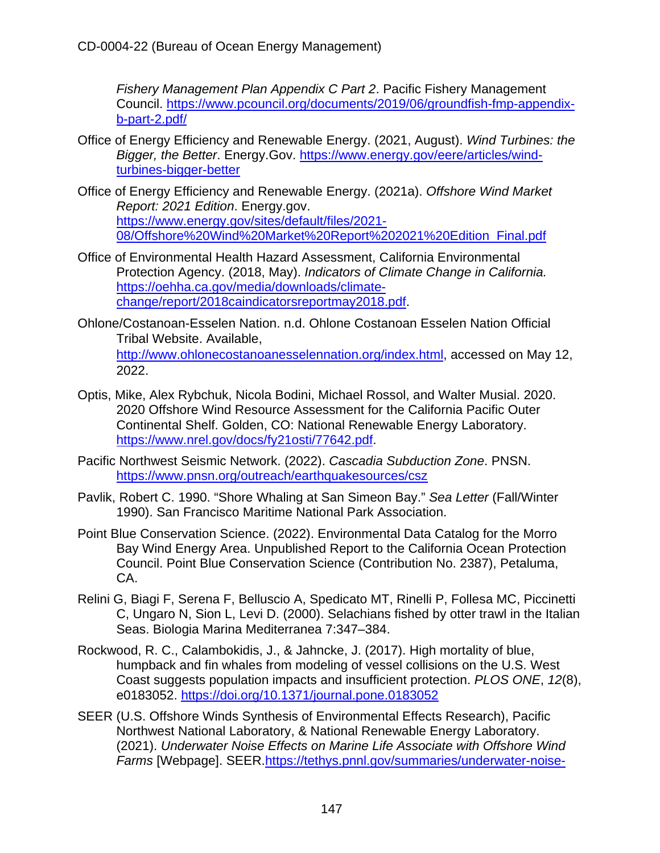*Fishery Management Plan Appendix C Part 2*. Pacific Fishery Management Council. https://www.pcouncil.org/documents/2019/06/groundfish-fmp-appendixb-part-2.pdf/

- Office of Energy Efficiency and Renewable Energy. (2021, August). *Wind Turbines: the Bigger, the Better*. Energy.Gov. https://www.energy.gov/eere/articles/windturbines-bigger-better
- Office of Energy Efficiency and Renewable Energy. (2021a). *Offshore Wind Market Report: 2021 Edition*. Energy.gov. https://www.energy.gov/sites/default/files/2021- 08/Offshore%20Wind%20Market%20Report%202021%20Edition\_Final.pdf
- Office of Environmental Health Hazard Assessment, California Environmental Protection Agency. (2018, May). *Indicators of Climate Change in California.* https://oehha.ca.gov/media/downloads/climatechange/report/2018caindicatorsreportmay2018.pdf.
- Ohlone/Costanoan-Esselen Nation. n.d. Ohlone Costanoan Esselen Nation Official Tribal Website. Available, http://www.ohlonecostanoanesselennation.org/index.html, accessed on May 12, 2022.
- Optis, Mike, Alex Rybchuk, Nicola Bodini, Michael Rossol, and Walter Musial. 2020. 2020 Offshore Wind Resource Assessment for the California Pacific Outer Continental Shelf. Golden, CO: National Renewable Energy Laboratory. https://www.nrel.gov/docs/fy21osti/77642.pdf.
- Pacific Northwest Seismic Network. (2022). *Cascadia Subduction Zone*. PNSN. https://www.pnsn.org/outreach/earthquakesources/csz
- Pavlik, Robert C. 1990. "Shore Whaling at San Simeon Bay." *Sea Letter* (Fall/Winter 1990). San Francisco Maritime National Park Association.
- Point Blue Conservation Science. (2022). Environmental Data Catalog for the Morro Bay Wind Energy Area. Unpublished Report to the California Ocean Protection Council. Point Blue Conservation Science (Contribution No. 2387), Petaluma, CA.
- Relini G, Biagi F, Serena F, Belluscio A, Spedicato MT, Rinelli P, Follesa MC, Piccinetti C, Ungaro N, Sion L, Levi D. (2000). Selachians fished by otter trawl in the Italian Seas. Biologia Marina Mediterranea 7:347–384.
- Rockwood, R. C., Calambokidis, J., & Jahncke, J. (2017). High mortality of blue, humpback and fin whales from modeling of vessel collisions on the U.S. West Coast suggests population impacts and insufficient protection. *PLOS ONE*, *12*(8), e0183052. https://doi.org/10.1371/journal.pone.0183052
- SEER (U.S. Offshore Winds Synthesis of Environmental Effects Research), Pacific Northwest National Laboratory, & National Renewable Energy Laboratory. (2021). *Underwater Noise Effects on Marine Life Associate with Offshore Wind Farms* [Webpage]. SEER.https://tethys.pnnl.gov/summaries/underwater-noise-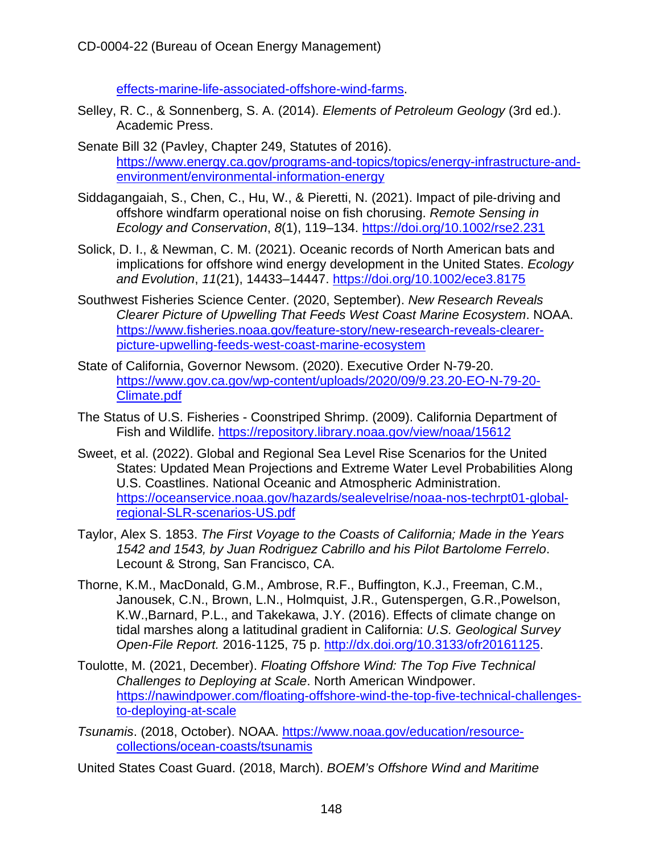effects-marine-life-associated-offshore-wind-farms.

- Selley, R. C., & Sonnenberg, S. A. (2014). *Elements of Petroleum Geology* (3rd ed.). Academic Press.
- Senate Bill 32 (Pavley, Chapter 249, Statutes of 2016). https://www.energy.ca.gov/programs-and-topics/topics/energy-infrastructure-andenvironment/environmental-information-energy
- Siddagangaiah, S., Chen, C., Hu, W., & Pieretti, N. (2021). Impact of pile‐driving and offshore windfarm operational noise on fish chorusing. *Remote Sensing in Ecology and Conservation*, *8*(1), 119–134. https://doi.org/10.1002/rse2.231
- Solick, D. I., & Newman, C. M. (2021). Oceanic records of North American bats and implications for offshore wind energy development in the United States. *Ecology and Evolution*, *11*(21), 14433–14447. https://doi.org/10.1002/ece3.8175
- Southwest Fisheries Science Center. (2020, September). *New Research Reveals Clearer Picture of Upwelling That Feeds West Coast Marine Ecosystem*. NOAA. https://www.fisheries.noaa.gov/feature-story/new-research-reveals-clearerpicture-upwelling-feeds-west-coast-marine-ecosystem
- State of California, Governor Newsom. (2020). Executive Order N-79-20. https://www.gov.ca.gov/wp-content/uploads/2020/09/9.23.20-EO-N-79-20- Climate.pdf
- The Status of U.S. Fisheries Coonstriped Shrimp. (2009). California Department of Fish and Wildlife. https://repository.library.noaa.gov/view/noaa/15612
- Sweet, et al. (2022). Global and Regional Sea Level Rise Scenarios for the United States: Updated Mean Projections and Extreme Water Level Probabilities Along U.S. Coastlines. National Oceanic and Atmospheric Administration. https://oceanservice.noaa.gov/hazards/sealevelrise/noaa-nos-techrpt01-globalregional-SLR-scenarios-US.pdf
- Taylor, Alex S. 1853. *The First Voyage to the Coasts of California; Made in the Years 1542 and 1543, by Juan Rodriguez Cabrillo and his Pilot Bartolome Ferrelo*. Lecount & Strong, San Francisco, CA.
- Thorne, K.M., MacDonald, G.M., Ambrose, R.F., Buffington, K.J., Freeman, C.M., Janousek, C.N., Brown, L.N., Holmquist, J.R., Gutenspergen, G.R.,Powelson, K.W.,Barnard, P.L., and Takekawa, J.Y. (2016). Effects of climate change on tidal marshes along a latitudinal gradient in California: *U.S. Geological Survey Open-File Report.* 2016-1125, 75 p. http://dx.doi.org/10.3133/ofr20161125.
- Toulotte, M. (2021, December). *Floating Offshore Wind: The Top Five Technical Challenges to Deploying at Scale*. North American Windpower. https://nawindpower.com/floating-offshore-wind-the-top-five-technical-challengesto-deploying-at-scale
- *Tsunamis*. (2018, October). NOAA. https://www.noaa.gov/education/resourcecollections/ocean-coasts/tsunamis
- United States Coast Guard. (2018, March). *BOEM's Offshore Wind and Maritime*